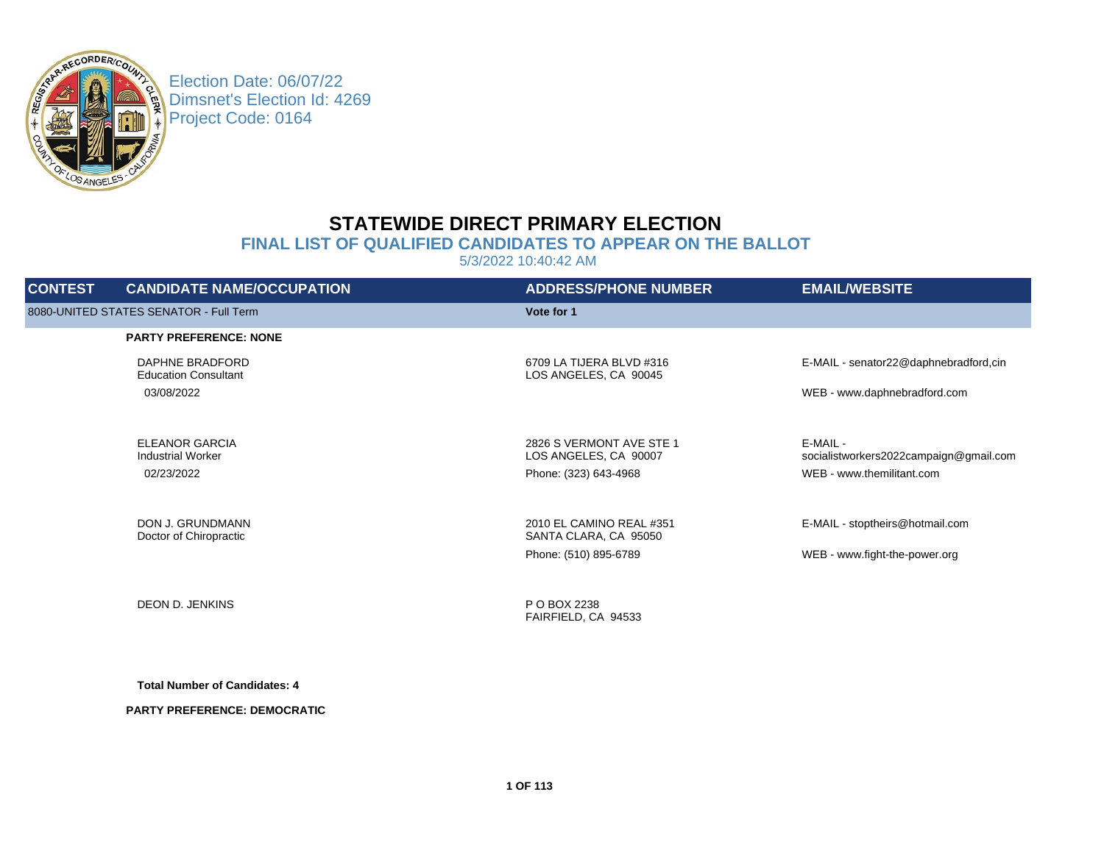

Election Date: 06/07/22 Dimsnet's Election Id: 4269 Project Code: 0164

# **STATEWIDE DIRECT PRIMARY ELECTION**

## **FINAL LIST OF QUALIFIED CANDIDATES TO APPEAR ON THE BALLOT**

5/3/2022 10:40:42 AM

| <b>CONTEST</b> | <b>CANDIDATE NAME/OCCUPATION</b>                  | <b>ADDRESS/PHONE NUMBER</b>                       | <b>EMAIL/WEBSITE</b>                               |
|----------------|---------------------------------------------------|---------------------------------------------------|----------------------------------------------------|
|                | 8080-UNITED STATES SENATOR - Full Term            | Vote for 1                                        |                                                    |
|                | <b>PARTY PREFERENCE: NONE</b>                     |                                                   |                                                    |
|                | DAPHNE BRADFORD<br><b>Education Consultant</b>    | 6709 LA TIJERA BLVD #316<br>LOS ANGELES, CA 90045 | E-MAIL - senator22@daphnebradford,cin              |
|                | 03/08/2022                                        |                                                   | WEB - www.daphnebradford.com                       |
|                | <b>ELEANOR GARCIA</b><br><b>Industrial Worker</b> | 2826 S VERMONT AVE STE 1<br>LOS ANGELES, CA 90007 | E-MAIL -<br>socialistworkers2022campaign@gmail.com |
|                | 02/23/2022                                        | Phone: (323) 643-4968                             | WEB - www.themilitant.com                          |
|                | DON J. GRUNDMANN<br>Doctor of Chiropractic        | 2010 EL CAMINO REAL #351<br>SANTA CLARA, CA 95050 | E-MAIL - stoptheirs@hotmail.com                    |
|                |                                                   | Phone: (510) 895-6789                             | WEB - www.fight-the-power.org                      |
|                | DEON D. JENKINS                                   | P O BOX 2238                                      |                                                    |
|                |                                                   | FAIRFIELD, CA 94533                               |                                                    |
|                |                                                   |                                                   |                                                    |

**Total Number of Candidates: 4**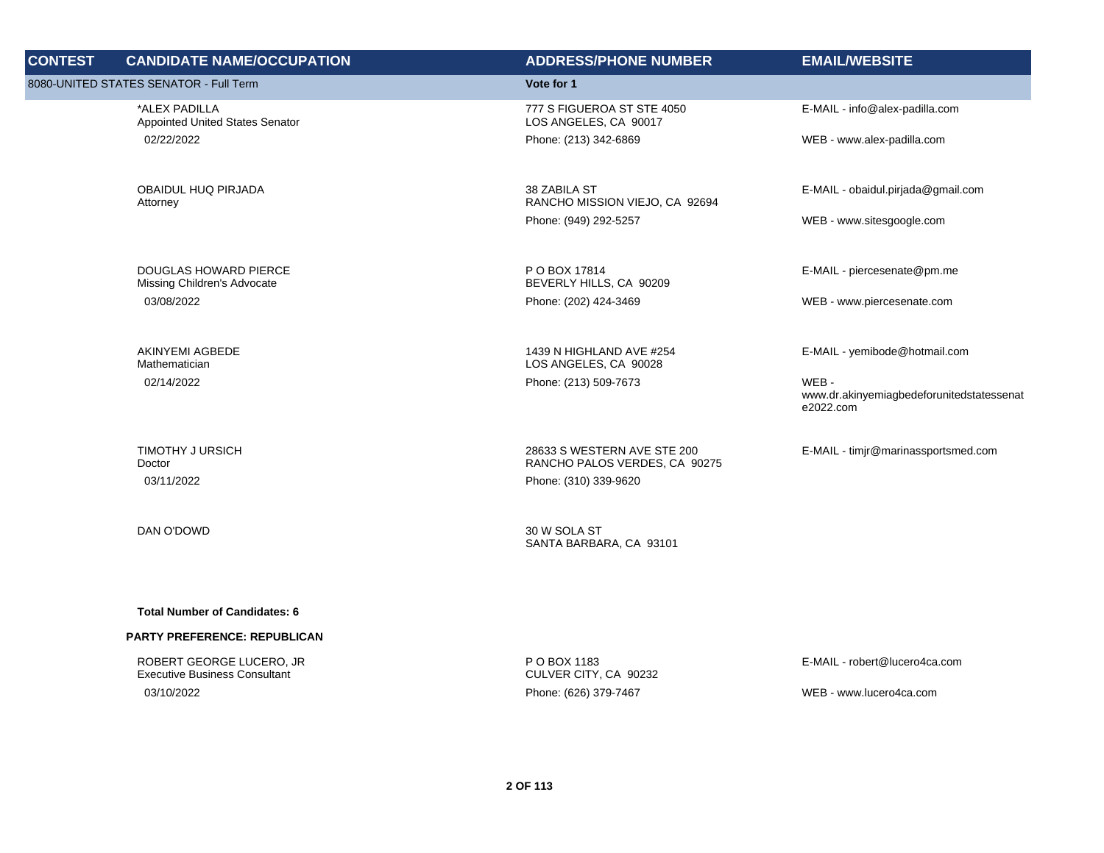| <b>CONTEST</b> | <b>CANDIDATE NAME/OCCUPATION</b>                            | <b>ADDRESS/PHONE NUMBER</b>                                  | <b>EMAIL/WEBSITE</b>                                           |
|----------------|-------------------------------------------------------------|--------------------------------------------------------------|----------------------------------------------------------------|
|                | 8080-UNITED STATES SENATOR - Full Term                      | Vote for 1                                                   |                                                                |
|                | *ALEX PADILLA<br>Appointed United States Senator            | 777 S FIGUEROA ST STE 4050<br>LOS ANGELES, CA 90017          | E-MAIL - info@alex-padilla.com                                 |
|                | 02/22/2022                                                  | Phone: (213) 342-6869                                        | WEB - www.alex-padilla.com                                     |
|                | OBAIDUL HUQ PIRJADA<br>Attorney                             | 38 ZABILA ST<br>RANCHO MISSION VIEJO, CA 92694               | E-MAIL - obaidul.pirjada@gmail.com                             |
|                |                                                             | Phone: (949) 292-5257                                        | WEB - www.sitesgoogle.com                                      |
|                | <b>DOUGLAS HOWARD PIERCE</b><br>Missing Children's Advocate | P O BOX 17814<br>BEVERLY HILLS, CA 90209                     | E-MAIL - piercesenate@pm.me                                    |
|                | 03/08/2022                                                  | Phone: (202) 424-3469                                        | WEB - www.piercesenate.com                                     |
|                | <b>AKINYEMI AGBEDE</b><br>Mathematician                     | 1439 N HIGHLAND AVE #254<br>LOS ANGELES, CA 90028            | E-MAIL - yemibode@hotmail.com                                  |
|                | 02/14/2022                                                  | Phone: (213) 509-7673                                        | WEB-<br>www.dr.akinyemiagbedeforunitedstatessenat<br>e2022.com |
|                | <b>TIMOTHY J URSICH</b><br>Doctor                           | 28633 S WESTERN AVE STE 200<br>RANCHO PALOS VERDES, CA 90275 | E-MAIL - timjr@marinassportsmed.com                            |
|                | 03/11/2022                                                  | Phone: (310) 339-9620                                        |                                                                |
|                | DAN O'DOWD                                                  | 30 W SOLA ST<br>SANTA BARBARA, CA 93101                      |                                                                |
|                |                                                             |                                                              |                                                                |
|                | <b>Total Number of Candidates: 6</b>                        |                                                              |                                                                |
|                | <b>PARTY PREFERENCE: REPUBLICAN</b>                         |                                                              |                                                                |
|                | ROBERT GEORGE LUCERO, JR                                    | P O BOX 1183                                                 | E-MAIL - robert@lucero4ca.com                                  |

03/10/2022 Phone: (626) 379-7467 WEB - www.lucero4ca.com

CULVER CITY, CA 90232

Executive Business Consultant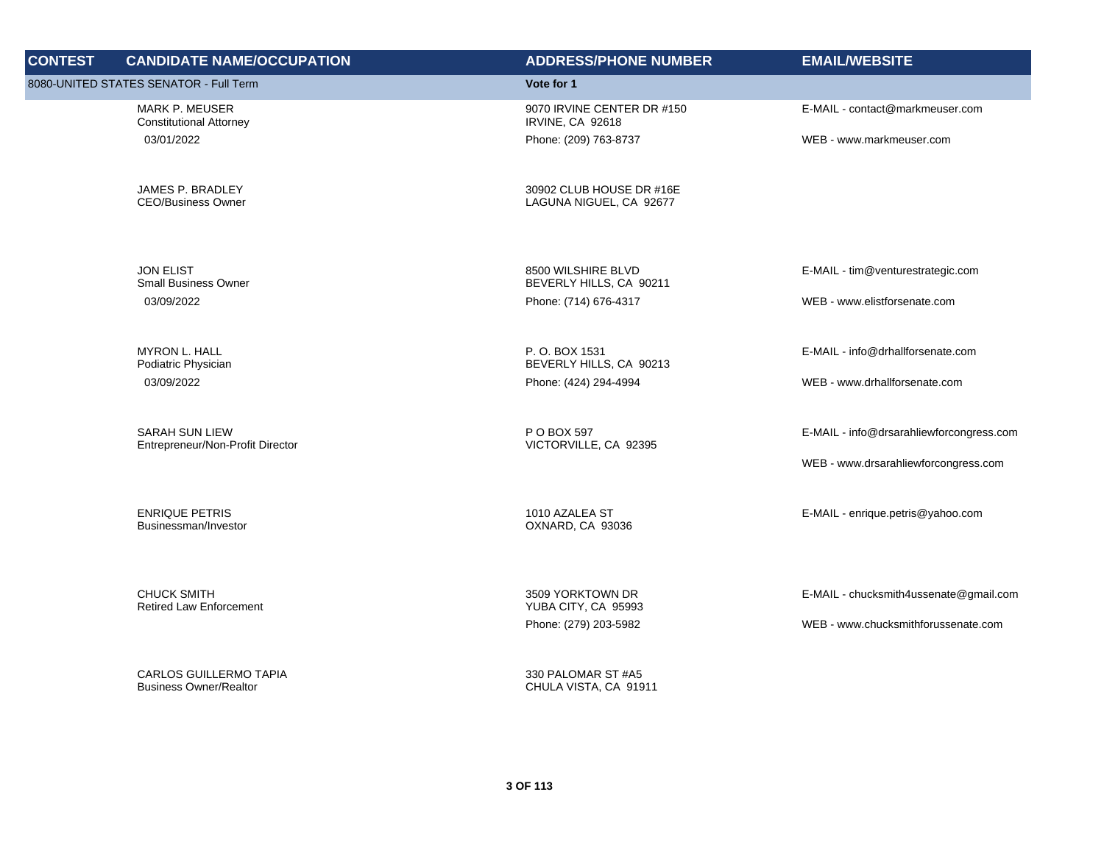| <b>CONTEST</b> | <b>CANDIDATE NAME/OCCUPATION</b>                               | <b>ADDRESS/PHONE NUMBER</b>                         | <b>EMAIL/WEBSITE</b>                     |
|----------------|----------------------------------------------------------------|-----------------------------------------------------|------------------------------------------|
|                | 8080-UNITED STATES SENATOR - Full Term                         | Vote for 1                                          |                                          |
|                | MARK P. MEUSER<br><b>Constitutional Attorney</b>               | 9070 IRVINE CENTER DR #150<br>IRVINE, CA 92618      | E-MAIL - contact@markmeuser.com          |
|                | 03/01/2022                                                     | Phone: (209) 763-8737                               | WEB - www.markmeuser.com                 |
|                | JAMES P. BRADLEY<br><b>CEO/Business Owner</b>                  | 30902 CLUB HOUSE DR #16E<br>LAGUNA NIGUEL, CA 92677 |                                          |
|                | <b>JON ELIST</b><br><b>Small Business Owner</b>                | 8500 WILSHIRE BLVD<br>BEVERLY HILLS, CA 90211       | E-MAIL - tim@venturestrategic.com        |
|                | 03/09/2022                                                     | Phone: (714) 676-4317                               | WEB - www.elistforsenate.com             |
|                | <b>MYRON L. HALL</b><br>Podiatric Physician                    | P.O. BOX 1531<br>BEVERLY HILLS, CA 90213            | E-MAIL - info@drhallforsenate.com        |
|                | 03/09/2022                                                     | Phone: (424) 294-4994                               | WEB - www.drhallforsenate.com            |
|                | <b>SARAH SUN LIEW</b><br>Entrepreneur/Non-Profit Director      | P O BOX 597<br>VICTORVILLE, CA 92395                | E-MAIL - info@drsarahliewforcongress.com |
|                |                                                                |                                                     | WEB - www.drsarahliewforcongress.com     |
|                | <b>ENRIQUE PETRIS</b><br>Businessman/Investor                  | 1010 AZALEA ST<br>OXNARD, CA 93036                  | E-MAIL - enrique.petris@yahoo.com        |
|                | <b>CHUCK SMITH</b><br><b>Retired Law Enforcement</b>           | 3509 YORKTOWN DR<br>YUBA CITY, CA 95993             | E-MAIL - chucksmith4ussenate@gmail.com   |
|                |                                                                | Phone: (279) 203-5982                               | WEB - www.chucksmithforussenate.com      |
|                | <b>CARLOS GUILLERMO TAPIA</b><br><b>Business Owner/Realtor</b> | 330 PALOMAR ST #A5<br>CHULA VISTA, CA 91911         |                                          |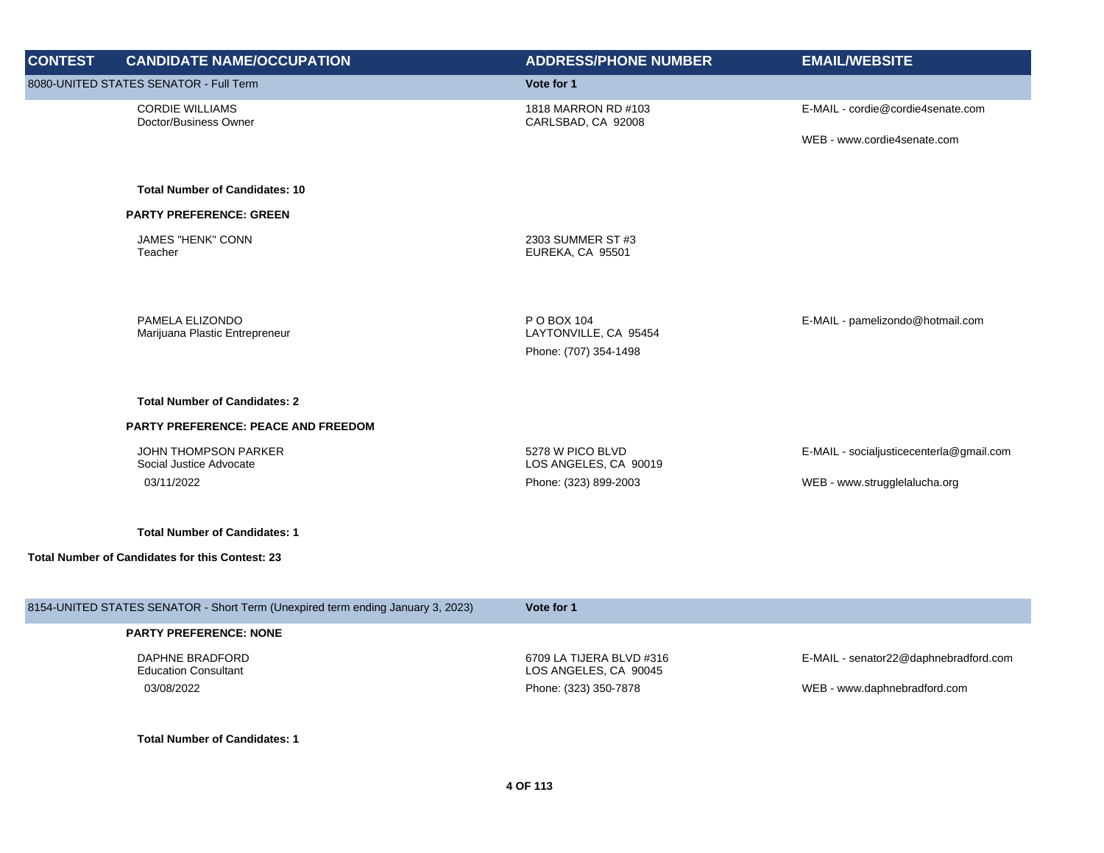| <b>CONTEST</b> | <b>CANDIDATE NAME/OCCUPATION</b>                                                | <b>ADDRESS/PHONE NUMBER</b>                                   | <b>EMAIL/WEBSITE</b>                     |
|----------------|---------------------------------------------------------------------------------|---------------------------------------------------------------|------------------------------------------|
|                | 8080-UNITED STATES SENATOR - Full Term                                          | Vote for 1                                                    |                                          |
|                | <b>CORDIE WILLIAMS</b><br>Doctor/Business Owner                                 | 1818 MARRON RD #103<br>CARLSBAD, CA 92008                     | E-MAIL - cordie@cordie4senate.com        |
|                |                                                                                 |                                                               | WEB - www.cordie4senate.com              |
|                | <b>Total Number of Candidates: 10</b>                                           |                                                               |                                          |
|                | <b>PARTY PREFERENCE: GREEN</b>                                                  |                                                               |                                          |
|                | <b>JAMES "HENK" CONN</b><br>Teacher                                             | 2303 SUMMER ST #3<br>EUREKA, CA 95501                         |                                          |
|                | PAMELA ELIZONDO<br>Marijuana Plastic Entrepreneur                               | P O BOX 104<br>LAYTONVILLE, CA 95454<br>Phone: (707) 354-1498 | E-MAIL - pamelizondo@hotmail.com         |
|                | <b>Total Number of Candidates: 2</b>                                            |                                                               |                                          |
|                | <b>PARTY PREFERENCE: PEACE AND FREEDOM</b>                                      |                                                               |                                          |
|                | <b>JOHN THOMPSON PARKER</b><br>Social Justice Advocate                          | 5278 W PICO BLVD<br>LOS ANGELES, CA 90019                     | E-MAIL - socialjusticecenterla@gmail.com |
|                | 03/11/2022                                                                      | Phone: (323) 899-2003                                         | WEB - www.strugglelalucha.org            |
|                | <b>Total Number of Candidates: 1</b>                                            |                                                               |                                          |
|                | <b>Total Number of Candidates for this Contest: 23</b>                          |                                                               |                                          |
|                | 8154-UNITED STATES SENATOR - Short Term (Unexpired term ending January 3, 2023) | Vote for 1                                                    |                                          |
|                | <b>PARTY PREFERENCE: NONE</b>                                                   |                                                               |                                          |
|                | <b>DAPHNE BRADFORD</b><br><b>Education Consultant</b>                           | 6709 LA TIJERA BLVD #316<br>LOS ANGELES, CA 90045             | E-MAIL - senator22@daphnebradford.com    |

03/08/2022 Phone: (323) 350-7878 WEB - www.daphnebradford.com

**Total Number of Candidates: 1**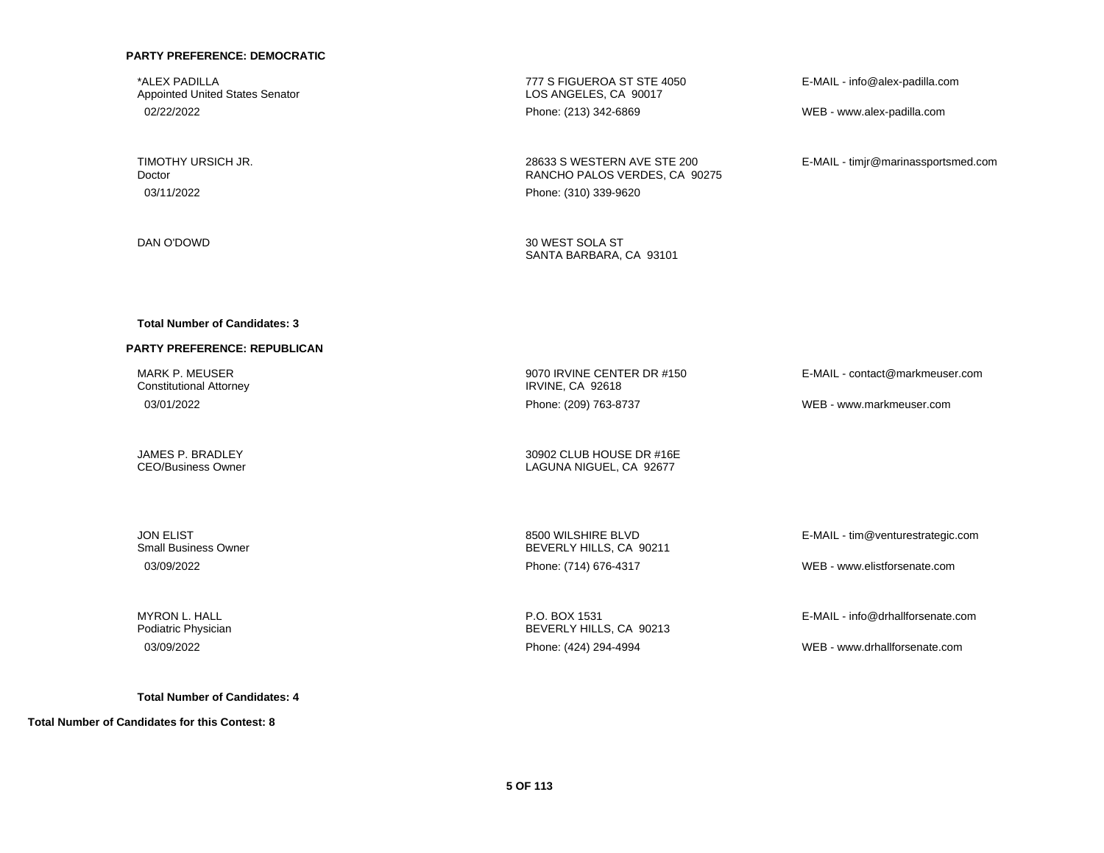\*ALEX PADILLA Appointed United States Senator

TIMOTHY URSICH JR. Doctor 03/11/2022 Phone: (310) 339-9620

DAN O'DOWD 30 WEST SOLA ST

777 S FIGUEROA ST STE 4050 LOS ANGELES, CA 90017 02/22/2022 Phone: (213) 342-6869 WEB - www.alex-padilla.com

> 28633 S WESTERN AVE STE 200 RANCHO PALOS VERDES, CA 90275

E-MAIL - info@alex-padilla.com

E-MAIL - timjr@marinassportsmed.com

SANTA BARBARA, CA 93101

#### **Total Number of Candidates: 3**

#### **PARTY PREFERENCE: REPUBLICAN**

MARK P. MEUSER Constitutional Attorney

JAMES P. BRADLEY CEO/Business Owner

JON ELIST Small Business Owner

MYRON L. HALL Podiatric Physician

**Total Number of Candidates: 4**

**Total Number of Candidates for this Contest: 8**

9070 IRVINE CENTER DR #150 IRVINE, CA 92618 03/01/2022 Phone: (209) 763-8737 WEB - www.markmeuser.com

> 30902 CLUB HOUSE DR #16E LAGUNA NIGUEL, CA 92677

8500 WILSHIRE BLVD BEVERLY HILLS, CA 90211 03/09/2022 Phone: (714) 676-4317 WEB - www.elistforsenate.com

E-MAIL - tim@venturestrategic.com

E-MAIL - contact@markmeuser.com

P.O. BOX 1531 BEVERLY HILLS, CA 90213

E-MAIL - info@drhallforsenate.com

03/09/2022 Phone: (424) 294-4994 WEB - www.drhallforsenate.com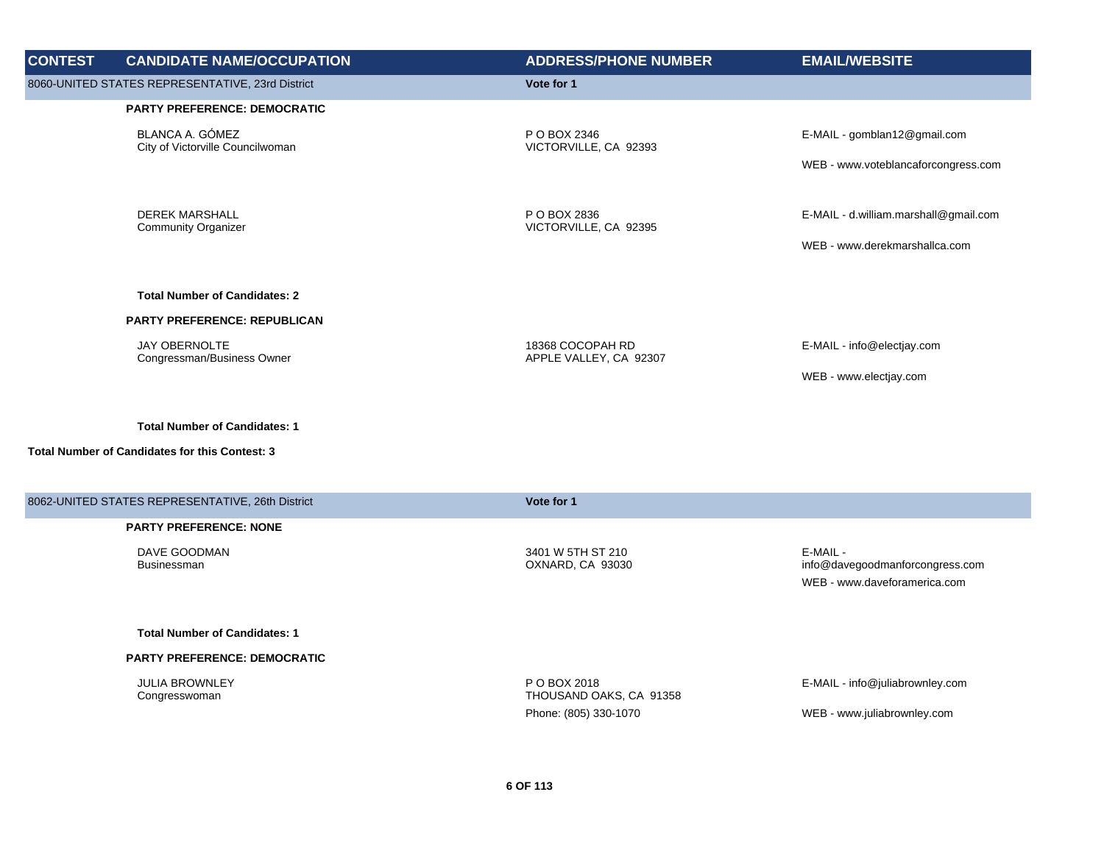| <b>CONTEST</b> | <b>CANDIDATE NAME/OCCUPATION</b>                                                              | <b>ADDRESS/PHONE NUMBER</b>                | <b>EMAIL/WEBSITE</b>                                                        |
|----------------|-----------------------------------------------------------------------------------------------|--------------------------------------------|-----------------------------------------------------------------------------|
|                | 8060-UNITED STATES REPRESENTATIVE, 23rd District                                              | Vote for 1                                 |                                                                             |
|                | PARTY PREFERENCE: DEMOCRATIC                                                                  |                                            |                                                                             |
|                | BLANCA A. GÓMEZ<br>City of Victorville Councilwoman                                           | P O BOX 2346<br>VICTORVILLE, CA 92393      | E-MAIL - gomblan12@gmail.com                                                |
|                |                                                                                               |                                            | WEB - www.voteblancaforcongress.com                                         |
|                | <b>DEREK MARSHALL</b><br><b>Community Organizer</b>                                           | P O BOX 2836<br>VICTORVILLE, CA 92395      | E-MAIL - d.william.marshall@gmail.com                                       |
|                |                                                                                               |                                            | WEB - www.derekmarshallca.com                                               |
|                | <b>Total Number of Candidates: 2</b>                                                          |                                            |                                                                             |
|                | <b>PARTY PREFERENCE: REPUBLICAN</b>                                                           |                                            |                                                                             |
|                | <b>JAY OBERNOLTE</b><br>Congressman/Business Owner                                            | 18368 COCOPAH RD<br>APPLE VALLEY, CA 92307 | E-MAIL - info@electjay.com                                                  |
|                |                                                                                               |                                            | WEB - www.electjay.com                                                      |
|                | <b>Total Number of Candidates: 1</b><br><b>Total Number of Candidates for this Contest: 3</b> |                                            |                                                                             |
|                | 8062-UNITED STATES REPRESENTATIVE, 26th District                                              | Vote for 1                                 |                                                                             |
|                | <b>PARTY PREFERENCE: NONE</b>                                                                 |                                            |                                                                             |
|                | DAVE GOODMAN<br><b>Businessman</b>                                                            | 3401 W 5TH ST 210<br>OXNARD, CA 93030      | E-MAIL -<br>info@davegoodmanforcongress.com<br>WEB - www.daveforamerica.com |
|                | <b>Total Number of Candidates: 1</b>                                                          |                                            |                                                                             |
|                | PARTY PREFERENCE: DEMOCRATIC                                                                  |                                            |                                                                             |
|                | <b>JULIA BROWNLEY</b><br>Congresswoman                                                        | P O BOX 2018<br>THOUSAND OAKS, CA 91358    | E-MAIL - info@juliabrownley.com                                             |
|                |                                                                                               | Phone: (805) 330-1070                      | WEB - www.juliabrownley.com                                                 |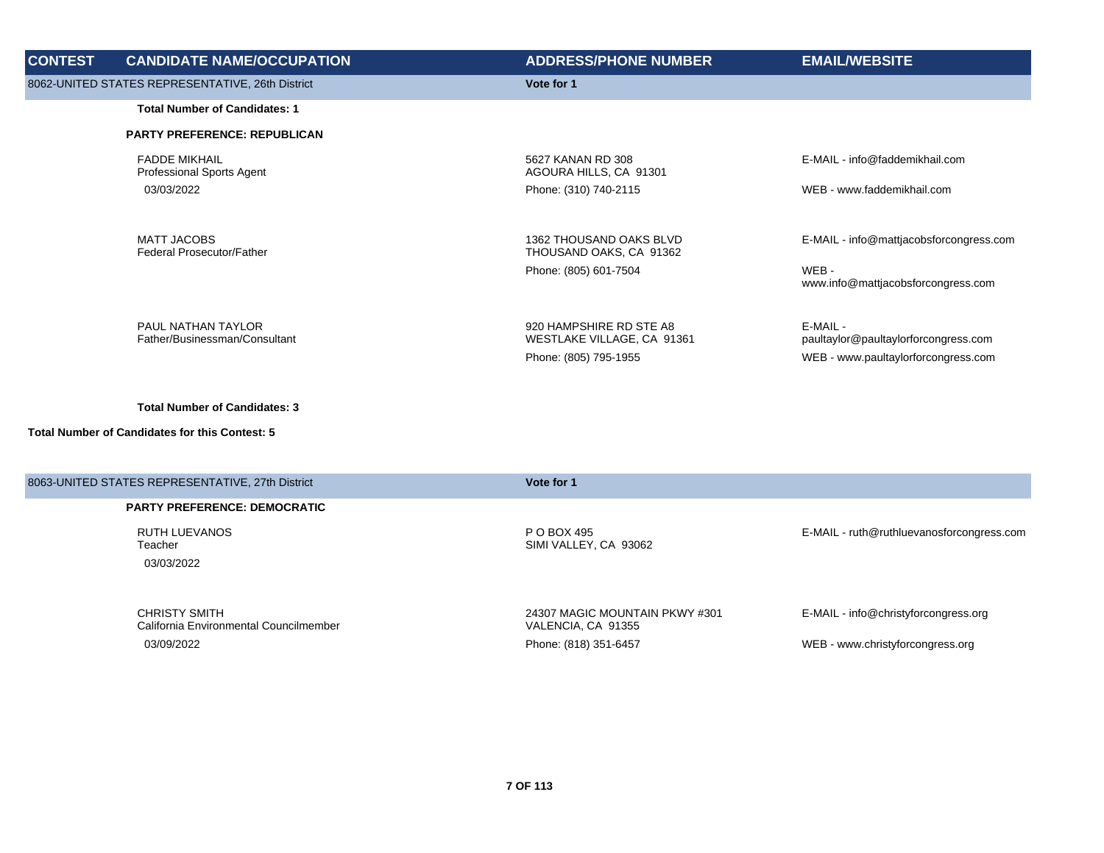| <b>CONTEST</b> | <b>CANDIDATE NAME/OCCUPATION</b>                           | <b>ADDRESS/PHONE NUMBER</b>                                                    | <b>EMAIL/WEBSITE</b>                                                                    |
|----------------|------------------------------------------------------------|--------------------------------------------------------------------------------|-----------------------------------------------------------------------------------------|
|                | 8062-UNITED STATES REPRESENTATIVE, 26th District           | Vote for 1                                                                     |                                                                                         |
|                | <b>Total Number of Candidates: 1</b>                       |                                                                                |                                                                                         |
|                | <b>PARTY PREFERENCE: REPUBLICAN</b>                        |                                                                                |                                                                                         |
|                | <b>FADDE MIKHAIL</b><br><b>Professional Sports Agent</b>   | 5627 KANAN RD 308<br>AGOURA HILLS, CA 91301                                    | E-MAIL - info@faddemikhail.com                                                          |
|                | 03/03/2022                                                 | Phone: (310) 740-2115                                                          | WEB - www.faddemikhail.com                                                              |
|                | <b>MATT JACOBS</b><br><b>Federal Prosecutor/Father</b>     | 1362 THOUSAND OAKS BLVD<br>THOUSAND OAKS, CA 91362<br>Phone: (805) 601-7504    | E-MAIL - info@mattjacobsforcongress.com<br>WEB-<br>www.info@mattjacobsforcongress.com   |
|                | <b>PAUL NATHAN TAYLOR</b><br>Father/Businessman/Consultant | 920 HAMPSHIRE RD STE A8<br>WESTLAKE VILLAGE, CA 91361<br>Phone: (805) 795-1955 | E-MAIL -<br>paultaylor@paultaylorforcongress.com<br>WEB - www.paultaylorforcongress.com |

| 8063-UNITED STATES REPRESENTATIVE, 27th District                             | Vote for 1                                                                    |                                                                          |
|------------------------------------------------------------------------------|-------------------------------------------------------------------------------|--------------------------------------------------------------------------|
| <b>PARTY PREFERENCE: DEMOCRATIC</b>                                          |                                                                               |                                                                          |
| RUTH LUEVANOS<br>Teacher<br>03/03/2022                                       | P O BOX 495<br>SIMI VALLEY, CA 93062                                          | E-MAIL - ruth@ruthluevanosforcongress.com                                |
| <b>CHRISTY SMITH</b><br>California Environmental Councilmember<br>03/09/2022 | 24307 MAGIC MOUNTAIN PKWY #301<br>VALENCIA, CA 91355<br>Phone: (818) 351-6457 | E-MAIL - info@christyforcongress.org<br>WEB - www.christyforcongress.org |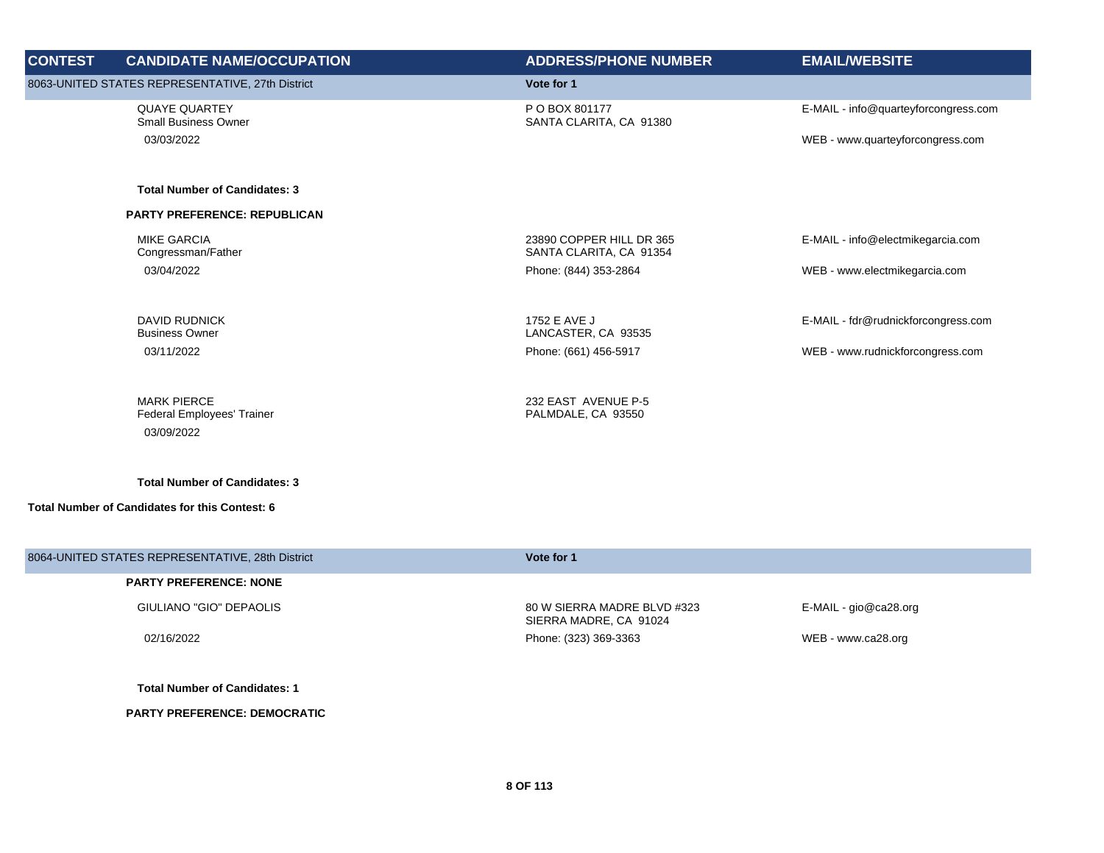| <b>CONTEST</b> | <b>CANDIDATE NAME/OCCUPATION</b>                               | <b>ADDRESS/PHONE NUMBER</b>                         | <b>EMAIL/WEBSITE</b>                 |
|----------------|----------------------------------------------------------------|-----------------------------------------------------|--------------------------------------|
|                | 8063-UNITED STATES REPRESENTATIVE, 27th District               | Vote for 1                                          |                                      |
|                | <b>QUAYE QUARTEY</b><br><b>Small Business Owner</b>            | P O BOX 801177<br>SANTA CLARITA, CA 91380           | E-MAIL - info@quarteyforcongress.com |
|                | 03/03/2022                                                     |                                                     | WEB - www.quarteyforcongress.com     |
|                | <b>Total Number of Candidates: 3</b>                           |                                                     |                                      |
|                | <b>PARTY PREFERENCE: REPUBLICAN</b>                            |                                                     |                                      |
|                | <b>MIKE GARCIA</b><br>Congressman/Father                       | 23890 COPPER HILL DR 365<br>SANTA CLARITA, CA 91354 | E-MAIL - info@electmikegarcia.com    |
|                | 03/04/2022                                                     | Phone: (844) 353-2864                               | WEB - www.electmikegarcia.com        |
|                | <b>DAVID RUDNICK</b><br><b>Business Owner</b>                  | 1752 E AVE J<br>LANCASTER, CA 93535                 | E-MAIL - fdr@rudnickforcongress.com  |
|                | 03/11/2022                                                     | Phone: (661) 456-5917                               | WEB - www.rudnickforcongress.com     |
|                | <b>MARK PIERCE</b><br>Federal Employees' Trainer<br>03/09/2022 | 232 EAST AVENUE P-5<br>PALMDALE, CA 93550           |                                      |
|                | <b>Total Number of Candidates: 3</b>                           |                                                     |                                      |
|                | <b>Total Number of Candidates for this Contest: 6</b>          |                                                     |                                      |

| 8064-UNITED STATES REPRESENTATIVE, 28th District | Vote for 1                                            |                          |  |
|--------------------------------------------------|-------------------------------------------------------|--------------------------|--|
| <b>PARTY PREFERENCE: NONE</b>                    |                                                       |                          |  |
| GIULIANO "GIO" DEPAOLIS                          | 80 W SIERRA MADRE BLVD #323<br>SIERRA MADRE, CA 91024 | $E$ -MAIL - gio@ca28.org |  |
| 02/16/2022                                       | Phone: (323) 369-3363                                 | WEB - www.ca28.org       |  |
|                                                  |                                                       |                          |  |
| <b>Total Number of Candidates: 1</b>             |                                                       |                          |  |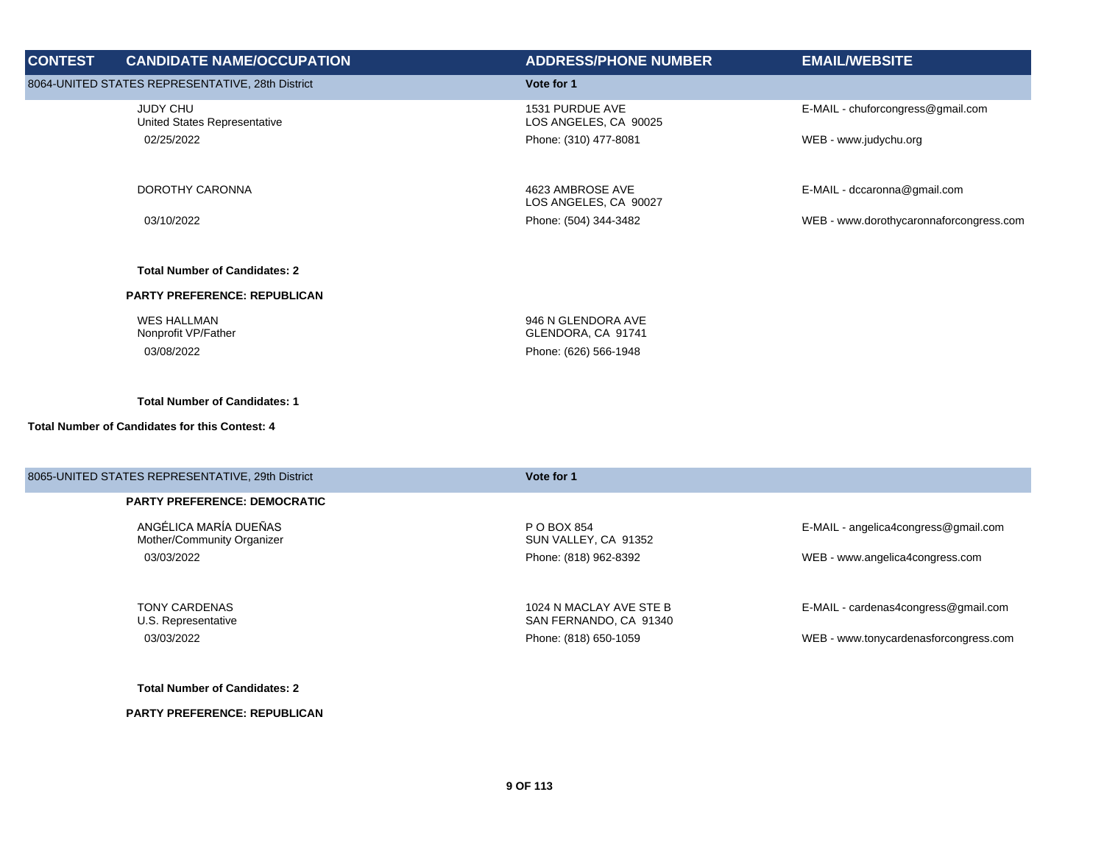| <b>CONTEST</b> | <b>CANDIDATE NAME/OCCUPATION</b>                 | <b>ADDRESS/PHONE NUMBER</b>               | <b>EMAIL/WEBSITE</b>                    |
|----------------|--------------------------------------------------|-------------------------------------------|-----------------------------------------|
|                | 8064-UNITED STATES REPRESENTATIVE, 28th District | Vote for 1                                |                                         |
|                | <b>JUDY CHU</b><br>United States Representative  | 1531 PURDUE AVE<br>LOS ANGELES, CA 90025  | E-MAIL - chuforcongress@gmail.com       |
|                | 02/25/2022                                       | Phone: (310) 477-8081                     | WEB - www.judychu.org                   |
|                | DOROTHY CARONNA                                  | 4623 AMBROSE AVE<br>LOS ANGELES, CA 90027 | E-MAIL - dccaronna@gmail.com            |
|                | 03/10/2022                                       | Phone: (504) 344-3482                     | WEB - www.dorothycaronnaforcongress.com |
|                | <b>Total Number of Candidates: 2</b>             |                                           |                                         |
|                | <b>PARTY PREFERENCE: REPUBLICAN</b>              |                                           |                                         |
|                | <b>WES HALLMAN</b><br>Nonprofit VP/Father        | 946 N GLENDORA AVE<br>GLENDORA, CA 91741  |                                         |
|                | 03/08/2022                                       | Phone: (626) 566-1948                     |                                         |
|                |                                                  |                                           |                                         |

## **Total Number of Candidates for this Contest: 4**

| 8065-UNITED STATES REPRESENTATIVE, 29th District    | Vote for 1                                        |                                       |
|-----------------------------------------------------|---------------------------------------------------|---------------------------------------|
| <b>PARTY PREFERENCE: DEMOCRATIC</b>                 |                                                   |                                       |
| ANGÉLICA MARÍA DUEÑAS<br>Mother/Community Organizer | P O BOX 854<br>SUN VALLEY, CA 91352               | E-MAIL - angelica4congress@gmail.com  |
| 03/03/2022                                          | Phone: (818) 962-8392                             | WEB - www.angelica4congress.com       |
| <b>TONY CARDENAS</b><br>U.S. Representative         | 1024 N MACLAY AVE STE B<br>SAN FERNANDO, CA 91340 | E-MAIL - cardenas4congress@gmail.com  |
| 03/03/2022                                          | Phone: (818) 650-1059                             | WEB - www.tonycardenasforcongress.com |
|                                                     |                                                   |                                       |

**Total Number of Candidates: 2**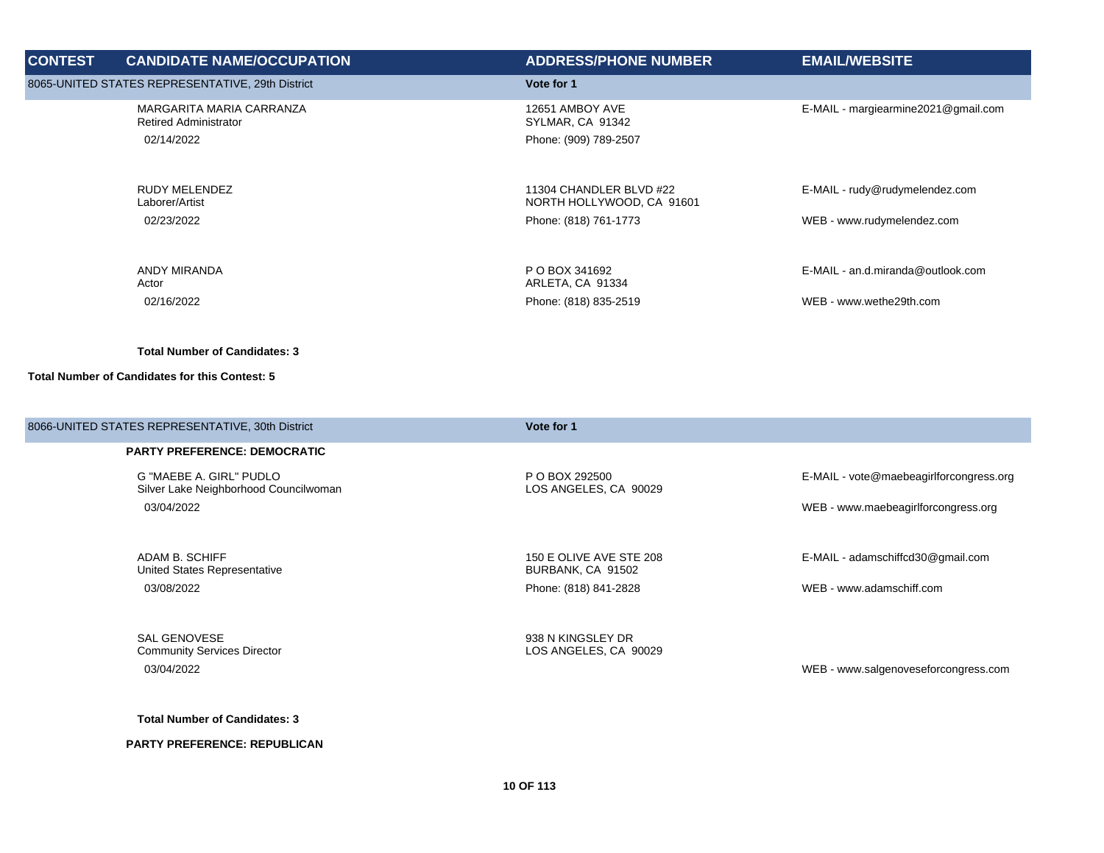| <b>CONTEST</b> | <b>CANDIDATE NAME/OCCUPATION</b>                                       | <b>ADDRESS/PHONE NUMBER</b>                                  | <b>EMAIL/WEBSITE</b>                |
|----------------|------------------------------------------------------------------------|--------------------------------------------------------------|-------------------------------------|
|                | 8065-UNITED STATES REPRESENTATIVE, 29th District                       | Vote for 1                                                   |                                     |
|                | MARGARITA MARIA CARRANZA<br><b>Retired Administrator</b><br>02/14/2022 | 12651 AMBOY AVE<br>SYLMAR, CA 91342<br>Phone: (909) 789-2507 | E-MAIL - margiearmine2021@gmail.com |
|                | <b>RUDY MELENDEZ</b><br>Laborer/Artist                                 | 11304 CHANDLER BLVD #22<br>NORTH HOLLYWOOD, CA 91601         | E-MAIL - rudy@rudymelendez.com      |
|                | 02/23/2022                                                             | Phone: (818) 761-1773                                        | WEB - www.rudymelendez.com          |
|                | ANDY MIRANDA<br>Actor                                                  | P O BOX 341692<br>ARLETA, CA 91334                           | E-MAIL - an.d.miranda@outlook.com   |
|                | 02/16/2022                                                             | Phone: (818) 835-2519                                        | WEB - www.wethe29th.com             |
|                |                                                                        |                                                              |                                     |

### **Total Number of Candidates for this Contest: 5**

| 8066-UNITED STATES REPRESENTATIVE, 30th District                 | Vote for 1                                   |                                         |
|------------------------------------------------------------------|----------------------------------------------|-----------------------------------------|
| <b>PARTY PREFERENCE: DEMOCRATIC</b>                              |                                              |                                         |
| G "MAEBE A. GIRL" PUDLO<br>Silver Lake Neighborhood Councilwoman | P O BOX 292500<br>LOS ANGELES, CA 90029      | E-MAIL - vote@maebeagirlforcongress.org |
| 03/04/2022                                                       |                                              | WEB - www.maebeagirlforcongress.org     |
|                                                                  |                                              |                                         |
| ADAM B. SCHIFF<br>United States Representative                   | 150 E OLIVE AVE STE 208<br>BURBANK, CA 91502 | E-MAIL - adamschiffcd30@gmail.com       |
| 03/08/2022                                                       | Phone: (818) 841-2828                        | WEB - www.adamschiff.com                |
|                                                                  |                                              |                                         |
| SAL GENOVESE<br><b>Community Services Director</b>               | 938 N KINGSLEY DR<br>LOS ANGELES, CA 90029   |                                         |
| 03/04/2022                                                       |                                              | WEB - www.salgenoveseforcongress.com    |
|                                                                  |                                              |                                         |

**Total Number of Candidates: 3**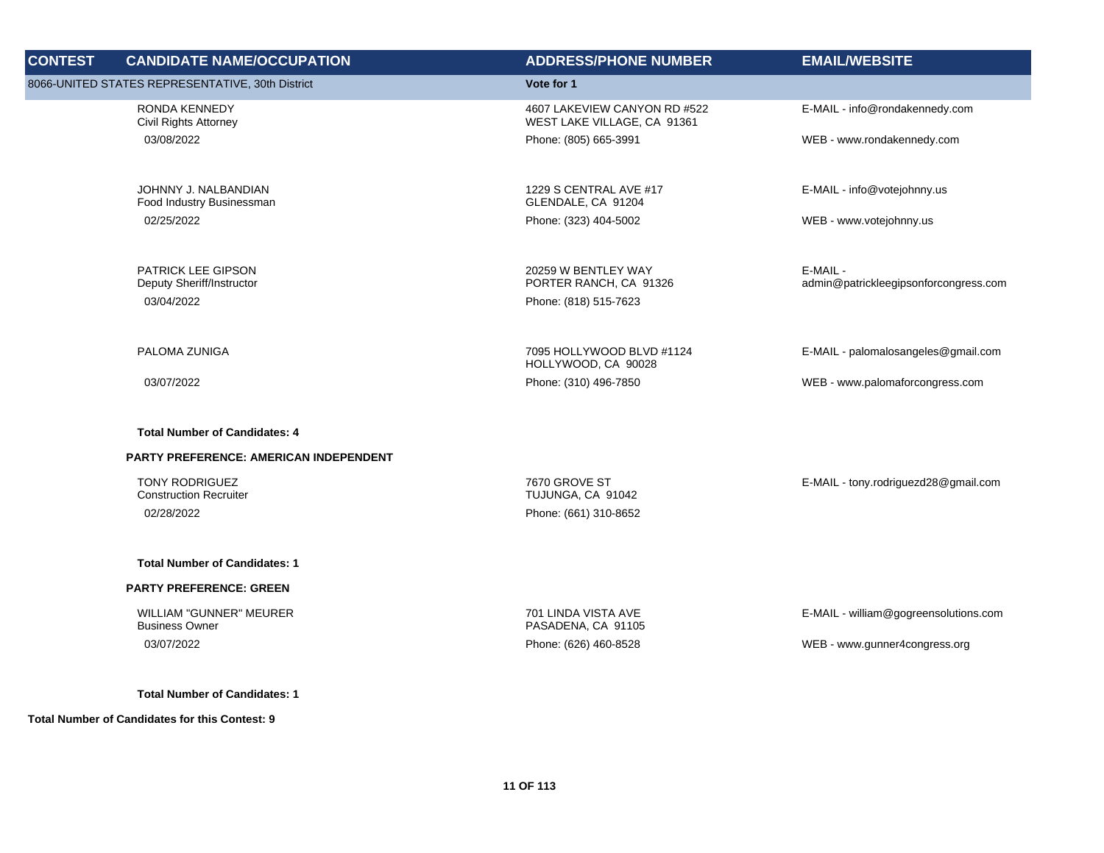| <b>CONTEST</b> | <b>CANDIDATE NAME/OCCUPATION</b>                                     | <b>ADDRESS/PHONE NUMBER</b>                                 | <b>EMAIL/WEBSITE</b>                              |
|----------------|----------------------------------------------------------------------|-------------------------------------------------------------|---------------------------------------------------|
|                | 8066-UNITED STATES REPRESENTATIVE, 30th District                     | Vote for 1                                                  |                                                   |
|                | RONDA KENNEDY<br>Civil Rights Attorney                               | 4607 LAKEVIEW CANYON RD #522<br>WEST LAKE VILLAGE, CA 91361 | E-MAIL - info@rondakennedy.com                    |
|                | 03/08/2022                                                           | Phone: (805) 665-3991                                       | WEB - www.rondakennedy.com                        |
|                | JOHNNY J. NALBANDIAN<br>Food Industry Businessman                    | 1229 S CENTRAL AVE #17<br>GLENDALE, CA 91204                | E-MAIL - info@votejohnny.us                       |
|                | 02/25/2022                                                           | Phone: (323) 404-5002                                       | WEB - www.votejohnny.us                           |
|                | PATRICK LEE GIPSON<br>Deputy Sheriff/Instructor                      | 20259 W BENTLEY WAY<br>PORTER RANCH, CA 91326               | E-MAIL -<br>admin@patrickleegipsonforcongress.com |
|                | 03/04/2022                                                           | Phone: (818) 515-7623                                       |                                                   |
|                | PALOMA ZUNIGA                                                        | 7095 HOLLYWOOD BLVD #1124<br>HOLLYWOOD, CA 90028            | E-MAIL - palomalosangeles@gmail.com               |
|                | 03/07/2022                                                           | Phone: (310) 496-7850                                       | WEB - www.palomaforcongress.com                   |
|                | <b>Total Number of Candidates: 4</b>                                 |                                                             |                                                   |
|                | PARTY PREFERENCE: AMERICAN INDEPENDENT                               |                                                             |                                                   |
|                | <b>TONY RODRIGUEZ</b><br><b>Construction Recruiter</b><br>02/28/2022 | 7670 GROVE ST<br>TUJUNGA, CA 91042<br>Phone: (661) 310-8652 | E-MAIL - tony.rodriguezd28@gmail.com              |
|                | <b>Total Number of Candidates: 1</b>                                 |                                                             |                                                   |
|                | <b>PARTY PREFERENCE: GREEN</b>                                       |                                                             |                                                   |
|                | <b>WILLIAM "GUNNER" MEURER</b><br><b>Business Owner</b>              | 701 LINDA VISTA AVE<br>PASADENA, CA 91105                   | E-MAIL - william@gogreensolutions.com             |
|                | 03/07/2022                                                           | Phone: (626) 460-8528                                       | WEB - www.gunner4congress.org                     |
|                | <b>Total Number of Candidates: 1</b>                                 |                                                             |                                                   |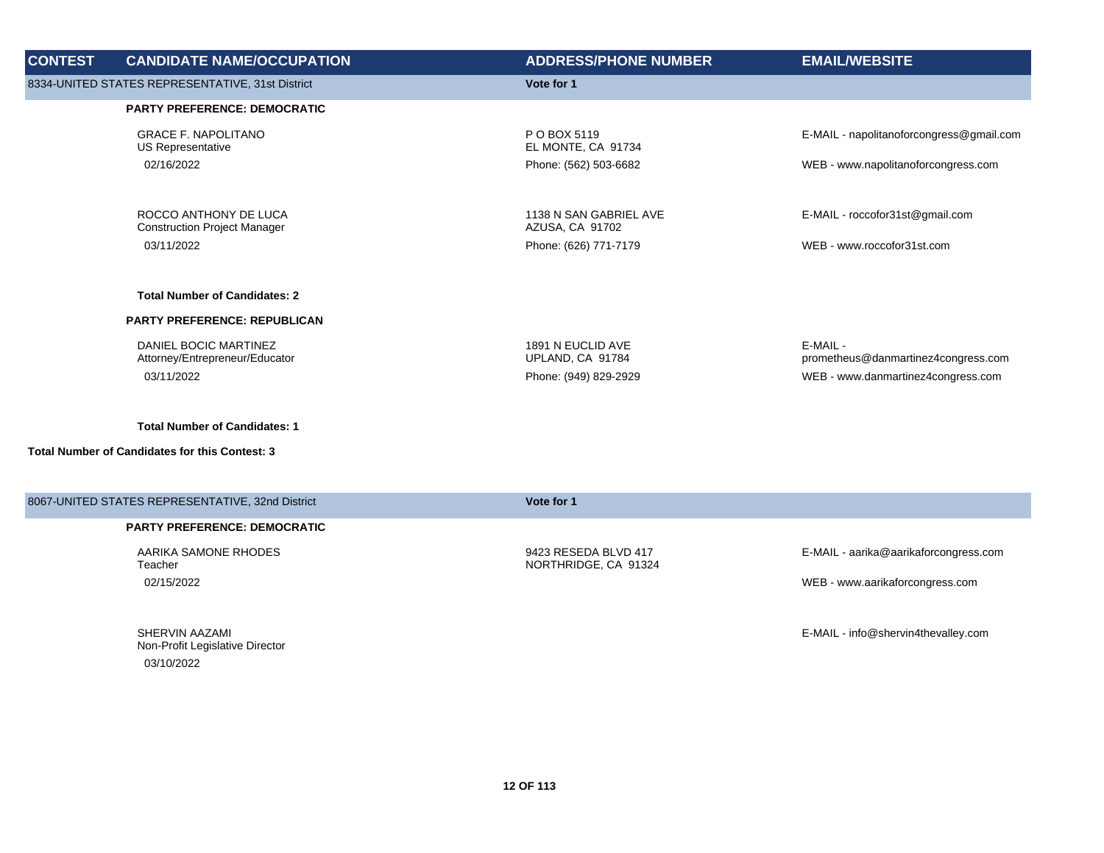| <b>CONTEST</b> | <b>CANDIDATE NAME/OCCUPATION</b>                             | <b>ADDRESS/PHONE NUMBER</b>                  | <b>EMAIL/WEBSITE</b>                            |
|----------------|--------------------------------------------------------------|----------------------------------------------|-------------------------------------------------|
|                | 8334-UNITED STATES REPRESENTATIVE, 31st District             | Vote for 1                                   |                                                 |
|                | <b>PARTY PREFERENCE: DEMOCRATIC</b>                          |                                              |                                                 |
|                | <b>GRACE F. NAPOLITANO</b><br>US Representative              | P O BOX 5119<br>EL MONTE, CA 91734           | E-MAIL - napolitanoforcongress@gmail.com        |
|                | 02/16/2022                                                   | Phone: (562) 503-6682                        | WEB - www.napolitanoforcongress.com             |
|                | ROCCO ANTHONY DE LUCA<br><b>Construction Project Manager</b> | 1138 N SAN GABRIEL AVE<br>AZUSA, CA 91702    | E-MAIL - roccofor31st@gmail.com                 |
|                | 03/11/2022                                                   | Phone: (626) 771-7179                        | WEB - www.roccofor31st.com                      |
|                | <b>Total Number of Candidates: 2</b>                         |                                              |                                                 |
|                | PARTY PREFERENCE: REPUBLICAN                                 |                                              |                                                 |
|                | DANIEL BOCIC MARTINEZ<br>Attorney/Entrepreneur/Educator      | 1891 N EUCLID AVE<br>UPLAND, CA 91784        | E-MAIL -<br>prometheus@danmartinez4congress.com |
|                | 03/11/2022                                                   | Phone: (949) 829-2929                        | WEB - www.danmartinez4congress.com              |
|                | <b>Total Number of Candidates: 1</b>                         |                                              |                                                 |
|                | <b>Total Number of Candidates for this Contest: 3</b>        |                                              |                                                 |
|                | 8067-UNITED STATES REPRESENTATIVE, 32nd District             | Vote for 1                                   |                                                 |
|                | <b>PARTY PREFERENCE: DEMOCRATIC</b>                          |                                              |                                                 |
|                | AARIKA SAMONE RHODES<br>Teacher                              | 9423 RESEDA BLVD 417<br>NORTHRIDGE, CA 91324 | E-MAIL - aarika@aarikaforcongress.com           |
|                | 02/15/2022                                                   |                                              | WEB - www.aarikaforcongress.com                 |
|                | SHERVIN AAZAMI                                               |                                              | E-MAIL - info@shervin4thevalley.com             |

Non-Profit Legislative Director

03/10/2022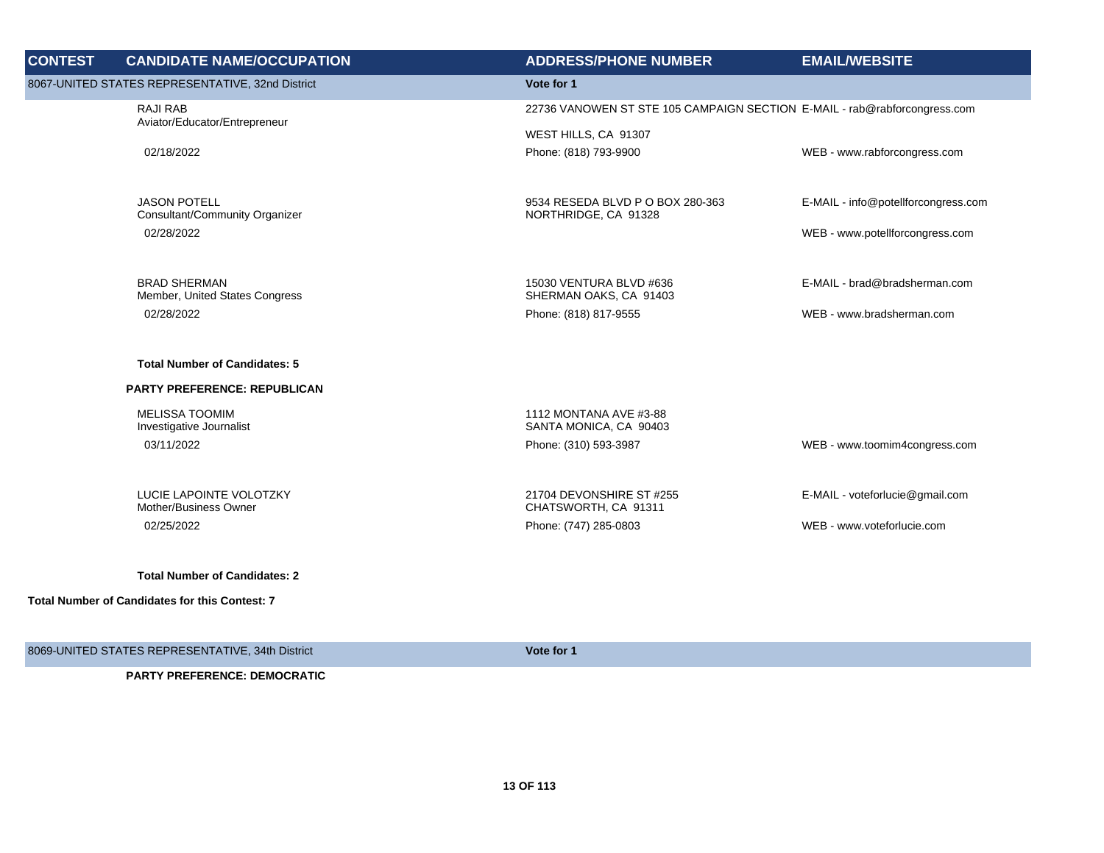| <b>CONTEST</b> | <b>CANDIDATE NAME/OCCUPATION</b>                      | <b>ADDRESS/PHONE NUMBER</b>                                               | <b>EMAIL/WEBSITE</b>                |
|----------------|-------------------------------------------------------|---------------------------------------------------------------------------|-------------------------------------|
|                | 8067-UNITED STATES REPRESENTATIVE, 32nd District      | Vote for 1                                                                |                                     |
|                | <b>RAJI RAB</b>                                       | 22736 VANOWEN ST STE 105 CAMPAIGN SECTION E-MAIL - rab@rabforcongress.com |                                     |
|                | Aviator/Educator/Entrepreneur                         | WEST HILLS, CA 91307                                                      |                                     |
|                | 02/18/2022                                            | Phone: (818) 793-9900                                                     | WEB - www.rabforcongress.com        |
|                |                                                       |                                                                           |                                     |
|                | <b>JASON POTELL</b><br>Consultant/Community Organizer | 9534 RESEDA BLVD P O BOX 280-363<br>NORTHRIDGE, CA 91328                  | E-MAIL - info@potellforcongress.com |
|                | 02/28/2022                                            |                                                                           | WEB - www.potellforcongress.com     |
|                |                                                       |                                                                           |                                     |
|                | <b>BRAD SHERMAN</b>                                   | 15030 VENTURA BLVD #636                                                   | E-MAIL - brad@bradsherman.com       |
|                | Member, United States Congress<br>02/28/2022          | SHERMAN OAKS, CA 91403<br>Phone: (818) 817-9555                           | WEB - www.bradsherman.com           |
|                |                                                       |                                                                           |                                     |
|                | <b>Total Number of Candidates: 5</b>                  |                                                                           |                                     |
|                | <b>PARTY PREFERENCE: REPUBLICAN</b>                   |                                                                           |                                     |
|                | <b>MELISSA TOOMIM</b>                                 | 1112 MONTANA AVE #3-88                                                    |                                     |
|                | Investigative Journalist<br>03/11/2022                | SANTA MONICA, CA 90403<br>Phone: (310) 593-3987                           | WEB - www.toomim4congress.com       |
|                |                                                       |                                                                           |                                     |
|                | LUCIE LAPOINTE VOLOTZKY                               | 21704 DEVONSHIRE ST #255                                                  | E-MAIL - voteforlucie@gmail.com     |
|                | Mother/Business Owner                                 | CHATSWORTH, CA 91311                                                      | WEB - www.voteforlucie.com          |
|                | 02/25/2022                                            | Phone: (747) 285-0803                                                     |                                     |
|                | <b>Total Number of Candidates: 2</b>                  |                                                                           |                                     |
|                | <b>Total Number of Candidates for this Contest: 7</b> |                                                                           |                                     |

8069-UNITED STATES REPRESENTATIVE, 34th District **Vote for 1 Vote for 1**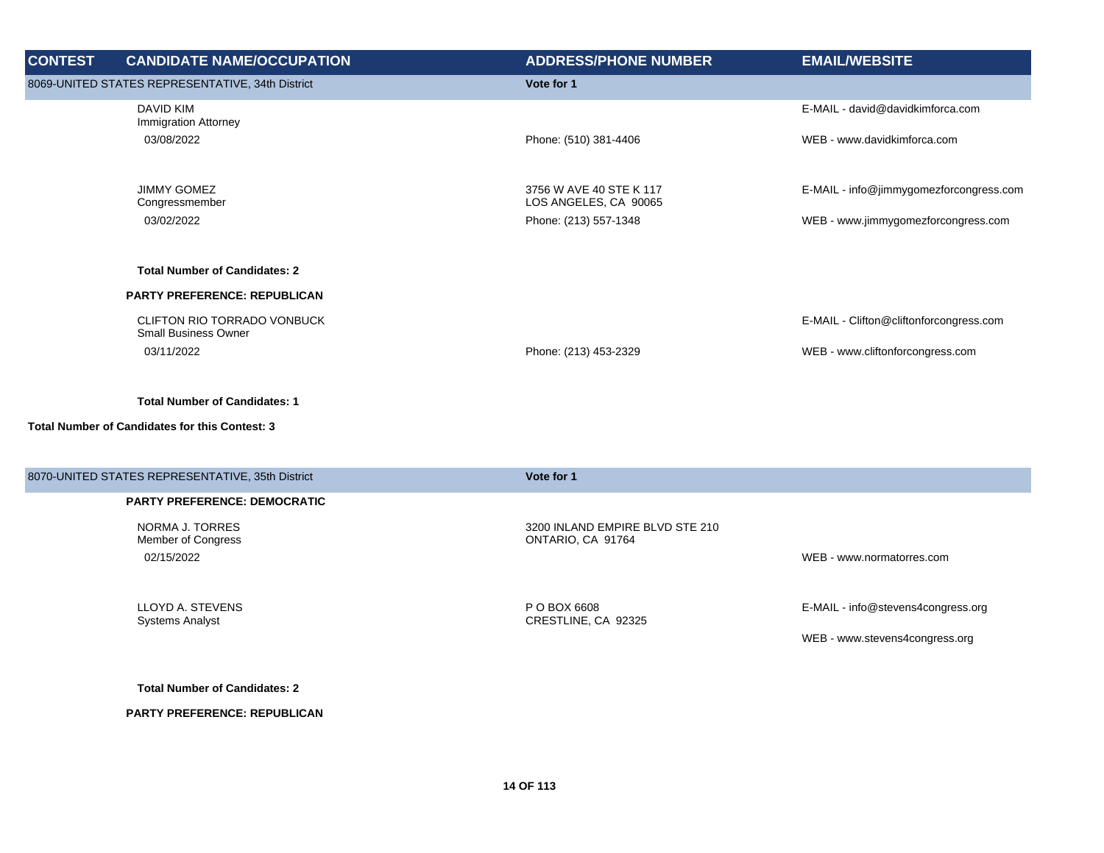| <b>CONTEST</b> | <b>CANDIDATE NAME/OCCUPATION</b>                           | <b>ADDRESS/PHONE NUMBER</b>                    | <b>EMAIL/WEBSITE</b>                    |
|----------------|------------------------------------------------------------|------------------------------------------------|-----------------------------------------|
|                | 8069-UNITED STATES REPRESENTATIVE, 34th District           | Vote for 1                                     |                                         |
|                | DAVID KIM<br>Immigration Attorney                          |                                                | E-MAIL - david@davidkimforca.com        |
|                | 03/08/2022                                                 | Phone: (510) 381-4406                          | WEB - www.davidkimforca.com             |
|                | <b>JIMMY GOMEZ</b>                                         | 3756 W AVE 40 STE K 117                        | E-MAIL - info@jimmygomezforcongress.com |
|                | Congressmember<br>03/02/2022                               | LOS ANGELES, CA 90065<br>Phone: (213) 557-1348 | WEB - www.jimmygomezforcongress.com     |
|                |                                                            |                                                |                                         |
|                | <b>Total Number of Candidates: 2</b>                       |                                                |                                         |
|                | <b>PARTY PREFERENCE: REPUBLICAN</b>                        |                                                |                                         |
|                | CLIFTON RIO TORRADO VONBUCK<br><b>Small Business Owner</b> |                                                | E-MAIL - Clifton@cliftonforcongress.com |
|                | 03/11/2022                                                 | Phone: (213) 453-2329                          | WEB - www.cliftonforcongress.com        |

## **Total Number of Candidates for this Contest: 3**

| 8070-UNITED STATES REPRESENTATIVE, 35th District    | Vote for 1                                           |                                                                      |
|-----------------------------------------------------|------------------------------------------------------|----------------------------------------------------------------------|
| <b>PARTY PREFERENCE: DEMOCRATIC</b>                 |                                                      |                                                                      |
| NORMA J. TORRES<br>Member of Congress<br>02/15/2022 | 3200 INLAND EMPIRE BLVD STE 210<br>ONTARIO, CA 91764 | WEB - www.normatorres.com                                            |
| LLOYD A. STEVENS<br><b>Systems Analyst</b>          | P O BOX 6608<br>CRESTLINE, CA 92325                  | E-MAIL - info@stevens4congress.org<br>WEB - www.stevens4congress.org |

**Total Number of Candidates: 2**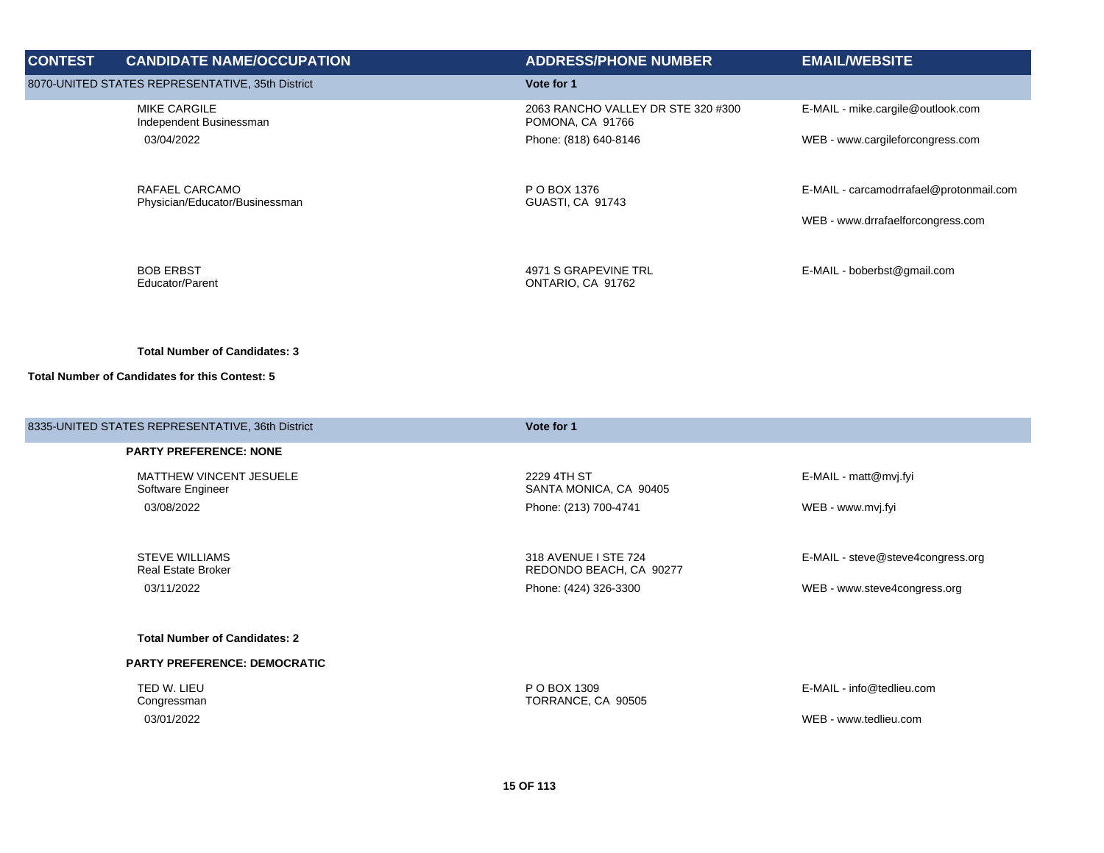| <b>CONTEST</b> | <b>CANDIDATE NAME/OCCUPATION</b>                   | <b>ADDRESS/PHONE NUMBER</b>                            | <b>EMAIL/WEBSITE</b>                    |
|----------------|----------------------------------------------------|--------------------------------------------------------|-----------------------------------------|
|                | 8070-UNITED STATES REPRESENTATIVE, 35th District   | Vote for 1                                             |                                         |
|                | <b>MIKE CARGILE</b><br>Independent Businessman     | 2063 RANCHO VALLEY DR STE 320 #300<br>POMONA, CA 91766 | E-MAIL - mike.cargile@outlook.com       |
|                | 03/04/2022                                         | Phone: (818) 640-8146                                  | WEB - www.cargileforcongress.com        |
|                | RAFAEL CARCAMO<br>Physician/Educator/Businessman   | P O BOX 1376<br>GUASTI, CA 91743                       | E-MAIL - carcamodrrafael@protonmail.com |
|                |                                                    |                                                        | WEB - www.drrafaelforcongress.com       |
|                | <b>BOB ERBST</b><br>Educator/Parent                | 4971 S GRAPEVINE TRL<br>ONTARIO, CA 91762              | E-MAIL - boberbst@gmail.com             |
|                | <b>Total Number of Candidates: 3</b>               |                                                        |                                         |
|                | Total Number of Candidates for this Contest: 5     |                                                        |                                         |
|                | 8335-UNITED STATES REPRESENTATIVE, 36th District   | Vote for 1                                             |                                         |
|                | <b>PARTY PREFERENCE: NONE</b>                      |                                                        |                                         |
|                | MATTHEW VINCENT JESUELE<br>Software Engineer       | 2229 4TH ST<br>SANTA MONICA, CA 90405                  | E-MAIL - matt@mvj.fyi                   |
|                | 03/08/2022                                         | Phone: (213) 700-4741                                  | WEB - www.mvj.fyi                       |
|                | <b>STEVE WILLIAMS</b><br><b>Real Estate Broker</b> | 318 AVENUE I STE 724<br>REDONDO BEACH, CA 90277        | E-MAIL - steve@steve4congress.org       |
|                | 03/11/2022                                         | Phone: (424) 326-3300                                  | WEB - www.steve4congress.org            |
|                | <b>Total Number of Candidates: 2</b>               |                                                        |                                         |
|                | PARTY PREFERENCE: DEMOCRATIC                       |                                                        |                                         |
|                | TED W. LIEU<br>Congressman                         | P O BOX 1309<br>TORRANCE, CA 90505                     | E-MAIL - info@tedlieu.com               |
|                | 03/01/2022                                         |                                                        | WEB - www.tedlieu.com                   |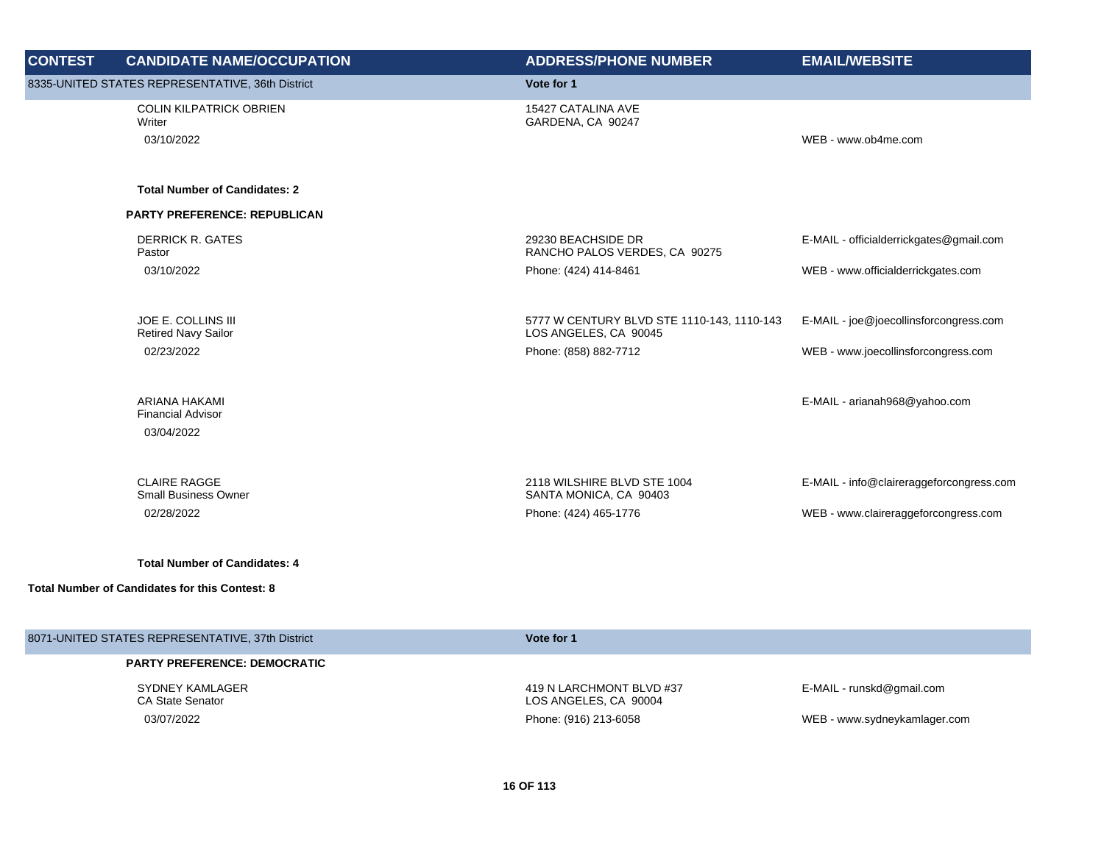| <b>CONTEST</b> | <b>CANDIDATE NAME/OCCUPATION</b>                        | <b>ADDRESS/PHONE NUMBER</b>                                         | <b>EMAIL/WEBSITE</b>                     |
|----------------|---------------------------------------------------------|---------------------------------------------------------------------|------------------------------------------|
|                | 8335-UNITED STATES REPRESENTATIVE, 36th District        | Vote for 1                                                          |                                          |
|                | <b>COLIN KILPATRICK OBRIEN</b><br>Writer                | 15427 CATALINA AVE<br>GARDENA, CA 90247                             |                                          |
|                | 03/10/2022                                              |                                                                     | WEB - www.ob4me.com                      |
|                | <b>Total Number of Candidates: 2</b>                    |                                                                     |                                          |
|                | <b>PARTY PREFERENCE: REPUBLICAN</b>                     |                                                                     |                                          |
|                | <b>DERRICK R. GATES</b><br>Pastor                       | 29230 BEACHSIDE DR<br>RANCHO PALOS VERDES, CA 90275                 | E-MAIL - officialderrickgates@gmail.com  |
|                | 03/10/2022                                              | Phone: (424) 414-8461                                               | WEB - www.officialderrickgates.com       |
|                | JOE E. COLLINS III<br><b>Retired Navy Sailor</b>        | 5777 W CENTURY BLVD STE 1110-143, 1110-143<br>LOS ANGELES, CA 90045 | E-MAIL - joe@joecollinsforcongress.com   |
|                | 02/23/2022                                              | Phone: (858) 882-7712                                               | WEB - www.joecollinsforcongress.com      |
|                | ARIANA HAKAMI<br><b>Financial Advisor</b><br>03/04/2022 |                                                                     | E-MAIL - arianah968@yahoo.com            |
|                | <b>CLAIRE RAGGE</b><br><b>Small Business Owner</b>      | 2118 WILSHIRE BLVD STE 1004<br>SANTA MONICA, CA 90403               | E-MAIL - info@claireraggeforcongress.com |
|                | 02/28/2022                                              | Phone: (424) 465-1776                                               | WEB - www.claireraggeforcongress.com     |
|                | <b>Total Number of Candidates: 4</b>                    |                                                                     |                                          |
|                | Total Number of Candidates for this Contest: 8          |                                                                     |                                          |
|                | 8071-UNITED STATES REPRESENTATIVE, 37th District        | Vote for 1                                                          |                                          |
|                | <b>PARTY PREFERENCE: DEMOCRATIC</b>                     |                                                                     |                                          |
|                | SYDNEY KAMLAGER                                         | 419 N LARCHMONT BLVD #37                                            | E-MAIL - runskd@gmail.com                |

CA State Senator

LOS ANGELES, CA 90004 03/07/2022 Phone: (916) 213-6058 WEB - www.sydneykamlager.com

E-MAIL - runskd@gmail.com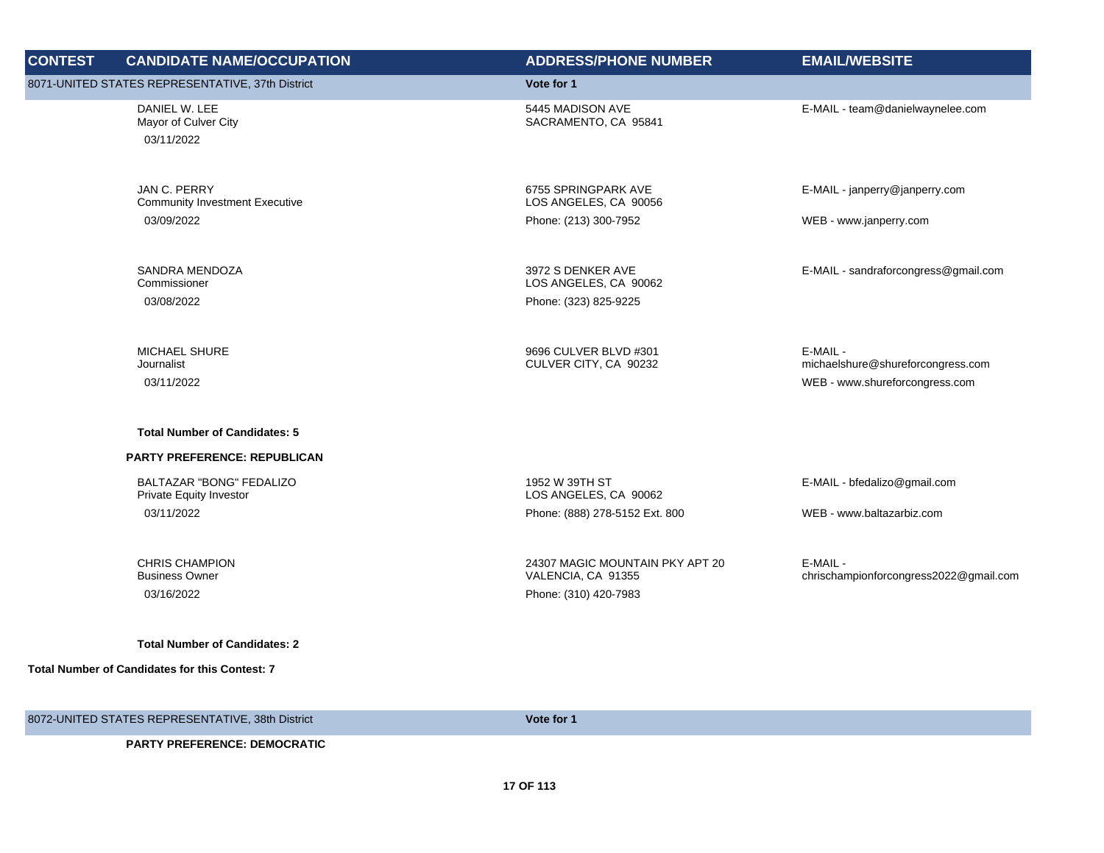| <b>CONTEST</b> | <b>CANDIDATE NAME/OCCUPATION</b>                             | <b>ADDRESS/PHONE NUMBER</b>                                                    | <b>EMAIL/WEBSITE</b>                               |
|----------------|--------------------------------------------------------------|--------------------------------------------------------------------------------|----------------------------------------------------|
|                | 8071-UNITED STATES REPRESENTATIVE, 37th District             | Vote for 1                                                                     |                                                    |
|                | DANIEL W. LEE<br>Mayor of Culver City<br>03/11/2022          | 5445 MADISON AVE<br>SACRAMENTO, CA 95841                                       | E-MAIL - team@danielwaynelee.com                   |
|                | JAN C. PERRY<br><b>Community Investment Executive</b>        | 6755 SPRINGPARK AVE<br>LOS ANGELES, CA 90056                                   | E-MAIL - janperry@janperry.com                     |
|                | 03/09/2022                                                   | Phone: (213) 300-7952                                                          | WEB - www.janperry.com                             |
|                | SANDRA MENDOZA<br>Commissioner                               | 3972 S DENKER AVE<br>LOS ANGELES, CA 90062                                     | E-MAIL - sandraforcongress@gmail.com               |
|                | 03/08/2022                                                   | Phone: (323) 825-9225                                                          |                                                    |
|                | <b>MICHAEL SHURE</b><br>Journalist                           | 9696 CULVER BLVD #301<br>CULVER CITY, CA 90232                                 | E-MAIL -<br>michaelshure@shureforcongress.com      |
|                | 03/11/2022                                                   |                                                                                | WEB - www.shureforcongress.com                     |
|                | <b>Total Number of Candidates: 5</b>                         |                                                                                |                                                    |
|                | <b>PARTY PREFERENCE: REPUBLICAN</b>                          |                                                                                |                                                    |
|                | BALTAZAR "BONG" FEDALIZO<br>Private Equity Investor          | 1952 W 39TH ST<br>LOS ANGELES, CA 90062                                        | E-MAIL - bfedalizo@gmail.com                       |
|                | 03/11/2022                                                   | Phone: (888) 278-5152 Ext. 800                                                 | WEB - www.baltazarbiz.com                          |
|                | <b>CHRIS CHAMPION</b><br><b>Business Owner</b><br>03/16/2022 | 24307 MAGIC MOUNTAIN PKY APT 20<br>VALENCIA, CA 91355<br>Phone: (310) 420-7983 | E-MAIL -<br>chrischampionforcongress2022@gmail.com |
|                | <b>Total Number of Candidates: 2</b>                         |                                                                                |                                                    |
|                | <b>Total Number of Candidates for this Contest: 7</b>        |                                                                                |                                                    |
|                | 8072-UNITED STATES REPRESENTATIVE, 38th District             | Vote for 1                                                                     |                                                    |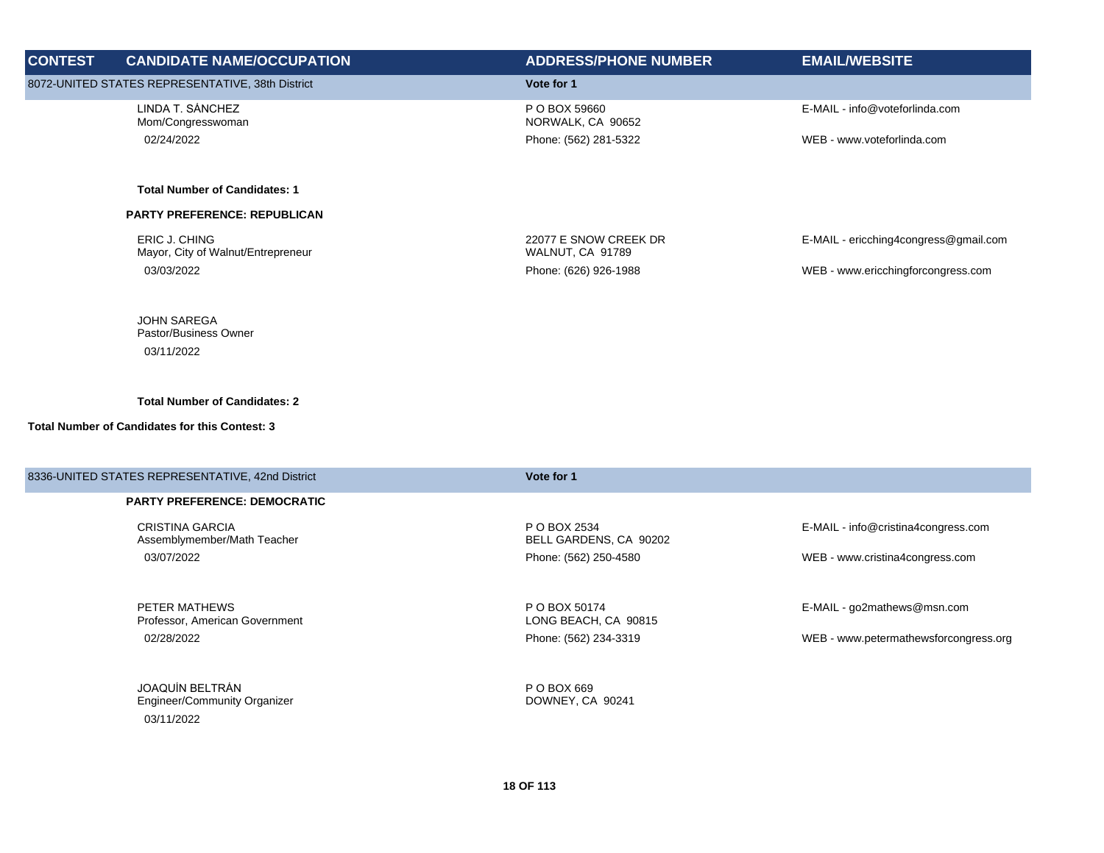| <b>CONTEST</b> | <b>CANDIDATE NAME/OCCUPATION</b>                           | <b>ADDRESS/PHONE NUMBER</b>               | <b>EMAIL/WEBSITE</b>                  |
|----------------|------------------------------------------------------------|-------------------------------------------|---------------------------------------|
|                | 8072-UNITED STATES REPRESENTATIVE, 38th District           | Vote for 1                                |                                       |
|                | LINDA T. SÁNCHEZ<br>Mom/Congresswoman                      | P O BOX 59660<br>NORWALK, CA 90652        | E-MAIL - info@voteforlinda.com        |
|                | 02/24/2022                                                 | Phone: (562) 281-5322                     | WEB - www.voteforlinda.com            |
|                | <b>Total Number of Candidates: 1</b>                       |                                           |                                       |
|                | <b>PARTY PREFERENCE: REPUBLICAN</b>                        |                                           |                                       |
|                | <b>ERIC J. CHING</b><br>Mayor, City of Walnut/Entrepreneur | 22077 E SNOW CREEK DR<br>WALNUT, CA 91789 | E-MAIL - ericching4congress@gmail.com |
|                | 03/03/2022                                                 | Phone: (626) 926-1988                     | WEB - www.ericchingforcongress.com    |
|                | <b>JOHN SAREGA</b><br>Pastor/Business Owner                |                                           |                                       |
|                | 03/11/2022                                                 |                                           |                                       |
|                | <b>Total Number of Candidates: 2</b>                       |                                           |                                       |
|                | <b>Total Number of Candidates for this Contest: 3</b>      |                                           |                                       |
|                | 8336-UNITED STATES REPRESENTATIVE, 42nd District           | Vote for 1                                |                                       |
|                | <b>PARTY PREFERENCE: DEMOCRATIC</b>                        |                                           |                                       |
|                | <b>CRISTINA GARCIA</b><br>Assemblymember/Math Teacher      | P O BOX 2534<br>BELL GARDENS, CA 90202    | E-MAIL - info@cristina4congress.com   |
|                | 03/07/2022                                                 | Phone: (562) 250-4580                     | WEB - www.cristina4congress.com       |

PETER MATHEWS Professor, American Government 02/28/2022 Phone: (562) 234-3319 WEB - www.petermathewsforcongress.org

JOAQUÍN BELTRÁN Engineer/Community Organizer 03/11/2022

P O BOX 50174 LONG BEACH, CA 90815

P O BOX 669 DOWNEY, CA 90241 E-MAIL - go2mathews@msn.com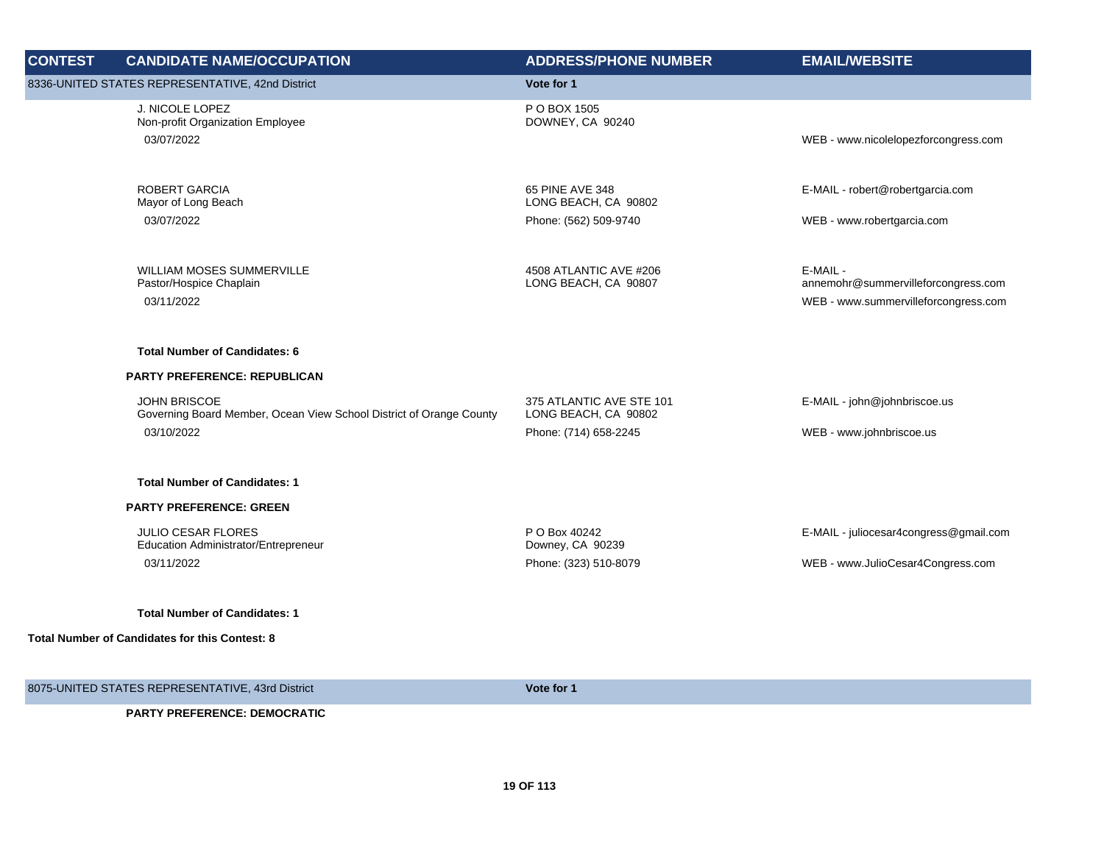| <b>CONTEST</b> | <b>CANDIDATE NAME/OCCUPATION</b>                                                           | <b>ADDRESS/PHONE NUMBER</b>                      | <b>EMAIL/WEBSITE</b>                            |
|----------------|--------------------------------------------------------------------------------------------|--------------------------------------------------|-------------------------------------------------|
|                | 8336-UNITED STATES REPRESENTATIVE, 42nd District                                           | Vote for 1                                       |                                                 |
|                | J. NICOLE LOPEZ<br>Non-profit Organization Employee<br>03/07/2022                          | P O BOX 1505<br>DOWNEY, CA 90240                 | WEB - www.nicolelopezforcongress.com            |
|                | <b>ROBERT GARCIA</b><br>Mayor of Long Beach                                                | 65 PINE AVE 348<br>LONG BEACH, CA 90802          | E-MAIL - robert@robertgarcia.com                |
|                | 03/07/2022                                                                                 | Phone: (562) 509-9740                            | WEB - www.robertgarcia.com                      |
|                | WILLIAM MOSES SUMMERVILLE<br>Pastor/Hospice Chaplain                                       | 4508 ATLANTIC AVE #206<br>LONG BEACH, CA 90807   | E-MAIL -<br>annemohr@summervilleforcongress.com |
|                | 03/11/2022                                                                                 |                                                  | WEB - www.summervilleforcongress.com            |
|                | <b>Total Number of Candidates: 6</b>                                                       |                                                  |                                                 |
|                | PARTY PREFERENCE: REPUBLICAN                                                               |                                                  |                                                 |
|                | <b>JOHN BRISCOE</b><br>Governing Board Member, Ocean View School District of Orange County | 375 ATLANTIC AVE STE 101<br>LONG BEACH, CA 90802 | E-MAIL - john@johnbriscoe.us                    |
|                | 03/10/2022                                                                                 | Phone: (714) 658-2245                            | WEB - www.johnbriscoe.us                        |
|                | <b>Total Number of Candidates: 1</b>                                                       |                                                  |                                                 |
|                | <b>PARTY PREFERENCE: GREEN</b>                                                             |                                                  |                                                 |
|                | <b>JULIO CESAR FLORES</b><br>Education Administrator/Entrepreneur                          | P O Box 40242<br>Downey, CA 90239                | E-MAIL - juliocesar4congress@gmail.com          |
|                | 03/11/2022                                                                                 | Phone: (323) 510-8079                            | WEB - www.JulioCesar4Congress.com               |
|                | <b>Total Number of Candidates: 1</b>                                                       |                                                  |                                                 |
|                | <b>Total Number of Candidates for this Contest: 8</b>                                      |                                                  |                                                 |
|                | 8075-UNITED STATES REPRESENTATIVE, 43rd District                                           | Vote for 1                                       |                                                 |
|                | <b>PARTY PREFERENCE: DEMOCRATIC</b>                                                        |                                                  |                                                 |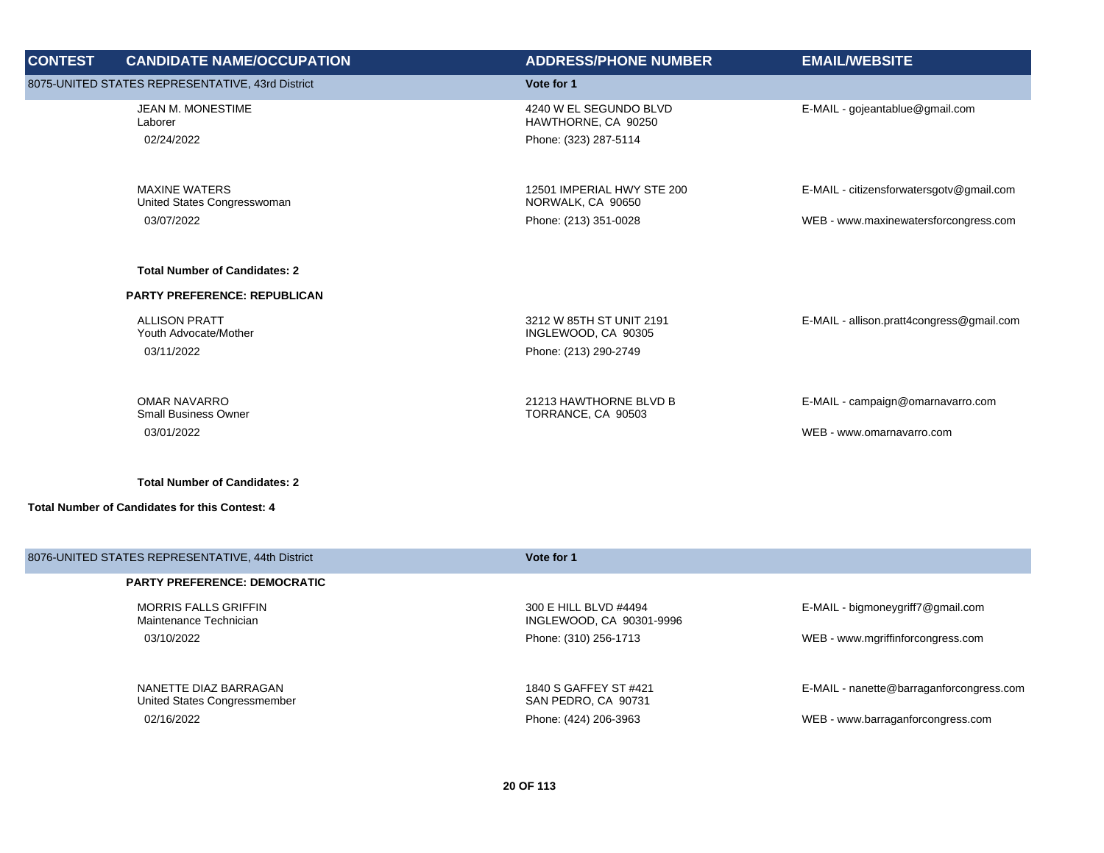| <b>CONTEST</b> | <b>CANDIDATE NAME/OCCUPATION</b>                                 | <b>ADDRESS/PHONE NUMBER</b>                                              | <b>EMAIL/WEBSITE</b>                                           |
|----------------|------------------------------------------------------------------|--------------------------------------------------------------------------|----------------------------------------------------------------|
|                | 8075-UNITED STATES REPRESENTATIVE, 43rd District                 | Vote for 1                                                               |                                                                |
|                | JEAN M. MONESTIME<br>Laborer<br>02/24/2022                       | 4240 W EL SEGUNDO BLVD<br>HAWTHORNE, CA 90250<br>Phone: (323) 287-5114   | E-MAIL - gojeantablue@gmail.com                                |
|                | <b>MAXINE WATERS</b><br>United States Congresswoman              | 12501 IMPERIAL HWY STE 200<br>NORWALK, CA 90650                          | E-MAIL - citizensforwatersgotv@gmail.com                       |
|                | 03/07/2022                                                       | Phone: (213) 351-0028                                                    | WEB - www.maxinewatersforcongress.com                          |
|                | <b>Total Number of Candidates: 2</b>                             |                                                                          |                                                                |
|                | <b>PARTY PREFERENCE: REPUBLICAN</b>                              |                                                                          |                                                                |
|                | <b>ALLISON PRATT</b><br>Youth Advocate/Mother<br>03/11/2022      | 3212 W 85TH ST UNIT 2191<br>INGLEWOOD, CA 90305<br>Phone: (213) 290-2749 | E-MAIL - allison.pratt4congress@gmail.com                      |
|                | <b>OMAR NAVARRO</b><br><b>Small Business Owner</b><br>03/01/2022 | 21213 HAWTHORNE BLVD B<br>TORRANCE, CA 90503                             | E-MAIL - campaign@omarnavarro.com<br>WEB - www.omarnavarro.com |
|                | <b>Total Number of Candidates: 2</b>                             |                                                                          |                                                                |

| 8076-UNITED STATES REPRESENTATIVE, 44th District      | Vote for 1                                        |                                          |
|-------------------------------------------------------|---------------------------------------------------|------------------------------------------|
| <b>PARTY PREFERENCE: DEMOCRATIC</b>                   |                                                   |                                          |
| <b>MORRIS FALLS GRIFFIN</b><br>Maintenance Technician | 300 E HILL BLVD #4494<br>INGLEWOOD, CA 90301-9996 | E-MAIL - bigmoneygriff7@gmail.com        |
| 03/10/2022                                            | Phone: (310) 256-1713                             | WEB - www.mgriffinforcongress.com        |
| NANETTE DIAZ BARRAGAN<br>United States Congressmember | 1840 S GAFFEY ST #421<br>SAN PEDRO, CA 90731      | E-MAIL - nanette@barraganforcongress.com |
| 02/16/2022                                            | Phone: (424) 206-3963                             | WEB - www.barraganforcongress.com        |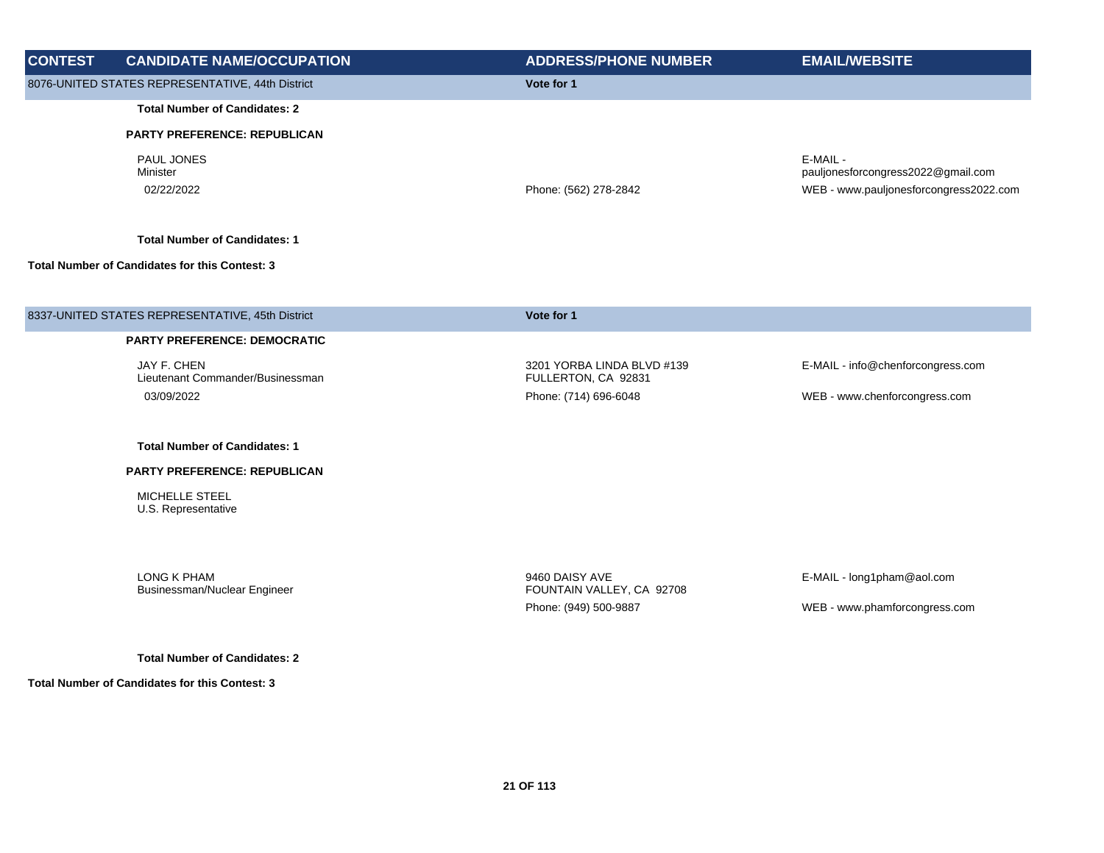| <b>CONTEST</b> | <b>CANDIDATE NAME/OCCUPATION</b>                      | <b>ADDRESS/PHONE NUMBER</b> | <b>EMAIL/WEBSITE</b>                                                                     |
|----------------|-------------------------------------------------------|-----------------------------|------------------------------------------------------------------------------------------|
|                | 8076-UNITED STATES REPRESENTATIVE, 44th District      | Vote for 1                  |                                                                                          |
|                | <b>Total Number of Candidates: 2</b>                  |                             |                                                                                          |
|                | <b>PARTY PREFERENCE: REPUBLICAN</b>                   |                             |                                                                                          |
|                | <b>PAUL JONES</b><br>Minister<br>02/22/2022           | Phone: (562) 278-2842       | E-MAIL -<br>pauljonesforcongress2022@gmail.com<br>WEB - www.pauljonesforcongress2022.com |
|                | <b>Total Number of Candidates: 1</b>                  |                             |                                                                                          |
|                | <b>Total Number of Candidates for this Contest: 3</b> |                             |                                                                                          |
|                |                                                       |                             |                                                                                          |
|                | 0227 UNITED CTATEC DEDDECENTATIVE AFth Dictrict       | $V0$ is $\sim 1$            |                                                                                          |

| 8337-UNITED STATES REPRESENTATIVE, 45th District | Vote for 1                                        |                                   |
|--------------------------------------------------|---------------------------------------------------|-----------------------------------|
| <b>PARTY PREFERENCE: DEMOCRATIC</b>              |                                                   |                                   |
| JAY F. CHEN<br>Lieutenant Commander/Businessman  | 3201 YORBA LINDA BLVD #139<br>FULLERTON, CA 92831 | E-MAIL - info@chenforcongress.com |
| 03/09/2022                                       | Phone: (714) 696-6048                             | WEB - www.chenforcongress.com     |

## **PARTY PREFERENCE: REPUBLICAN**

MICHELLE STEEL U.S. Representative

LONG K PHAM Businessman/Nuclear Engineer

9460 DAISY AVE FOUNTAIN VALLEY, CA 92708 Phone: (949) 500-9887 WEB - www.phamforcongress.com

E-MAIL - long1pham@aol.com

**Total Number of Candidates: 2**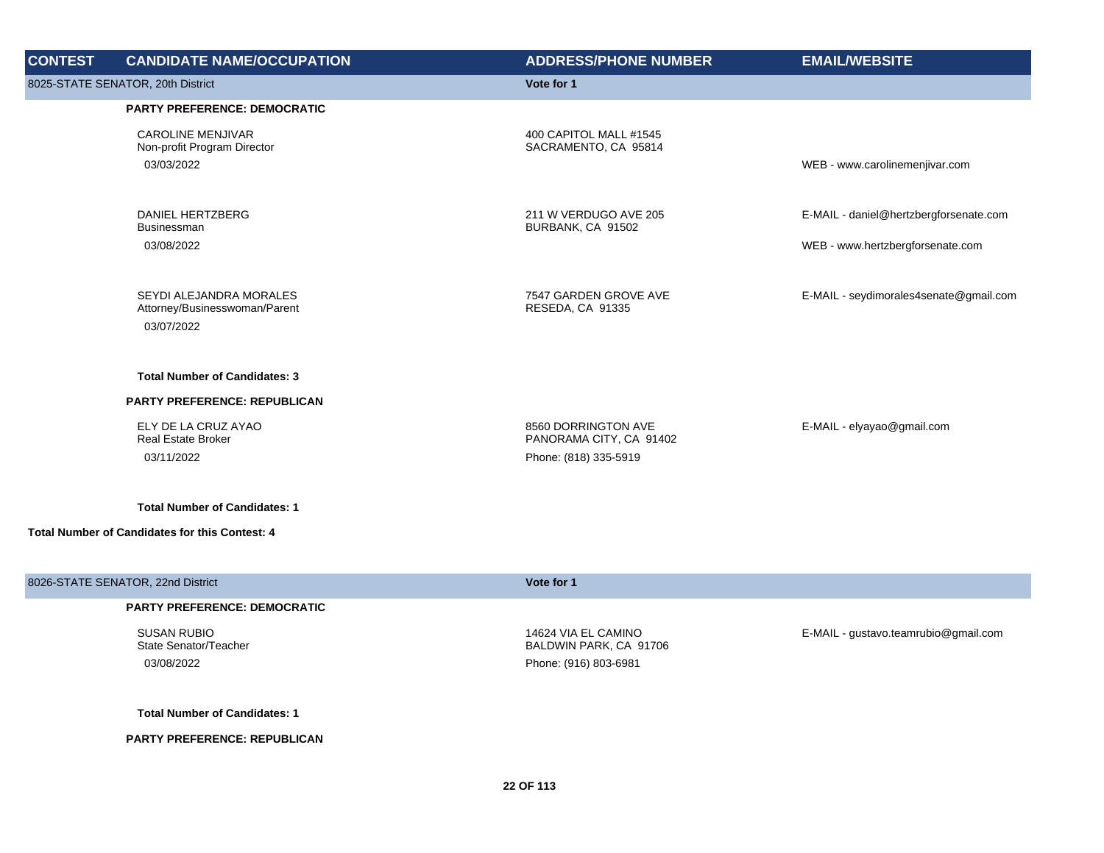| <b>CONTEST</b> | <b>CANDIDATE NAME/OCCUPATION</b>                                       | <b>ADDRESS/PHONE NUMBER</b>                                             | <b>EMAIL/WEBSITE</b>                                                       |
|----------------|------------------------------------------------------------------------|-------------------------------------------------------------------------|----------------------------------------------------------------------------|
|                | 8025-STATE SENATOR, 20th District                                      | Vote for 1                                                              |                                                                            |
|                | <b>PARTY PREFERENCE: DEMOCRATIC</b>                                    |                                                                         |                                                                            |
|                | <b>CAROLINE MENJIVAR</b><br>Non-profit Program Director<br>03/03/2022  | 400 CAPITOL MALL #1545<br>SACRAMENTO, CA 95814                          | WEB - www.carolinemenjivar.com                                             |
|                | DANIEL HERTZBERG<br>Businessman<br>03/08/2022                          | 211 W VERDUGO AVE 205<br>BURBANK, CA 91502                              | E-MAIL - daniel@hertzbergforsenate.com<br>WEB - www.hertzbergforsenate.com |
|                | SEYDI ALEJANDRA MORALES<br>Attorney/Businesswoman/Parent<br>03/07/2022 | 7547 GARDEN GROVE AVE<br>RESEDA, CA 91335                               | E-MAIL - seydimorales4senate@gmail.com                                     |
|                | <b>Total Number of Candidates: 3</b>                                   |                                                                         |                                                                            |
|                | PARTY PREFERENCE: REPUBLICAN                                           |                                                                         |                                                                            |
|                | ELY DE LA CRUZ AYAO<br><b>Real Estate Broker</b><br>03/11/2022         | 8560 DORRINGTON AVE<br>PANORAMA CITY, CA 91402<br>Phone: (818) 335-5919 | E-MAIL - elyayao@gmail.com                                                 |
|                | <b>Total Number of Candidates: 1</b>                                   |                                                                         |                                                                            |
|                | Total Number of Candidates for this Contest: 4                         |                                                                         |                                                                            |
|                | 8026-STATE SENATOR, 22nd District                                      | Vote for 1                                                              |                                                                            |

SUSAN RUBIO State Senator/Teacher

14624 VIA EL CAMINO BALDWIN PARK, CA 91706 03/08/2022 Phone: (916) 803-6981

E-MAIL - gustavo.teamrubio@gmail.com

**Total Number of Candidates: 1**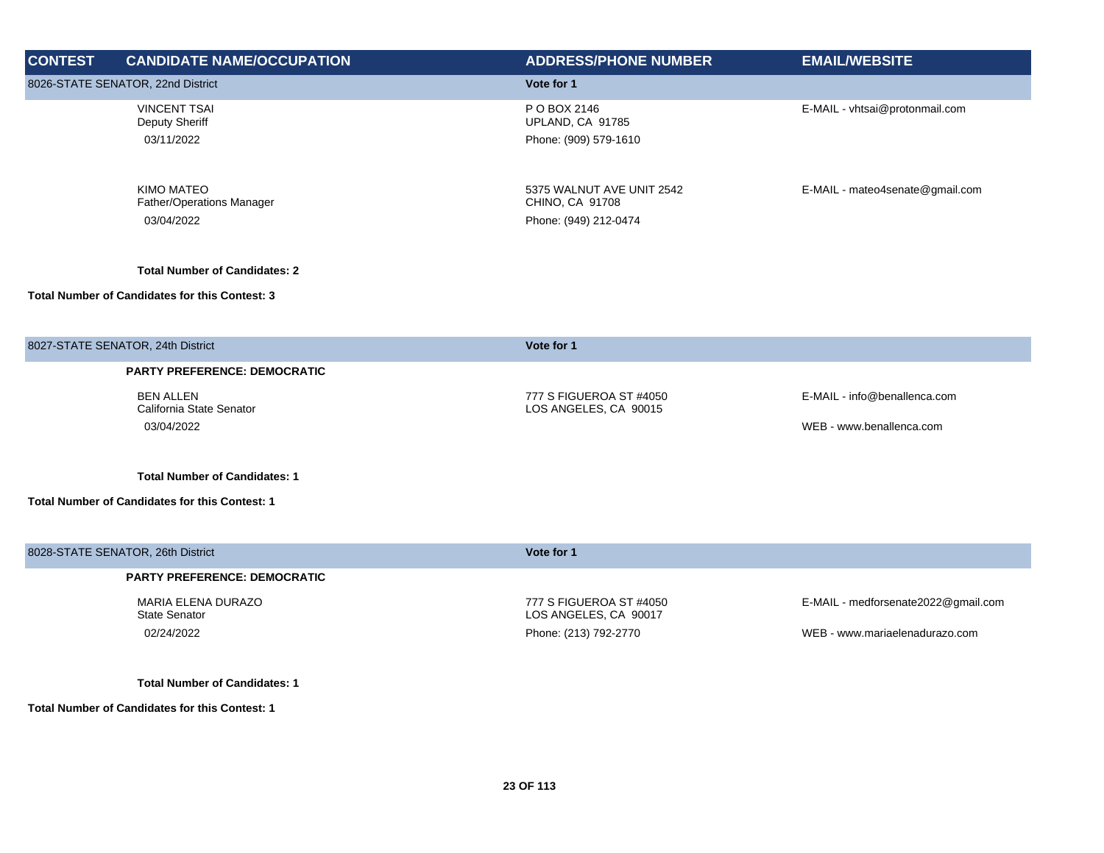| <b>CONTEST</b> | <b>CANDIDATE NAME/OCCUPATION</b>                             | <b>ADDRESS/PHONE NUMBER</b>                                           | <b>EMAIL/WEBSITE</b>                                     |
|----------------|--------------------------------------------------------------|-----------------------------------------------------------------------|----------------------------------------------------------|
|                | 8026-STATE SENATOR, 22nd District                            | Vote for 1                                                            |                                                          |
|                | <b>VINCENT TSAI</b><br>Deputy Sheriff<br>03/11/2022          | P O BOX 2146<br>UPLAND, CA 91785<br>Phone: (909) 579-1610             | E-MAIL - vhtsai@protonmail.com                           |
|                | <b>KIMO MATEO</b><br>Father/Operations Manager<br>03/04/2022 | 5375 WALNUT AVE UNIT 2542<br>CHINO, CA 91708<br>Phone: (949) 212-0474 | E-MAIL - mateo4senate@gmail.com                          |
|                | <b>Total Number of Candidates: 2</b>                         |                                                                       |                                                          |
|                | Total Number of Candidates for this Contest: 3               |                                                                       |                                                          |
|                | 8027-STATE SENATOR, 24th District                            | Vote for 1                                                            |                                                          |
|                | <b>PARTY PREFERENCE: DEMOCRATIC</b>                          |                                                                       |                                                          |
|                | <b>BEN ALLEN</b><br>California State Senator<br>03/04/2022   | 777 S FIGUEROA ST #4050<br>LOS ANGELES, CA 90015                      | E-MAIL - info@benallenca.com<br>WEB - www.benallenca.com |
|                | <b>Total Number of Candidates: 1</b>                         |                                                                       |                                                          |
|                | Total Number of Candidates for this Contest: 1               |                                                                       |                                                          |
|                | 8028-STATE SENATOR, 26th District                            | Vote for 1                                                            |                                                          |
|                | <b>PARTY PREFERENCE: DEMOCRATIC</b>                          |                                                                       |                                                          |
|                | MARIA ELENA DURAZO<br><b>State Senator</b>                   | 777 S FIGUEROA ST #4050<br>LOS ANGELES, CA 90017                      | E-MAIL - medforsenate2022@gmail.com                      |
|                | 02/24/2022                                                   | Phone: (213) 792-2770                                                 | WEB - www.mariaelenadurazo.com                           |
|                | <b>Total Number of Candidates: 1</b>                         |                                                                       |                                                          |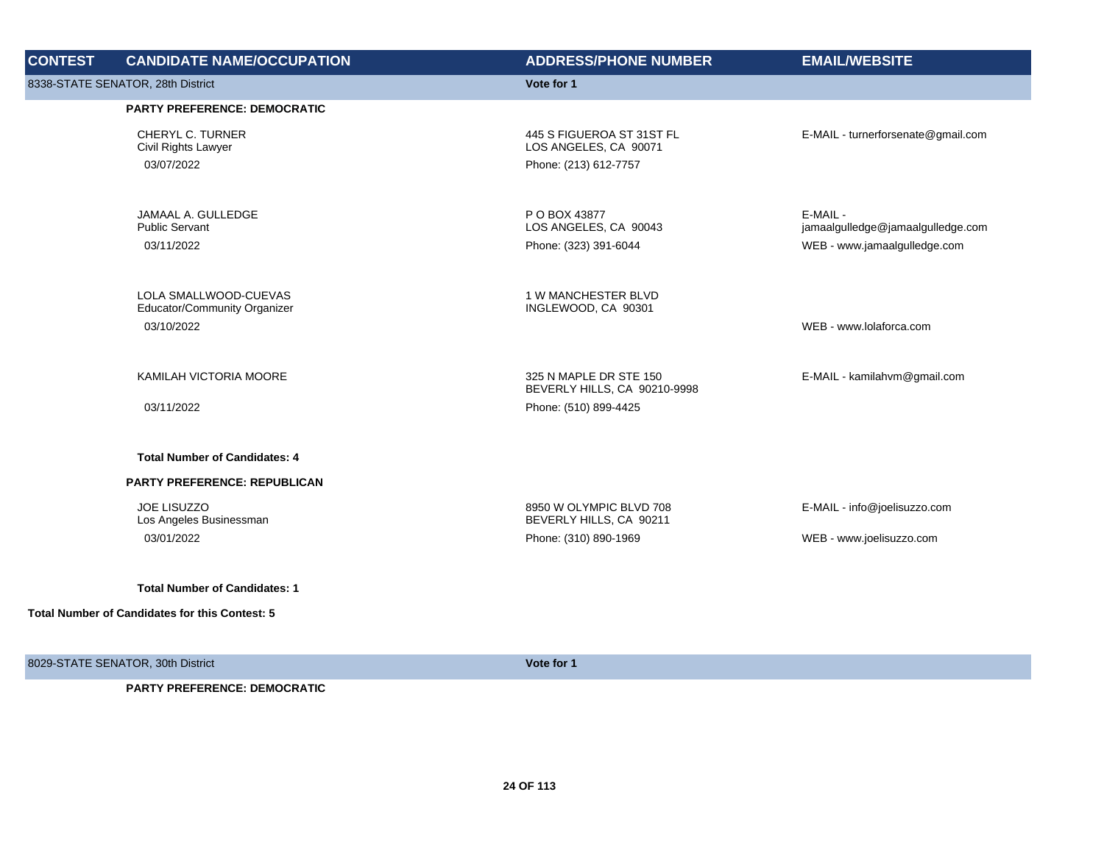| <b>CONTEST</b> | <b>CANDIDATE NAME/OCCUPATION</b>                                    | <b>ADDRESS/PHONE NUMBER</b>                                                 | <b>EMAIL/WEBSITE</b>                                                          |
|----------------|---------------------------------------------------------------------|-----------------------------------------------------------------------------|-------------------------------------------------------------------------------|
|                | 8338-STATE SENATOR, 28th District                                   | Vote for 1                                                                  |                                                                               |
|                | <b>PARTY PREFERENCE: DEMOCRATIC</b>                                 |                                                                             |                                                                               |
|                | CHERYL C. TURNER<br>Civil Rights Lawyer<br>03/07/2022               | 445 S FIGUEROA ST 31ST FL<br>LOS ANGELES, CA 90071<br>Phone: (213) 612-7757 | E-MAIL - turnerforsenate@gmail.com                                            |
|                | JAMAAL A. GULLEDGE<br><b>Public Servant</b><br>03/11/2022           | P O BOX 43877<br>LOS ANGELES, CA 90043<br>Phone: (323) 391-6044             | E-MAIL -<br>jamaalgulledge@jamaalgulledge.com<br>WEB - www.jamaalgulledge.com |
|                | LOLA SMALLWOOD-CUEVAS<br>Educator/Community Organizer<br>03/10/2022 | 1 W MANCHESTER BLVD<br>INGLEWOOD, CA 90301                                  | WEB - www.lolaforca.com                                                       |
|                | KAMILAH VICTORIA MOORE                                              | 325 N MAPLE DR STE 150<br>BEVERLY HILLS, CA 90210-9998                      | E-MAIL - kamilahvm@gmail.com                                                  |
|                | 03/11/2022                                                          | Phone: (510) 899-4425                                                       |                                                                               |
|                | <b>Total Number of Candidates: 4</b>                                |                                                                             |                                                                               |
|                | <b>PARTY PREFERENCE: REPUBLICAN</b>                                 |                                                                             |                                                                               |
|                | <b>JOE LISUZZO</b><br>Los Angeles Businessman                       | 8950 W OLYMPIC BLVD 708<br>BEVERLY HILLS, CA 90211                          | E-MAIL - info@joelisuzzo.com                                                  |
|                | 03/01/2022                                                          | Phone: (310) 890-1969                                                       | WEB - www.joelisuzzo.com                                                      |
|                | <b>Total Number of Candidates: 1</b>                                |                                                                             |                                                                               |
|                | Total Number of Candidates for this Contest: 5                      |                                                                             |                                                                               |

8029-STATE SENATOR, 30th District **Vote for 1**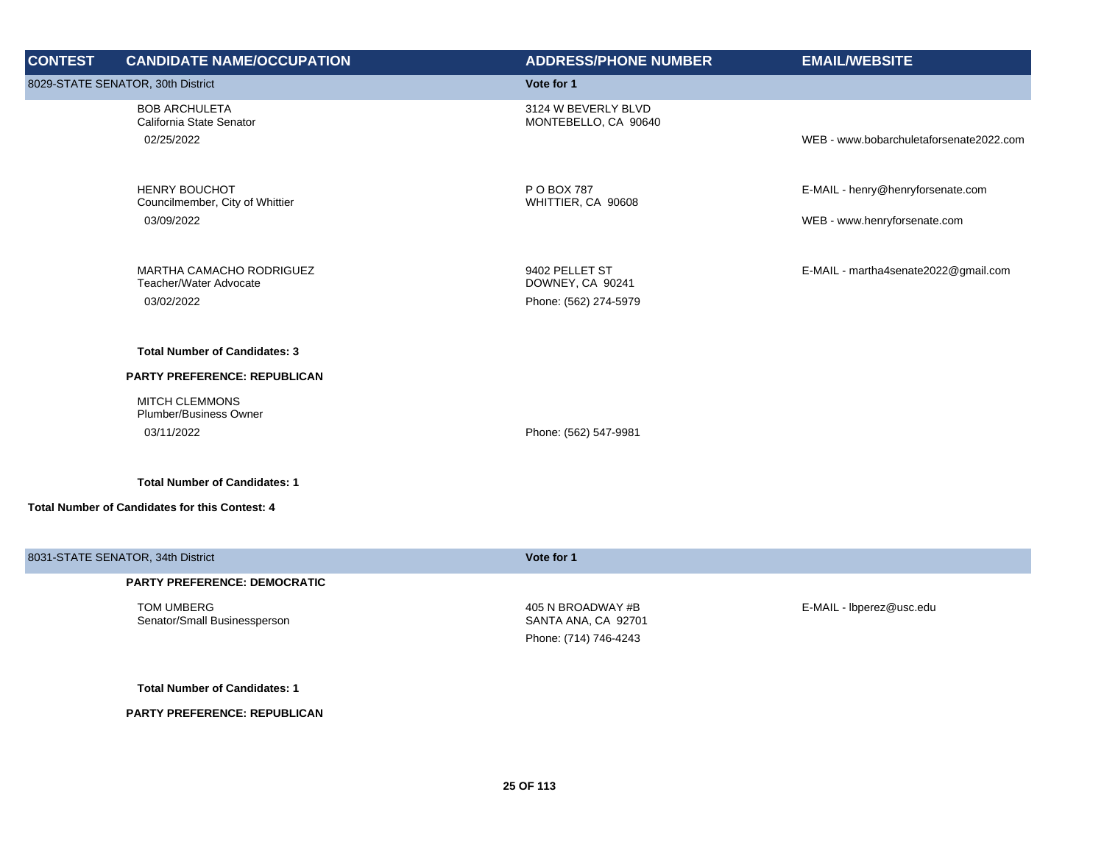| <b>CONTEST</b> | <b>CANDIDATE NAME/OCCUPATION</b>                                                                                                      | <b>ADDRESS/PHONE NUMBER</b>                                 | <b>EMAIL/WEBSITE</b>                                              |
|----------------|---------------------------------------------------------------------------------------------------------------------------------------|-------------------------------------------------------------|-------------------------------------------------------------------|
|                | 8029-STATE SENATOR, 30th District                                                                                                     | Vote for 1                                                  |                                                                   |
|                | <b>BOB ARCHULETA</b><br>California State Senator<br>02/25/2022                                                                        | 3124 W BEVERLY BLVD<br>MONTEBELLO, CA 90640                 | WEB - www.bobarchuletaforsenate2022.com                           |
|                | <b>HENRY BOUCHOT</b><br>Councilmember, City of Whittier<br>03/09/2022                                                                 | P O BOX 787<br>WHITTIER, CA 90608                           | E-MAIL - henry@henryforsenate.com<br>WEB - www.henryforsenate.com |
|                | <b>MARTHA CAMACHO RODRIGUEZ</b><br>Teacher/Water Advocate<br>03/02/2022                                                               | 9402 PELLET ST<br>DOWNEY, CA 90241<br>Phone: (562) 274-5979 | E-MAIL - martha4senate2022@gmail.com                              |
|                | <b>Total Number of Candidates: 3</b><br>PARTY PREFERENCE: REPUBLICAN<br><b>MITCH CLEMMONS</b><br>Plumber/Business Owner<br>03/11/2022 | Phone: (562) 547-9981                                       |                                                                   |
|                | <b>Total Number of Candidates: 1</b><br><b>Total Number of Candidates for this Contest: 4</b>                                         |                                                             |                                                                   |

| 8031-STATE SENATOR, 34th District          | Vote for 1                               |                          |
|--------------------------------------------|------------------------------------------|--------------------------|
| <b>PARTY PREFERENCE: DEMOCRATIC</b>        |                                          |                          |
| TOM UMBERG<br>Senator/Small Businessperson | 405 N BROADWAY #B<br>SANTA ANA, CA 92701 | E-MAIL - Ibperez@usc.edu |
|                                            | Phone: (714) 746-4243                    |                          |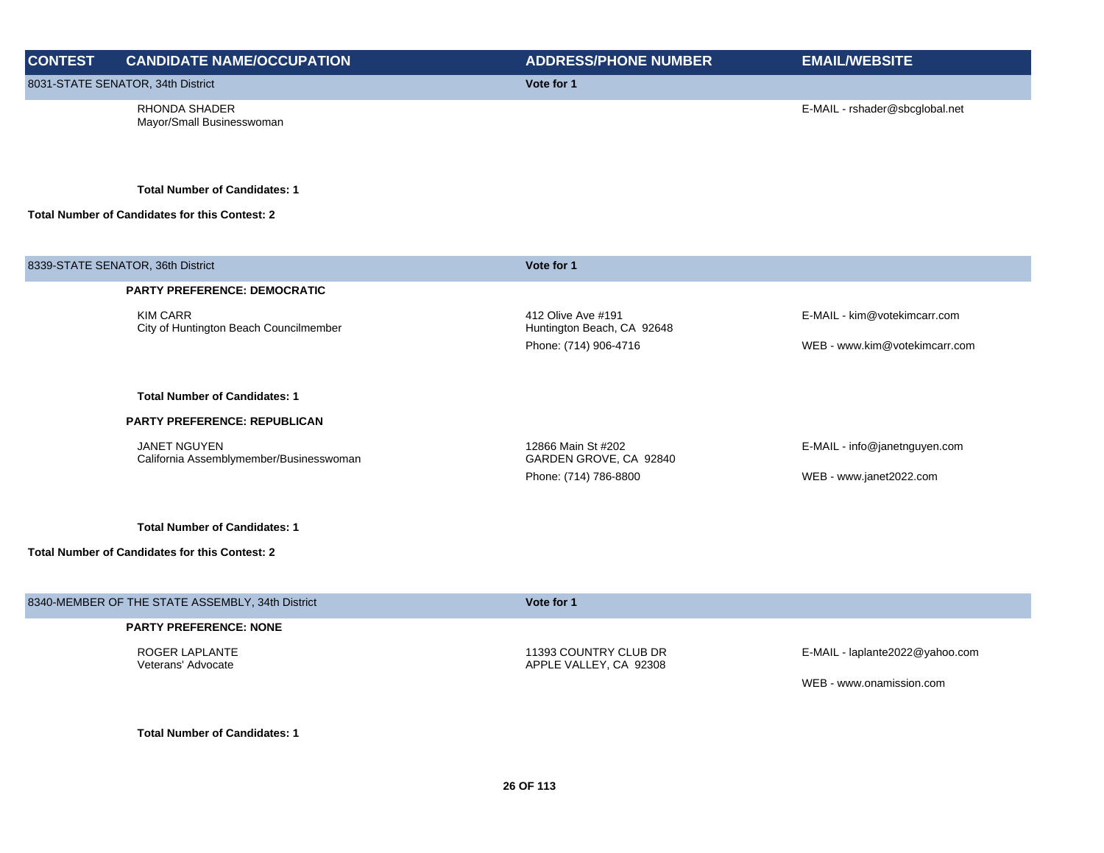## **CONTEST CANDIDATE NAME/OCCUPATION ADDRESS/PHONE NUMBER EMAIL/WEBSITE** 8031-STATE SENATOR, 34th District **Vote for 1** RHONDA SHADER Mayor/Small Businesswoman E-MAIL - rshader@sbcglobal.net

**Total Number of Candidates: 1**

## **Total Number of Candidates for this Contest: 2**

| 8339-STATE SENATOR, 36th District                              | Vote for 1                                       |                               |
|----------------------------------------------------------------|--------------------------------------------------|-------------------------------|
| <b>PARTY PREFERENCE: DEMOCRATIC</b>                            |                                                  |                               |
| <b>KIM CARR</b><br>City of Huntington Beach Councilmember      | 412 Olive Ave #191<br>Huntington Beach, CA 92648 | E-MAIL - kim@votekimcarr.com  |
|                                                                | Phone: (714) 906-4716                            | WEB - www.kim@votekimcarr.com |
| <b>Total Number of Candidates: 1</b>                           |                                                  |                               |
| <b>PARTY PREFERENCE: REPUBLICAN</b>                            |                                                  |                               |
| <b>JANET NGUYEN</b><br>California Assemblymember/Businesswoman | 12866 Main St #202<br>GARDEN GROVE, CA 92840     | E-MAIL - info@janetnguyen.com |
|                                                                | Phone: (714) 786-8800                            | WEB - www.janet2022.com       |
| <b>Total Number of Candidates: 1</b>                           |                                                  |                               |
|                                                                |                                                  |                               |
| <b>Total Number of Candidates for this Contest: 2</b>          |                                                  |                               |

| 8340-MEMBER OF THE STATE ASSEMBLY, 34th District | Vote for 1                                      |                                 |
|--------------------------------------------------|-------------------------------------------------|---------------------------------|
| <b>PARTY PREFERENCE: NONE</b>                    |                                                 |                                 |
| ROGER LAPLANTE<br>Veterans' Advocate             | 11393 COUNTRY CLUB DR<br>APPLE VALLEY, CA 92308 | E-MAIL - laplante2022@yahoo.com |
|                                                  |                                                 | WEB - www.onamission.com        |
|                                                  |                                                 |                                 |

**Total Number of Candidates: 1**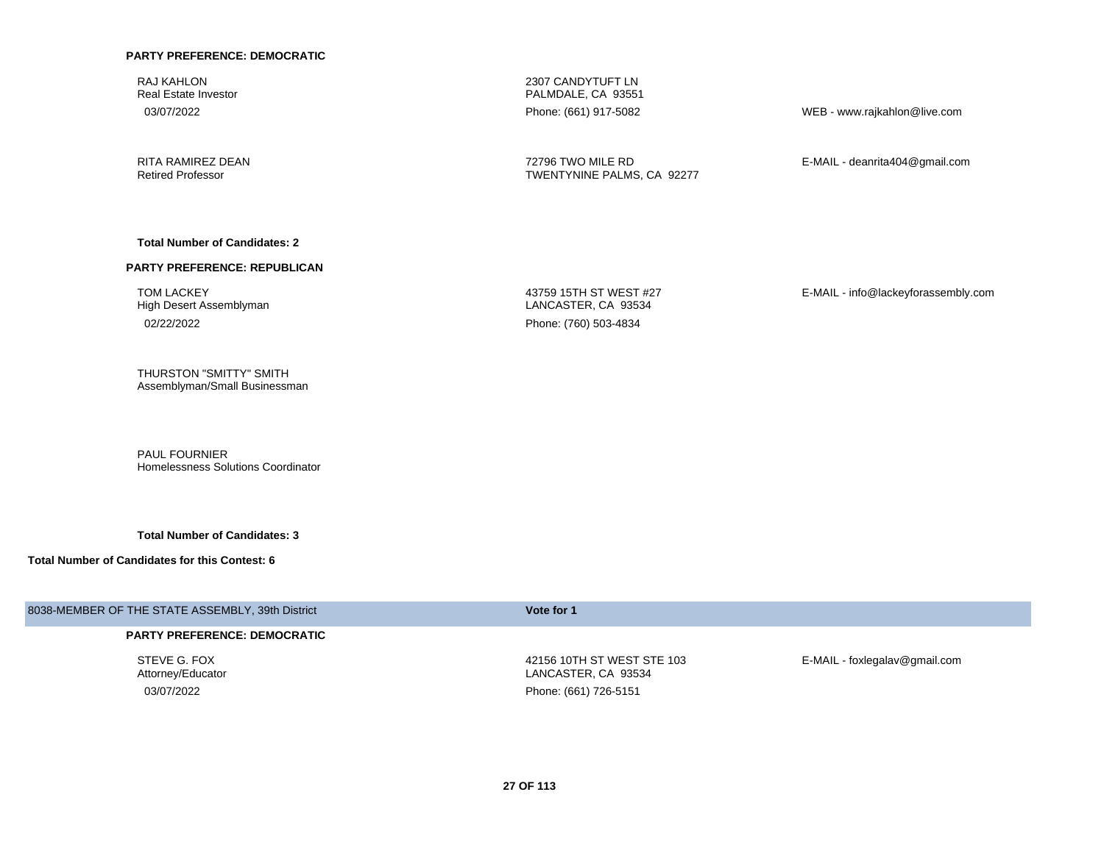RAJ KAHLON Real Estate Investor

RITA RAMIREZ DEAN Retired Professor

2307 CANDYTUFT LN PALMDALE, CA 93551

03/07/2022 Phone: (661) 917-5082 WEB - www.rajkahlon@live.com

72796 TWO MILE RD TWENTYNINE PALMS, CA 92277 E-MAIL - deanrita404@gmail.com

#### **Total Number of Candidates: 2**

#### **PARTY PREFERENCE: REPUBLICAN**

TOM LACKEY High Desert Assemblyman 02/22/2022 Phone: (760) 503-4834

43759 15TH ST WEST #27 LANCASTER, CA 93534

E-MAIL - info@lackeyforassembly.com

THURSTON "SMITTY" SMITH Assemblyman/Small Businessman

PAUL FOURNIER Homelessness Solutions Coordinator

**Total Number of Candidates: 3**

#### **Total Number of Candidates for this Contest: 6**

## 8038-MEMBER OF THE STATE ASSEMBLY, 39th District **Vote for 1**

#### **PARTY PREFERENCE: DEMOCRATIC**

STEVE G. FOX Attorney/Educator

42156 10TH ST WEST STE 103 LANCASTER, CA 93534

03/07/2022 Phone: (661) 726-5151

E-MAIL - foxlegalav@gmail.com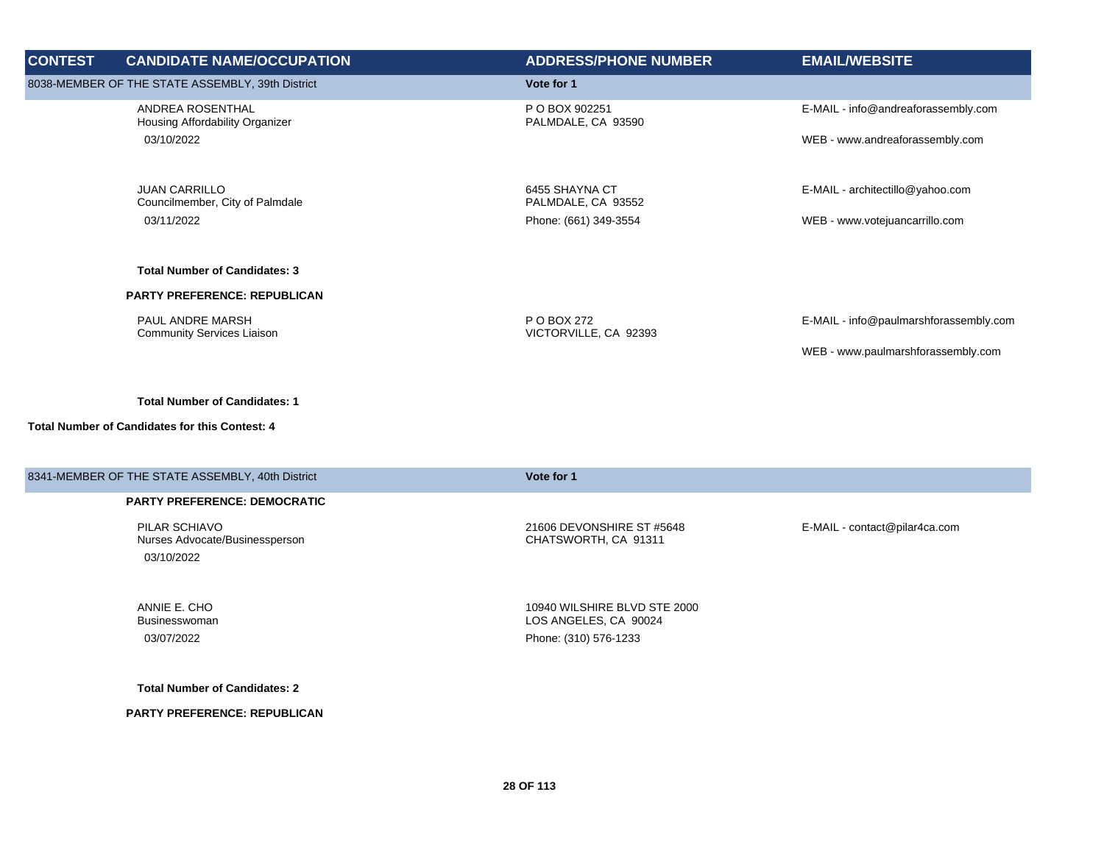| <b>CONTEST</b>                                                                                | <b>CANDIDATE NAME/OCCUPATION</b>                        | <b>ADDRESS/PHONE NUMBER</b>          | <b>EMAIL/WEBSITE</b>                |
|-----------------------------------------------------------------------------------------------|---------------------------------------------------------|--------------------------------------|-------------------------------------|
|                                                                                               | 8038-MEMBER OF THE STATE ASSEMBLY, 39th District        | Vote for 1                           |                                     |
|                                                                                               | ANDREA ROSENTHAL<br>Housing Affordability Organizer     | P O BOX 902251<br>PALMDALE, CA 93590 | E-MAIL - info@andreaforassembly.com |
|                                                                                               | 03/10/2022                                              |                                      | WEB - www.andreaforassembly.com     |
|                                                                                               | <b>JUAN CARRILLO</b><br>Councilmember, City of Palmdale | 6455 SHAYNA CT<br>PALMDALE, CA 93552 | E-MAIL - architectillo@yahoo.com    |
|                                                                                               | 03/11/2022                                              | Phone: (661) 349-3554                | WEB - www.votejuancarrillo.com      |
|                                                                                               | <b>Total Number of Candidates: 3</b>                    |                                      |                                     |
|                                                                                               | <b>PARTY PREFERENCE: REPUBLICAN</b>                     |                                      |                                     |
| PAUL ANDRE MARSH<br>P O BOX 272<br><b>Community Services Liaison</b><br>VICTORVILLE, CA 92393 | E-MAIL - info@paulmarshforassembly.com                  |                                      |                                     |
|                                                                                               |                                                         |                                      | WEB - www.paulmarshforassembly.com  |

## **Total Number of Candidates for this Contest: 4**

| 8341-MEMBER OF THE STATE ASSEMBLY, 40th District | Vote for 1                    |
|--------------------------------------------------|-------------------------------|
| <b>PARTY PREFERENCE: DEMOCRATIC</b>              |                               |
| PILAR SCHIAVO                                    | E-MAIL - contact@pilar4ca.com |
| Nurses Advocate/Businessperson                   | 21606 DEVONSHIRE ST #5648     |
| 03/10/2022                                       | CHATSWORTH, CA 91311          |
| ANNIE E. CHO                                     | 10940 WILSHIRE BLVD STE 2000  |
| Businesswoman                                    | LOS ANGELES, CA 90024         |
| 03/07/2022                                       | Phone: (310) 576-1233         |

**Total Number of Candidates: 2**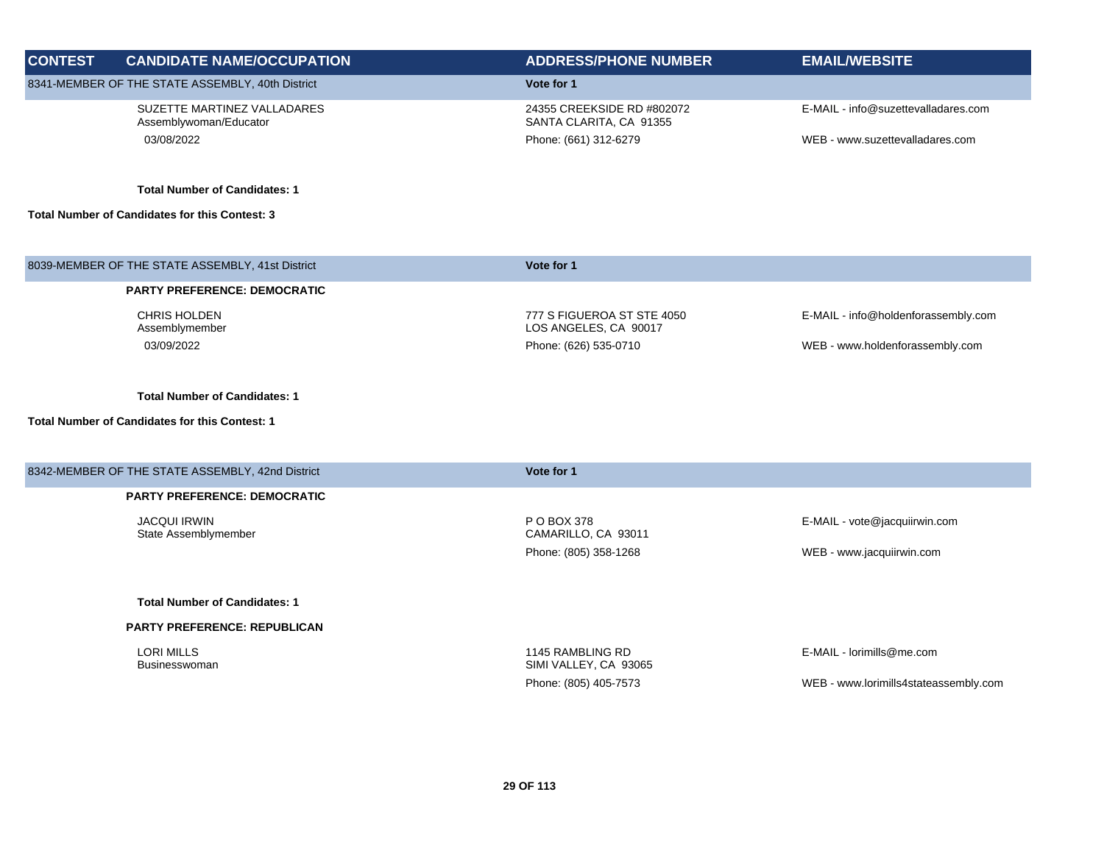| <b>CONTEST</b> | <b>CANDIDATE NAME/OCCUPATION</b>                      | <b>ADDRESS/PHONE NUMBER</b>                           | <b>EMAIL/WEBSITE</b>                  |
|----------------|-------------------------------------------------------|-------------------------------------------------------|---------------------------------------|
|                | 8341-MEMBER OF THE STATE ASSEMBLY, 40th District      | Vote for 1                                            |                                       |
|                | SUZETTE MARTINEZ VALLADARES<br>Assemblywoman/Educator | 24355 CREEKSIDE RD #802072<br>SANTA CLARITA, CA 91355 | E-MAIL - info@suzettevalladares.com   |
|                | 03/08/2022                                            | Phone: (661) 312-6279                                 | WEB - www.suzettevalladares.com       |
|                | <b>Total Number of Candidates: 1</b>                  |                                                       |                                       |
|                | <b>Total Number of Candidates for this Contest: 3</b> |                                                       |                                       |
|                | 8039-MEMBER OF THE STATE ASSEMBLY, 41st District      | Vote for 1                                            |                                       |
|                | <b>PARTY PREFERENCE: DEMOCRATIC</b>                   |                                                       |                                       |
|                | <b>CHRIS HOLDEN</b><br>Assemblymember                 | 777 S FIGUEROA ST STE 4050<br>LOS ANGELES, CA 90017   | E-MAIL - info@holdenforassembly.com   |
|                | 03/09/2022                                            | Phone: (626) 535-0710                                 | WEB - www.holdenforassembly.com       |
|                | <b>Total Number of Candidates: 1</b>                  |                                                       |                                       |
|                | <b>Total Number of Candidates for this Contest: 1</b> |                                                       |                                       |
|                | 8342-MEMBER OF THE STATE ASSEMBLY, 42nd District      | Vote for 1                                            |                                       |
|                | <b>PARTY PREFERENCE: DEMOCRATIC</b>                   |                                                       |                                       |
|                | <b>JACQUI IRWIN</b><br>State Assemblymember           | P O BOX 378<br>CAMARILLO, CA 93011                    | E-MAIL - vote@jacquiirwin.com         |
|                |                                                       | Phone: (805) 358-1268                                 | WEB - www.jacquiirwin.com             |
|                | <b>Total Number of Candidates: 1</b>                  |                                                       |                                       |
|                | <b>PARTY PREFERENCE: REPUBLICAN</b>                   |                                                       |                                       |
|                | <b>LORI MILLS</b><br>Businesswoman                    | 1145 RAMBLING RD<br>SIMI VALLEY, CA 93065             | E-MAIL - lorimills@me.com             |
|                |                                                       | Phone: (805) 405-7573                                 | WEB - www.lorimills4stateassembly.com |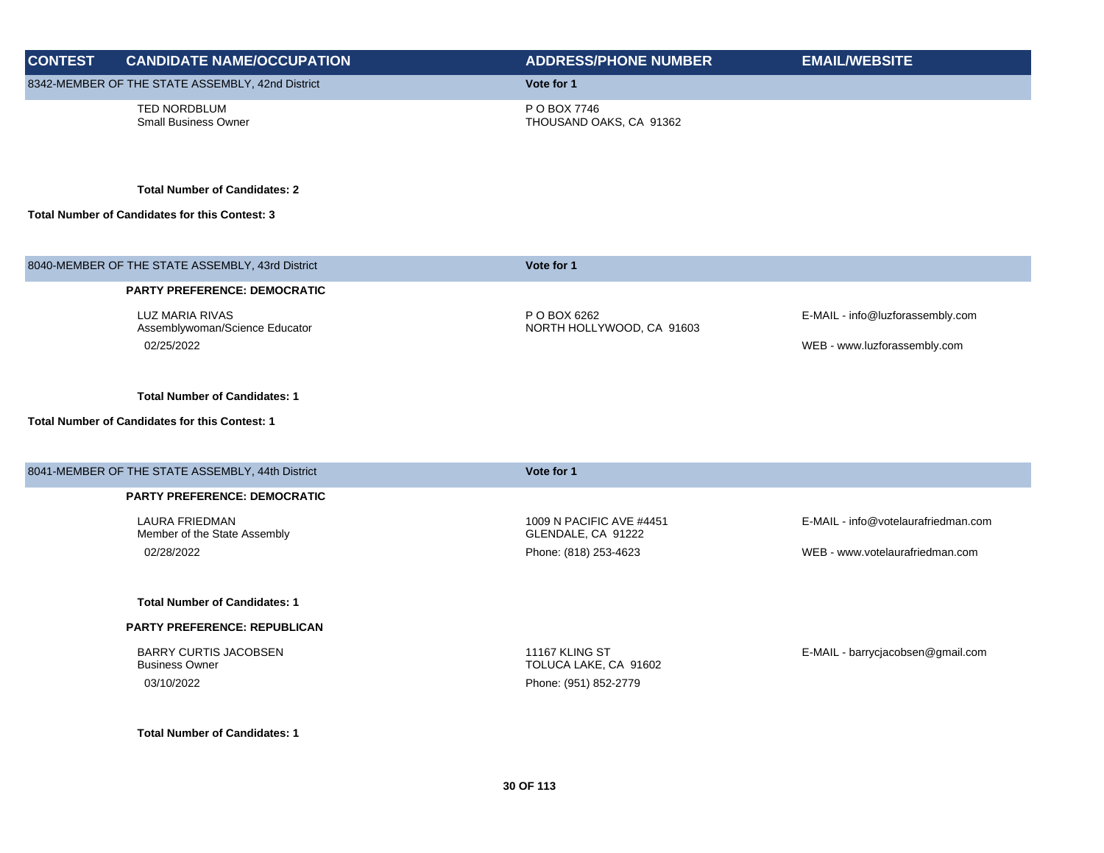| <b>CONTEST</b> | <b>CANDIDATE NAME/OCCUPATION</b>                         | <b>ADDRESS/PHONE NUMBER</b>                    | <b>EMAIL/WEBSITE</b>                |
|----------------|----------------------------------------------------------|------------------------------------------------|-------------------------------------|
|                | 8342-MEMBER OF THE STATE ASSEMBLY, 42nd District         | Vote for 1                                     |                                     |
|                | TED NORDBLUM<br><b>Small Business Owner</b>              | P O BOX 7746<br>THOUSAND OAKS, CA 91362        |                                     |
|                | <b>Total Number of Candidates: 2</b>                     |                                                |                                     |
|                | Total Number of Candidates for this Contest: 3           |                                                |                                     |
|                | 8040-MEMBER OF THE STATE ASSEMBLY, 43rd District         | Vote for 1                                     |                                     |
|                | <b>PARTY PREFERENCE: DEMOCRATIC</b>                      |                                                |                                     |
|                | <b>LUZ MARIA RIVAS</b><br>Assemblywoman/Science Educator | P O BOX 6262<br>NORTH HOLLYWOOD, CA 91603      | E-MAIL - info@luzforassembly.com    |
|                | 02/25/2022                                               |                                                | WEB - www.luzforassembly.com        |
|                | <b>Total Number of Candidates: 1</b>                     |                                                |                                     |
|                | <b>Total Number of Candidates for this Contest: 1</b>    |                                                |                                     |
|                | 8041-MEMBER OF THE STATE ASSEMBLY, 44th District         | Vote for 1                                     |                                     |
|                | <b>PARTY PREFERENCE: DEMOCRATIC</b>                      |                                                |                                     |
|                | <b>LAURA FRIEDMAN</b><br>Member of the State Assembly    | 1009 N PACIFIC AVE #4451<br>GLENDALE, CA 91222 | E-MAIL - info@votelaurafriedman.com |
|                | 02/28/2022                                               | Phone: (818) 253-4623                          | WEB - www.votelaurafriedman.com     |
|                | <b>Total Number of Candidates: 1</b>                     |                                                |                                     |
|                | <b>PARTY PREFERENCE: REPUBLICAN</b>                      |                                                |                                     |
|                | <b>BARRY CURTIS JACOBSEN</b><br><b>Business Owner</b>    | 11167 KLING ST<br>TOLUCA LAKE, CA 91602        | E-MAIL - barrycjacobsen@gmail.com   |
|                | 03/10/2022                                               | Phone: (951) 852-2779                          |                                     |
|                | <b>Total Number of Candidates: 1</b>                     |                                                |                                     |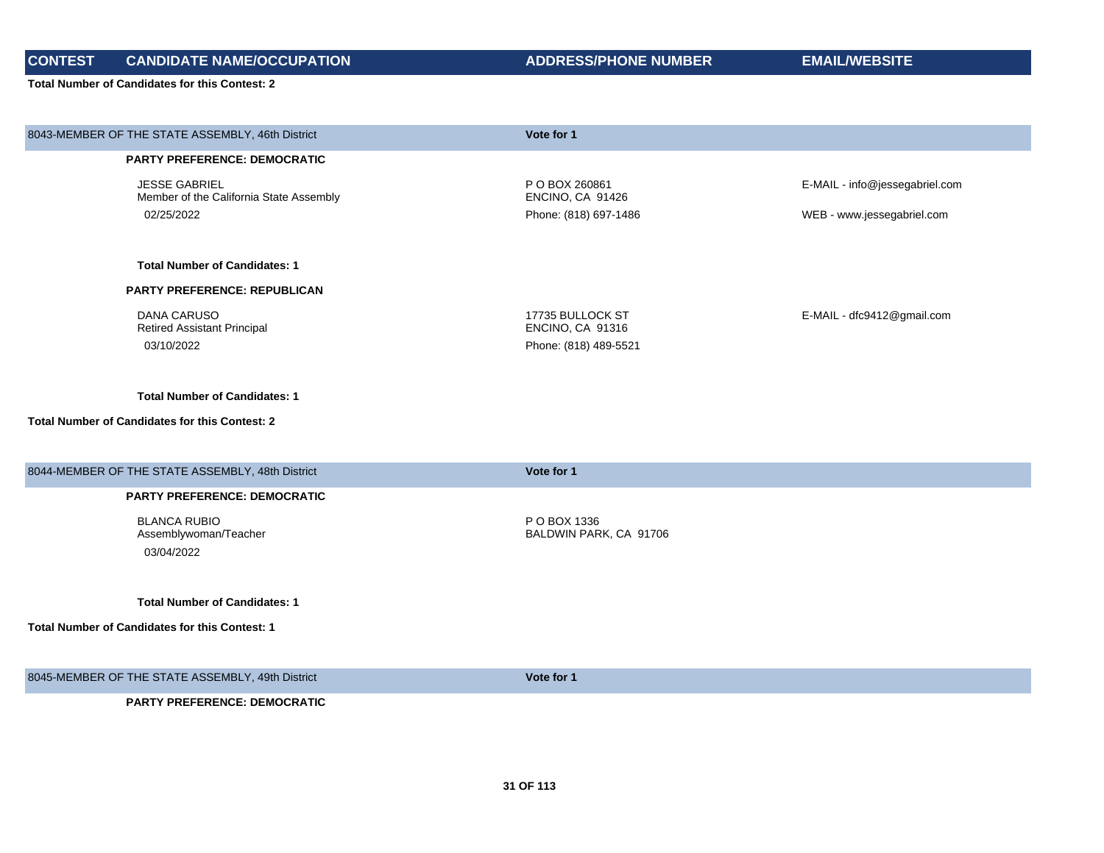**CONTEST CANDIDATE NAME/OCCUPATION ADDRESS/PHONE NUMBER EMAIL/WEBSITE**

| 8043-MEMBER OF THE STATE ASSEMBLY, 46th District                | Vote for 1                             |                                |
|-----------------------------------------------------------------|----------------------------------------|--------------------------------|
| <b>PARTY PREFERENCE: DEMOCRATIC</b>                             |                                        |                                |
| <b>JESSE GABRIEL</b><br>Member of the California State Assembly | P O BOX 260861<br>ENCINO, CA 91426     | E-MAIL - info@jessegabriel.com |
| 02/25/2022                                                      | Phone: (818) 697-1486                  | WEB - www.jessegabriel.com     |
| <b>Total Number of Candidates: 1</b>                            |                                        |                                |
| <b>PARTY PREFERENCE: REPUBLICAN</b>                             |                                        |                                |
| <b>DANA CARUSO</b><br><b>Retired Assistant Principal</b>        | 17735 BULLOCK ST<br>ENCINO, CA 91316   | E-MAIL - dfc9412@gmail.com     |
| 03/10/2022                                                      | Phone: (818) 489-5521                  |                                |
| <b>Total Number of Candidates: 1</b>                            |                                        |                                |
| <b>Total Number of Candidates for this Contest: 2</b>           |                                        |                                |
| 8044-MEMBER OF THE STATE ASSEMBLY, 48th District                | Vote for 1                             |                                |
| <b>PARTY PREFERENCE: DEMOCRATIC</b>                             |                                        |                                |
| <b>BLANCA RUBIO</b><br>Assemblywoman/Teacher<br>03/04/2022      | P O BOX 1336<br>BALDWIN PARK, CA 91706 |                                |
| <b>Total Number of Candidates: 1</b>                            |                                        |                                |
| <b>Total Number of Candidates for this Contest: 1</b>           |                                        |                                |
| 8045-MEMBER OF THE STATE ASSEMBLY, 49th District                | Vote for 1                             |                                |
| <b>PARTY PREFERENCE: DEMOCRATIC</b>                             |                                        |                                |
|                                                                 |                                        |                                |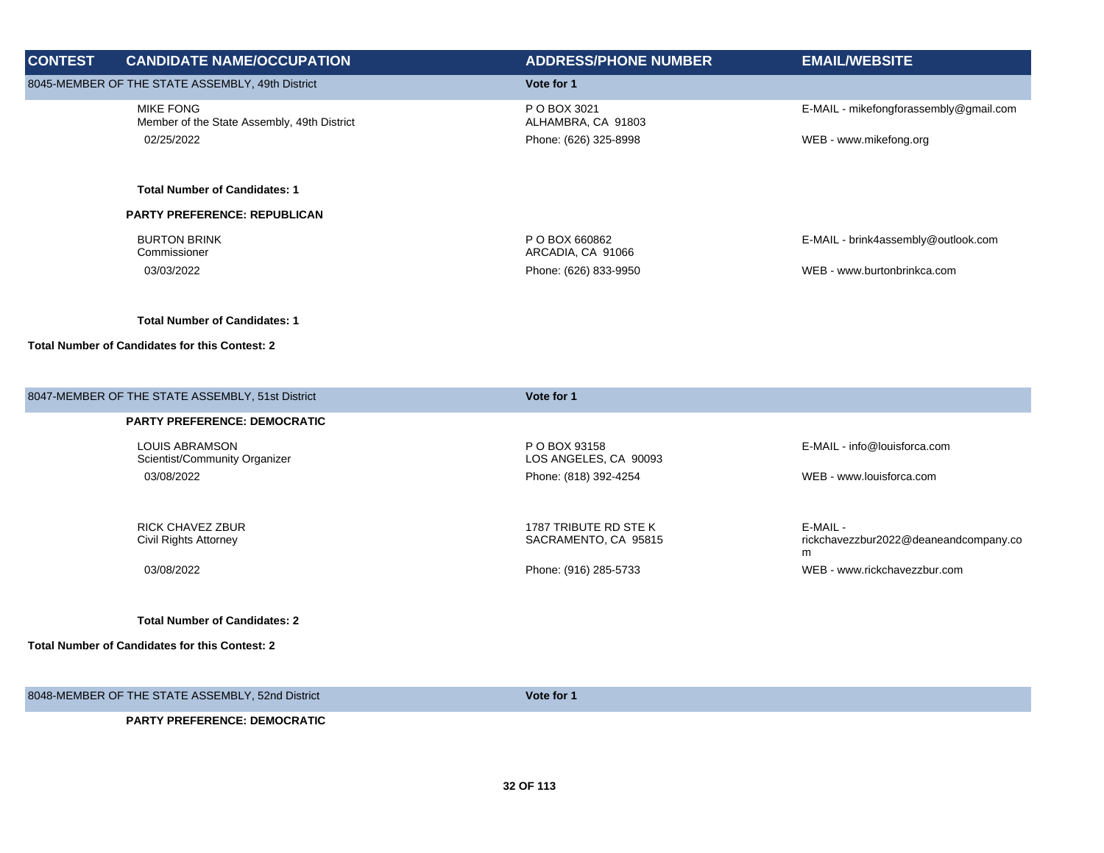| <b>CONTEST</b> | <b>CANDIDATE NAME/OCCUPATION</b>                                | <b>ADDRESS/PHONE NUMBER</b>                   | <b>EMAIL/WEBSITE</b>                              |
|----------------|-----------------------------------------------------------------|-----------------------------------------------|---------------------------------------------------|
|                | 8045-MEMBER OF THE STATE ASSEMBLY, 49th District                | Vote for 1                                    |                                                   |
|                | <b>MIKE FONG</b><br>Member of the State Assembly, 49th District | P O BOX 3021<br>ALHAMBRA, CA 91803            | E-MAIL - mikefongforassembly@gmail.com            |
|                | 02/25/2022                                                      | Phone: (626) 325-8998                         | WEB - www.mikefong.org                            |
|                | <b>Total Number of Candidates: 1</b>                            |                                               |                                                   |
|                | <b>PARTY PREFERENCE: REPUBLICAN</b>                             |                                               |                                                   |
|                | <b>BURTON BRINK</b><br>Commissioner                             | P O BOX 660862<br>ARCADIA, CA 91066           | E-MAIL - brink4assembly@outlook.com               |
|                | 03/03/2022                                                      | Phone: (626) 833-9950                         | WEB - www.burtonbrinkca.com                       |
|                | <b>Total Number of Candidates: 1</b>                            |                                               |                                                   |
|                | <b>Total Number of Candidates for this Contest: 2</b>           |                                               |                                                   |
|                | 8047-MEMBER OF THE STATE ASSEMBLY, 51st District                | Vote for 1                                    |                                                   |
|                | <b>PARTY PREFERENCE: DEMOCRATIC</b>                             |                                               |                                                   |
|                | <b>LOUIS ABRAMSON</b><br>Scientist/Community Organizer          | P O BOX 93158<br>LOS ANGELES, CA 90093        | E-MAIL - info@louisforca.com                      |
|                | 03/08/2022                                                      | Phone: (818) 392-4254                         | WEB - www.louisforca.com                          |
|                | <b>RICK CHAVEZ ZBUR</b><br>Civil Rights Attorney                | 1787 TRIBUTE RD STE K<br>SACRAMENTO, CA 95815 | E-MAIL -<br>rickchavezzbur2022@deaneandcompany.co |

03/08/2022 Phone: (916) 285-5733 WEB - www.rickchavezzbur.com

**Total Number of Candidates: 2**

**Total Number of Candidates for this Contest: 2**

8048-MEMBER OF THE STATE ASSEMBLY, 52nd District **Vote for 1**

m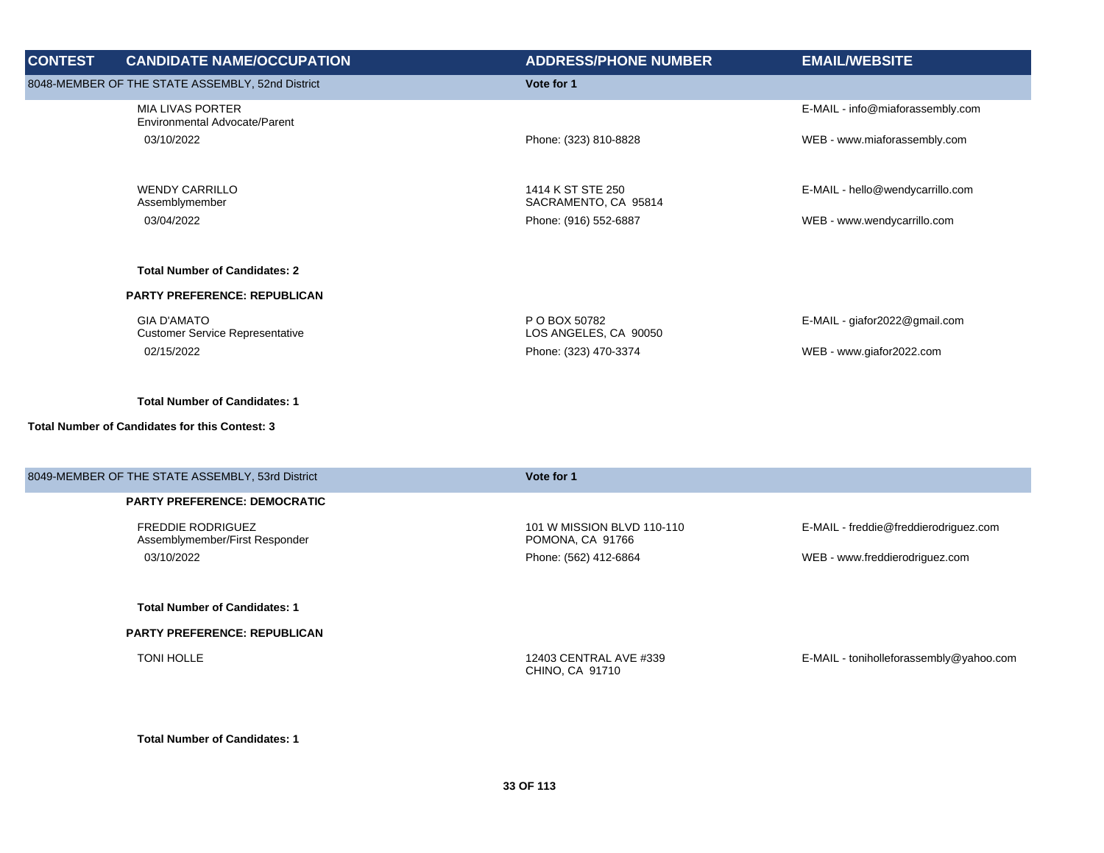| <b>CONTEST</b>                                   | <b>CANDIDATE NAME/OCCUPATION</b>                             | <b>ADDRESS/PHONE NUMBER</b>               | <b>EMAIL/WEBSITE</b>             |
|--------------------------------------------------|--------------------------------------------------------------|-------------------------------------------|----------------------------------|
| 8048-MEMBER OF THE STATE ASSEMBLY, 52nd District |                                                              | Vote for 1                                |                                  |
|                                                  | <b>MIA LIVAS PORTER</b><br>Environmental Advocate/Parent     |                                           | E-MAIL - info@miaforassembly.com |
|                                                  | 03/10/2022                                                   | Phone: (323) 810-8828                     | WEB - www.miaforassembly.com     |
|                                                  |                                                              |                                           |                                  |
|                                                  | <b>WENDY CARRILLO</b><br>Assemblymember                      | 1414 K ST STE 250<br>SACRAMENTO, CA 95814 | E-MAIL - hello@wendycarrillo.com |
|                                                  | 03/04/2022                                                   | Phone: (916) 552-6887                     | WEB - www.wendycarrillo.com      |
|                                                  | <b>Total Number of Candidates: 2</b>                         |                                           |                                  |
|                                                  | <b>PARTY PREFERENCE: REPUBLICAN</b>                          |                                           |                                  |
|                                                  | <b>GIA D'AMATO</b><br><b>Customer Service Representative</b> | P O BOX 50782<br>LOS ANGELES, CA 90050    | $E$ -MAIL - giafor2022@gmail.com |
|                                                  | 02/15/2022                                                   | Phone: (323) 470-3374                     | WEB - www.giafor2022.com         |
|                                                  |                                                              |                                           |                                  |

## **Total Number of Candidates for this Contest: 3**

| 8049-MEMBER OF THE STATE ASSEMBLY, 53rd District           | Vote for 1                                     |                                         |
|------------------------------------------------------------|------------------------------------------------|-----------------------------------------|
| <b>PARTY PREFERENCE: DEMOCRATIC</b>                        |                                                |                                         |
| <b>FREDDIE RODRIGUEZ</b><br>Assemblymember/First Responder | 101 W MISSION BLVD 110-110<br>POMONA, CA 91766 | E-MAIL - freddie@freddierodriguez.com   |
| 03/10/2022                                                 | Phone: (562) 412-6864                          | WEB - www.freddierodriguez.com          |
|                                                            |                                                |                                         |
| <b>Total Number of Candidates: 1</b>                       |                                                |                                         |
| <b>PARTY PREFERENCE: REPUBLICAN</b>                        |                                                |                                         |
| TONI HOLLE                                                 | 12403 CENTRAL AVE #339<br>CHINO, CA 91710      | E-MAIL - toniholleforassembly@yahoo.com |
|                                                            |                                                |                                         |

**Total Number of Candidates: 1**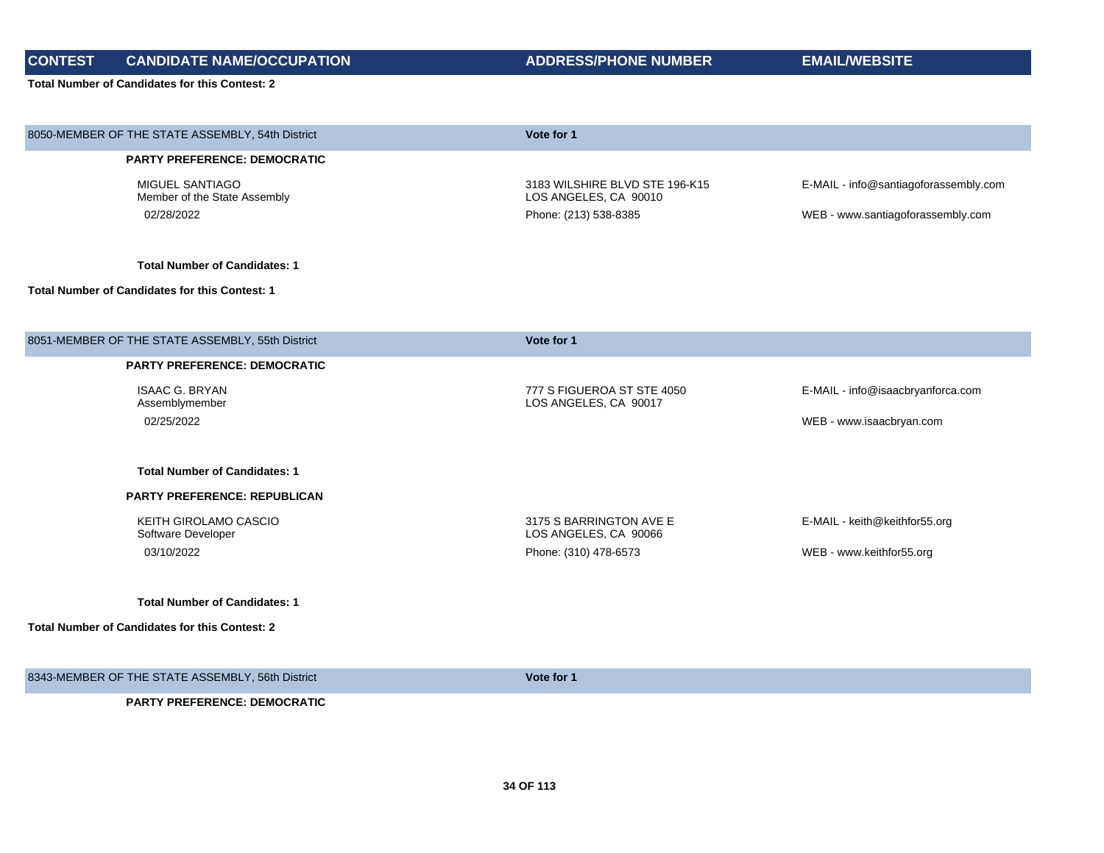**CONTEST CANDIDATE NAME/OCCUPATION ADDRESS/PHONE NUMBER EMAIL/WEBSITE**

| 8050-MEMBER OF THE STATE ASSEMBLY, 54th District      | Vote for 1                                              |                                       |
|-------------------------------------------------------|---------------------------------------------------------|---------------------------------------|
| PARTY PREFERENCE: DEMOCRATIC                          |                                                         |                                       |
| MIGUEL SANTIAGO<br>Member of the State Assembly       | 3183 WILSHIRE BLVD STE 196-K15<br>LOS ANGELES, CA 90010 | E-MAIL - info@santiagoforassembly.com |
| 02/28/2022                                            | Phone: (213) 538-8385                                   | WEB - www.santiagoforassembly.com     |
| <b>Total Number of Candidates: 1</b>                  |                                                         |                                       |
| <b>Total Number of Candidates for this Contest: 1</b> |                                                         |                                       |
|                                                       |                                                         |                                       |
| 8051-MEMBER OF THE STATE ASSEMBLY, 55th District      | Vote for 1                                              |                                       |
| PARTY PREFERENCE: DEMOCRATIC                          |                                                         |                                       |
| <b>ISAAC G. BRYAN</b><br>Assemblymember               | 777 S FIGUEROA ST STE 4050<br>LOS ANGELES, CA 90017     | E-MAIL - info@isaacbryanforca.com     |
| 02/25/2022                                            |                                                         | WEB - www.isaacbryan.com              |
|                                                       |                                                         |                                       |
| <b>Total Number of Candidates: 1</b>                  |                                                         |                                       |
| PARTY PREFERENCE: REPUBLICAN                          |                                                         |                                       |
| KEITH GIROLAMO CASCIO<br>Software Developer           | 3175 S BARRINGTON AVE E<br>LOS ANGELES, CA 90066        | E-MAIL - keith@keithfor55.org         |
| 03/10/2022                                            | Phone: (310) 478-6573                                   | WEB - www.keithfor55.org              |
| <b>Total Number of Candidates: 1</b>                  |                                                         |                                       |
| <b>Total Number of Candidates for this Contest: 2</b> |                                                         |                                       |
|                                                       |                                                         |                                       |
| 8343-MEMBER OF THE STATE ASSEMBLY, 56th District      | Vote for 1                                              |                                       |
| <b>PARTY PREFERENCE: DEMOCRATIC</b>                   |                                                         |                                       |
|                                                       |                                                         |                                       |
|                                                       |                                                         |                                       |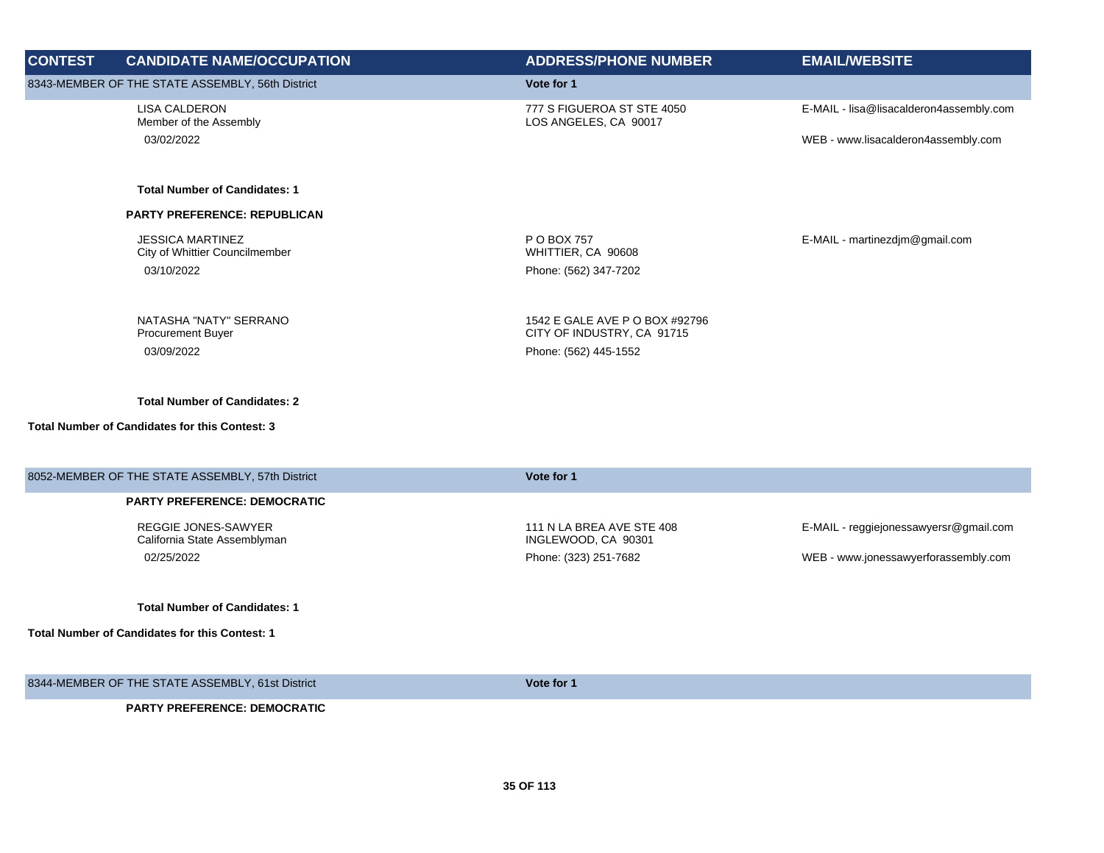| <b>CONTEST</b> | <b>CANDIDATE NAME/OCCUPATION</b>                           | <b>ADDRESS/PHONE NUMBER</b>                                  | <b>EMAIL/WEBSITE</b>                    |
|----------------|------------------------------------------------------------|--------------------------------------------------------------|-----------------------------------------|
|                | 8343-MEMBER OF THE STATE ASSEMBLY, 56th District           | Vote for 1                                                   |                                         |
|                | <b>LISA CALDERON</b><br>Member of the Assembly             | 777 S FIGUEROA ST STE 4050<br>LOS ANGELES, CA 90017          | E-MAIL - lisa@lisacalderon4assembly.com |
|                | 03/02/2022                                                 |                                                              | WEB - www.lisacalderon4assembly.com     |
|                | <b>Total Number of Candidates: 1</b>                       |                                                              |                                         |
|                | PARTY PREFERENCE: REPUBLICAN                               |                                                              |                                         |
|                | <b>JESSICA MARTINEZ</b><br>City of Whittier Councilmember  | P O BOX 757<br>WHITTIER, CA 90608                            | E-MAIL - martinezdjm@gmail.com          |
|                | 03/10/2022                                                 | Phone: (562) 347-7202                                        |                                         |
|                | NATASHA "NATY" SERRANO<br><b>Procurement Buyer</b>         | 1542 E GALE AVE P O BOX #92796<br>CITY OF INDUSTRY, CA 91715 |                                         |
|                | 03/09/2022                                                 | Phone: (562) 445-1552                                        |                                         |
|                | <b>Total Number of Candidates: 2</b>                       |                                                              |                                         |
|                | <b>Total Number of Candidates for this Contest: 3</b>      |                                                              |                                         |
|                | 8052-MEMBER OF THE STATE ASSEMBLY, 57th District           | Vote for 1                                                   |                                         |
|                | <b>PARTY PREFERENCE: DEMOCRATIC</b>                        |                                                              |                                         |
|                | <b>REGGIE JONES-SAWYER</b><br>California State Assemblyman | 111 N LA BREA AVE STE 408<br>INGLEWOOD, CA 90301             | E-MAIL - reggiejonessawyersr@gmail.com  |
|                | 02/25/2022                                                 | Phone: (323) 251-7682                                        | WEB - www.jonessawyerforassembly.com    |
|                | <b>Total Number of Candidates: 1</b>                       |                                                              |                                         |
|                | Total Number of Candidates for this Contest: 1             |                                                              |                                         |
|                | 8344-MEMBER OF THE STATE ASSEMBLY, 61st District           | Vote for 1                                                   |                                         |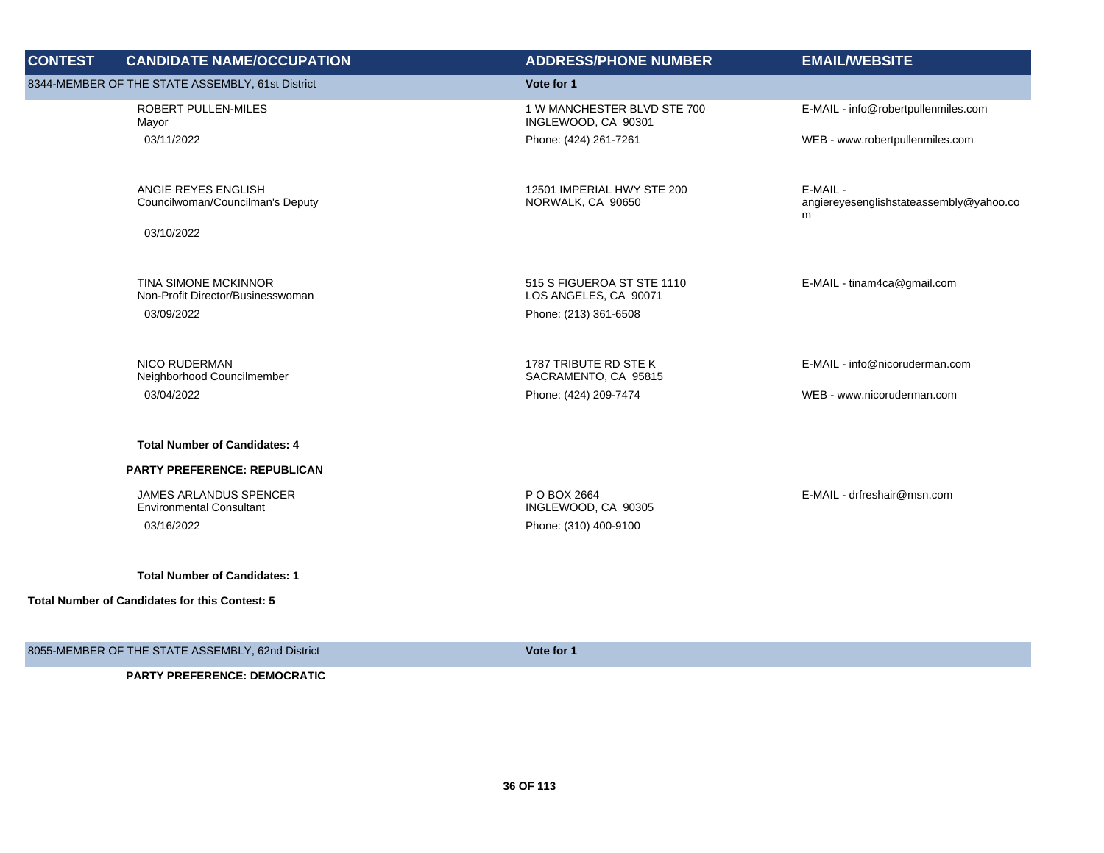| <b>CONTEST</b> | <b>CANDIDATE NAME/OCCUPATION</b>                          | <b>ADDRESS/PHONE NUMBER</b>                         | <b>EMAIL/WEBSITE</b>                                     |
|----------------|-----------------------------------------------------------|-----------------------------------------------------|----------------------------------------------------------|
|                | 8344-MEMBER OF THE STATE ASSEMBLY, 61st District          | Vote for 1                                          |                                                          |
|                | ROBERT PULLEN-MILES<br>Mayor                              | 1 W MANCHESTER BLVD STE 700<br>INGLEWOOD, CA 90301  | E-MAIL - info@robertpullenmiles.com                      |
|                | 03/11/2022                                                | Phone: (424) 261-7261                               | WEB - www.robertpullenmiles.com                          |
|                | ANGIE REYES ENGLISH<br>Councilwoman/Councilman's Deputy   | 12501 IMPERIAL HWY STE 200<br>NORWALK, CA 90650     | E-MAIL -<br>angiereyesenglishstateassembly@yahoo.co<br>m |
|                | 03/10/2022                                                |                                                     |                                                          |
|                | TINA SIMONE MCKINNOR<br>Non-Profit Director/Businesswoman | 515 S FIGUEROA ST STE 1110<br>LOS ANGELES, CA 90071 | E-MAIL - tinam4ca@gmail.com                              |
|                | 03/09/2022                                                | Phone: (213) 361-6508                               |                                                          |
|                |                                                           |                                                     |                                                          |
|                | <b>NICO RUDERMAN</b><br>Neighborhood Councilmember        | 1787 TRIBUTE RD STE K<br>SACRAMENTO, CA 95815       | E-MAIL - info@nicoruderman.com                           |
|                | 03/04/2022                                                | Phone: (424) 209-7474                               | WEB - www.nicoruderman.com                               |
|                | <b>Total Number of Candidates: 4</b>                      |                                                     |                                                          |
|                | PARTY PREFERENCE: REPUBLICAN                              |                                                     |                                                          |
|                | JAMES ARLANDUS SPENCER<br><b>Environmental Consultant</b> | P O BOX 2664<br>INGLEWOOD, CA 90305                 | E-MAIL - drfreshair@msn.com                              |
|                | 03/16/2022                                                | Phone: (310) 400-9100                               |                                                          |
|                | <b>Total Number of Candidates: 1</b>                      |                                                     |                                                          |
|                | Total Number of Candidates for this Contest: 5            |                                                     |                                                          |
|                |                                                           |                                                     |                                                          |
|                | 8055-MEMBER OF THE STATE ASSEMBLY, 62nd District          | Vote for 1                                          |                                                          |
|                | <b>PARTY PREFERENCE: DEMOCRATIC</b>                       |                                                     |                                                          |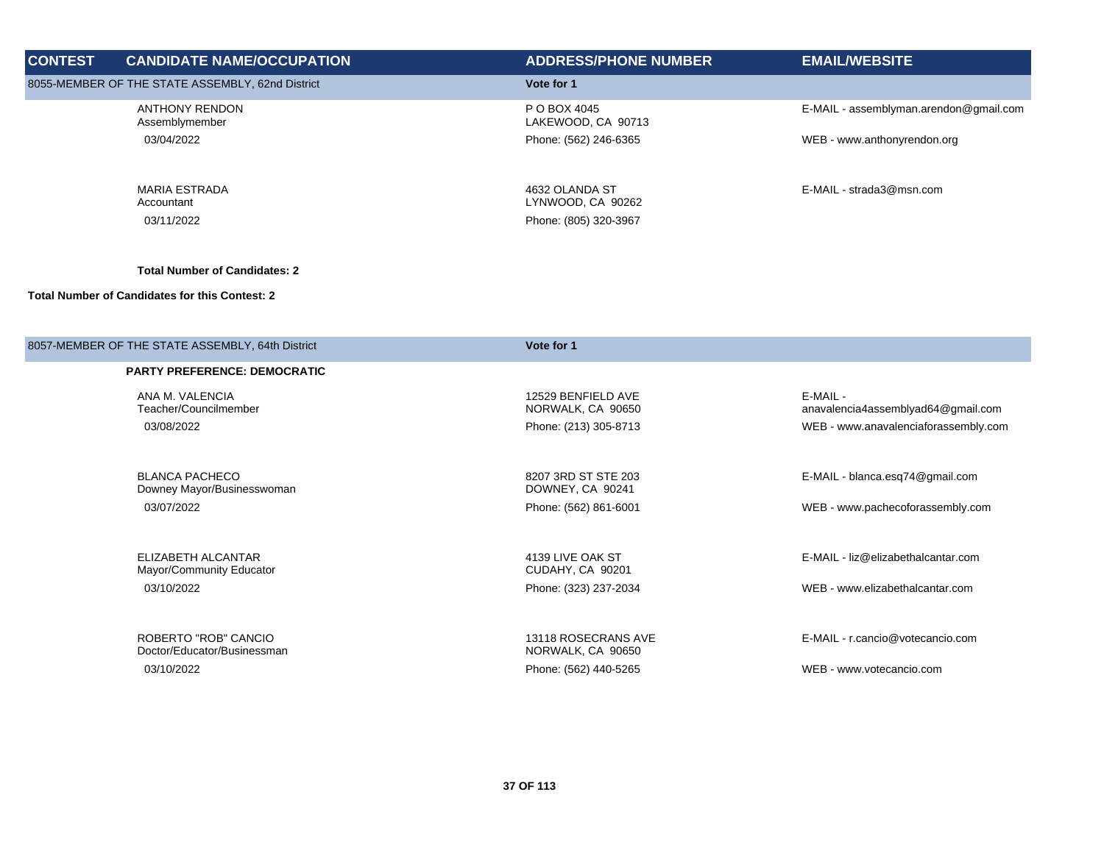| <b>CONTEST</b> | <b>CANDIDATE NAME/OCCUPATION</b>                      | <b>ADDRESS/PHONE NUMBER</b>               | <b>EMAIL/WEBSITE</b>                           |
|----------------|-------------------------------------------------------|-------------------------------------------|------------------------------------------------|
|                | 8055-MEMBER OF THE STATE ASSEMBLY, 62nd District      | Vote for 1                                |                                                |
|                | <b>ANTHONY RENDON</b><br>Assemblymember               | P O BOX 4045<br>LAKEWOOD, CA 90713        | E-MAIL - assemblyman.arendon@gmail.com         |
|                | 03/04/2022                                            | Phone: (562) 246-6365                     | WEB - www.anthonyrendon.org                    |
|                | <b>MARIA ESTRADA</b><br>Accountant                    | 4632 OLANDA ST<br>LYNWOOD, CA 90262       | E-MAIL - strada3@msn.com                       |
|                | 03/11/2022                                            | Phone: (805) 320-3967                     |                                                |
|                | <b>Total Number of Candidates: 2</b>                  |                                           |                                                |
|                | <b>Total Number of Candidates for this Contest: 2</b> |                                           |                                                |
|                | 8057-MEMBER OF THE STATE ASSEMBLY, 64th District      | Vote for 1                                |                                                |
|                | <b>PARTY PREFERENCE: DEMOCRATIC</b>                   |                                           |                                                |
|                | ANA M. VALENCIA<br>Teacher/Councilmember              | 12529 BENFIELD AVE<br>NORWALK, CA 90650   | E-MAIL -<br>anavalencia4assemblyad64@gmail.com |
|                | 03/08/2022                                            | Phone: (213) 305-8713                     | WEB - www.anavalenciaforassembly.com           |
|                | <b>BLANCA PACHECO</b><br>Downey Mayor/Businesswoman   | 8207 3RD ST STE 203<br>DOWNEY, CA 90241   | E-MAIL - blanca.esq74@gmail.com                |
|                | 03/07/2022                                            | Phone: (562) 861-6001                     | WEB - www.pachecoforassembly.com               |
|                | ELIZABETH ALCANTAR                                    | 4139 LIVE OAK ST                          | E-MAIL - liz@elizabethalcantar.com             |
|                | Mayor/Community Educator<br>03/10/2022                | CUDAHY, CA 90201<br>Phone: (323) 237-2034 | WEB - www.elizabethalcantar.com                |
|                |                                                       |                                           |                                                |
|                | ROBERTO "ROB" CANCIO<br>Doctor/Educator/Businessman   | 13118 ROSECRANS AVE<br>NORWALK, CA 90650  | E-MAIL - r.cancio@votecancio.com               |
|                | 03/10/2022                                            | Phone: (562) 440-5265                     | WEB - www.votecancio.com                       |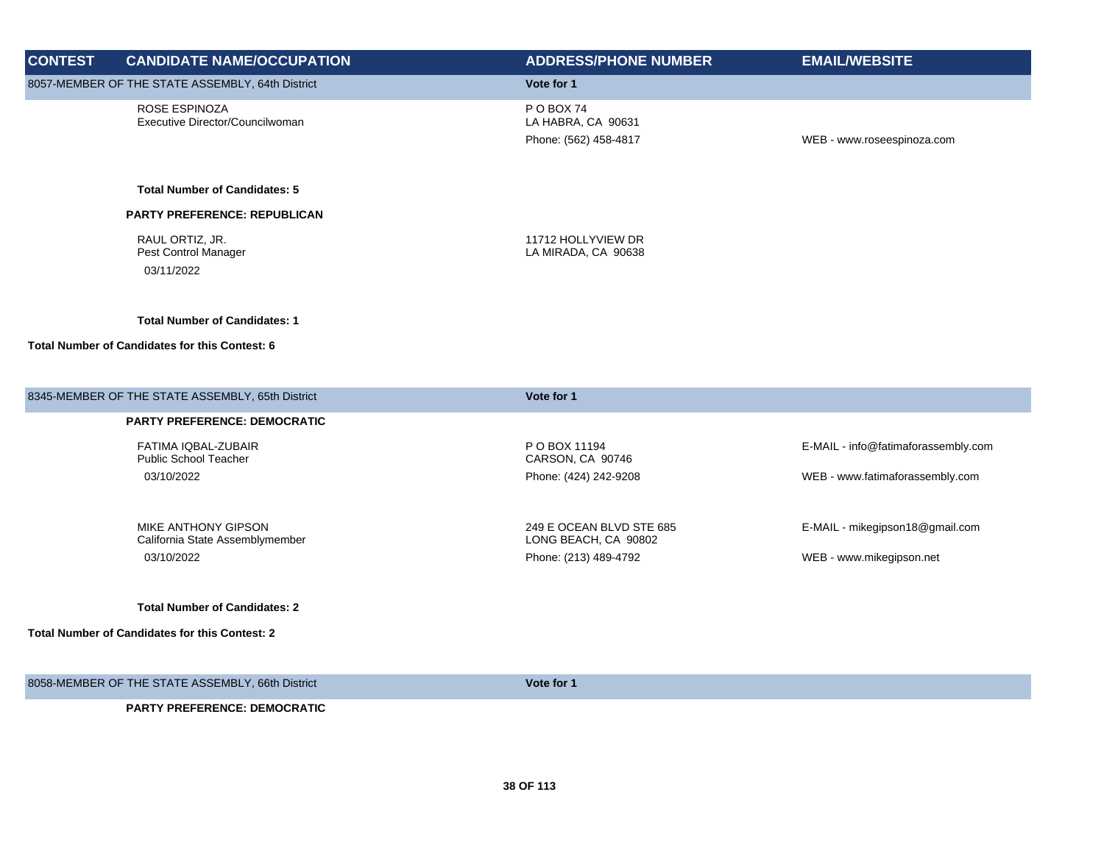| <b>CONTEST</b> | <b>CANDIDATE NAME/OCCUPATION</b>                                     | <b>ADDRESS/PHONE NUMBER</b>                                               | <b>EMAIL/WEBSITE</b>                                        |
|----------------|----------------------------------------------------------------------|---------------------------------------------------------------------------|-------------------------------------------------------------|
|                | 8057-MEMBER OF THE STATE ASSEMBLY, 64th District                     | Vote for 1                                                                |                                                             |
|                | ROSE ESPINOZA<br>Executive Director/Councilwoman                     | P O BOX 74<br>LA HABRA, CA 90631<br>Phone: (562) 458-4817                 | WEB - www.roseespinoza.com                                  |
|                | <b>Total Number of Candidates: 5</b>                                 |                                                                           |                                                             |
|                | <b>PARTY PREFERENCE: REPUBLICAN</b>                                  |                                                                           |                                                             |
|                | RAUL ORTIZ, JR.<br>Pest Control Manager<br>03/11/2022                | 11712 HOLLYVIEW DR<br>LA MIRADA, CA 90638                                 |                                                             |
|                | <b>Total Number of Candidates: 1</b>                                 |                                                                           |                                                             |
|                | Total Number of Candidates for this Contest: 6                       |                                                                           |                                                             |
|                | 8345-MEMBER OF THE STATE ASSEMBLY, 65th District                     | Vote for 1                                                                |                                                             |
|                | <b>PARTY PREFERENCE: DEMOCRATIC</b>                                  |                                                                           |                                                             |
|                | FATIMA IQBAL-ZUBAIR<br>Public School Teacher                         | P O BOX 11194<br>CARSON, CA 90746                                         | E-MAIL - info@fatimaforassembly.com                         |
|                | 03/10/2022                                                           | Phone: (424) 242-9208                                                     | WEB - www.fatimaforassembly.com                             |
|                | MIKE ANTHONY GIPSON<br>California State Assemblymember<br>03/10/2022 | 249 E OCEAN BLVD STE 685<br>LONG BEACH, CA 90802<br>Phone: (213) 489-4792 | E-MAIL - mikegipson18@gmail.com<br>WEB - www.mikegipson.net |
|                | <b>Total Number of Candidates: 2</b>                                 |                                                                           |                                                             |
|                | <b>Total Number of Candidates for this Contest: 2</b>                |                                                                           |                                                             |
|                | 8058-MEMBER OF THE STATE ASSEMBLY, 66th District                     | Vote for 1                                                                |                                                             |
|                | DADTV DDEEEDENCE. DEMOCDATIC                                         |                                                                           |                                                             |

**PARTY PREFERENCE: DEMOCRATIC**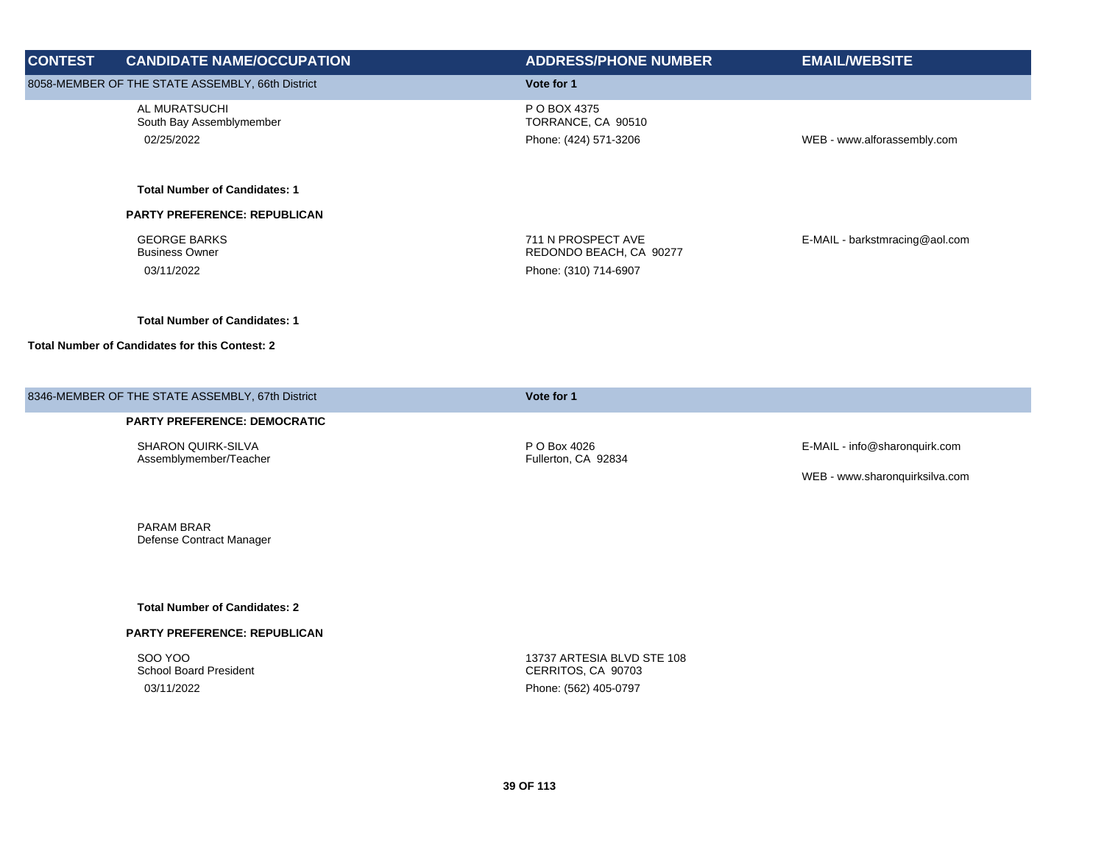| <b>CONTEST</b> | <b>CANDIDATE NAME/OCCUPATION</b>                           | <b>ADDRESS/PHONE NUMBER</b>                                            | <b>EMAIL/WEBSITE</b>           |
|----------------|------------------------------------------------------------|------------------------------------------------------------------------|--------------------------------|
|                | 8058-MEMBER OF THE STATE ASSEMBLY, 66th District           | Vote for 1                                                             |                                |
|                | AL MURATSUCHI<br>South Bay Assemblymember<br>02/25/2022    | P O BOX 4375<br>TORRANCE, CA 90510<br>Phone: (424) 571-3206            | WEB - www.alforassembly.com    |
|                | <b>Total Number of Candidates: 1</b>                       |                                                                        |                                |
|                | PARTY PREFERENCE: REPUBLICAN                               |                                                                        |                                |
|                | <b>GEORGE BARKS</b><br><b>Business Owner</b><br>03/11/2022 | 711 N PROSPECT AVE<br>REDONDO BEACH, CA 90277<br>Phone: (310) 714-6907 | E-MAIL - barkstmracing@aol.com |
|                | <b>Total Number of Candidates: 1</b>                       |                                                                        |                                |
|                | <b>Total Number of Candidates for this Contest: 2</b>      |                                                                        |                                |
|                | 8346-MEMBER OF THE STATE ASSEMBLY, 67th District           | Vote for 1                                                             |                                |
|                | PARTY PREFERENCE: DEMOCRATIC                               |                                                                        |                                |
|                | SHARON QUIRK-SILVA<br>Assemblymember/Teacher               | P O Box 4026<br>Fullerton, CA 92834                                    | E-MAIL - info@sharonquirk.com  |
|                |                                                            |                                                                        | WEB - www.sharonquirksilva.com |
|                | PARAM BRAR<br>Defense Contract Manager                     |                                                                        |                                |
|                | <b>Total Number of Candidates: 2</b>                       |                                                                        |                                |
|                | PARTY PREFERENCE: REPUBLICAN                               |                                                                        |                                |
|                | <b>SOO YOO</b>                                             | 13737 ARTESIA BLVD STE 108                                             |                                |

03/11/2022 Phone: (562) 405-0797

CERRITOS, CA 90703

School Board President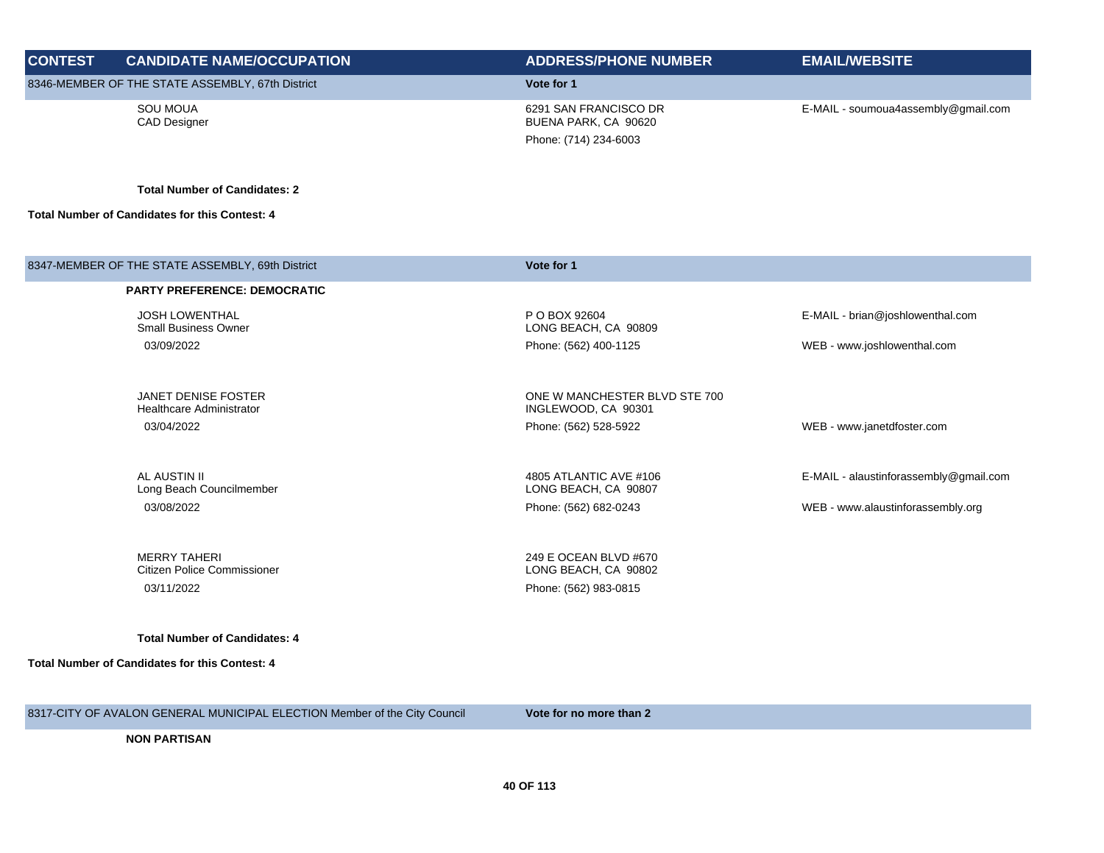| <b>CONTEST</b> | <b>CANDIDATE NAME/OCCUPATION</b>                          | <b>ADDRESS/PHONE NUMBER</b>                                            | <b>EMAIL/WEBSITE</b>                   |
|----------------|-----------------------------------------------------------|------------------------------------------------------------------------|----------------------------------------|
|                | 8346-MEMBER OF THE STATE ASSEMBLY, 67th District          | Vote for 1                                                             |                                        |
|                | <b>SOU MOUA</b><br><b>CAD Designer</b>                    | 6291 SAN FRANCISCO DR<br>BUENA PARK, CA 90620<br>Phone: (714) 234-6003 | E-MAIL - soumoua4assembly@gmail.com    |
|                | <b>Total Number of Candidates: 2</b>                      |                                                                        |                                        |
|                | <b>Total Number of Candidates for this Contest: 4</b>     |                                                                        |                                        |
|                | 8347-MEMBER OF THE STATE ASSEMBLY, 69th District          | Vote for 1                                                             |                                        |
|                | <b>PARTY PREFERENCE: DEMOCRATIC</b>                       |                                                                        |                                        |
|                | <b>JOSH LOWENTHAL</b><br><b>Small Business Owner</b>      | P O BOX 92604<br>LONG BEACH, CA 90809                                  | E-MAIL - brian@joshlowenthal.com       |
|                | 03/09/2022                                                | Phone: (562) 400-1125                                                  | WEB - www.joshlowenthal.com            |
|                | <b>JANET DENISE FOSTER</b>                                | ONE W MANCHESTER BLVD STE 700                                          |                                        |
|                | Healthcare Administrator                                  | INGLEWOOD, CA 90301                                                    |                                        |
|                | 03/04/2022                                                | Phone: (562) 528-5922                                                  | WEB - www.janetdfoster.com             |
|                | AL AUSTIN II<br>Long Beach Councilmember                  | 4805 ATLANTIC AVE #106<br>LONG BEACH, CA 90807                         | E-MAIL - alaustinforassembly@gmail.com |
|                | 03/08/2022                                                | Phone: (562) 682-0243                                                  | WEB - www.alaustinforassembly.org      |
|                | <b>MERRY TAHERI</b><br><b>Citizen Police Commissioner</b> | 249 E OCEAN BLVD #670<br>LONG BEACH, CA 90802                          |                                        |
|                | 03/11/2022                                                | Phone: (562) 983-0815                                                  |                                        |
|                | <b>Total Number of Candidates: 4</b>                      |                                                                        |                                        |
|                | <b>Total Number of Candidates for this Contest: 4</b>     |                                                                        |                                        |
|                |                                                           |                                                                        |                                        |
|                |                                                           |                                                                        |                                        |

8317-CITY OF AVALON GENERAL MUNICIPAL ELECTION Member of the City Council **Vote for no more than 2**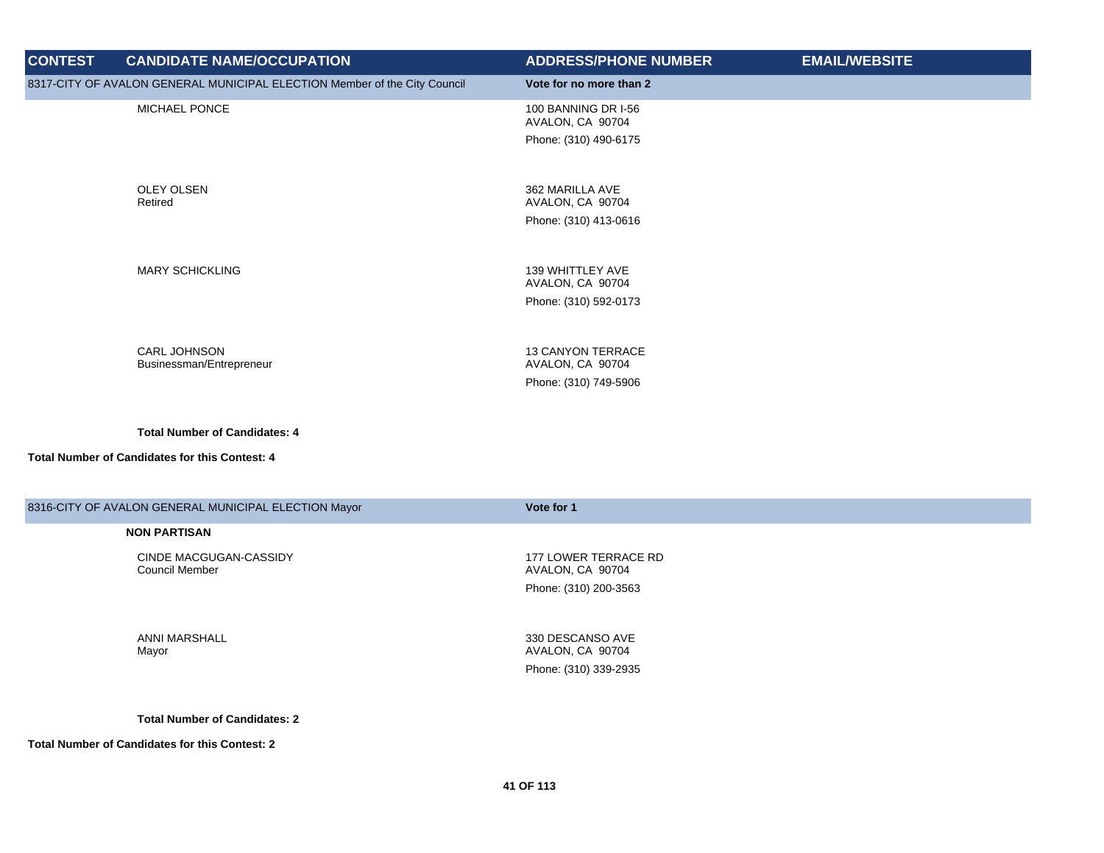| <b>CONTEST</b> | <b>CANDIDATE NAME/OCCUPATION</b>                                          | <b>ADDRESS/PHONE NUMBER</b>                                           | <b>EMAIL/WEBSITE</b> |
|----------------|---------------------------------------------------------------------------|-----------------------------------------------------------------------|----------------------|
|                | 8317-CITY OF AVALON GENERAL MUNICIPAL ELECTION Member of the City Council | Vote for no more than 2                                               |                      |
|                | MICHAEL PONCE                                                             | 100 BANNING DR I-56<br>AVALON, CA 90704<br>Phone: (310) 490-6175      |                      |
|                | <b>OLEY OLSEN</b><br>Retired                                              | 362 MARILLA AVE<br>AVALON, CA 90704<br>Phone: (310) 413-0616          |                      |
|                | <b>MARY SCHICKLING</b>                                                    | 139 WHITTLEY AVE<br>AVALON, CA 90704<br>Phone: (310) 592-0173         |                      |
|                | <b>CARL JOHNSON</b><br>Businessman/Entrepreneur                           | <b>13 CANYON TERRACE</b><br>AVALON, CA 90704<br>Phone: (310) 749-5906 |                      |
|                | <b>Total Number of Candidates: 4</b>                                      |                                                                       |                      |
|                | <b>Total Number of Candidates for this Contest: 4</b>                     |                                                                       |                      |

| 8316-CITY OF AVALON GENERAL MUNICIPAL ELECTION Mayor | Vote for 1                               |
|------------------------------------------------------|------------------------------------------|
| <b>NON PARTISAN</b>                                  |                                          |
| CINDE MACGUGAN-CASSIDY<br>Council Member             | 177 LOWER TERRACE RD<br>AVALON, CA 90704 |
|                                                      | Phone: (310) 200-3563                    |
|                                                      |                                          |
| ANNI MARSHALL<br>Mayor                               | 330 DESCANSO AVE<br>AVALON, CA 90704     |
|                                                      | Phone: (310) 339-2935                    |
|                                                      |                                          |
| <b>Total Number of Candidates: 2</b>                 |                                          |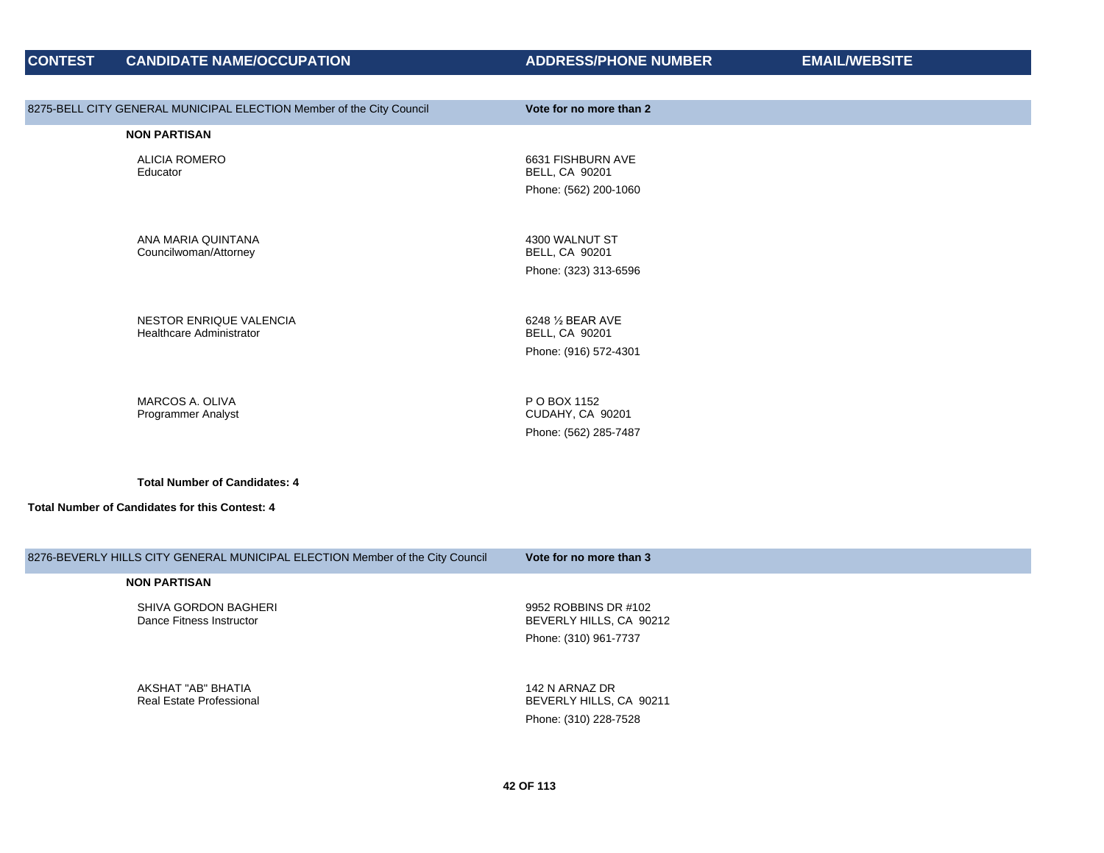| 8275-BELL CITY GENERAL MUNICIPAL ELECTION Member of the City Council          | Vote for no more than 2                                                  |
|-------------------------------------------------------------------------------|--------------------------------------------------------------------------|
| <b>NON PARTISAN</b>                                                           |                                                                          |
| <b>ALICIA ROMERO</b><br>Educator                                              | 6631 FISHBURN AVE<br><b>BELL, CA 90201</b><br>Phone: (562) 200-1060      |
| ANA MARIA QUINTANA<br>Councilwoman/Attorney                                   | 4300 WALNUT ST<br><b>BELL, CA 90201</b><br>Phone: (323) 313-6596         |
| <b>NESTOR ENRIQUE VALENCIA</b><br><b>Healthcare Administrator</b>             | 6248 1/2 BEAR AVE<br><b>BELL, CA 90201</b><br>Phone: (916) 572-4301      |
| MARCOS A. OLIVA<br>Programmer Analyst                                         | P O BOX 1152<br>CUDAHY, CA 90201<br>Phone: (562) 285-7487                |
| <b>Total Number of Candidates: 4</b>                                          |                                                                          |
| Total Number of Candidates for this Contest: 4                                |                                                                          |
| 8276-BEVERLY HILLS CITY GENERAL MUNICIPAL ELECTION Member of the City Council | Vote for no more than 3                                                  |
| <b>NON PARTISAN</b>                                                           |                                                                          |
| SHIVA GORDON BAGHERI<br>Dance Fitness Instructor                              | 9952 ROBBINS DR #102<br>BEVERLY HILLS, CA 90212<br>Phone: (310) 961-7737 |

AKSHAT "AB" BHATIA Real Estate Professional 142 N ARNAZ DR BEVERLY HILLS, CA 90211 Phone: (310) 228-7528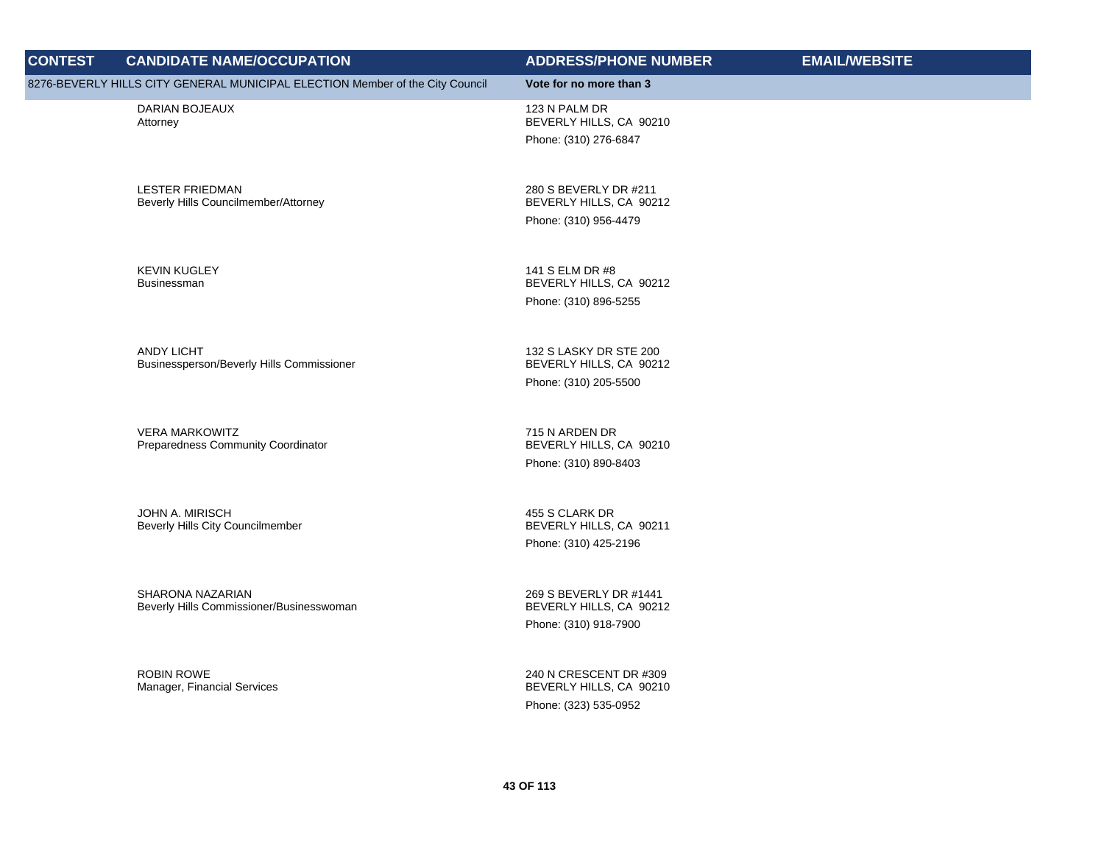| <b>CONTEST</b> | <b>CANDIDATE NAME/OCCUPATION</b>                                              | <b>ADDRESS/PHONE NUMBER</b>                                                | <b>EMAIL/WEBSITE</b> |
|----------------|-------------------------------------------------------------------------------|----------------------------------------------------------------------------|----------------------|
|                | 8276-BEVERLY HILLS CITY GENERAL MUNICIPAL ELECTION Member of the City Council | Vote for no more than 3                                                    |                      |
|                | DARIAN BOJEAUX<br>Attorney                                                    | 123 N PALM DR<br>BEVERLY HILLS, CA 90210<br>Phone: (310) 276-6847          |                      |
|                | <b>LESTER FRIEDMAN</b><br>Beverly Hills Councilmember/Attorney                | 280 S BEVERLY DR #211<br>BEVERLY HILLS, CA 90212<br>Phone: (310) 956-4479  |                      |
|                | <b>KEVIN KUGLEY</b><br>Businessman                                            | 141 S ELM DR #8<br>BEVERLY HILLS, CA 90212<br>Phone: (310) 896-5255        |                      |
|                | ANDY LICHT<br>Businessperson/Beverly Hills Commissioner                       | 132 S LASKY DR STE 200<br>BEVERLY HILLS, CA 90212<br>Phone: (310) 205-5500 |                      |
|                | <b>VERA MARKOWITZ</b><br>Preparedness Community Coordinator                   | 715 N ARDEN DR<br>BEVERLY HILLS, CA 90210<br>Phone: (310) 890-8403         |                      |
|                | JOHN A. MIRISCH<br>Beverly Hills City Councilmember                           | 455 S CLARK DR<br>BEVERLY HILLS, CA 90211<br>Phone: (310) 425-2196         |                      |
|                | SHARONA NAZARIAN<br>Beverly Hills Commissioner/Businesswoman                  | 269 S BEVERLY DR #1441<br>BEVERLY HILLS, CA 90212<br>Phone: (310) 918-7900 |                      |
|                | <b>ROBIN ROWE</b><br>Manager, Financial Services                              | 240 N CRESCENT DR #309<br>BEVERLY HILLS, CA 90210<br>Phone: (323) 535-0952 |                      |
|                |                                                                               |                                                                            |                      |

 **43 OF 113**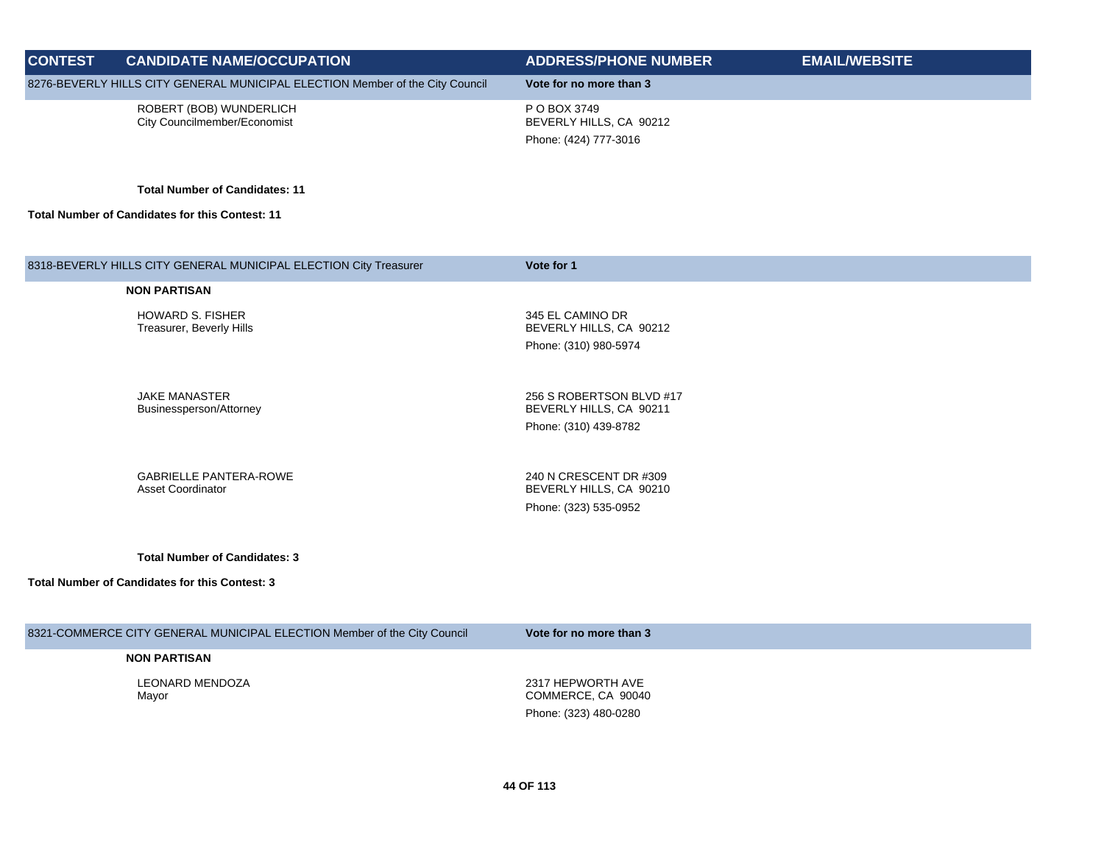| <b>CONTEST</b> | <b>CANDIDATE NAME/OCCUPATION</b>                                              | <b>ADDRESS/PHONE NUMBER</b>             | <b>EMAIL/WEBSITE</b> |
|----------------|-------------------------------------------------------------------------------|-----------------------------------------|----------------------|
|                | 8276-BEVERLY HILLS CITY GENERAL MUNICIPAL ELECTION Member of the City Council | Vote for no more than 3                 |                      |
|                | ROBERT (BOB) WUNDERLICH<br>City Councilmember/Economist                       | P O BOX 3749<br>BEVERLY HILLS, CA 90212 |                      |
|                |                                                                               | Phone: (424) 777-3016                   |                      |

**Total Number of Candidates: 11**

**Total Number of Candidates for this Contest: 11**

| 8318-BEVERLY HILLS CITY GENERAL MUNICIPAL ELECTION City Treasurer | Vote for 1                                          |
|-------------------------------------------------------------------|-----------------------------------------------------|
| <b>NON PARTISAN</b>                                               |                                                     |
| <b>HOWARD S. FISHER</b><br>Treasurer, Beverly Hills               | 345 EL CAMINO DR<br>BEVERLY HILLS, CA 90212         |
|                                                                   | Phone: (310) 980-5974                               |
| JAKE MANASTER<br>Businessperson/Attorney                          | 256 S ROBERTSON BLVD #17<br>BEVERLY HILLS, CA 90211 |
|                                                                   | Phone: (310) 439-8782                               |
| <b>GABRIELLE PANTERA-ROWE</b><br><b>Asset Coordinator</b>         | 240 N CRESCENT DR #309<br>BEVERLY HILLS, CA 90210   |
|                                                                   | Phone: (323) 535-0952                               |
|                                                                   |                                                     |

**Total Number of Candidates: 3**

| 8321-COMMERCE CITY GENERAL MUNICIPAL ELECTION Member of the City Council | Vote for no more than 3                                          |
|--------------------------------------------------------------------------|------------------------------------------------------------------|
| <b>NON PARTISAN</b>                                                      |                                                                  |
| LEONARD MENDOZA<br>Mayor                                                 | 2317 HEPWORTH AVE<br>COMMERCE, CA 90040<br>Phone: (323) 480-0280 |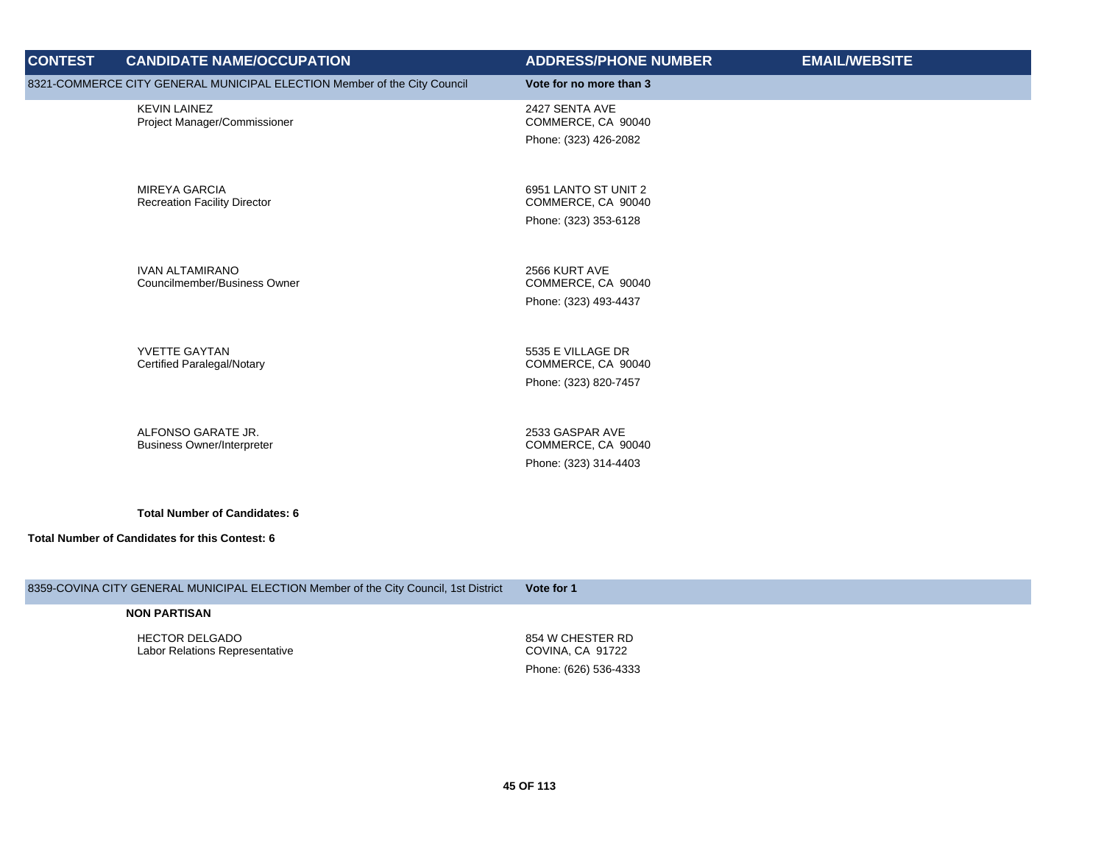| <b>CONTEST</b>                                 | <b>CANDIDATE NAME/OCCUPATION</b>                                         | <b>ADDRESS/PHONE NUMBER</b>                | <b>EMAIL/WEBSITE</b> |
|------------------------------------------------|--------------------------------------------------------------------------|--------------------------------------------|----------------------|
|                                                | 8321-COMMERCE CITY GENERAL MUNICIPAL ELECTION Member of the City Council | Vote for no more than 3                    |                      |
|                                                | <b>KEVIN LAINEZ</b><br>Project Manager/Commissioner                      | 2427 SENTA AVE<br>COMMERCE, CA 90040       |                      |
|                                                |                                                                          | Phone: (323) 426-2082                      |                      |
|                                                |                                                                          |                                            |                      |
|                                                | <b>MIREYA GARCIA</b><br><b>Recreation Facility Director</b>              | 6951 LANTO ST UNIT 2<br>COMMERCE, CA 90040 |                      |
|                                                |                                                                          | Phone: (323) 353-6128                      |                      |
|                                                |                                                                          |                                            |                      |
|                                                | <b>IVAN ALTAMIRANO</b><br>Councilmember/Business Owner                   | 2566 KURT AVE<br>COMMERCE, CA 90040        |                      |
|                                                |                                                                          | Phone: (323) 493-4437                      |                      |
|                                                |                                                                          |                                            |                      |
|                                                | YVETTE GAYTAN<br><b>Certified Paralegal/Notary</b>                       | 5535 E VILLAGE DR<br>COMMERCE, CA 90040    |                      |
|                                                |                                                                          | Phone: (323) 820-7457                      |                      |
|                                                |                                                                          |                                            |                      |
|                                                | ALFONSO GARATE JR.<br><b>Business Owner/Interpreter</b>                  | 2533 GASPAR AVE<br>COMMERCE, CA 90040      |                      |
|                                                |                                                                          | Phone: (323) 314-4403                      |                      |
|                                                |                                                                          |                                            |                      |
|                                                | <b>Total Number of Candidates: 6</b>                                     |                                            |                      |
| Total Number of Candidates for this Contest: 6 |                                                                          |                                            |                      |

## 8359-COVINA CITY GENERAL MUNICIPAL ELECTION Member of the City Council, 1st District **Vote for 1**

#### **NON PARTISAN**

HECTOR DELGADO Labor Relations Representative 854 W CHESTER RD COVINA, CA 91722 Phone: (626) 536-4333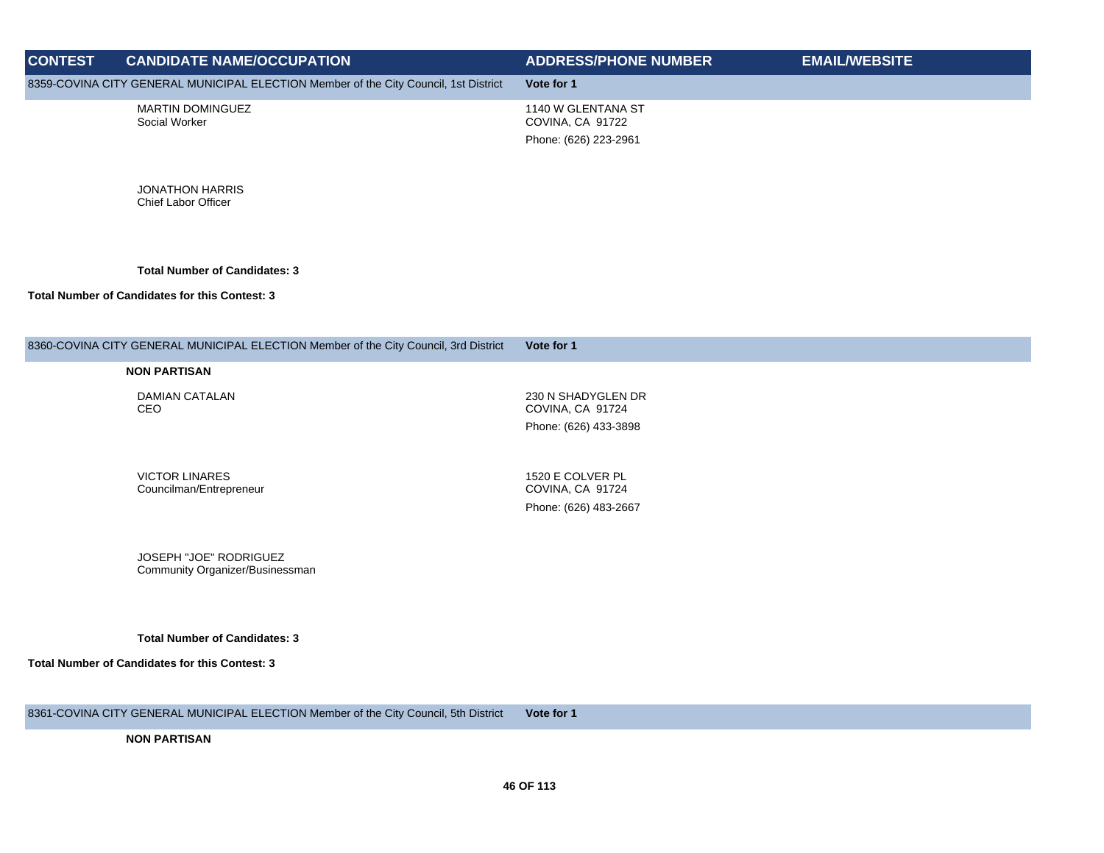| <b>CONTEST</b> | <b>CANDIDATE NAME/OCCUPATION</b>                                                     | <b>ADDRESS/PHONE NUMBER</b>            | <b>EMAIL/WEBSITE</b> |
|----------------|--------------------------------------------------------------------------------------|----------------------------------------|----------------------|
|                | 8359-COVINA CITY GENERAL MUNICIPAL ELECTION Member of the City Council, 1st District | Vote for 1                             |                      |
|                | <b>MARTIN DOMINGUEZ</b><br>Social Worker                                             | 1140 W GLENTANA ST<br>COVINA, CA 91722 |                      |
|                |                                                                                      | Phone: (626) 223-2961                  |                      |

JONATHON HARRIS Chief Labor Officer

**Total Number of Candidates: 3**

#### **Total Number of Candidates for this Contest: 3**

### 8360-COVINA CITY GENERAL MUNICIPAL ELECTION Member of the City Council, 3rd District **Vote for 1**

#### **NON PARTISAN**

DAMIAN CATALAN CEO

230 N SHADYGLEN DR COVINA, CA 91724 Phone: (626) 433-3898

VICTOR LINARES Councilman/Entrepreneur

1520 E COLVER PL COVINA, CA 91724 Phone: (626) 483-2667

JOSEPH "JOE" RODRIGUEZ Community Organizer/Businessman

**Total Number of Candidates: 3**

**Total Number of Candidates for this Contest: 3**

8361-COVINA CITY GENERAL MUNICIPAL ELECTION Member of the City Council, 5th District **Vote for 1**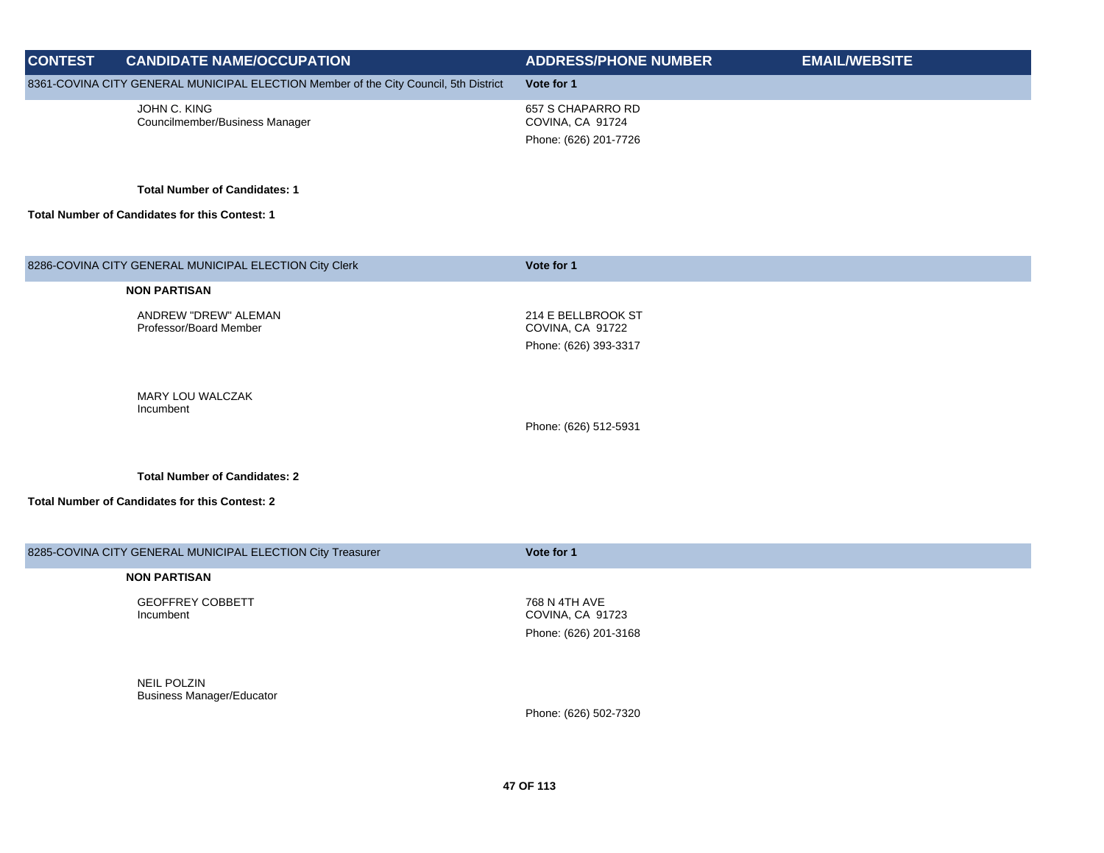| <b>CONTEST</b> | <b>CANDIDATE NAME/OCCUPATION</b>                                                     | <b>ADDRESS/PHONE NUMBER</b>               | <b>EMAIL/WEBSITE</b> |
|----------------|--------------------------------------------------------------------------------------|-------------------------------------------|----------------------|
|                | 8361-COVINA CITY GENERAL MUNICIPAL ELECTION Member of the City Council, 5th District | Vote for 1                                |                      |
|                | JOHN C. KING<br>Councilmember/Business Manager                                       | 657 S CHAPARRO RD<br>COVINA, CA 91724     |                      |
|                |                                                                                      | Phone: (626) 201-7726                     |                      |
|                | <b>Total Number of Candidates: 1</b>                                                 |                                           |                      |
|                | Total Number of Candidates for this Contest: 1                                       |                                           |                      |
|                |                                                                                      |                                           |                      |
|                | 8286-COVINA CITY GENERAL MUNICIPAL ELECTION City Clerk                               | Vote for 1                                |                      |
|                | <b>NON PARTISAN</b>                                                                  |                                           |                      |
|                | ANDREW "DREW" ALEMAN<br>Professor/Board Member                                       | 214 E BELLBROOK ST<br>COVINA, CA 91722    |                      |
|                |                                                                                      | Phone: (626) 393-3317                     |                      |
|                | MARY LOU WALCZAK                                                                     |                                           |                      |
|                | Incumbent                                                                            |                                           |                      |
|                |                                                                                      | Phone: (626) 512-5931                     |                      |
|                | <b>Total Number of Candidates: 2</b>                                                 |                                           |                      |
|                | <b>Total Number of Candidates for this Contest: 2</b>                                |                                           |                      |
|                |                                                                                      |                                           |                      |
|                | 8285-COVINA CITY GENERAL MUNICIPAL ELECTION City Treasurer                           | Vote for 1                                |                      |
|                | <b>NON PARTISAN</b>                                                                  |                                           |                      |
|                | <b>GEOFFREY COBBETT</b>                                                              | 768 N 4TH AVE                             |                      |
|                | Incumbent                                                                            | COVINA, CA 91723<br>Phone: (626) 201-3168 |                      |
|                |                                                                                      |                                           |                      |
|                | <b>NEIL POLZIN</b>                                                                   |                                           |                      |
|                | <b>Business Manager/Educator</b>                                                     |                                           |                      |
|                |                                                                                      | Phone: (626) 502-7320                     |                      |
|                |                                                                                      |                                           |                      |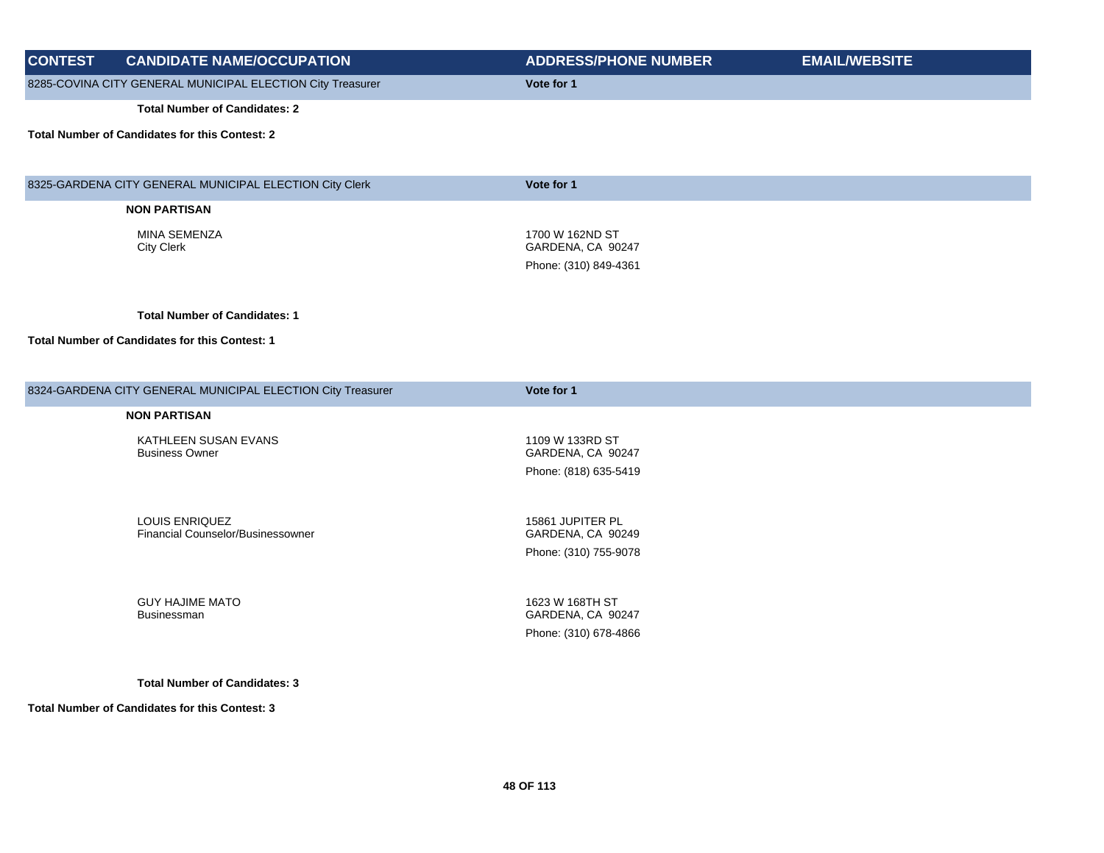| <b>CONTEST</b> | <b>CANDIDATE NAME/OCCUPATION</b>                                                       | <b>ADDRESS/PHONE NUMBER</b>                                    | <b>EMAIL/WEBSITE</b> |
|----------------|----------------------------------------------------------------------------------------|----------------------------------------------------------------|----------------------|
|                | 8285-COVINA CITY GENERAL MUNICIPAL ELECTION City Treasurer                             | Vote for 1                                                     |                      |
|                | <b>Total Number of Candidates: 2</b>                                                   |                                                                |                      |
|                | <b>Total Number of Candidates for this Contest: 2</b>                                  |                                                                |                      |
|                | 8325-GARDENA CITY GENERAL MUNICIPAL ELECTION City Clerk                                | Vote for 1                                                     |                      |
|                | <b>NON PARTISAN</b>                                                                    |                                                                |                      |
|                | <b>MINA SEMENZA</b><br><b>City Clerk</b>                                               | 1700 W 162ND ST<br>GARDENA, CA 90247<br>Phone: (310) 849-4361  |                      |
|                | <b>Total Number of Candidates: 1</b>                                                   |                                                                |                      |
|                | Total Number of Candidates for this Contest: 1                                         |                                                                |                      |
|                | 8324-GARDENA CITY GENERAL MUNICIPAL ELECTION City Treasurer                            | Vote for 1                                                     |                      |
|                | <b>NON PARTISAN</b>                                                                    |                                                                |                      |
|                | KATHLEEN SUSAN EVANS<br><b>Business Owner</b>                                          | 1109 W 133RD ST<br>GARDENA, CA 90247<br>Phone: (818) 635-5419  |                      |
|                | LOUIS ENRIQUEZ<br>Financial Counselor/Businessowner                                    | 15861 JUPITER PL<br>GARDENA, CA 90249<br>Phone: (310) 755-9078 |                      |
|                | <b>GUY HAJIME MATO</b><br>Businessman                                                  | 1623 W 168TH ST<br>GARDENA, CA 90247<br>Phone: (310) 678-4866  |                      |
|                | <b>Total Number of Candidates: 3</b><br>Total Number of Candidates for this Contest: 3 |                                                                |                      |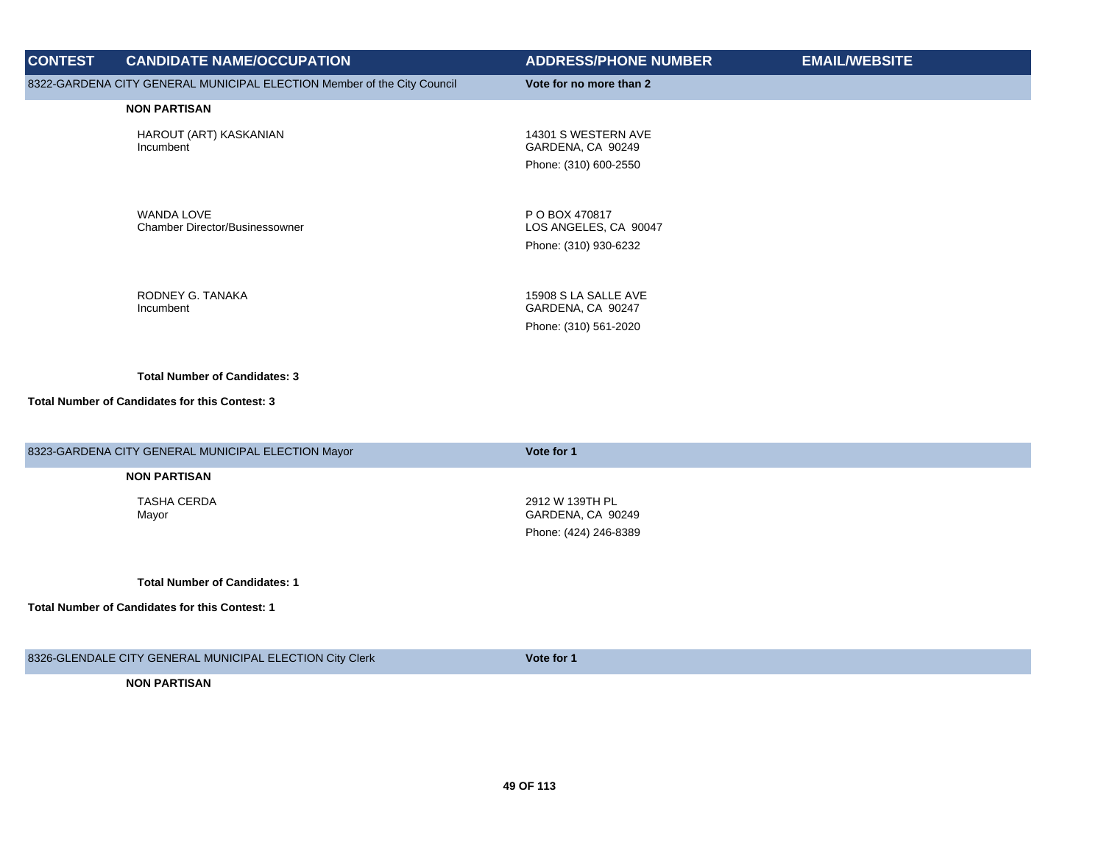| <b>CONTEST</b> | <b>CANDIDATE NAME/OCCUPATION</b>                                                       | <b>ADDRESS/PHONE NUMBER</b>                                        | <b>EMAIL/WEBSITE</b> |
|----------------|----------------------------------------------------------------------------------------|--------------------------------------------------------------------|----------------------|
|                | 8322-GARDENA CITY GENERAL MUNICIPAL ELECTION Member of the City Council                | Vote for no more than 2                                            |                      |
|                | <b>NON PARTISAN</b>                                                                    |                                                                    |                      |
|                | HAROUT (ART) KASKANIAN<br>Incumbent                                                    | 14301 S WESTERN AVE<br>GARDENA, CA 90249<br>Phone: (310) 600-2550  |                      |
|                | <b>WANDA LOVE</b><br><b>Chamber Director/Businessowner</b>                             | P O BOX 470817<br>LOS ANGELES, CA 90047<br>Phone: (310) 930-6232   |                      |
|                | RODNEY G. TANAKA<br>Incumbent                                                          | 15908 S LA SALLE AVE<br>GARDENA, CA 90247<br>Phone: (310) 561-2020 |                      |
|                | <b>Total Number of Candidates: 3</b><br>Total Number of Candidates for this Contest: 3 |                                                                    |                      |
|                | 8323-GARDENA CITY GENERAL MUNICIPAL ELECTION Mayor                                     | Vote for 1                                                         |                      |
|                | <b>NON PARTISAN</b>                                                                    |                                                                    |                      |
|                | <b>TASHA CERDA</b><br>Mayor                                                            | 2912 W 139TH PL<br>GARDENA, CA 90249<br>Phone: (424) 246-8389      |                      |
|                | <b>Total Number of Candidates: 1</b>                                                   |                                                                    |                      |
|                | <b>Total Number of Candidates for this Contest: 1</b>                                  |                                                                    |                      |
|                | <b>8888 OLENEALE OITY OFNED AL MUNICIPAL FLEOTION ON OLD</b>                           | $M = 1 - R = 1$                                                    |                      |

8326-GLENDALE CITY GENERAL MUNICIPAL ELECTION City Clerk **Vote for 1**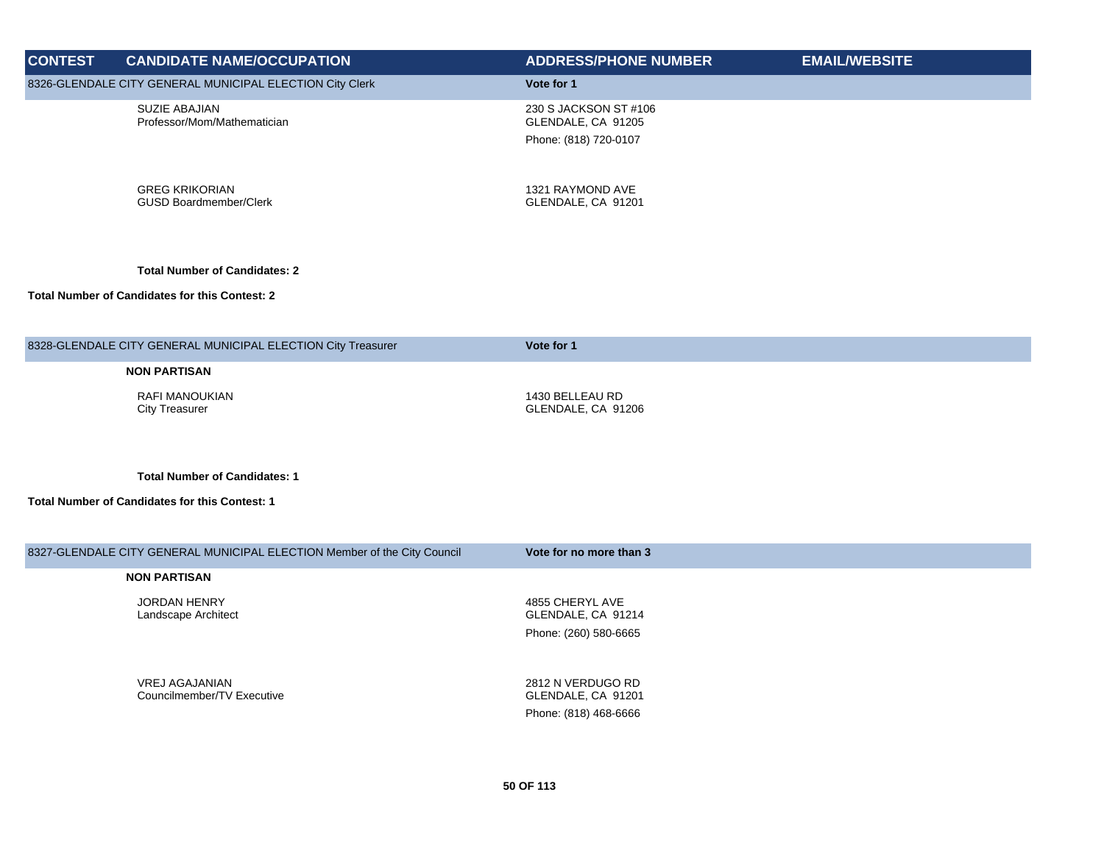| <b>CONTEST</b> | <b>CANDIDATE NAME/OCCUPATION</b>                                         | <b>ADDRESS/PHONE NUMBER</b>                                          | <b>EMAIL/WEBSITE</b> |
|----------------|--------------------------------------------------------------------------|----------------------------------------------------------------------|----------------------|
|                | 8326-GLENDALE CITY GENERAL MUNICIPAL ELECTION City Clerk                 | Vote for 1                                                           |                      |
|                | SUZIE ABAJIAN<br>Professor/Mom/Mathematician                             | 230 S JACKSON ST #106<br>GLENDALE, CA 91205<br>Phone: (818) 720-0107 |                      |
|                |                                                                          |                                                                      |                      |
|                | <b>GREG KRIKORIAN</b><br><b>GUSD Boardmember/Clerk</b>                   | 1321 RAYMOND AVE<br>GLENDALE, CA 91201                               |                      |
|                | <b>Total Number of Candidates: 2</b>                                     |                                                                      |                      |
|                | <b>Total Number of Candidates for this Contest: 2</b>                    |                                                                      |                      |
|                | 8328-GLENDALE CITY GENERAL MUNICIPAL ELECTION City Treasurer             | Vote for 1                                                           |                      |
|                | <b>NON PARTISAN</b>                                                      |                                                                      |                      |
|                | <b>RAFI MANOUKIAN</b><br><b>City Treasurer</b>                           | 1430 BELLEAU RD<br>GLENDALE, CA 91206                                |                      |
|                | <b>Total Number of Candidates: 1</b>                                     |                                                                      |                      |
|                | <b>Total Number of Candidates for this Contest: 1</b>                    |                                                                      |                      |
|                | 8327-GLENDALE CITY GENERAL MUNICIPAL ELECTION Member of the City Council | Vote for no more than 3                                              |                      |
|                | <b>NON PARTISAN</b>                                                      |                                                                      |                      |
|                | JORDAN HENRY<br>Landscape Architect                                      | 4855 CHERYL AVE<br>GLENDALE, CA 91214                                |                      |
|                |                                                                          | Phone: (260) 580-6665                                                |                      |
|                | <b>VREJ AGAJANIAN</b><br>Councilmember/TV Executive                      | 2812 N VERDUGO RD<br>GLENDALE, CA 91201                              |                      |

Phone: (818) 468-6666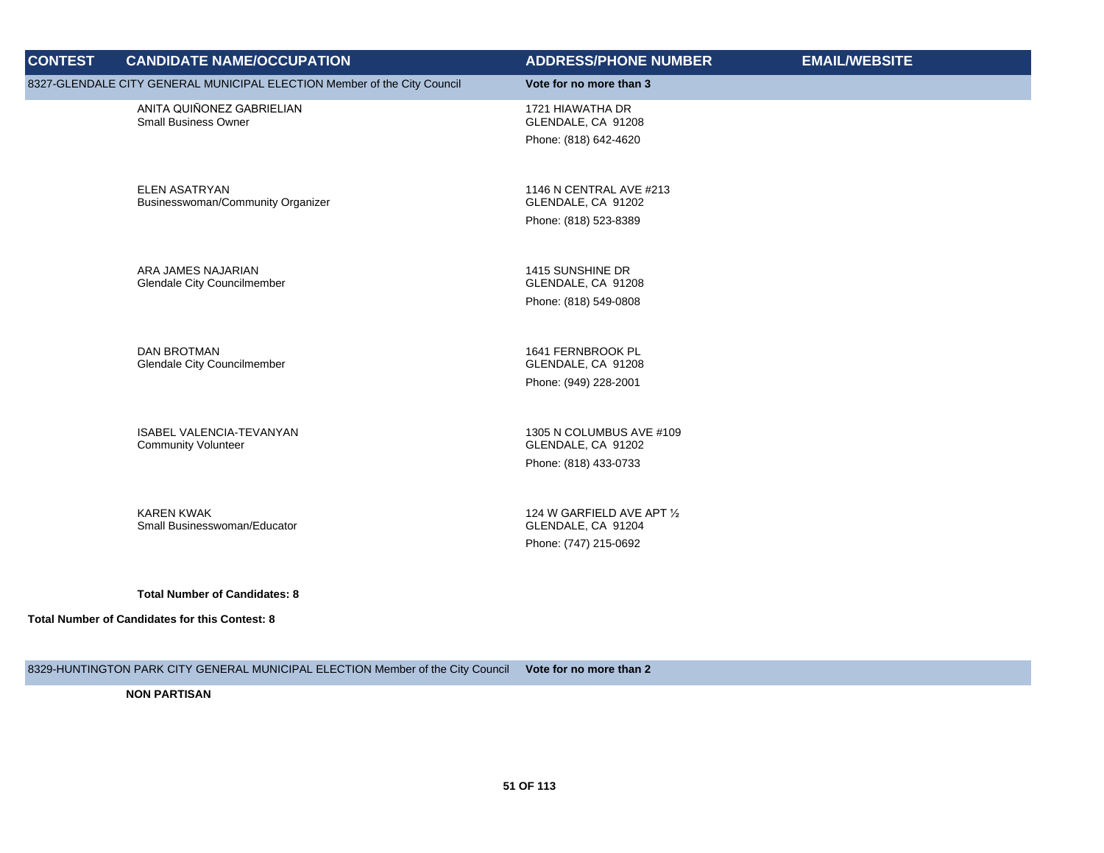| <b>CONTEST</b> | <b>CANDIDATE NAME/OCCUPATION</b>                                         | <b>ADDRESS/PHONE NUMBER</b>                                               | <b>EMAIL/WEBSITE</b> |
|----------------|--------------------------------------------------------------------------|---------------------------------------------------------------------------|----------------------|
|                | 8327-GLENDALE CITY GENERAL MUNICIPAL ELECTION Member of the City Council | Vote for no more than 3                                                   |                      |
|                | ANITA QUIÑONEZ GABRIELIAN<br><b>Small Business Owner</b>                 | 1721 HIAWATHA DR<br>GLENDALE, CA 91208<br>Phone: (818) 642-4620           |                      |
|                | <b>ELEN ASATRYAN</b><br>Businesswoman/Community Organizer                | 1146 N CENTRAL AVE #213<br>GLENDALE, CA 91202<br>Phone: (818) 523-8389    |                      |
|                | ARA JAMES NAJARIAN<br><b>Glendale City Councilmember</b>                 | 1415 SUNSHINE DR<br>GLENDALE, CA 91208<br>Phone: (818) 549-0808           |                      |
|                | <b>DAN BROTMAN</b><br><b>Glendale City Councilmember</b>                 | 1641 FERNBROOK PL<br>GLENDALE, CA 91208<br>Phone: (949) 228-2001          |                      |
|                | ISABEL VALENCIA-TEVANYAN<br><b>Community Volunteer</b>                   | 1305 N COLUMBUS AVE #109<br>GLENDALE, CA 91202<br>Phone: (818) 433-0733   |                      |
|                | <b>KAREN KWAK</b><br>Small Businesswoman/Educator                        | 124 W GARFIELD AVE APT 1/2<br>GLENDALE, CA 91204<br>Phone: (747) 215-0692 |                      |
|                | <b>Total Number of Candidates: 8</b>                                     |                                                                           |                      |
|                | Total Number of Candidates for this Contest: 8                           |                                                                           |                      |

8329-HUNTINGTON PARK CITY GENERAL MUNICIPAL ELECTION Member of the City Council **Vote for no more than 2**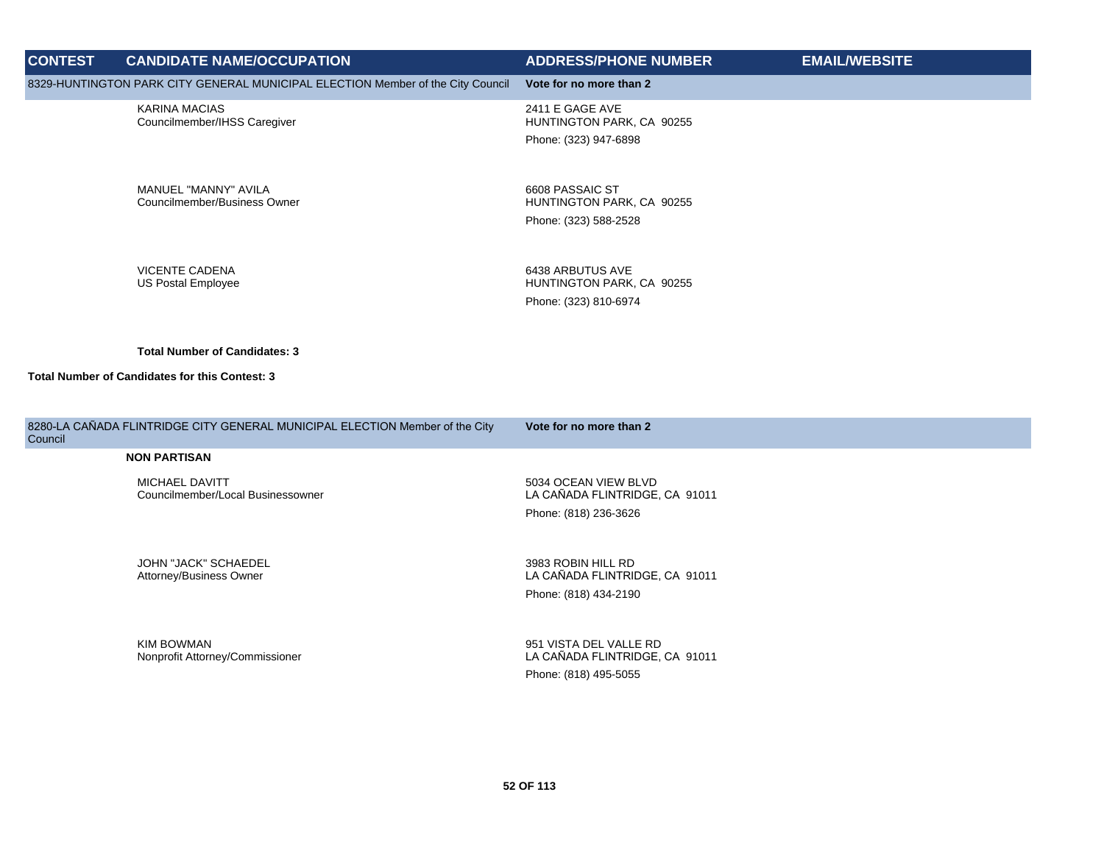| <b>CONTEST</b> | <b>CANDIDATE NAME/OCCUPATION</b>                                                | <b>ADDRESS/PHONE NUMBER</b>                             | <b>EMAIL/WEBSITE</b> |
|----------------|---------------------------------------------------------------------------------|---------------------------------------------------------|----------------------|
|                | 8329-HUNTINGTON PARK CITY GENERAL MUNICIPAL ELECTION Member of the City Council | Vote for no more than 2                                 |                      |
|                | <b>KARINA MACIAS</b><br>Councilmember/IHSS Caregiver                            | 2411 E GAGE AVE<br>HUNTINGTON PARK, CA 90255            |                      |
|                |                                                                                 | Phone: (323) 947-6898                                   |                      |
|                | MANUEL "MANNY" AVILA<br>Councilmember/Business Owner                            | 6608 PASSAIC ST<br>HUNTINGTON PARK, CA 90255            |                      |
|                |                                                                                 | Phone: (323) 588-2528                                   |                      |
|                | <b>VICENTE CADENA</b><br><b>US Postal Employee</b>                              | 6438 ARBUTUS AVE<br>HUNTINGTON PARK, CA 90255           |                      |
|                |                                                                                 | Phone: (323) 810-6974                                   |                      |
|                | <b>Total Number of Candidates: 3</b>                                            |                                                         |                      |
|                | Total Number of Candidates for this Contest: 3                                  |                                                         |                      |
| Council        | 8280-LA CAÑADA FLINTRIDGE CITY GENERAL MUNICIPAL ELECTION Member of the City    | Vote for no more than 2                                 |                      |
|                | <b>NON PARTISAN</b>                                                             |                                                         |                      |
|                | MICHAEL DAVITT<br>Councilmember/Local Businessowner                             | 5034 OCEAN VIEW BLVD<br>LA CAÑADA FLINTRIDGE, CA 91011  |                      |
|                |                                                                                 | Phone: (818) 236-3626                                   |                      |
|                | JOHN "JACK" SCHAEDEL<br>Attorney/Business Owner                                 | 3983 ROBIN HILL RD<br>LA CAÑADA FLINTRIDGE, CA 91011    |                      |
|                |                                                                                 | Phone: (818) 434-2190                                   |                      |
|                | <b>KIM BOWMAN</b>                                                               | 951 VISTA DEL VALLE RD                                  |                      |
|                | Nonprofit Attorney/Commissioner                                                 | LA CAÑADA FLINTRIDGE, CA 91011<br>Phone: (818) 495-5055 |                      |
|                |                                                                                 |                                                         |                      |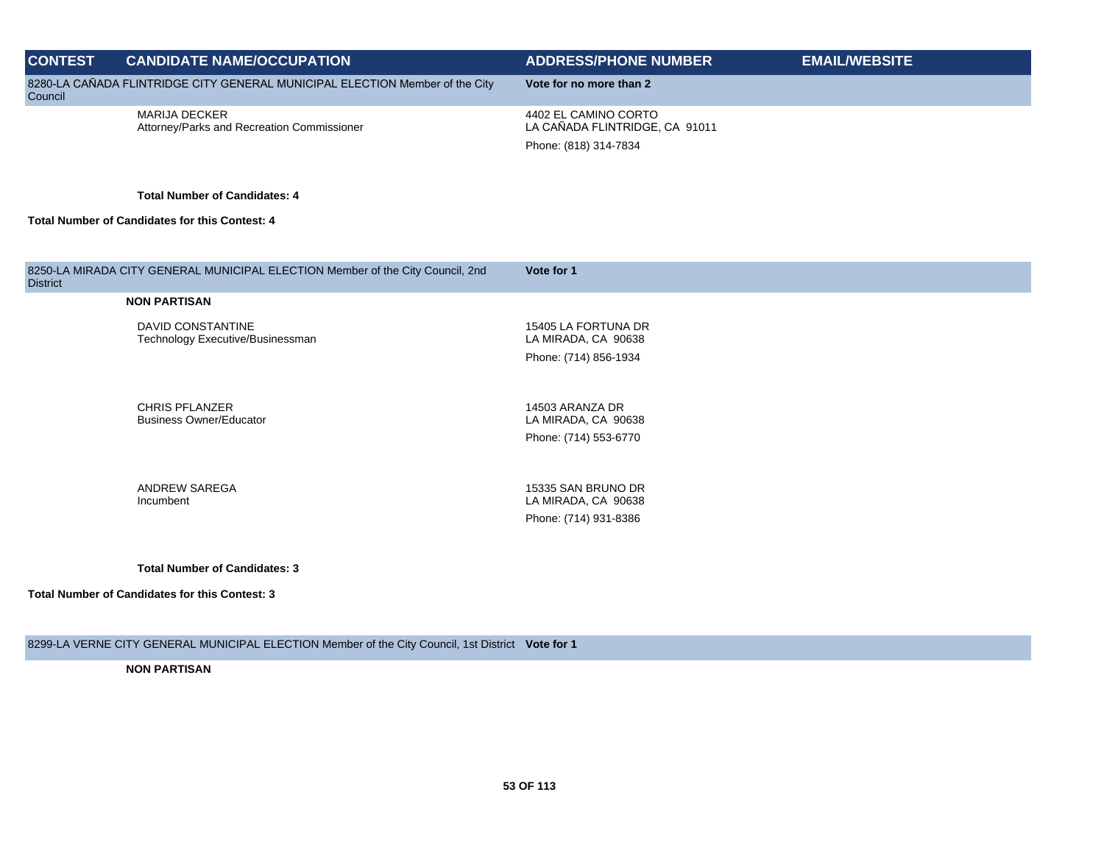| <b>CONTEST</b>  | <b>CANDIDATE NAME/OCCUPATION</b>                                               | <b>ADDRESS/PHONE NUMBER</b>                                                     | <b>EMAIL/WEBSITE</b> |
|-----------------|--------------------------------------------------------------------------------|---------------------------------------------------------------------------------|----------------------|
| Council         | 8280-LA CAÑADA FLINTRIDGE CITY GENERAL MUNICIPAL ELECTION Member of the City   | Vote for no more than 2                                                         |                      |
|                 | <b>MARIJA DECKER</b><br>Attorney/Parks and Recreation Commissioner             | 4402 EL CAMINO CORTO<br>LA CAÑADA FLINTRIDGE, CA 91011<br>Phone: (818) 314-7834 |                      |
|                 |                                                                                |                                                                                 |                      |
|                 | <b>Total Number of Candidates: 4</b>                                           |                                                                                 |                      |
|                 | <b>Total Number of Candidates for this Contest: 4</b>                          |                                                                                 |                      |
|                 |                                                                                |                                                                                 |                      |
| <b>District</b> | 8250-LA MIRADA CITY GENERAL MUNICIPAL ELECTION Member of the City Council, 2nd | Vote for 1                                                                      |                      |
|                 | <b>NON PARTISAN</b>                                                            |                                                                                 |                      |
|                 | DAVID CONSTANTINE<br>Technology Executive/Businessman                          | 15405 LA FORTUNA DR<br>LA MIRADA, CA 90638                                      |                      |
|                 |                                                                                | Phone: (714) 856-1934                                                           |                      |

CHRIS PFLANZER Business Owner/Educator

14503 ARANZA DR LA MIRADA, CA 90638 Phone: (714) 553-6770

ANDREW SAREGA Incumbent

15335 SAN BRUNO DR LA MIRADA, CA 90638 Phone: (714) 931-8386

**Total Number of Candidates: 3**

**Total Number of Candidates for this Contest: 3**

8299-LA VERNE CITY GENERAL MUNICIPAL ELECTION Member of the City Council, 1st District **Vote for 1**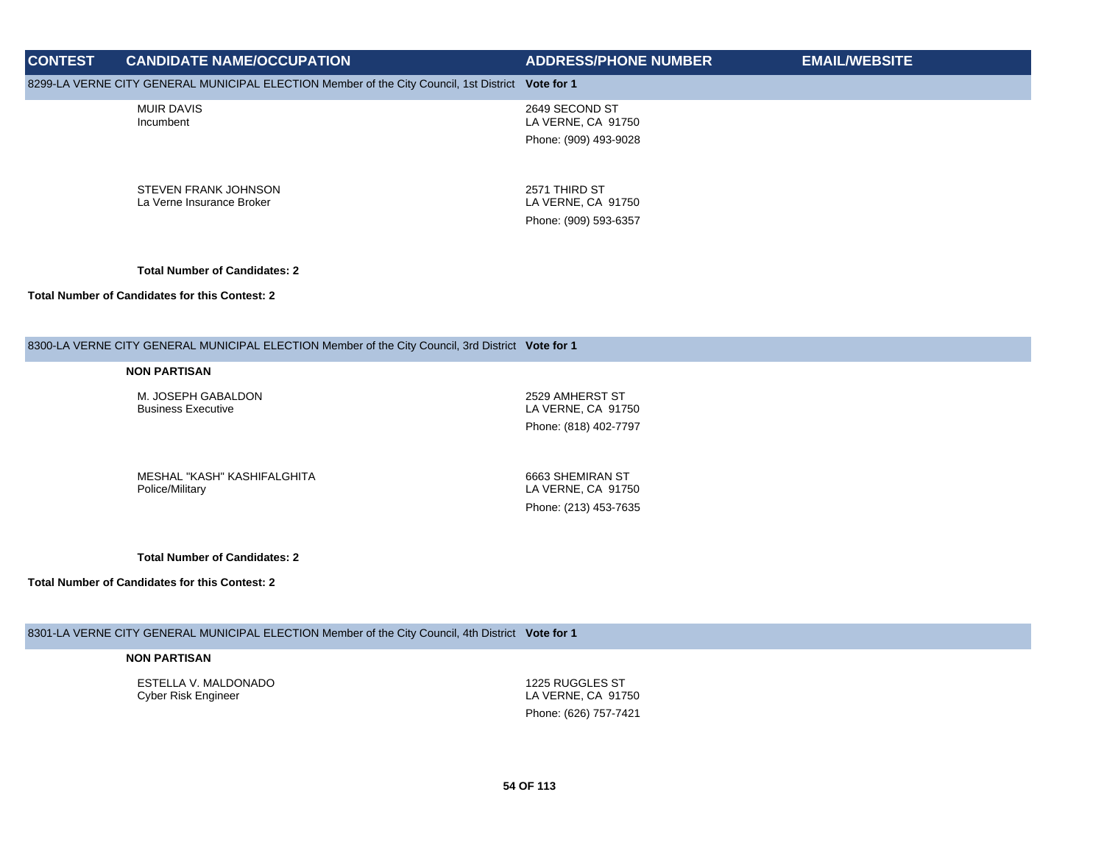## **CONTEST CANDIDATE NAME/OCCUPATION ADDRESS/PHONE NUMBER EMAIL/WEBSITE** 8299-LA VERNE CITY GENERAL MUNICIPAL ELECTION Member of the City Council, 1st District **Vote for 1** MUIR DAVIS Incumbent 2649 SECOND ST LA VERNE, CA 91750 Phone: (909) 493-9028 STEVEN FRANK JOHNSON La Verne Insurance Broker 2571 THIRD ST LA VERNE, CA 91750 Phone: (909) 593-6357 **Total Number of Candidates: 2 Total Number of Candidates for this Contest: 2**

#### 8300-LA VERNE CITY GENERAL MUNICIPAL ELECTION Member of the City Council, 3rd District **Vote for 1**

#### **NON PARTISAN**

M. JOSEPH GABALDON Business Executive

2529 AMHERST ST LA VERNE, CA 91750 Phone: (818) 402-7797

MESHAL "KASH" KASHIFALGHITA Police/Military

6663 SHEMIRAN ST LA VERNE, CA 91750 Phone: (213) 453-7635

**Total Number of Candidates: 2**

**Total Number of Candidates for this Contest: 2**

8301-LA VERNE CITY GENERAL MUNICIPAL ELECTION Member of the City Council, 4th District **Vote for 1**

### **NON PARTISAN**

ESTELLA V. MALDONADO Cyber Risk Engineer

1225 RUGGLES ST LA VERNE, CA 91750 Phone: (626) 757-7421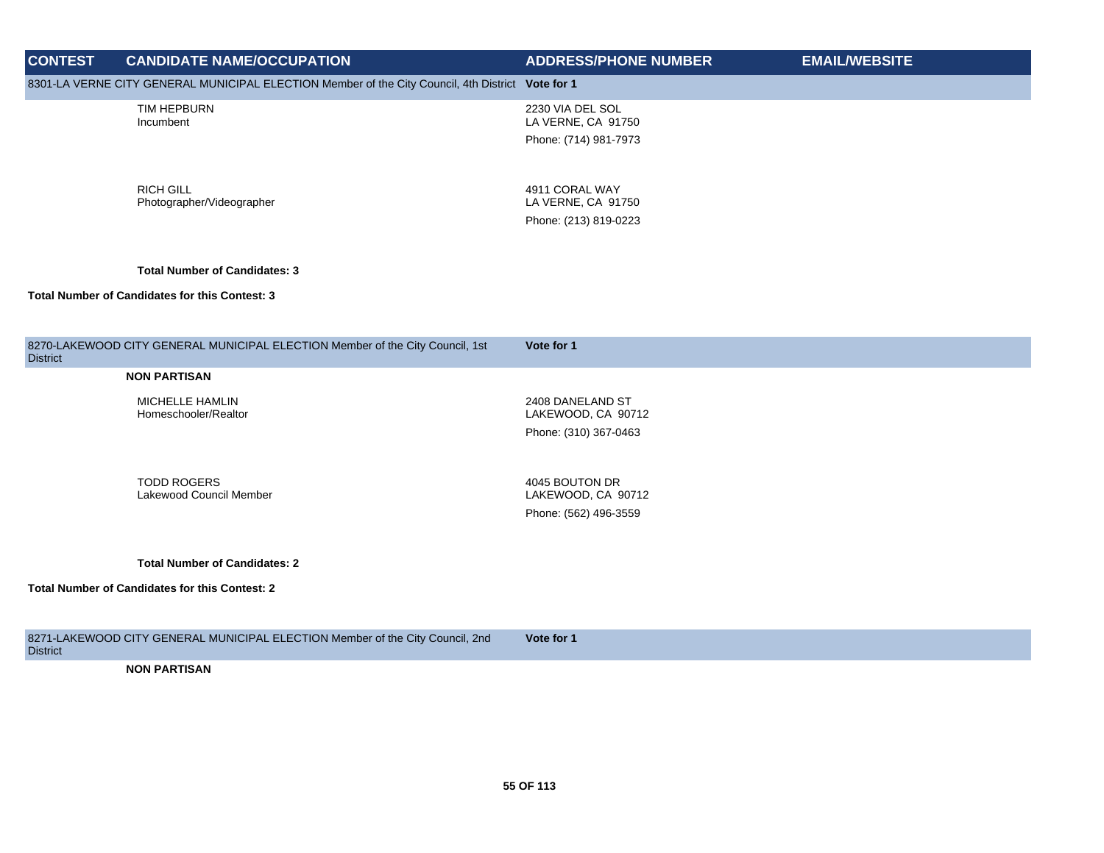| <b>CONTEST</b>  | <b>CANDIDATE NAME/OCCUPATION</b>                                                                  | <b>ADDRESS/PHONE NUMBER</b>                                     | <b>EMAIL/WEBSITE</b> |
|-----------------|---------------------------------------------------------------------------------------------------|-----------------------------------------------------------------|----------------------|
|                 | 8301-LA VERNE CITY GENERAL MUNICIPAL ELECTION Member of the City Council, 4th District Vote for 1 |                                                                 |                      |
|                 | TIM HEPBURN<br>Incumbent                                                                          | 2230 VIA DEL SOL<br>LA VERNE, CA 91750<br>Phone: (714) 981-7973 |                      |
|                 | <b>RICH GILL</b><br>Photographer/Videographer                                                     | 4911 CORAL WAY<br>LA VERNE, CA 91750<br>Phone: (213) 819-0223   |                      |
|                 | <b>Total Number of Candidates: 3</b>                                                              |                                                                 |                      |
|                 | <b>Total Number of Candidates for this Contest: 3</b>                                             |                                                                 |                      |
|                 |                                                                                                   |                                                                 |                      |
| <b>District</b> | 8270-LAKEWOOD CITY GENERAL MUNICIPAL ELECTION Member of the City Council, 1st                     | Vote for 1                                                      |                      |
|                 | <b>NON PARTISAN</b>                                                                               |                                                                 |                      |
|                 | MICHELLE HAMLIN<br>Homeschooler/Realtor                                                           | 2408 DANELAND ST<br>LAKEWOOD, CA 90712<br>Phone: (310) 367-0463 |                      |
|                 | <b>TODD ROGERS</b><br>Lakewood Council Member                                                     | 4045 BOUTON DR<br>LAKEWOOD, CA 90712<br>Phone: (562) 496-3559   |                      |
|                 | <b>Total Number of Candidates: 2</b><br><b>Total Number of Candidates for this Contest: 2</b>     |                                                                 |                      |
|                 | 8271-LAKEWOOD CITY GENERAL MUNICIPAL ELECTION Member of the City Council, 2nd                     | Vote for 1                                                      |                      |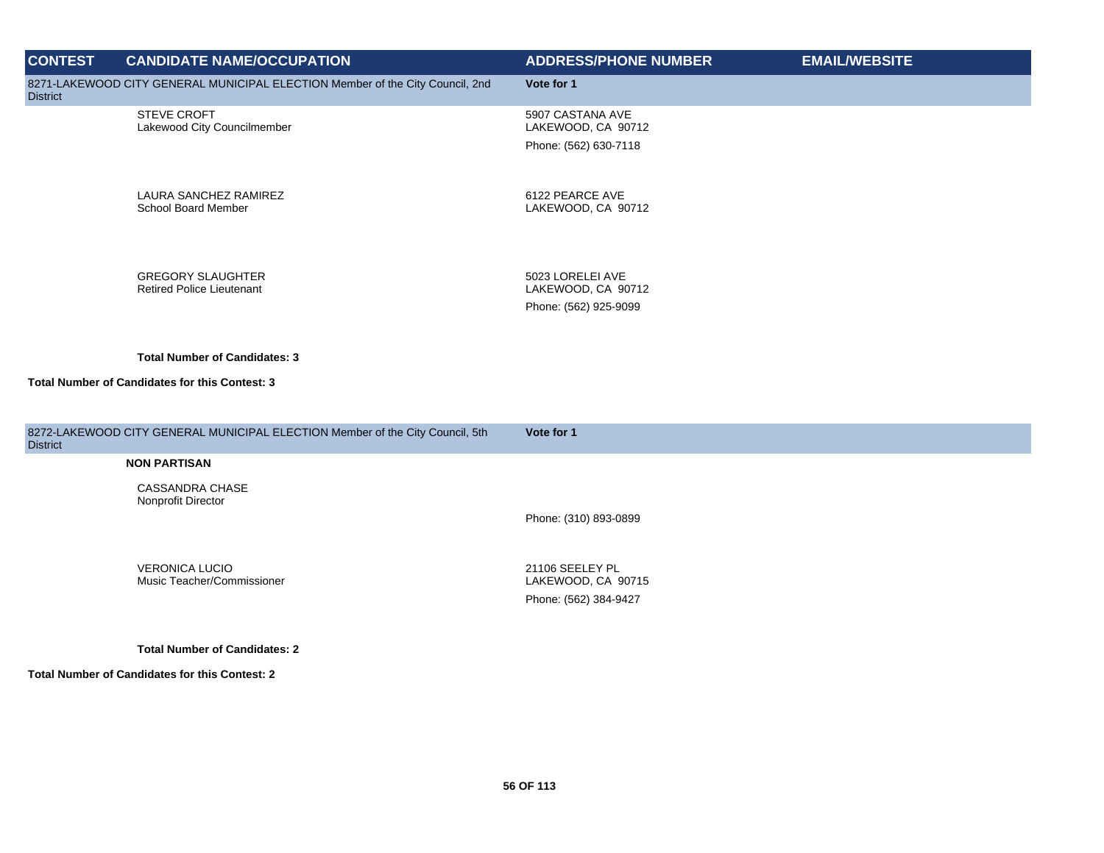| <b>CONTEST</b>  | <b>CANDIDATE NAME/OCCUPATION</b>                                              | <b>ADDRESS/PHONE NUMBER</b>            | <b>EMAIL/WEBSITE</b> |
|-----------------|-------------------------------------------------------------------------------|----------------------------------------|----------------------|
| <b>District</b> | 8271-LAKEWOOD CITY GENERAL MUNICIPAL ELECTION Member of the City Council, 2nd | Vote for 1                             |                      |
|                 | <b>STEVE CROFT</b><br>Lakewood City Councilmember                             | 5907 CASTANA AVE<br>LAKEWOOD, CA 90712 |                      |
|                 |                                                                               | Phone: (562) 630-7118                  |                      |
|                 | LAURA SANCHEZ RAMIREZ<br>School Board Member                                  | 6122 PEARCE AVE<br>LAKEWOOD, CA 90712  |                      |
|                 |                                                                               |                                        |                      |
|                 | <b>GREGORY SLAUGHTER</b><br><b>Retired Police Lieutenant</b>                  | 5023 LORELEI AVE<br>LAKEWOOD, CA 90712 |                      |
|                 |                                                                               | Phone: (562) 925-9099                  |                      |
|                 | <b>Total Number of Candidates: 3</b>                                          |                                        |                      |
|                 | Total Number of Candidates for this Contest: 3                                |                                        |                      |
| <b>District</b> | 8272-LAKEWOOD CITY GENERAL MUNICIPAL ELECTION Member of the City Council, 5th | Vote for 1                             |                      |
|                 | <b>NON PARTISAN</b>                                                           |                                        |                      |
|                 | <b>CASSANDRA CHASE</b><br>Nonprofit Director                                  |                                        |                      |
|                 |                                                                               | Phone: (310) 893-0899                  |                      |
|                 | <b>VERONICA LUCIO</b><br>Music Teacher/Commissioner                           | 21106 SEELEY PL<br>LAKEWOOD, CA 90715  |                      |
|                 |                                                                               | Phone: (562) 384-9427                  |                      |
|                 | <b>Total Number of Candidates: 2</b>                                          |                                        |                      |
|                 | <b>Total Number of Candidates for this Contest: 2</b>                         |                                        |                      |
|                 |                                                                               |                                        |                      |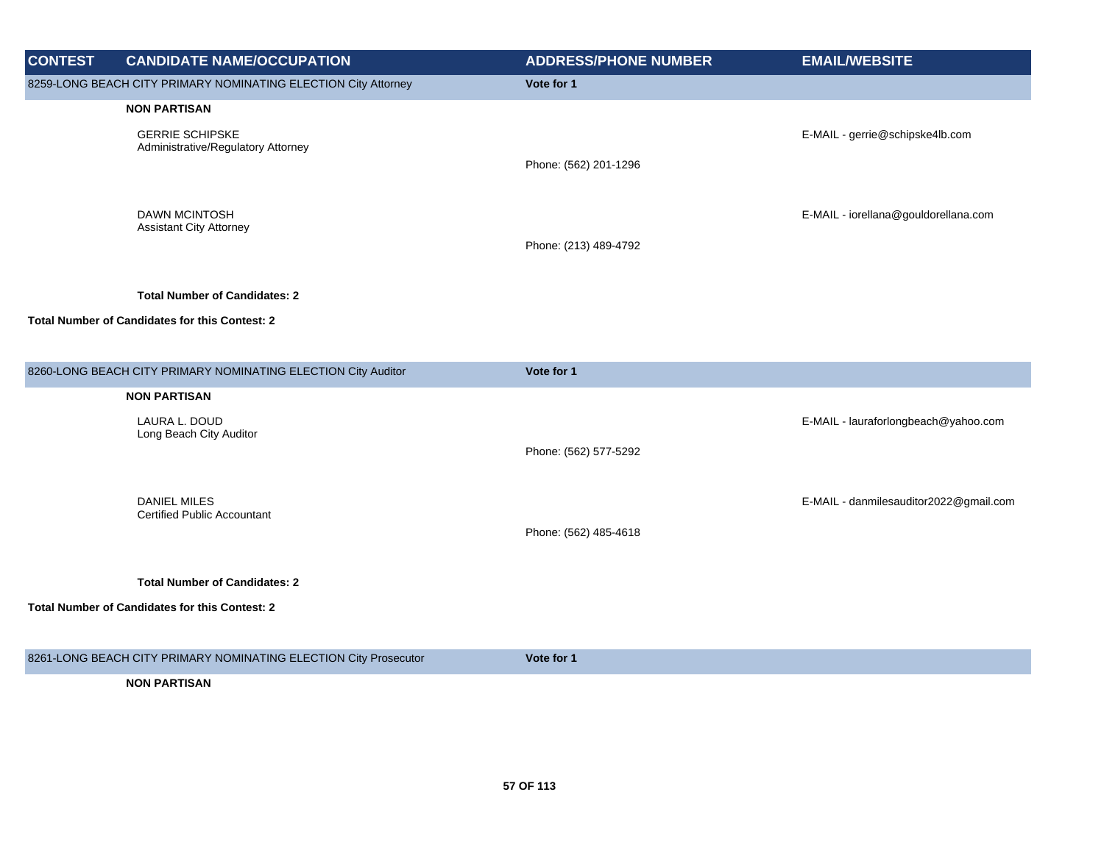| <b>CONTEST</b> | <b>CANDIDATE NAME/OCCUPATION</b>                                 | <b>ADDRESS/PHONE NUMBER</b> | <b>EMAIL/WEBSITE</b>                   |
|----------------|------------------------------------------------------------------|-----------------------------|----------------------------------------|
|                | 8259-LONG BEACH CITY PRIMARY NOMINATING ELECTION City Attorney   | Vote for 1                  |                                        |
|                | <b>NON PARTISAN</b>                                              |                             |                                        |
|                | <b>GERRIE SCHIPSKE</b>                                           |                             | E-MAIL - gerrie@schipske4lb.com        |
|                | Administrative/Regulatory Attorney                               | Phone: (562) 201-1296       |                                        |
|                |                                                                  |                             |                                        |
|                | <b>DAWN MCINTOSH</b>                                             |                             | E-MAIL - iorellana@gouldorellana.com   |
|                | <b>Assistant City Attorney</b>                                   | Phone: (213) 489-4792       |                                        |
|                |                                                                  |                             |                                        |
|                | <b>Total Number of Candidates: 2</b>                             |                             |                                        |
|                | <b>Total Number of Candidates for this Contest: 2</b>            |                             |                                        |
|                |                                                                  |                             |                                        |
|                | 8260-LONG BEACH CITY PRIMARY NOMINATING ELECTION City Auditor    | Vote for 1                  |                                        |
|                |                                                                  |                             |                                        |
|                | <b>NON PARTISAN</b>                                              |                             |                                        |
|                | LAURA L. DOUD<br>Long Beach City Auditor                         |                             | E-MAIL - lauraforlongbeach@yahoo.com   |
|                |                                                                  | Phone: (562) 577-5292       |                                        |
|                |                                                                  |                             |                                        |
|                | <b>DANIEL MILES</b><br><b>Certified Public Accountant</b>        |                             | E-MAIL - danmilesauditor2022@gmail.com |
|                |                                                                  | Phone: (562) 485-4618       |                                        |
|                |                                                                  |                             |                                        |
|                | <b>Total Number of Candidates: 2</b>                             |                             |                                        |
|                | <b>Total Number of Candidates for this Contest: 2</b>            |                             |                                        |
|                |                                                                  |                             |                                        |
|                | 8261-LONG BEACH CITY PRIMARY NOMINATING ELECTION City Prosecutor | Vote for 1                  |                                        |
|                | <b>NON PARTISAN</b>                                              |                             |                                        |
|                |                                                                  |                             |                                        |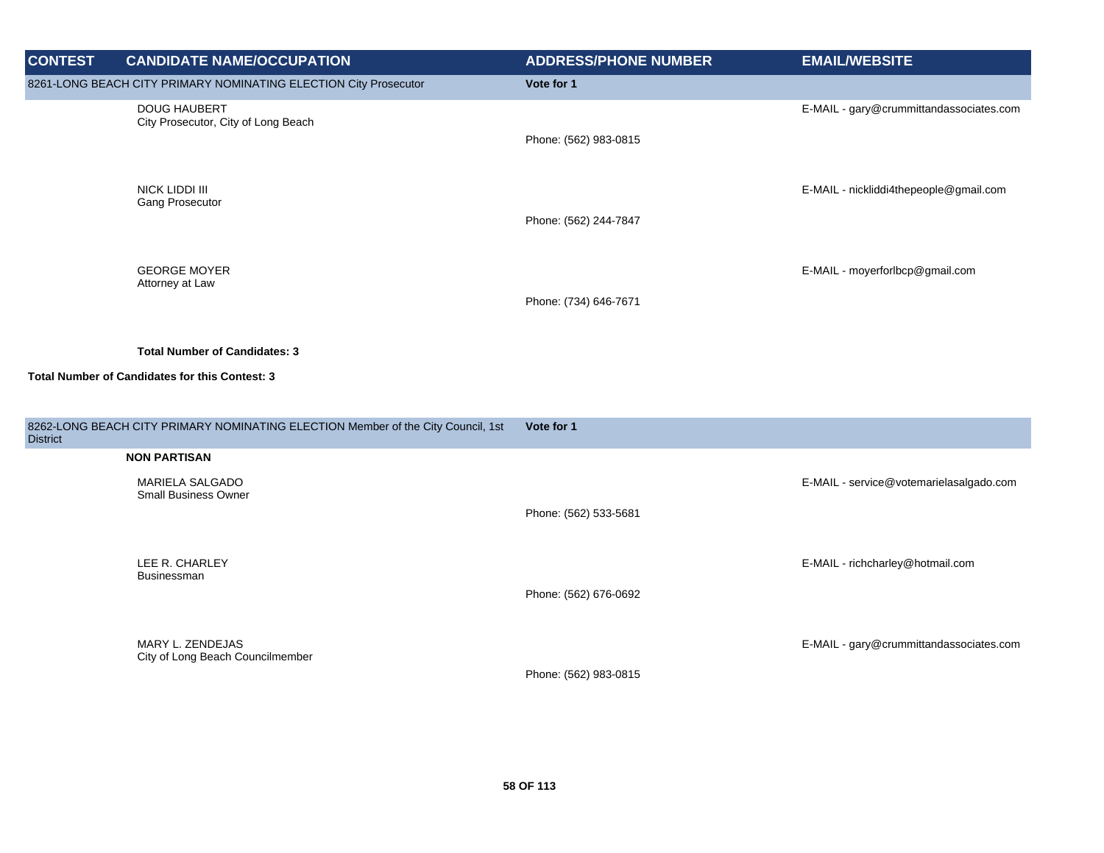| <b>CONTEST</b>  | <b>CANDIDATE NAME/OCCUPATION</b>                                                 | <b>ADDRESS/PHONE NUMBER</b> | <b>EMAIL/WEBSITE</b>                    |
|-----------------|----------------------------------------------------------------------------------|-----------------------------|-----------------------------------------|
|                 | 8261-LONG BEACH CITY PRIMARY NOMINATING ELECTION City Prosecutor                 | Vote for 1                  |                                         |
|                 | <b>DOUG HAUBERT</b><br>City Prosecutor, City of Long Beach                       | Phone: (562) 983-0815       | E-MAIL - gary@crummittandassociates.com |
|                 | NICK LIDDI III<br>Gang Prosecutor                                                | Phone: (562) 244-7847       | E-MAIL - nickliddi4thepeople@gmail.com  |
|                 | <b>GEORGE MOYER</b><br>Attorney at Law                                           | Phone: (734) 646-7671       | E-MAIL - moyerforlbcp@gmail.com         |
|                 | <b>Total Number of Candidates: 3</b>                                             |                             |                                         |
|                 | <b>Total Number of Candidates for this Contest: 3</b>                            |                             |                                         |
| <b>District</b> | 8262-LONG BEACH CITY PRIMARY NOMINATING ELECTION Member of the City Council, 1st | Vote for 1                  |                                         |
|                 | <b>NON PARTISAN</b>                                                              |                             |                                         |
|                 | MARIELA SALGADO<br><b>Small Business Owner</b>                                   | Phone: (562) 533-5681       | E-MAIL - service@votemarielasalgado.com |
|                 | LEE R. CHARLEY<br>Businessman                                                    | Phone: (562) 676-0692       | E-MAIL - richcharley@hotmail.com        |
|                 | MARY L. ZENDEJAS<br>City of Long Beach Councilmember                             | Phone: (562) 983-0815       | E-MAIL - gary@crummittandassociates.com |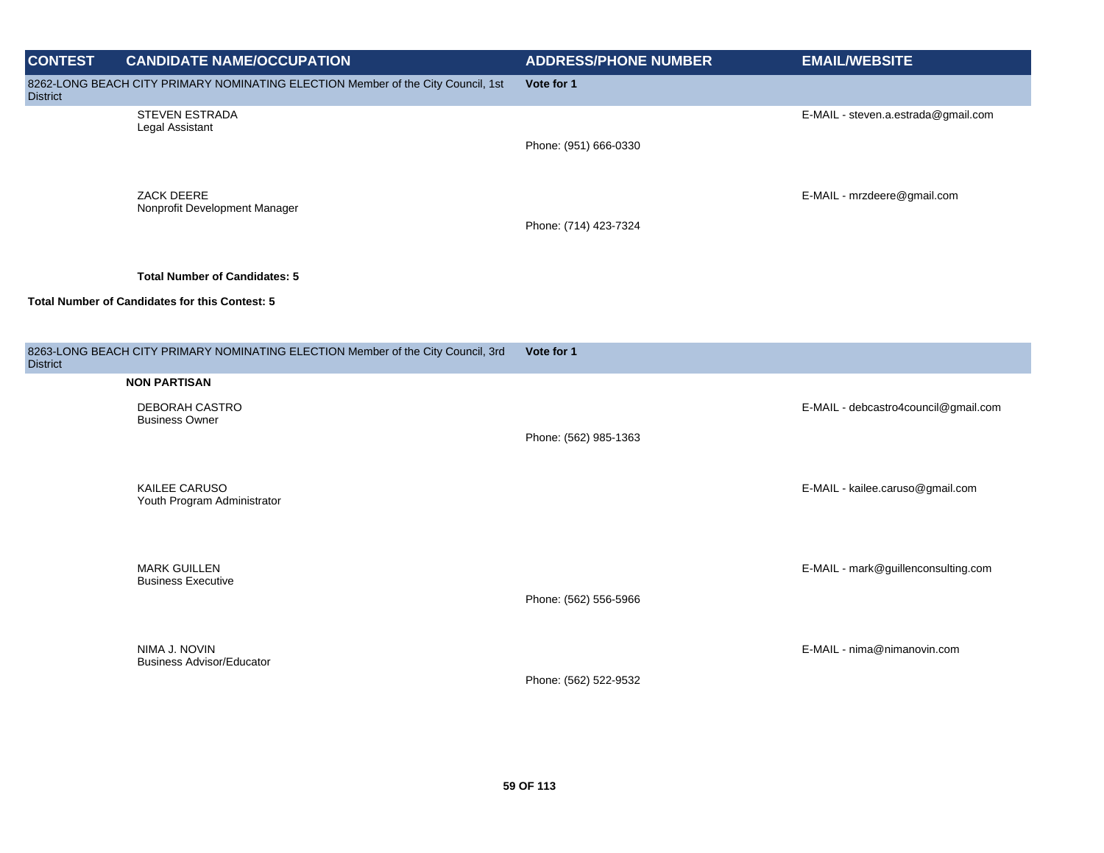| <b>CONTEST</b>  | <b>CANDIDATE NAME/OCCUPATION</b>                                                 | <b>ADDRESS/PHONE NUMBER</b> | <b>EMAIL/WEBSITE</b>                 |
|-----------------|----------------------------------------------------------------------------------|-----------------------------|--------------------------------------|
| <b>District</b> | 8262-LONG BEACH CITY PRIMARY NOMINATING ELECTION Member of the City Council, 1st | Vote for 1                  |                                      |
|                 | STEVEN ESTRADA<br>Legal Assistant                                                | Phone: (951) 666-0330       | E-MAIL - steven.a.estrada@gmail.com  |
|                 | ZACK DEERE<br>Nonprofit Development Manager                                      | Phone: (714) 423-7324       | E-MAIL - mrzdeere@gmail.com          |
|                 | <b>Total Number of Candidates: 5</b>                                             |                             |                                      |
|                 | Total Number of Candidates for this Contest: 5                                   |                             |                                      |
| <b>District</b> | 8263-LONG BEACH CITY PRIMARY NOMINATING ELECTION Member of the City Council, 3rd | Vote for 1                  |                                      |
|                 | <b>NON PARTISAN</b>                                                              |                             |                                      |
|                 | DEBORAH CASTRO<br><b>Business Owner</b>                                          | Phone: (562) 985-1363       | E-MAIL - debcastro4council@gmail.com |
|                 | KAILEE CARUSO<br>Youth Program Administrator                                     |                             | E-MAIL - kailee.caruso@gmail.com     |
|                 | <b>MARK GUILLEN</b><br><b>Business Executive</b>                                 | Phone: (562) 556-5966       | E-MAIL - mark@guillenconsulting.com  |
|                 | NIMA J. NOVIN<br><b>Business Advisor/Educator</b>                                | Phone: (562) 522-9532       | E-MAIL - nima@nimanovin.com          |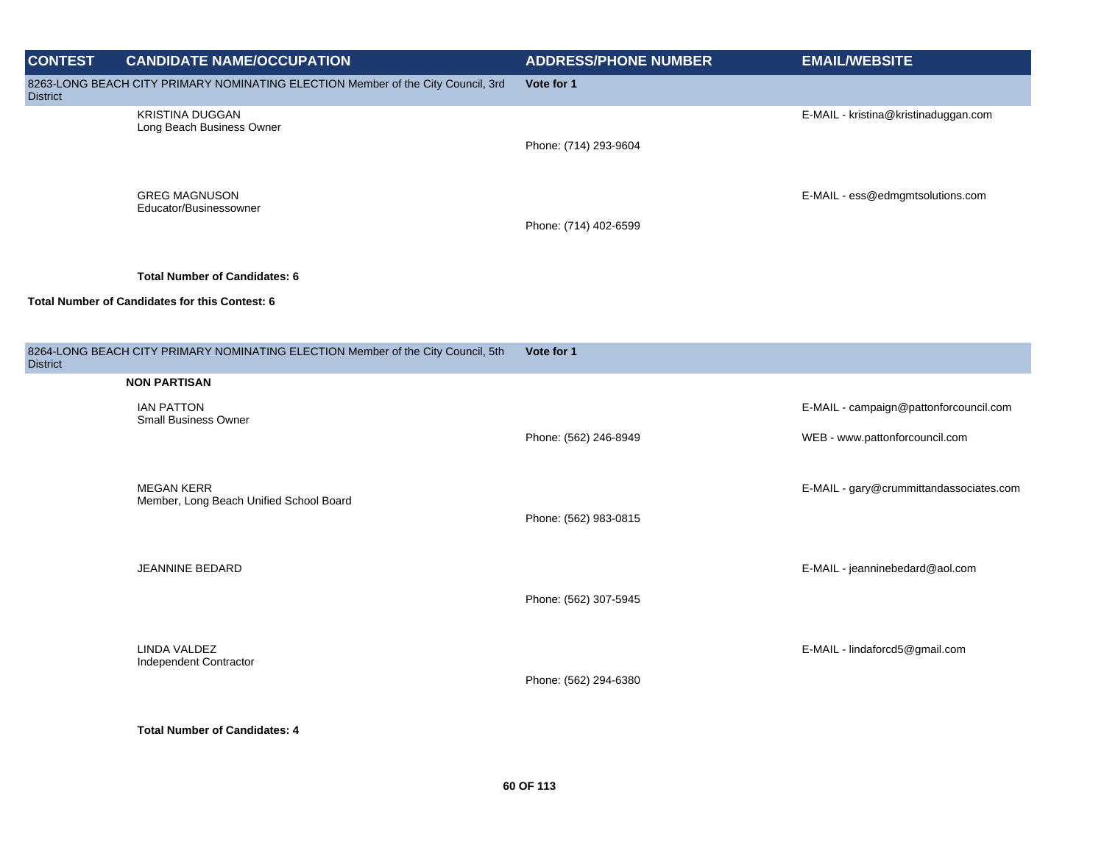| <b>CONTEST</b>                                               | <b>CANDIDATE NAME/OCCUPATION</b>                                                 | <b>ADDRESS/PHONE NUMBER</b> | <b>EMAIL/WEBSITE</b>                    |
|--------------------------------------------------------------|----------------------------------------------------------------------------------|-----------------------------|-----------------------------------------|
| <b>District</b>                                              | 8263-LONG BEACH CITY PRIMARY NOMINATING ELECTION Member of the City Council, 3rd | Vote for 1                  |                                         |
|                                                              | <b>KRISTINA DUGGAN</b><br>Long Beach Business Owner                              |                             | E-MAIL - kristina@kristinaduggan.com    |
|                                                              |                                                                                  | Phone: (714) 293-9604       |                                         |
|                                                              | <b>GREG MAGNUSON</b><br>Educator/Businessowner                                   |                             | E-MAIL - ess@edmgmtsolutions.com        |
|                                                              |                                                                                  | Phone: (714) 402-6599       |                                         |
|                                                              | <b>Total Number of Candidates: 6</b>                                             |                             |                                         |
|                                                              | Total Number of Candidates for this Contest: 6                                   |                             |                                         |
|                                                              |                                                                                  |                             |                                         |
| <b>District</b>                                              | 8264-LONG BEACH CITY PRIMARY NOMINATING ELECTION Member of the City Council, 5th | Vote for 1                  |                                         |
|                                                              | <b>NON PARTISAN</b>                                                              |                             |                                         |
|                                                              | <b>IAN PATTON</b><br><b>Small Business Owner</b>                                 |                             | E-MAIL - campaign@pattonforcouncil.com  |
|                                                              |                                                                                  | Phone: (562) 246-8949       | WEB - www.pattonforcouncil.com          |
| <b>MEGAN KERR</b><br>Member, Long Beach Unified School Board |                                                                                  |                             | E-MAIL - gary@crummittandassociates.com |
|                                                              |                                                                                  | Phone: (562) 983-0815       |                                         |
|                                                              |                                                                                  |                             |                                         |
|                                                              | <b>JEANNINE BEDARD</b>                                                           |                             | E-MAIL - jeanninebedard@aol.com         |
|                                                              |                                                                                  | Phone: (562) 307-5945       |                                         |
|                                                              | LINDA VALDEZ                                                                     |                             | E-MAIL - lindaforcd5@gmail.com          |
|                                                              | Independent Contractor                                                           | Phone: (562) 294-6380       |                                         |
|                                                              |                                                                                  |                             |                                         |
|                                                              | <b>Total Number of Candidates: 4</b>                                             |                             |                                         |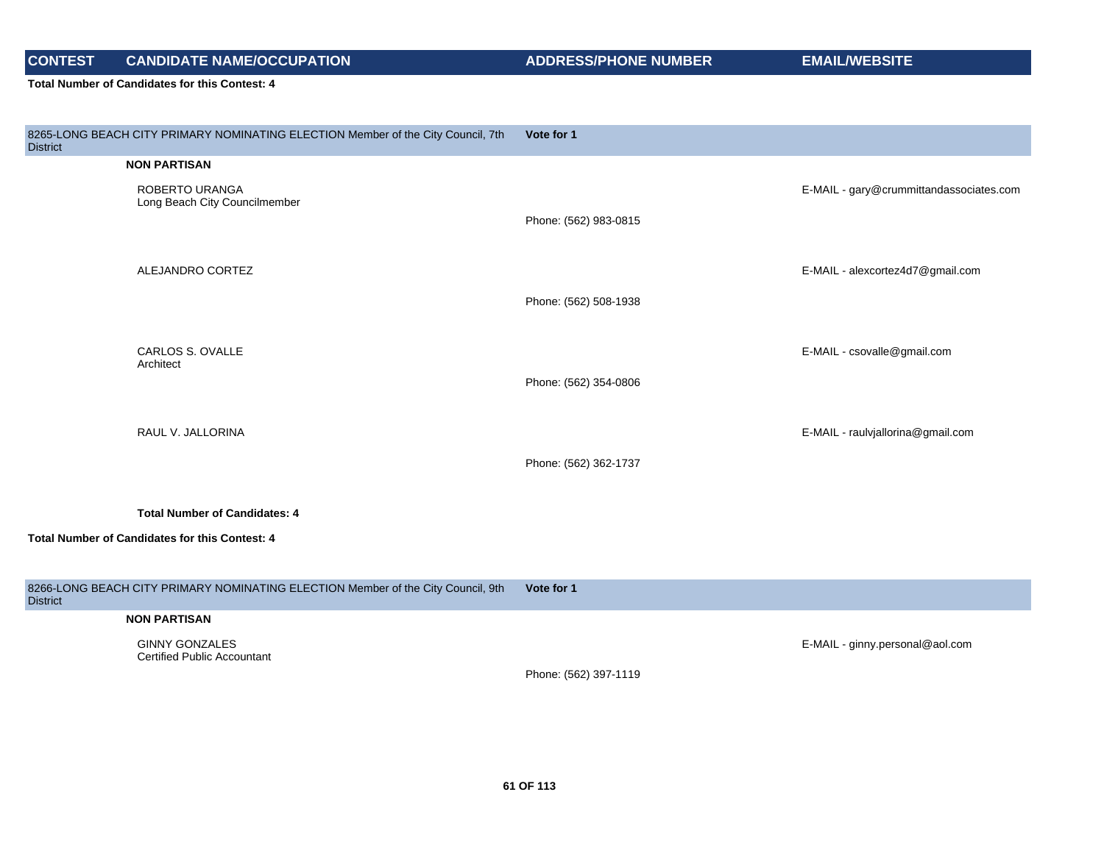**Total Number of Candidates for this Contest: 4**

| 8265-LONG BEACH CITY PRIMARY NOMINATING ELECTION Member of the City Council, 7th<br><b>District</b> | Vote for 1            |                                         |
|-----------------------------------------------------------------------------------------------------|-----------------------|-----------------------------------------|
| <b>NON PARTISAN</b>                                                                                 |                       |                                         |
| ROBERTO URANGA<br>Long Beach City Councilmember                                                     | Phone: (562) 983-0815 | E-MAIL - gary@crummittandassociates.com |
|                                                                                                     |                       |                                         |
| ALEJANDRO CORTEZ                                                                                    |                       | E-MAIL - alexcortez4d7@gmail.com        |
|                                                                                                     | Phone: (562) 508-1938 |                                         |
|                                                                                                     |                       |                                         |
|                                                                                                     |                       |                                         |
| CARLOS S. OVALLE<br>Architect                                                                       |                       | E-MAIL - csovalle@gmail.com             |
|                                                                                                     | Phone: (562) 354-0806 |                                         |
|                                                                                                     |                       |                                         |
| RAUL V. JALLORINA                                                                                   |                       | E-MAIL - raulvjallorina@gmail.com       |
|                                                                                                     |                       |                                         |
|                                                                                                     | Phone: (562) 362-1737 |                                         |
|                                                                                                     |                       |                                         |
| <b>Total Number of Candidates: 4</b>                                                                |                       |                                         |
| Total Number of Candidates for this Contest: 4                                                      |                       |                                         |
|                                                                                                     |                       |                                         |
|                                                                                                     |                       |                                         |
| 8266-LONG BEACH CITY PRIMARY NOMINATING ELECTION Member of the City Council, 9th<br><b>District</b> | Vote for 1            |                                         |
| <b>NON PARTISAN</b>                                                                                 |                       |                                         |
| <b>GINNY GONZALES</b>                                                                               |                       | E-MAIL - ginny.personal@aol.com         |
| <b>Certified Public Accountant</b>                                                                  |                       |                                         |

Phone: (562) 397-1119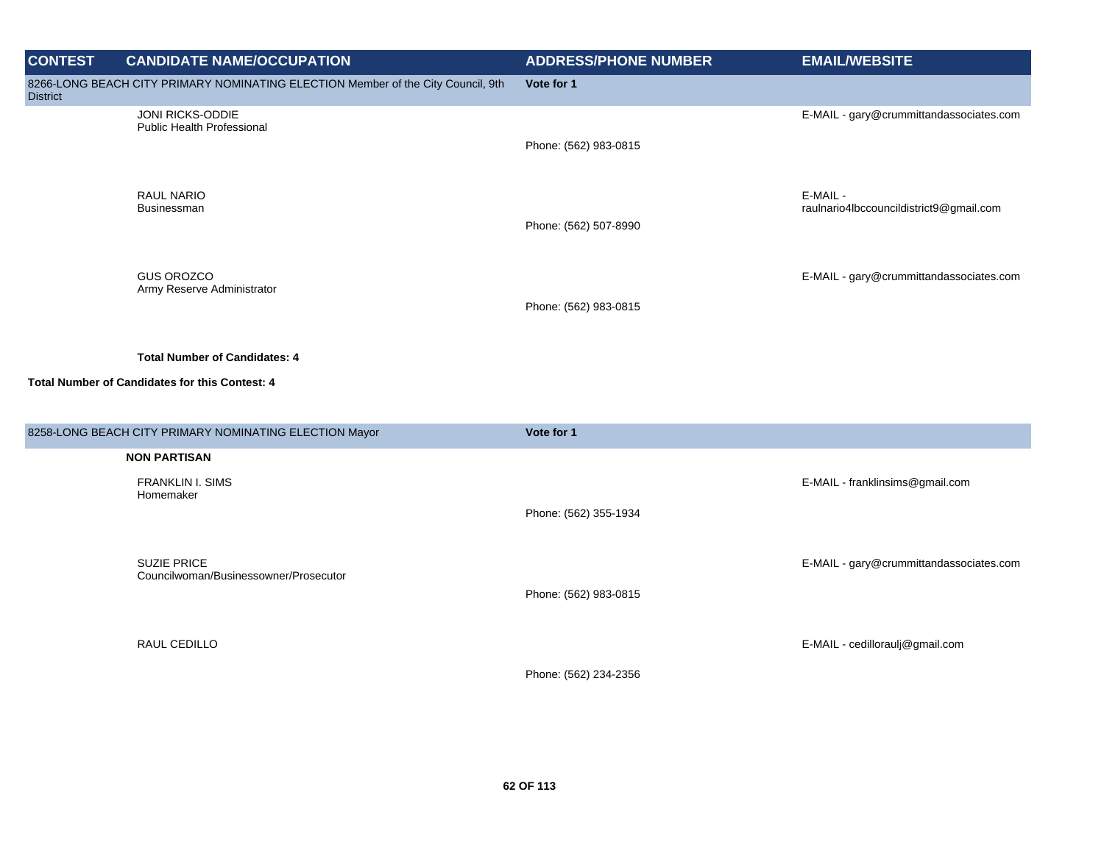| <b>CONTEST</b>  | <b>CANDIDATE NAME/OCCUPATION</b>                                                 | <b>ADDRESS/PHONE NUMBER</b> | <b>EMAIL/WEBSITE</b>                                |
|-----------------|----------------------------------------------------------------------------------|-----------------------------|-----------------------------------------------------|
| <b>District</b> | 8266-LONG BEACH CITY PRIMARY NOMINATING ELECTION Member of the City Council, 9th | Vote for 1                  |                                                     |
|                 | JONI RICKS-ODDIE<br>Public Health Professional                                   |                             | E-MAIL - gary@crummittandassociates.com             |
|                 |                                                                                  | Phone: (562) 983-0815       |                                                     |
|                 |                                                                                  |                             |                                                     |
|                 | <b>RAUL NARIO</b><br>Businessman                                                 |                             | E-MAIL -<br>raulnario4lbccouncildistrict9@gmail.com |
|                 |                                                                                  | Phone: (562) 507-8990       |                                                     |
|                 |                                                                                  |                             |                                                     |
|                 | <b>GUS OROZCO</b><br>Army Reserve Administrator                                  |                             | E-MAIL - gary@crummittandassociates.com             |
|                 |                                                                                  | Phone: (562) 983-0815       |                                                     |
|                 |                                                                                  |                             |                                                     |
|                 | <b>Total Number of Candidates: 4</b>                                             |                             |                                                     |
|                 | Total Number of Candidates for this Contest: 4                                   |                             |                                                     |
|                 |                                                                                  |                             |                                                     |
|                 | 8258-LONG BEACH CITY PRIMARY NOMINATING ELECTION Mayor                           | Vote for 1                  |                                                     |
|                 | <b>NON PARTISAN</b>                                                              |                             |                                                     |
|                 | <b>FRANKLIN I. SIMS</b><br>Homemaker                                             |                             | E-MAIL - franklinsims@gmail.com                     |
|                 |                                                                                  | Phone: (562) 355-1934       |                                                     |
|                 |                                                                                  |                             |                                                     |
|                 | <b>SUZIE PRICE</b><br>Councilwoman/Businessowner/Prosecutor                      |                             | E-MAIL - gary@crummittandassociates.com             |
|                 |                                                                                  | Phone: (562) 983-0815       |                                                     |
|                 |                                                                                  |                             |                                                     |
|                 | RAUL CEDILLO                                                                     |                             | E-MAIL - cedilloraulj@gmail.com                     |
|                 |                                                                                  | Phone: (562) 234-2356       |                                                     |
|                 |                                                                                  |                             |                                                     |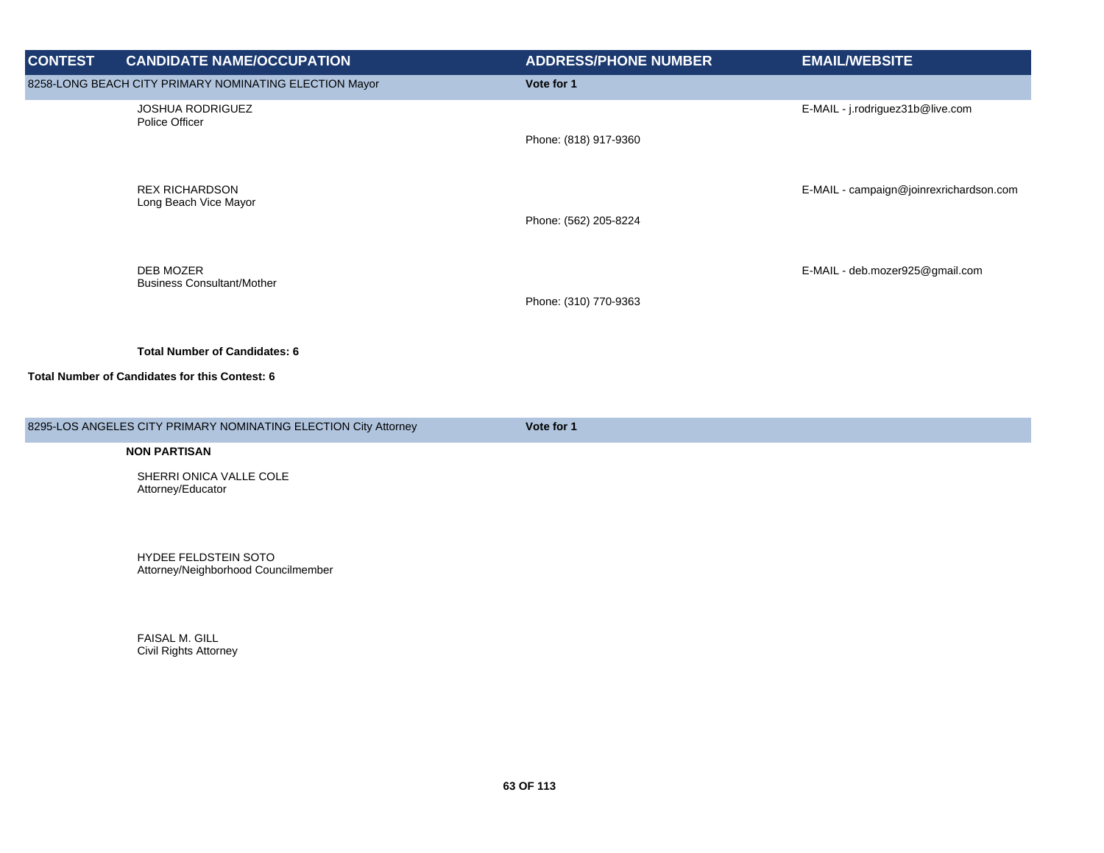| <b>CONTEST</b> | <b>CANDIDATE NAME/OCCUPATION</b>                       | <b>ADDRESS/PHONE NUMBER</b> | <b>EMAIL/WEBSITE</b>                    |
|----------------|--------------------------------------------------------|-----------------------------|-----------------------------------------|
|                | 8258-LONG BEACH CITY PRIMARY NOMINATING ELECTION Mayor | Vote for 1                  |                                         |
|                | <b>JOSHUA RODRIGUEZ</b><br>Police Officer              | Phone: (818) 917-9360       | E-MAIL - j.rodriguez31b@live.com        |
|                | <b>REX RICHARDSON</b><br>Long Beach Vice Mayor         | Phone: (562) 205-8224       | E-MAIL - campaign@joinrexrichardson.com |
|                | DEB MOZER<br><b>Business Consultant/Mother</b>         | Phone: (310) 770-9363       | E-MAIL - deb.mozer925@gmail.com         |
|                | <b>Total Number of Candidates: 6</b>                   |                             |                                         |
|                | Total Number of Candidates for this Contest: 6         |                             |                                         |

8295-LOS ANGELES CITY PRIMARY NOMINATING ELECTION City Attorney **Vote for 1** 

#### **NON PARTISAN**

SHERRI ONICA VALLE COLE SHERRY SHISK V

HYDEE FELDSTEIN SOTO Attorney/Neighborhood Councilmember

FAISAL M. GILL Civil Rights Attorney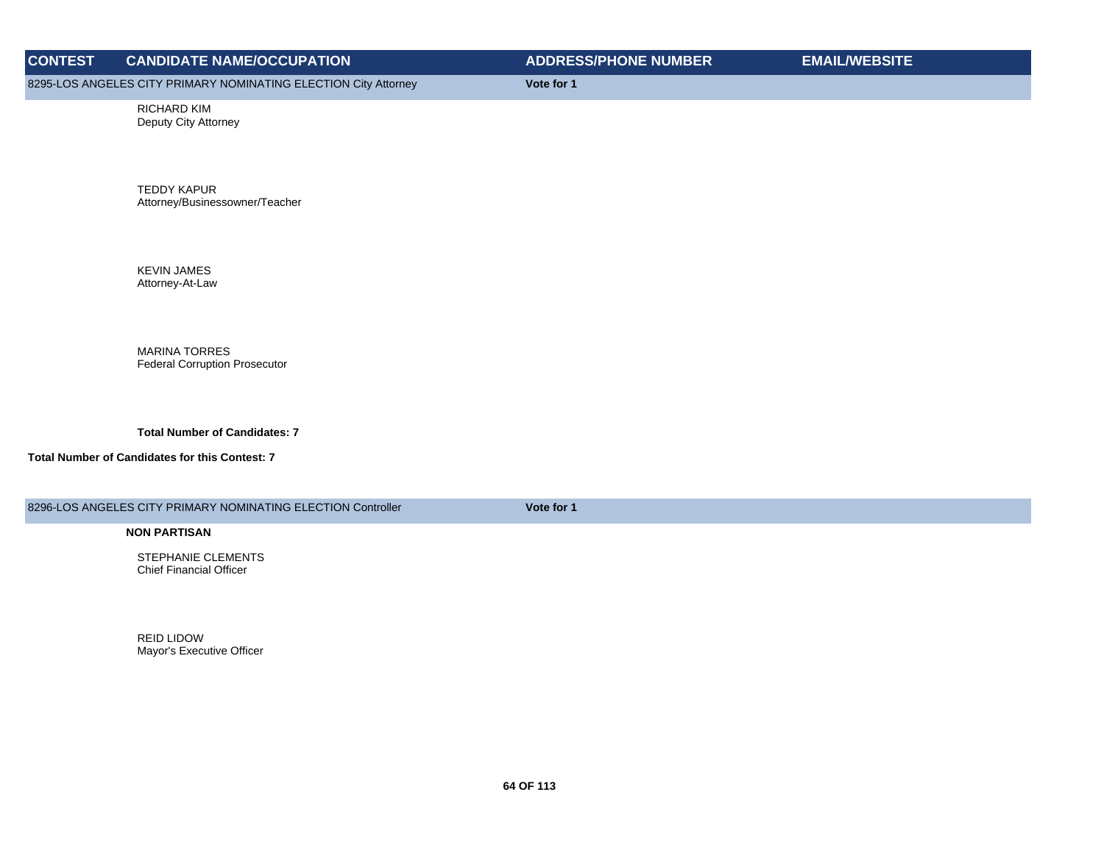8295-LOS ANGELES CITY PRIMARY NOMINATING ELECTION City Attorney **Vote for 1** 

RICHARD KIM Deputy City Attorney

TEDDY KAPUR Attorney/Businessowner/Teacher

KEVIN JAMES Attorney-At-Law

MARINA TORRES Federal Corruption Prosecutor

**Total Number of Candidates: 7**

**Total Number of Candidates for this Contest: 7**

8296-LOS ANGELES CITY PRIMARY NOMINATING ELECTION Controller **Vote for 1** 

**NON PARTISAN**

STEPHANIE CLEMENTS Chief Financial Officer

REID LIDOW Mayor's Executive Officer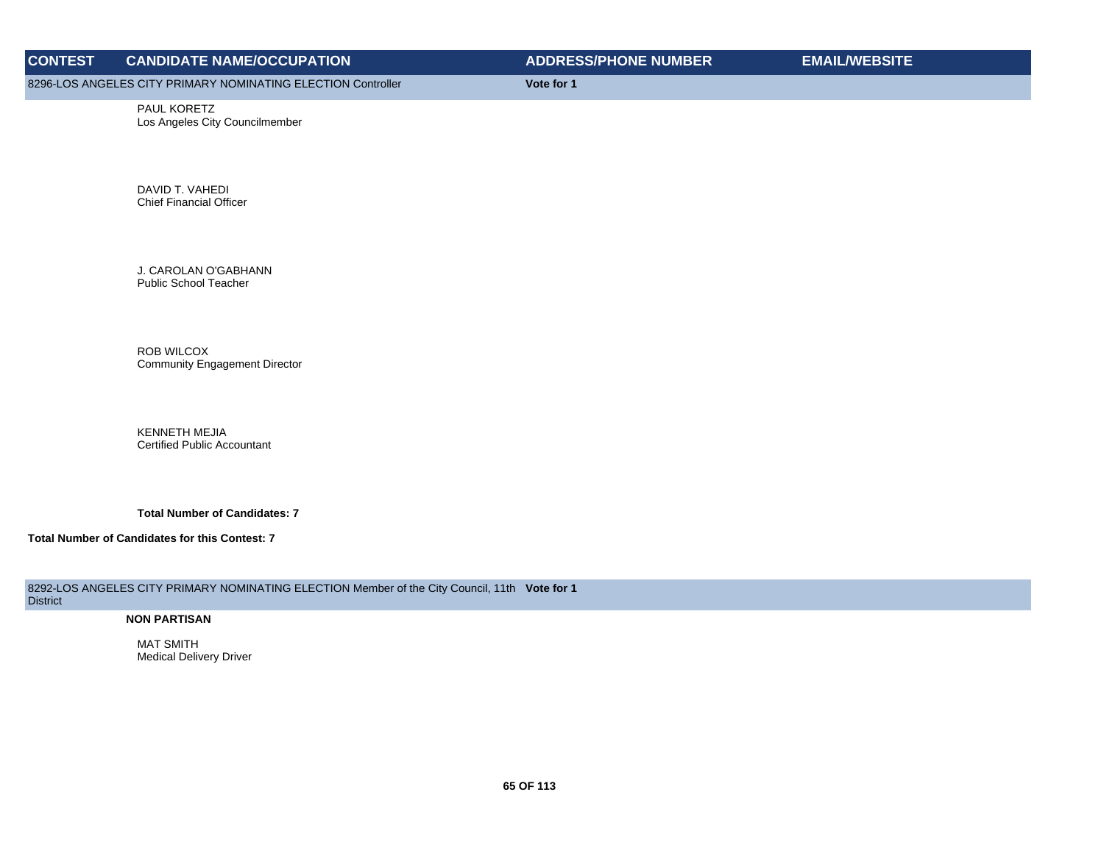8296-LOS ANGELES CITY PRIMARY NOMINATING ELECTION Controller **Vote for 1**

PAUL KORETZ Los Angeles City Councilmember

DAVID T. VAHEDI Chief Financial Officer

J. CAROLAN O'GABHANN Public School Teacher

ROB WILCOX Community Engagement Director

KENNETH MEJIA Certified Public Accountant

**Total Number of Candidates: 7**

**Total Number of Candidates for this Contest: 7**

8292-LOS ANGELES CITY PRIMARY NOMINATING ELECTION Member of the City Council, 11th **Vote for 1 District** 

#### **NON PARTISAN**

MAT SMITH Medical Delivery Driver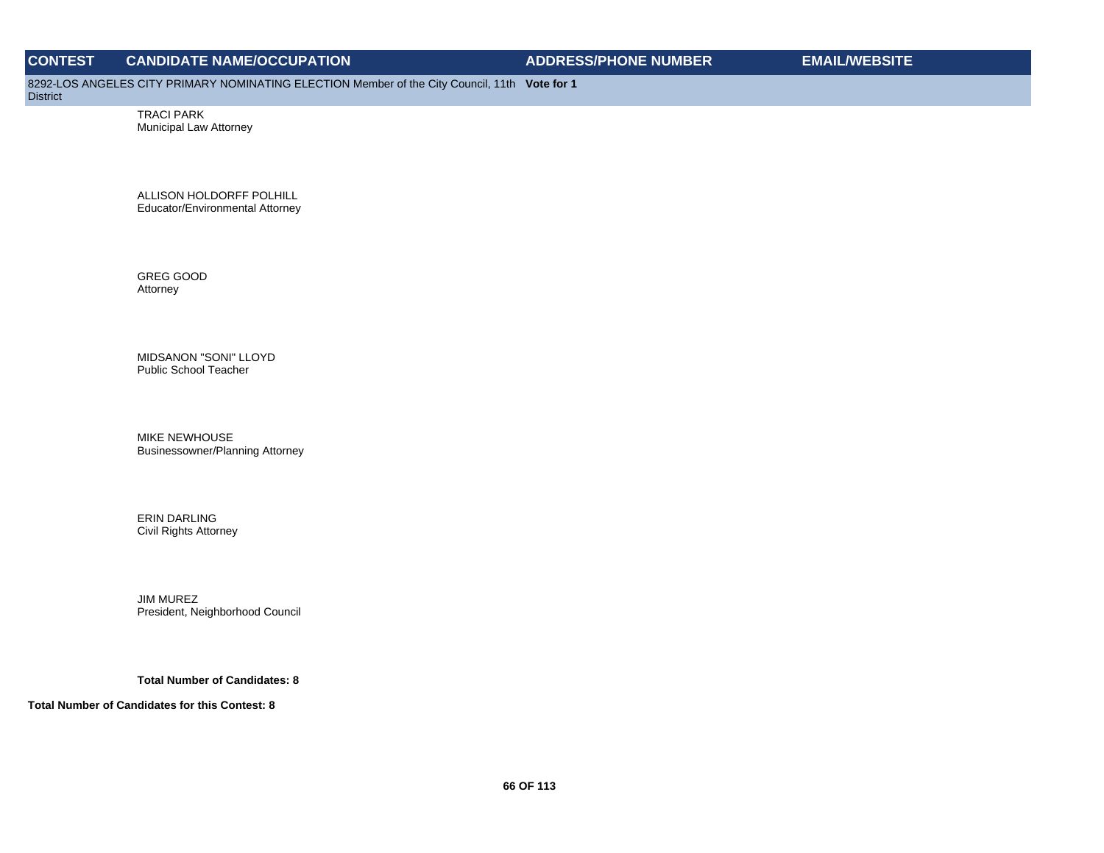8292-LOS ANGELES CITY PRIMARY NOMINATING ELECTION Member of the City Council, 11th **Vote for 1**

District

TRACI PARK Municipal Law Attorney

ALLISON HOLDORFF POLHILL Educator/Environmental Attorney

GREG GOOD Attorney

MIDSANON "SONI" LLOYD Public School Teacher

MIKE NEWHOUSE Businessowner/Planning Attorney

ERIN DARLING Civil Rights Attorney

JIM MUREZ President, Neighborhood Council

**Total Number of Candidates: 8**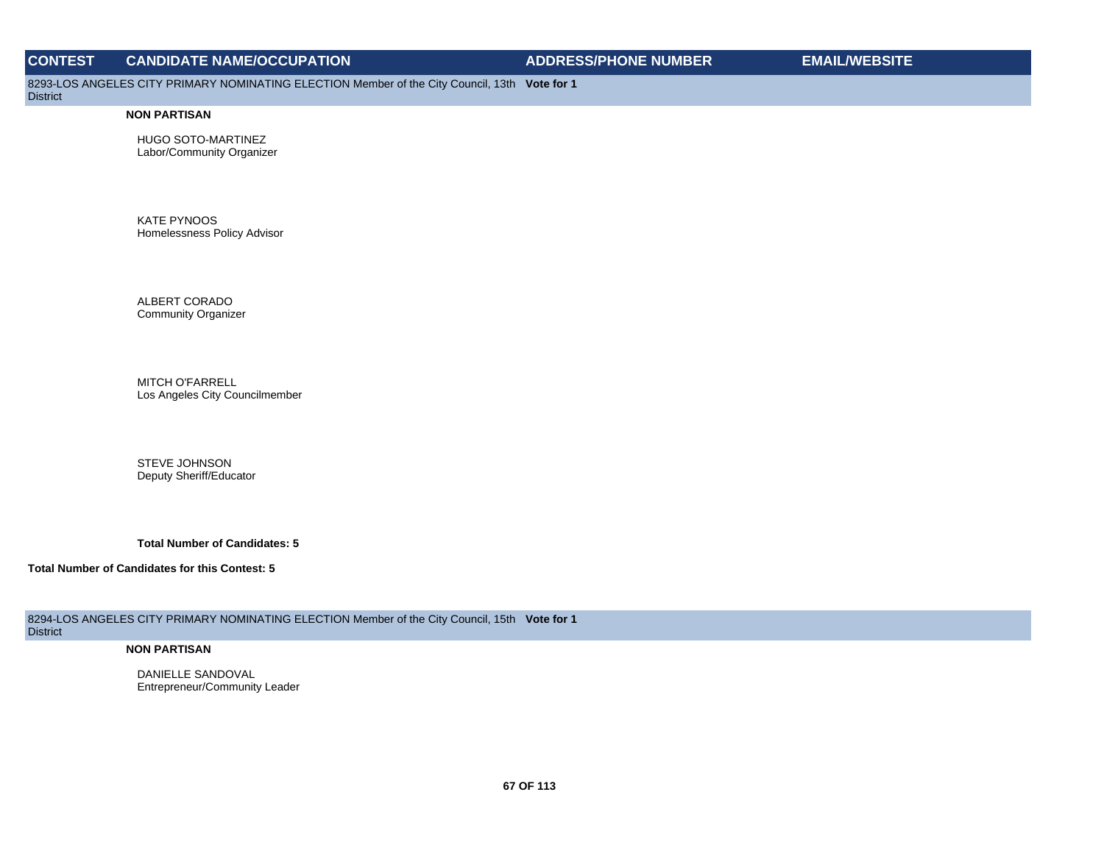8293-LOS ANGELES CITY PRIMARY NOMINATING ELECTION Member of the City Council, 13th **Vote for 1**

District

#### **NON PARTISAN**

HUGO SOTO-MARTINEZ Labor/Community Organizer

KATE PYNOOS Homelessness Policy Advisor

ALBERT CORADO Community Organizer

MITCH O'FARRELL Los Angeles City Councilmember

STEVE JOHNSON Deputy Sheriff/Educator

**Total Number of Candidates: 5**

**Total Number of Candidates for this Contest: 5**

8294-LOS ANGELES CITY PRIMARY NOMINATING ELECTION Member of the City Council, 15th **Vote for 1 District** 

#### **NON PARTISAN**

DANIELLE SANDOVAL Entrepreneur/Community Leader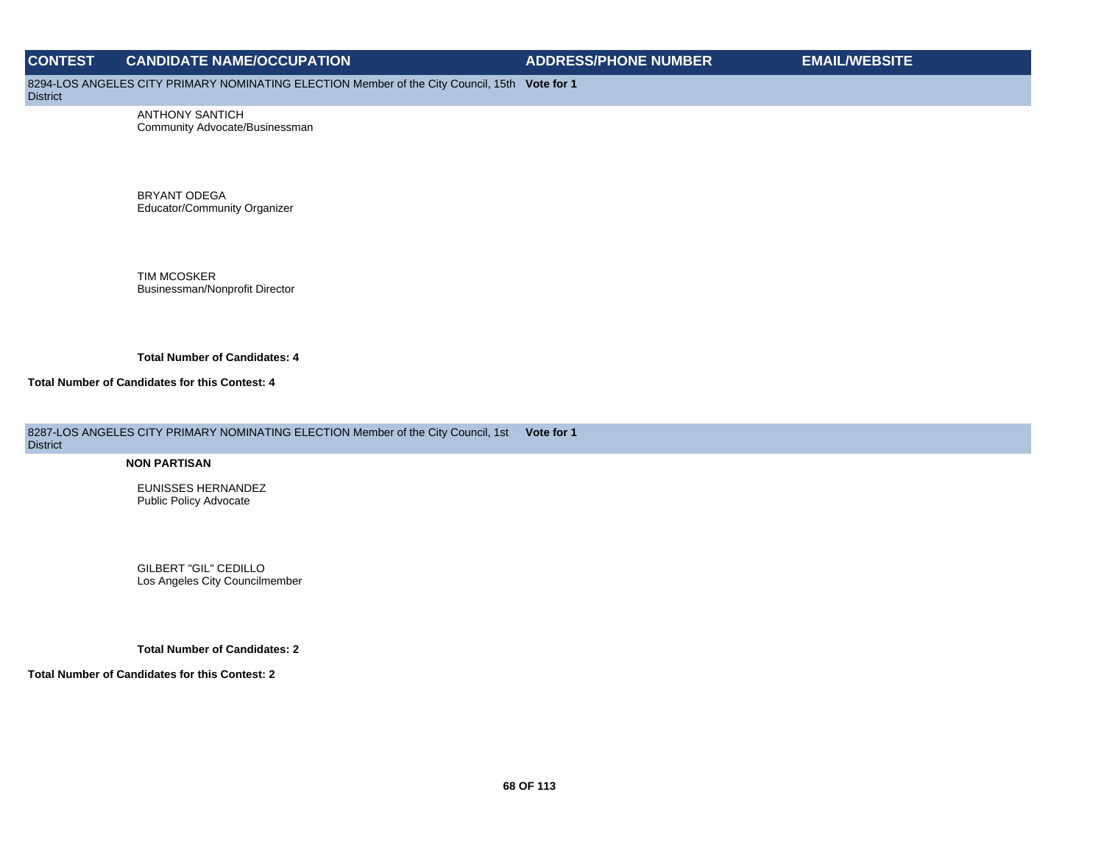8294-LOS ANGELES CITY PRIMARY NOMINATING ELECTION Member of the City Council, 15th **Vote for 1**

**District** 

ANTHONY SANTICH Community Advocate/Businessman

BRYANT ODEGA Educator/Community Organizer

TIM MCOSKER Businessman/Nonprofit Director

**Total Number of Candidates: 4**

**Total Number of Candidates for this Contest: 4**

8287-LOS ANGELES CITY PRIMARY NOMINATING ELECTION Member of the City Council, 1st **Vote for 1** District

#### **NON PARTISAN**

EUNISSES HERNANDEZ Public Policy Advocate

GILBERT "GIL" CEDILLO Los Angeles City Councilmember

**Total Number of Candidates: 2**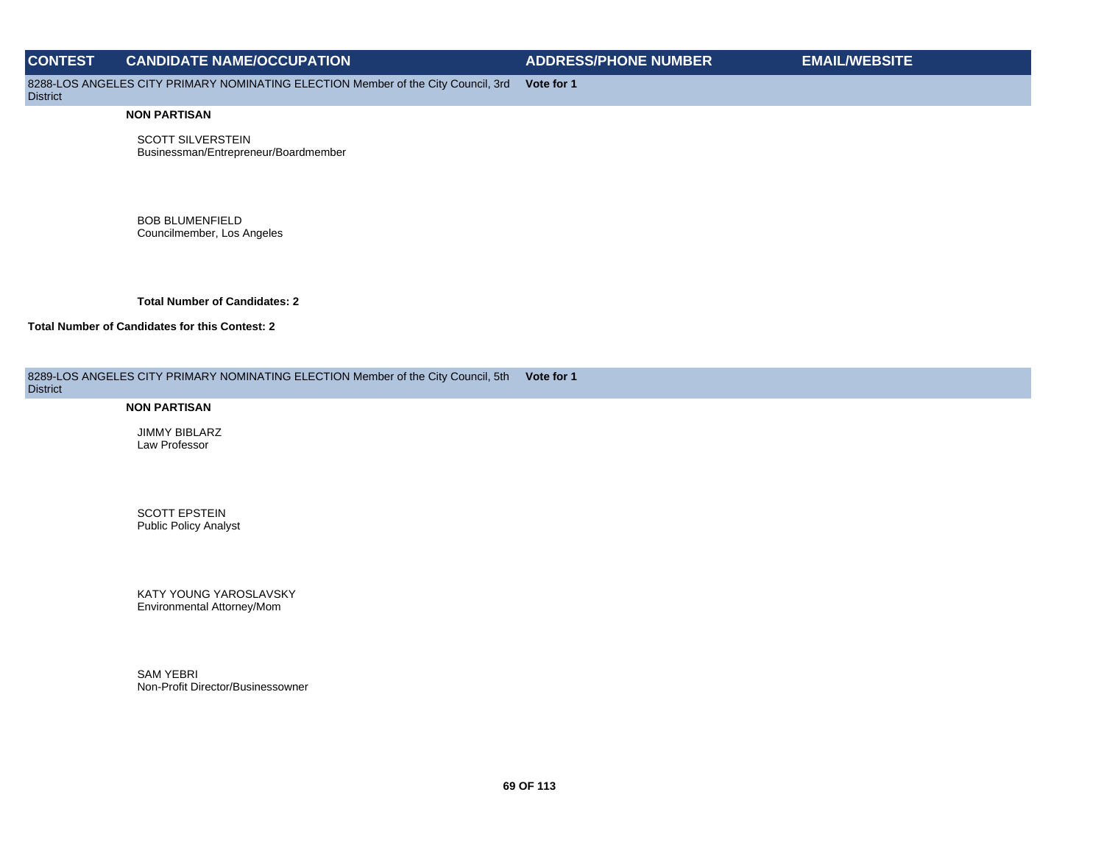8288-LOS ANGELES CITY PRIMARY NOMINATING ELECTION Member of the City Council, 3rd **Vote for 1**

## **District**

#### **NON PARTISAN**

SCOTT SILVERSTEIN Businessman/Entrepreneur/Boardmember

BOB BLUMENFIELD Councilmember, Los Angeles

**Total Number of Candidates: 2**

#### **Total Number of Candidates for this Contest: 2**

| 8289-LOS ANGELES CITY PRIMARY NOMINATING ELECTION Member of the City Council, 5th Vote for 1<br><b>District</b> |  |
|-----------------------------------------------------------------------------------------------------------------|--|
| .                                                                                                               |  |

#### **NON PARTISAN**

JIMMY BIBLARZ Law Professor

SCOTT EPSTEIN Public Policy Analyst

KATY YOUNG YAROSLAVSKY Environmental Attorney/Mom

SAM YEBRI Non-Profit Director/Businessowner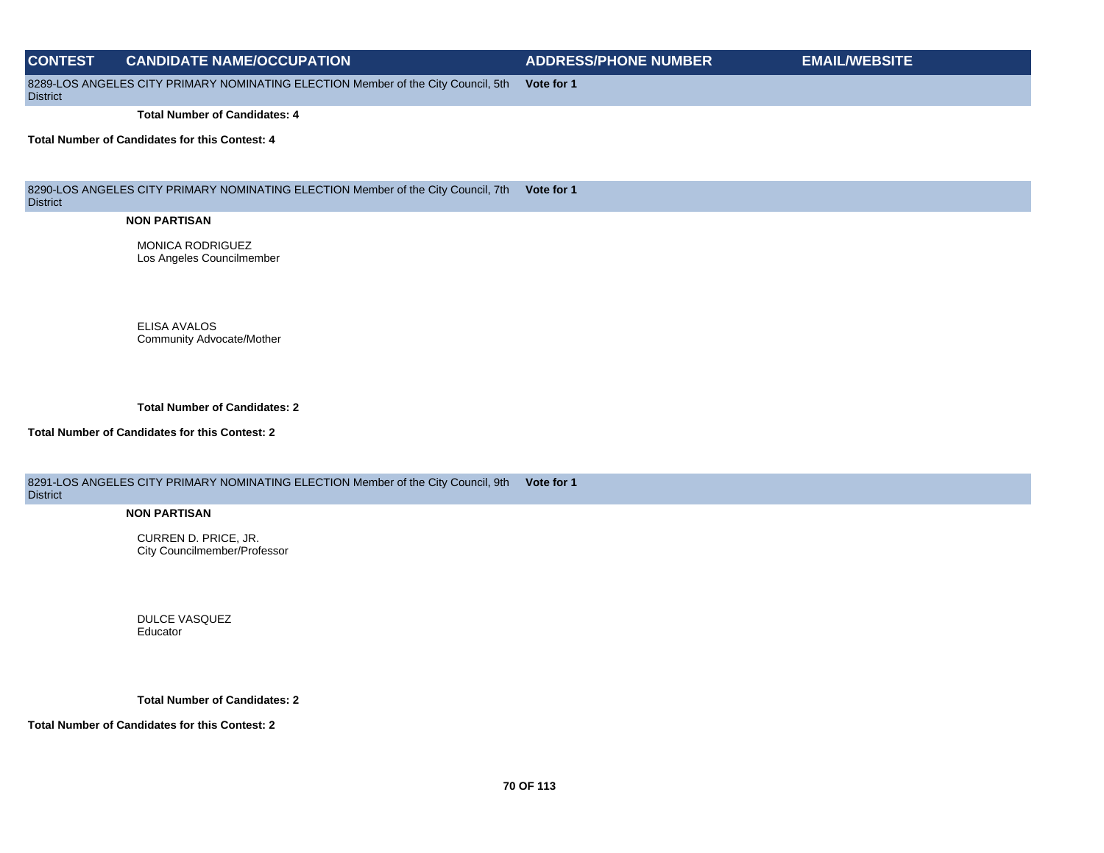# **CONTEST CANDIDATE NAME/OCCUPATION ADDRESS/PHONE NUMBER EMAIL/WEBSITE** 8289-LOS ANGELES CITY PRIMARY NOMINATING ELECTION Member of the City Council, 5th **District Vote for 1 Total Number of Candidates: 4 Total Number of Candidates for this Contest: 4**

8290-LOS ANGELES CITY PRIMARY NOMINATING ELECTION Member of the City Council, 7th **Vote for 1** District

#### **NON PARTISAN**

MONICA RODRIGUEZ Los Angeles Councilmember

ELISA AVALOS Community Advocate/Mother

**Total Number of Candidates: 2**

#### **Total Number of Candidates for this Contest: 2**

8291-LOS ANGELES CITY PRIMARY NOMINATING ELECTION Member of the City Council, 9th **Vote for 1 District** 

#### **NON PARTISAN**

CURREN D. PRICE, JR. City Councilmember/Professor

DULCE VASQUEZ Educator

#### **Total Number of Candidates: 2**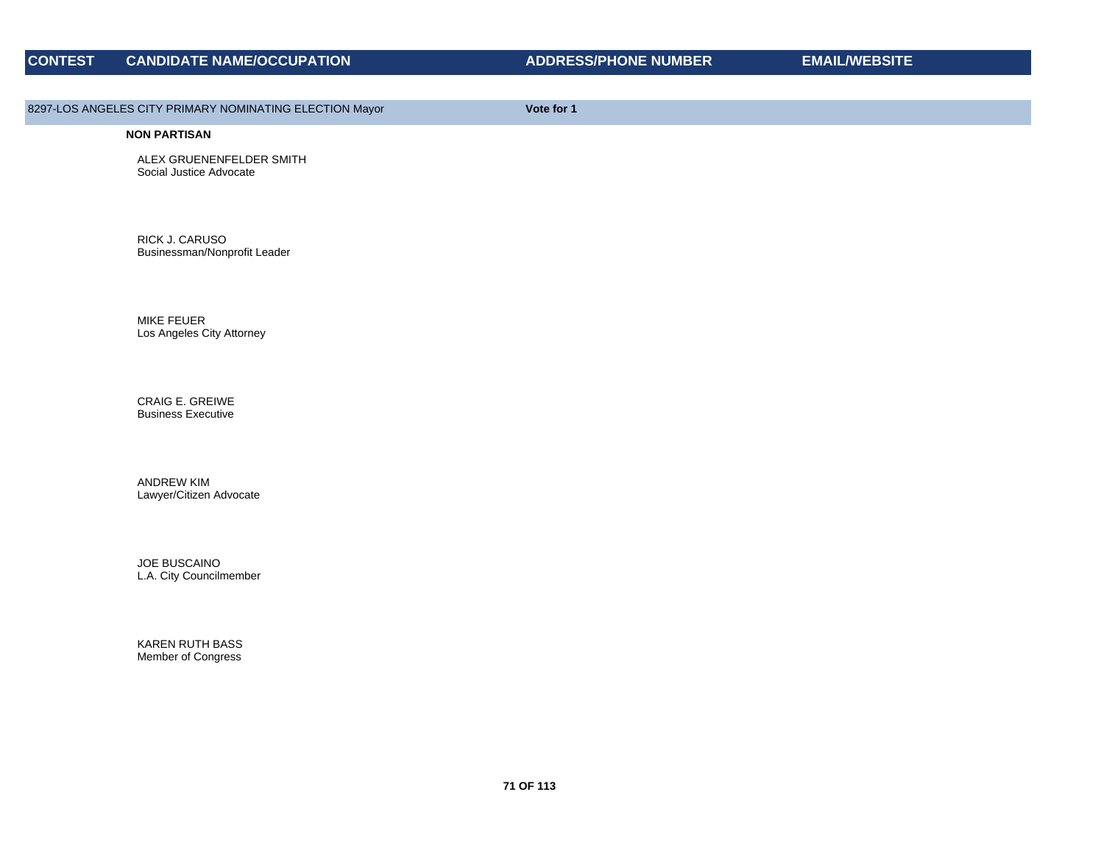## 8297-LOS ANGELES CITY PRIMARY NOMINATING ELECTION Mayor **Vote for 1**

#### **NON PARTISAN**

ALEX GRUENENFELDER SMITH Social Justice Advocate

RICK J. CARUSO Businessman/Nonprofit Leader

MIKE FEUER Los Angeles City Attorney

CRAIG E. GREIWE Business Executive

ANDREW KIM Lawyer/Citizen Advocate

JOE BUSCAINO L.A. City Councilmember

KAREN RUTH BASS Member of Congress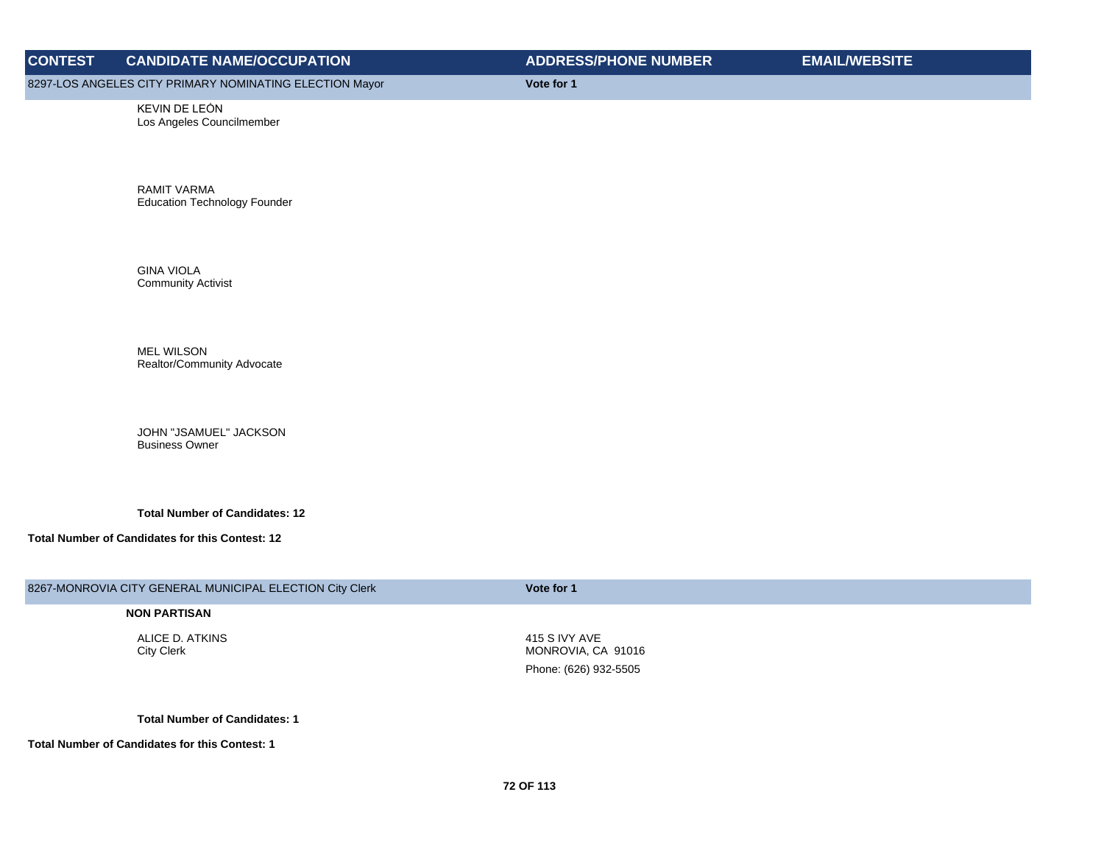8297-LOS ANGELES CITY PRIMARY NOMINATING ELECTION Mayor **Vote for 1**

KEVIN DE LEÓN Los Angeles Councilmember

RAMIT VARMA Education Technology Founder

GINA VIOLA Community Activist

MEL WILSON Realtor/Community Advocate

JOHN "JSAMUEL" JACKSON Business Owner

**Total Number of Candidates: 12**

**Total Number of Candidates for this Contest: 12**

## 8267-MONROVIA CITY GENERAL MUNICIPAL ELECTION City Clerk **Vote for 1**

#### **NON PARTISAN**

ALICE D. ATKINS City Clerk

415 S IVY AVE MONROVIA, CA 91016 Phone: (626) 932-5505

**Total Number of Candidates: 1**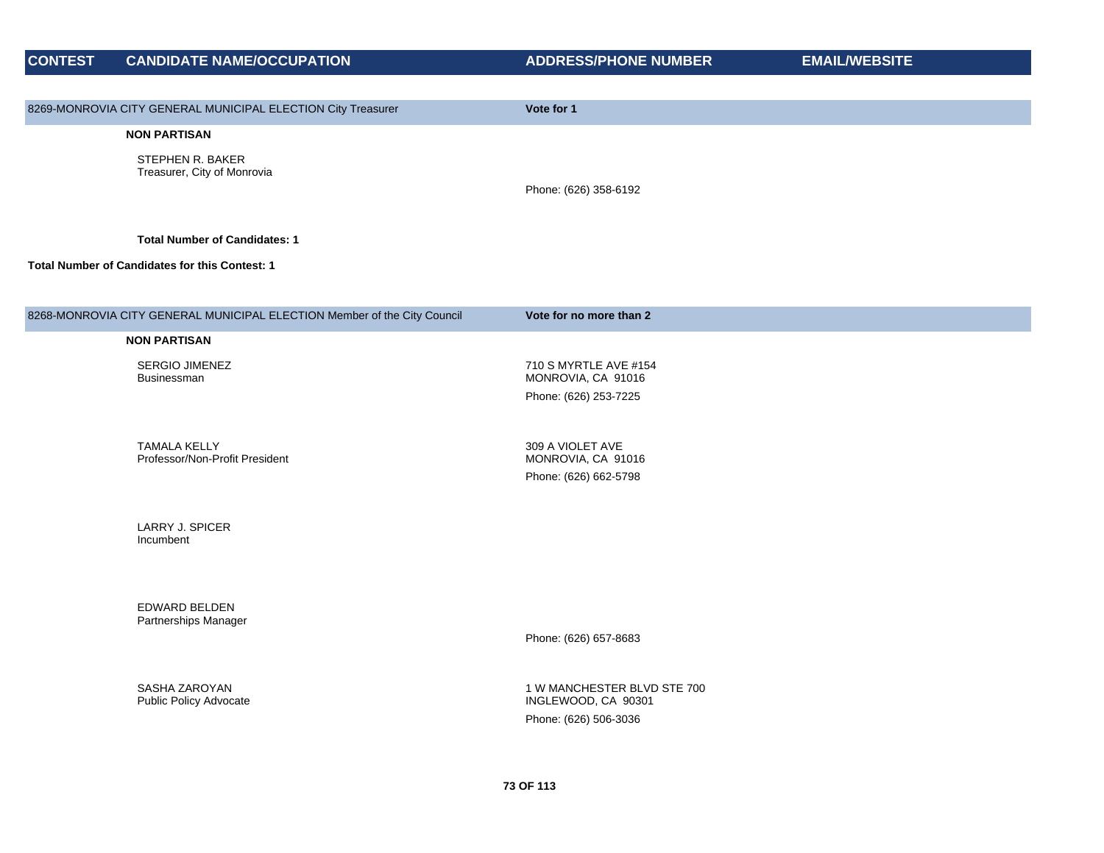| <b>CONTEST</b> | <b>CANDIDATE NAME/OCCUPATION</b>                                         | <b>ADDRESS/PHONE NUMBER</b>                        | <b>EMAIL/WEBSITE</b> |
|----------------|--------------------------------------------------------------------------|----------------------------------------------------|----------------------|
|                |                                                                          |                                                    |                      |
|                | 8269-MONROVIA CITY GENERAL MUNICIPAL ELECTION City Treasurer             | Vote for 1                                         |                      |
|                | <b>NON PARTISAN</b>                                                      |                                                    |                      |
|                | STEPHEN R. BAKER                                                         |                                                    |                      |
|                | Treasurer, City of Monrovia                                              | Phone: (626) 358-6192                              |                      |
|                |                                                                          |                                                    |                      |
|                | <b>Total Number of Candidates: 1</b>                                     |                                                    |                      |
|                | Total Number of Candidates for this Contest: 1                           |                                                    |                      |
|                |                                                                          |                                                    |                      |
|                | 8268-MONROVIA CITY GENERAL MUNICIPAL ELECTION Member of the City Council | Vote for no more than 2                            |                      |
|                | <b>NON PARTISAN</b>                                                      |                                                    |                      |
|                |                                                                          |                                                    |                      |
|                | <b>SERGIO JIMENEZ</b><br>Businessman                                     | 710 S MYRTLE AVE #154<br>MONROVIA, CA 91016        |                      |
|                |                                                                          | Phone: (626) 253-7225                              |                      |
|                |                                                                          |                                                    |                      |
|                | <b>TAMALA KELLY</b><br>Professor/Non-Profit President                    | 309 A VIOLET AVE<br>MONROVIA, CA 91016             |                      |
|                |                                                                          | Phone: (626) 662-5798                              |                      |
|                |                                                                          |                                                    |                      |
|                | <b>LARRY J. SPICER</b>                                                   |                                                    |                      |
|                | Incumbent                                                                |                                                    |                      |
|                |                                                                          |                                                    |                      |
|                | EDWARD BELDEN                                                            |                                                    |                      |
|                | Partnerships Manager                                                     |                                                    |                      |
|                |                                                                          | Phone: (626) 657-8683                              |                      |
|                |                                                                          |                                                    |                      |
|                | SASHA ZAROYAN<br><b>Public Policy Advocate</b>                           | 1 W MANCHESTER BLVD STE 700<br>INGLEWOOD, CA 90301 |                      |
|                |                                                                          | Phone: (626) 506-3036                              |                      |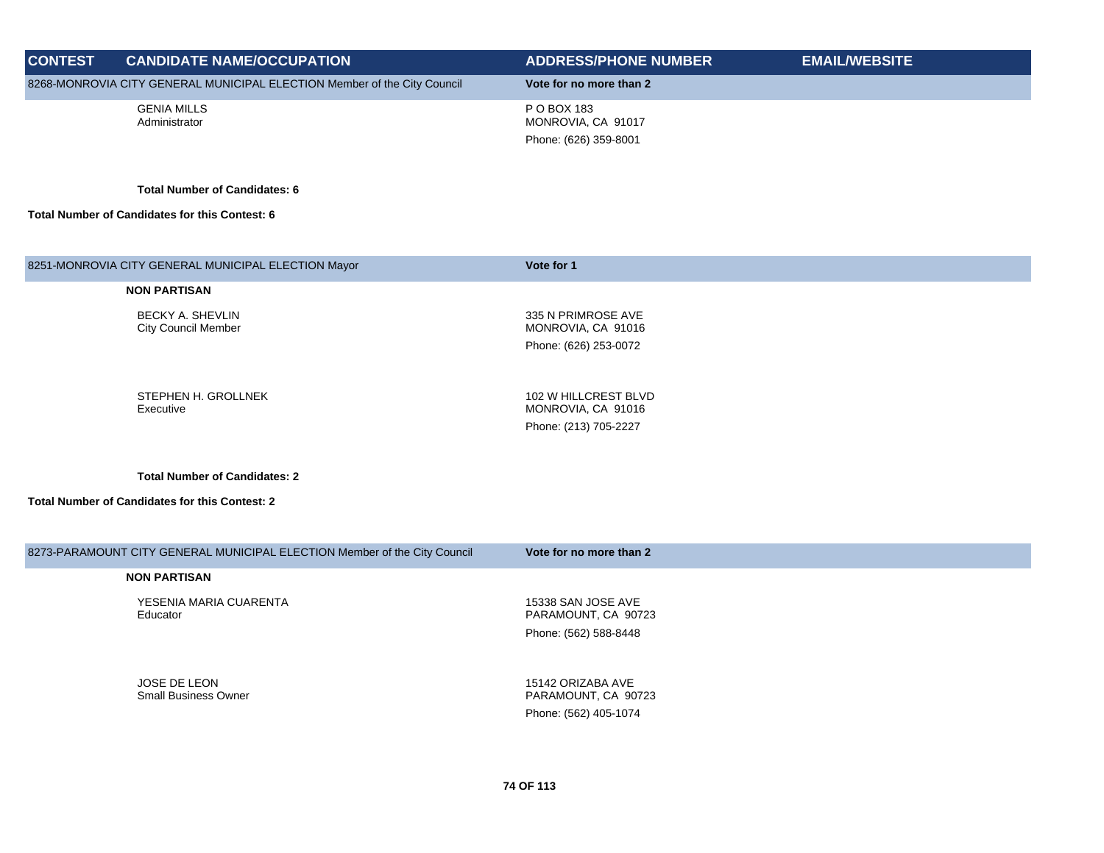| <b>CONTEST</b> | <b>CANDIDATE NAME/OCCUPATION</b>                                         | <b>ADDRESS/PHONE NUMBER</b>                                | <b>EMAIL/WEBSITE</b> |
|----------------|--------------------------------------------------------------------------|------------------------------------------------------------|----------------------|
|                | 8268-MONROVIA CITY GENERAL MUNICIPAL ELECTION Member of the City Council | Vote for no more than 2                                    |                      |
|                | <b>GENIA MILLS</b><br>Administrator                                      | P O BOX 183<br>MONROVIA, CA 91017<br>Phone: (626) 359-8001 |                      |

| 8251-MONROVIA CITY GENERAL MUNICIPAL ELECTION Mayor                       | Vote for 1                                 |
|---------------------------------------------------------------------------|--------------------------------------------|
| <b>NON PARTISAN</b>                                                       |                                            |
| <b>BECKY A. SHEVLIN</b><br><b>City Council Member</b>                     | 335 N PRIMROSE AVE<br>MONROVIA, CA 91016   |
|                                                                           | Phone: (626) 253-0072                      |
|                                                                           |                                            |
| STEPHEN H. GROLLNEK<br>Executive                                          | 102 W HILLCREST BLVD<br>MONROVIA, CA 91016 |
|                                                                           | Phone: (213) 705-2227                      |
|                                                                           |                                            |
| <b>Total Number of Candidates: 2</b>                                      |                                            |
| <b>Total Number of Candidates for this Contest: 2</b>                     |                                            |
|                                                                           |                                            |
| 8273-PARAMOUNT CITY GENERAL MUNICIPAL ELECTION Member of the City Council | Vote for no more than 2                    |
| <b>NON PARTISAN</b>                                                       |                                            |
|                                                                           |                                            |
| YESENIA MARIA CUARENTA<br>Educator                                        | 15338 SAN JOSE AVE<br>PARAMOUNT, CA 90723  |
|                                                                           | Phone: (562) 588-8448                      |
|                                                                           |                                            |
| JOSE DE LEON                                                              | 15142 ORIZABA AVE                          |
| <b>Small Business Owner</b>                                               | PARAMOUNT, CA 90723                        |
|                                                                           | Phone: (562) 405-1074                      |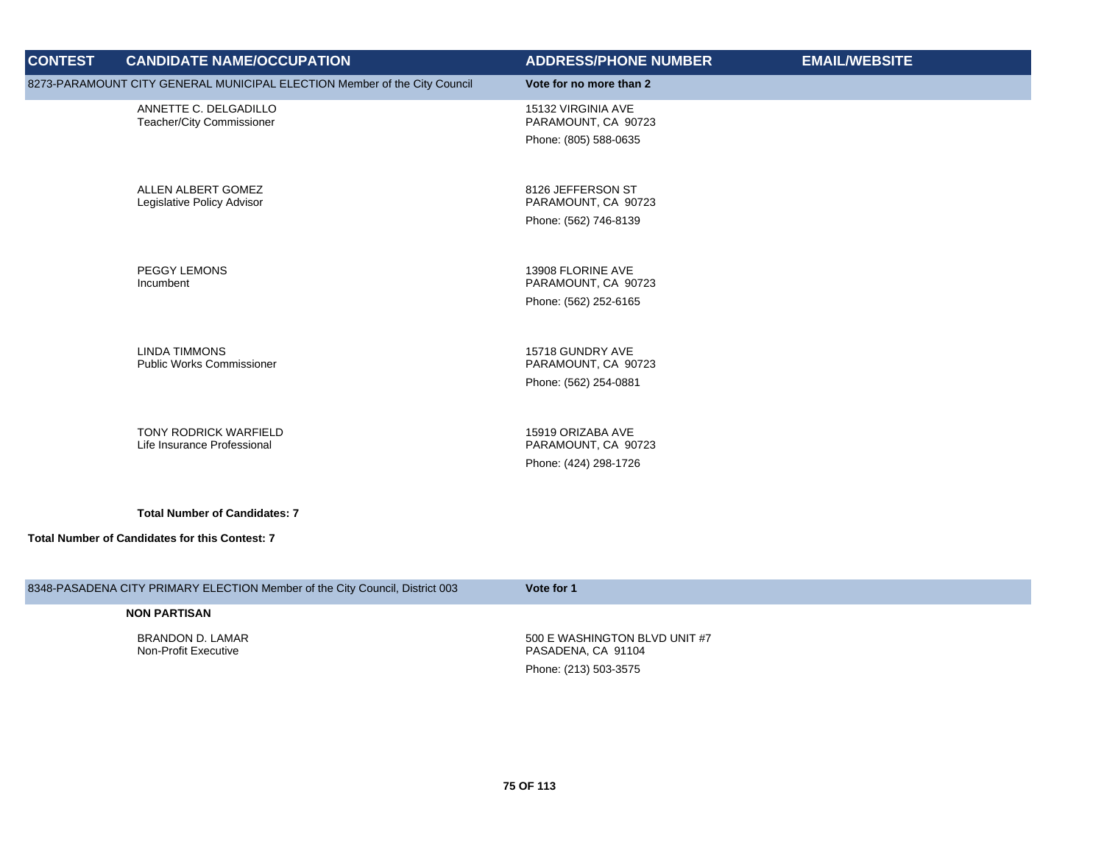| <b>CONTEST</b> | <b>CANDIDATE NAME/OCCUPATION</b>                                                       | <b>ADDRESS/PHONE NUMBER</b>                                        | <b>EMAIL/WEBSITE</b> |
|----------------|----------------------------------------------------------------------------------------|--------------------------------------------------------------------|----------------------|
|                | 8273-PARAMOUNT CITY GENERAL MUNICIPAL ELECTION Member of the City Council              | Vote for no more than 2                                            |                      |
|                | ANNETTE C. DELGADILLO<br>Teacher/City Commissioner                                     | 15132 VIRGINIA AVE<br>PARAMOUNT, CA 90723<br>Phone: (805) 588-0635 |                      |
|                | ALLEN ALBERT GOMEZ<br>Legislative Policy Advisor                                       | 8126 JEFFERSON ST<br>PARAMOUNT, CA 90723<br>Phone: (562) 746-8139  |                      |
|                | <b>PEGGY LEMONS</b><br>Incumbent                                                       | 13908 FLORINE AVE<br>PARAMOUNT, CA 90723<br>Phone: (562) 252-6165  |                      |
|                | <b>LINDA TIMMONS</b><br><b>Public Works Commissioner</b>                               | 15718 GUNDRY AVE<br>PARAMOUNT, CA 90723<br>Phone: (562) 254-0881   |                      |
|                | <b>TONY RODRICK WARFIELD</b><br>Life Insurance Professional                            | 15919 ORIZABA AVE<br>PARAMOUNT, CA 90723<br>Phone: (424) 298-1726  |                      |
|                | <b>Total Number of Candidates: 7</b><br>Total Number of Candidates for this Contest: 7 |                                                                    |                      |
|                | 8348-PASADENA CITY PRIMARY ELECTION Member of the City Council, District 003           | Vote for 1                                                         |                      |
|                | <b>NON PARTISAN</b>                                                                    |                                                                    |                      |

BRANDON D. LAMAR Non-Profit Executive

500 E WASHINGTON BLVD UNIT #7 PASADENA, CA 91104 Phone: (213) 503-3575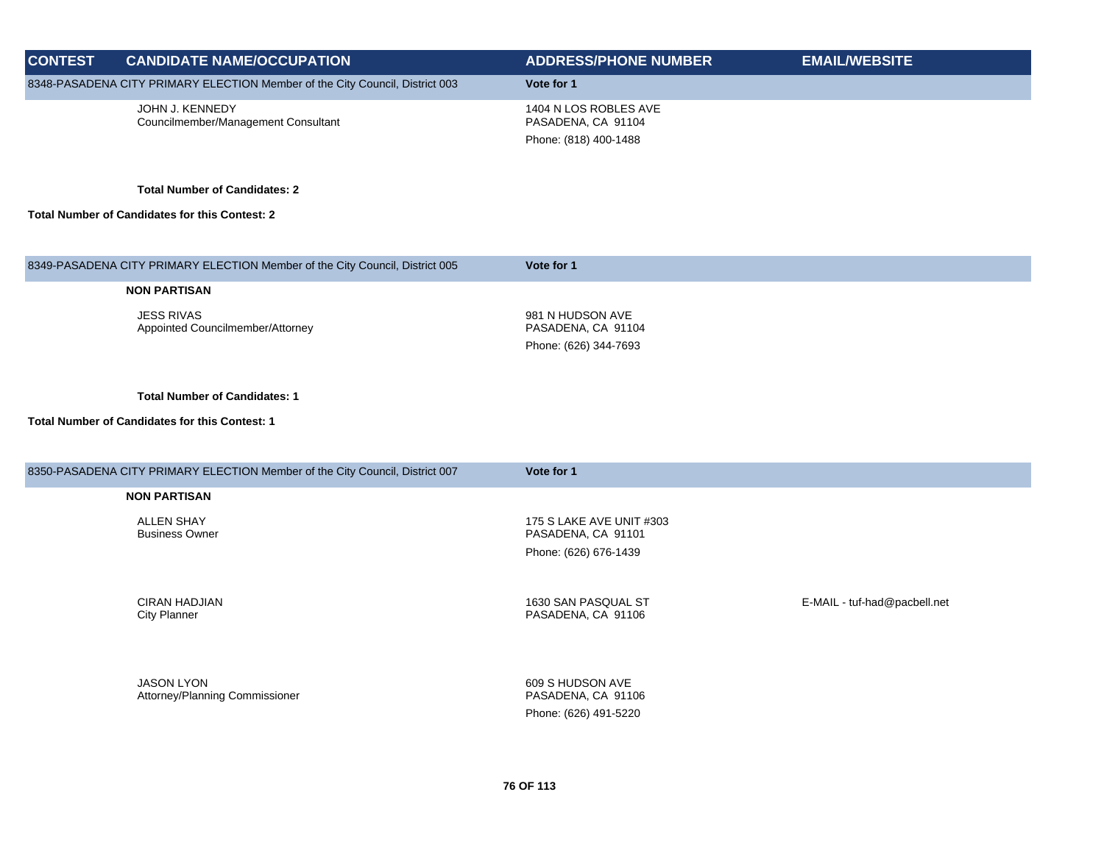| <b>CONTEST</b> | <b>CANDIDATE NAME/OCCUPATION</b>                                             | <b>ADDRESS/PHONE NUMBER</b>                                          | <b>EMAIL/WEBSITE</b> |
|----------------|------------------------------------------------------------------------------|----------------------------------------------------------------------|----------------------|
|                | 8348-PASADENA CITY PRIMARY ELECTION Member of the City Council, District 003 | Vote for 1                                                           |                      |
|                | JOHN J. KENNEDY<br>Councilmember/Management Consultant                       | 1404 N LOS ROBLES AVE<br>PASADENA, CA 91104<br>Phone: (818) 400-1488 |                      |

**Total Number of Candidates for this Contest: 2**

| 8349-PASADENA CITY PRIMARY ELECTION Member of the City Council, District 005 | Vote for 1                             |
|------------------------------------------------------------------------------|----------------------------------------|
| <b>NON PARTISAN</b>                                                          |                                        |
| <b>JESS RIVAS</b><br>Appointed Councilmember/Attorney                        | 981 N HUDSON AVE<br>PASADENA, CA 91104 |
|                                                                              | Phone: (626) 344-7693                  |
|                                                                              |                                        |

**Total Number of Candidates: 1**

| 8350-PASADENA CITY PRIMARY ELECTION Member of the City Council, District 007 | Vote for 1                                                              |                              |
|------------------------------------------------------------------------------|-------------------------------------------------------------------------|------------------------------|
| <b>NON PARTISAN</b>                                                          |                                                                         |                              |
| ALLEN SHAY<br><b>Business Owner</b>                                          | 175 S LAKE AVE UNIT #303<br>PASADENA, CA 91101<br>Phone: (626) 676-1439 |                              |
| <b>CIRAN HADJIAN</b><br><b>City Planner</b>                                  | 1630 SAN PASQUAL ST<br>PASADENA, CA 91106                               | E-MAIL - tuf-had@pacbell.net |
| <b>JASON LYON</b><br>Attorney/Planning Commissioner                          | 609 S HUDSON AVE<br>PASADENA, CA 91106<br>Phone: (626) 491-5220         |                              |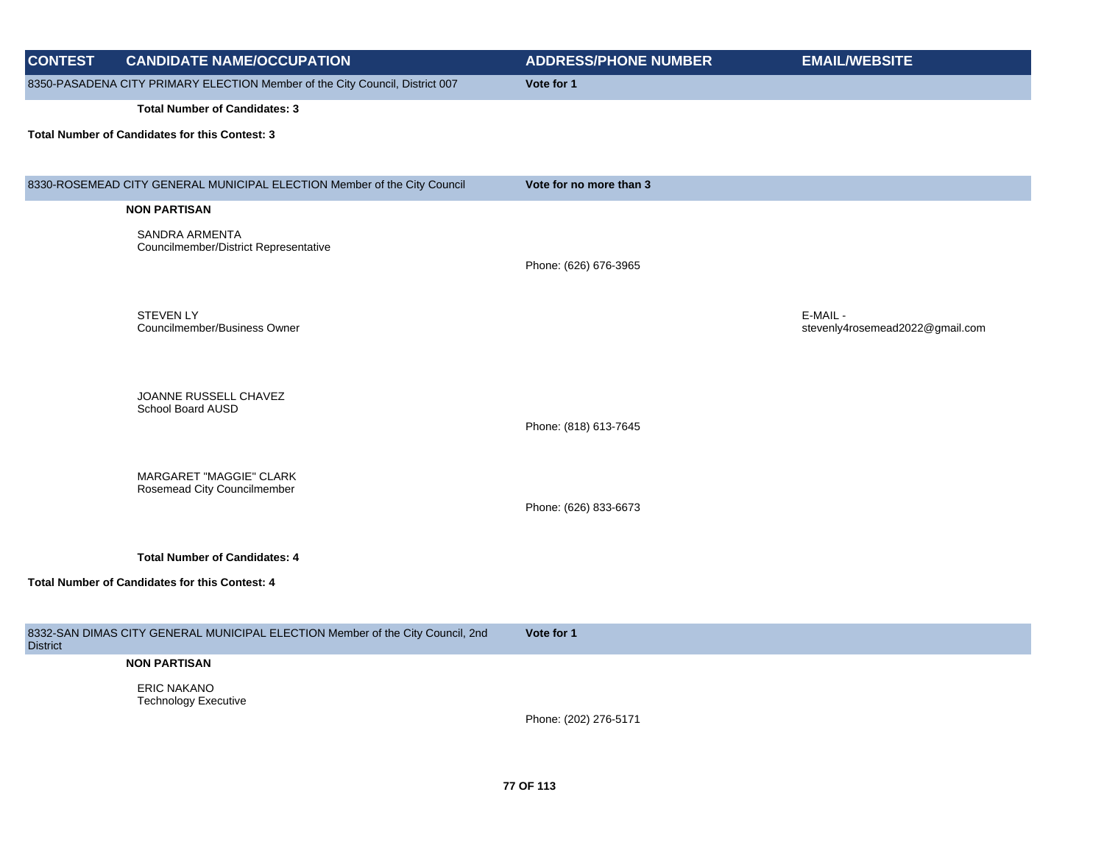| <b>CONTEST</b>  | <b>CANDIDATE NAME/OCCUPATION</b>                                               | <b>ADDRESS/PHONE NUMBER</b> | <b>EMAIL/WEBSITE</b>                        |
|-----------------|--------------------------------------------------------------------------------|-----------------------------|---------------------------------------------|
|                 | 8350-PASADENA CITY PRIMARY ELECTION Member of the City Council, District 007   | Vote for 1                  |                                             |
|                 | <b>Total Number of Candidates: 3</b>                                           |                             |                                             |
|                 | Total Number of Candidates for this Contest: 3                                 |                             |                                             |
|                 | 8330-ROSEMEAD CITY GENERAL MUNICIPAL ELECTION Member of the City Council       | Vote for no more than 3     |                                             |
|                 | <b>NON PARTISAN</b>                                                            |                             |                                             |
|                 | <b>SANDRA ARMENTA</b>                                                          |                             |                                             |
|                 | Councilmember/District Representative                                          | Phone: (626) 676-3965       |                                             |
|                 |                                                                                |                             |                                             |
|                 |                                                                                |                             |                                             |
|                 | <b>STEVEN LY</b><br>Councilmember/Business Owner                               |                             | E-MAIL -<br>stevenly4rosemead2022@gmail.com |
|                 |                                                                                |                             |                                             |
|                 |                                                                                |                             |                                             |
|                 | JOANNE RUSSELL CHAVEZ                                                          |                             |                                             |
|                 | School Board AUSD                                                              |                             |                                             |
|                 |                                                                                | Phone: (818) 613-7645       |                                             |
|                 |                                                                                |                             |                                             |
|                 | MARGARET "MAGGIE" CLARK<br>Rosemead City Councilmember                         |                             |                                             |
|                 |                                                                                | Phone: (626) 833-6673       |                                             |
|                 |                                                                                |                             |                                             |
|                 | <b>Total Number of Candidates: 4</b>                                           |                             |                                             |
|                 | <b>Total Number of Candidates for this Contest: 4</b>                          |                             |                                             |
|                 |                                                                                |                             |                                             |
|                 | 8332-SAN DIMAS CITY GENERAL MUNICIPAL ELECTION Member of the City Council, 2nd | Vote for 1                  |                                             |
| <b>District</b> |                                                                                |                             |                                             |
|                 | <b>NON PARTISAN</b>                                                            |                             |                                             |
|                 | <b>ERIC NAKANO</b><br><b>Technology Executive</b>                              |                             |                                             |
|                 |                                                                                | Phone: (202) 276-5171       |                                             |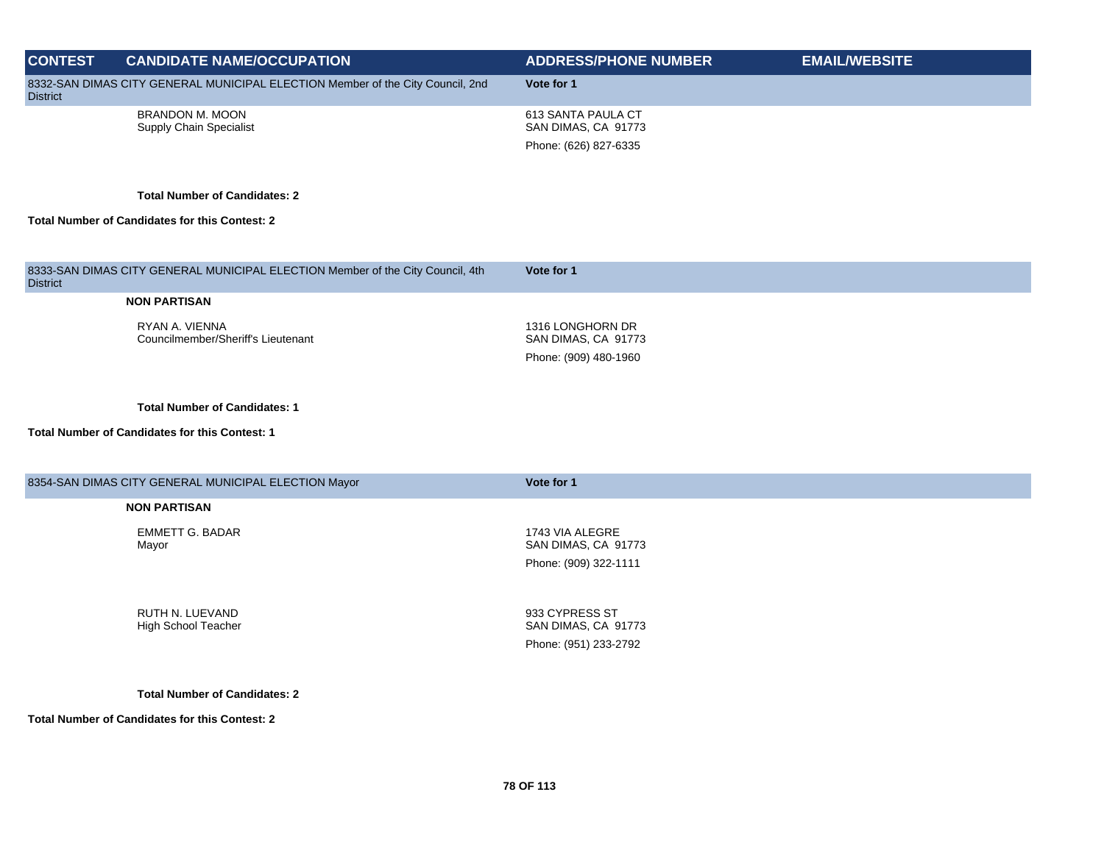| <b>CONTEST</b>  |                                                                                |                                                                    |                      |
|-----------------|--------------------------------------------------------------------------------|--------------------------------------------------------------------|----------------------|
|                 | <b>CANDIDATE NAME/OCCUPATION</b>                                               | <b>ADDRESS/PHONE NUMBER</b>                                        | <b>EMAIL/WEBSITE</b> |
| <b>District</b> | 8332-SAN DIMAS CITY GENERAL MUNICIPAL ELECTION Member of the City Council, 2nd | Vote for 1                                                         |                      |
|                 | <b>BRANDON M. MOON</b><br><b>Supply Chain Specialist</b>                       | 613 SANTA PAULA CT<br>SAN DIMAS, CA 91773<br>Phone: (626) 827-6335 |                      |
|                 | <b>Total Number of Candidates: 2</b>                                           |                                                                    |                      |
|                 | <b>Total Number of Candidates for this Contest: 2</b>                          |                                                                    |                      |
| <b>District</b> | 8333-SAN DIMAS CITY GENERAL MUNICIPAL ELECTION Member of the City Council, 4th | Vote for 1                                                         |                      |
|                 | <b>NON PARTISAN</b>                                                            |                                                                    |                      |
|                 | RYAN A. VIENNA<br>Councilmember/Sheriff's Lieutenant                           | 1316 LONGHORN DR<br>SAN DIMAS, CA 91773<br>Phone: (909) 480-1960   |                      |

## **Total Number of Candidates for this Contest: 1**

| 8354-SAN DIMAS CITY GENERAL MUNICIPAL ELECTION Mayor | Vote for 1                             |  |
|------------------------------------------------------|----------------------------------------|--|
| <b>NON PARTISAN</b>                                  |                                        |  |
| <b>EMMETT G. BADAR</b><br>Mayor                      | 1743 VIA ALEGRE<br>SAN DIMAS, CA 91773 |  |
|                                                      | Phone: (909) 322-1111                  |  |
|                                                      |                                        |  |
| RUTH N. LUEVAND<br>High School Teacher               | 933 CYPRESS ST<br>SAN DIMAS, CA 91773  |  |
|                                                      | Phone: (951) 233-2792                  |  |

**Total Number of Candidates: 2**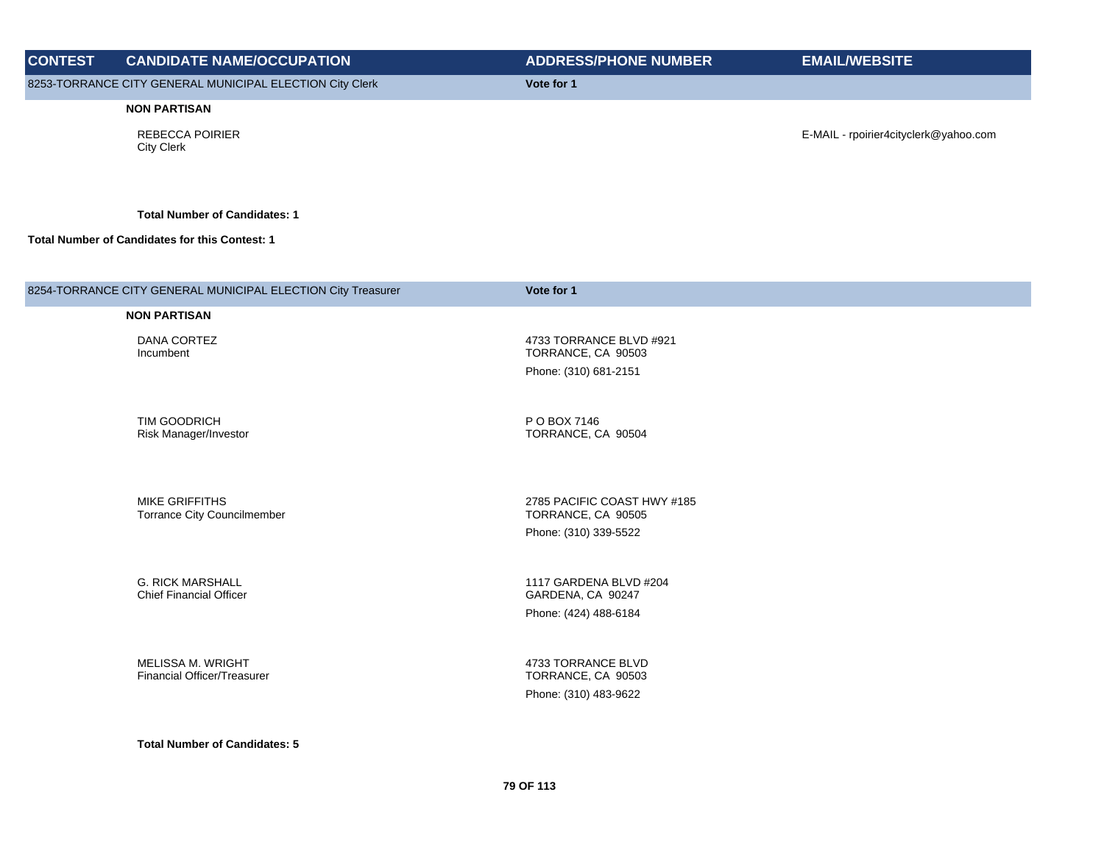| <b>CONTEST</b>                                                         | <b>CANDIDATE NAME/OCCUPATION</b>                             | <b>ADDRESS/PHONE NUMBER</b>                       | <b>EMAIL/WEBSITE</b>                  |
|------------------------------------------------------------------------|--------------------------------------------------------------|---------------------------------------------------|---------------------------------------|
| 8253-TORRANCE CITY GENERAL MUNICIPAL ELECTION City Clerk<br>Vote for 1 |                                                              |                                                   |                                       |
|                                                                        | <b>NON PARTISAN</b>                                          |                                                   |                                       |
|                                                                        | <b>REBECCA POIRIER</b><br><b>City Clerk</b>                  |                                                   | E-MAIL - rpoirier4cityclerk@yahoo.com |
|                                                                        | <b>Total Number of Candidates: 1</b>                         |                                                   |                                       |
|                                                                        | Total Number of Candidates for this Contest: 1               |                                                   |                                       |
|                                                                        | 8254-TORRANCE CITY GENERAL MUNICIPAL ELECTION City Treasurer | Vote for 1                                        |                                       |
|                                                                        | <b>NON PARTISAN</b>                                          |                                                   |                                       |
|                                                                        | DANA CORTEZ<br>Incumbent                                     | 4733 TORRANCE BLVD #921<br>TORRANCE, CA 90503     |                                       |
|                                                                        |                                                              | Phone: (310) 681-2151                             |                                       |
|                                                                        |                                                              |                                                   |                                       |
|                                                                        | TIM GOODRICH<br>Risk Manager/Investor                        | P O BOX 7146<br>TORRANCE, CA 90504                |                                       |
|                                                                        |                                                              |                                                   |                                       |
|                                                                        | MIKE GRIFFITHS<br><b>Torrance City Councilmember</b>         | 2785 PACIFIC COAST HWY #185<br>TORRANCE, CA 90505 |                                       |
|                                                                        |                                                              | Phone: (310) 339-5522                             |                                       |
|                                                                        |                                                              |                                                   |                                       |
|                                                                        | <b>G. RICK MARSHALL</b><br><b>Chief Financial Officer</b>    | 1117 GARDENA BLVD #204<br>GARDENA, CA 90247       |                                       |
|                                                                        |                                                              | Phone: (424) 488-6184                             |                                       |
|                                                                        |                                                              |                                                   |                                       |
|                                                                        | MELISSA M. WRIGHT<br>Financial Officer/Treasurer             | 4733 TORRANCE BLVD<br>TORRANCE, CA 90503          |                                       |
|                                                                        |                                                              | Phone: (310) 483-9622                             |                                       |
|                                                                        |                                                              |                                                   |                                       |
|                                                                        | <b>Total Number of Candidates: 5</b>                         |                                                   |                                       |
|                                                                        |                                                              |                                                   |                                       |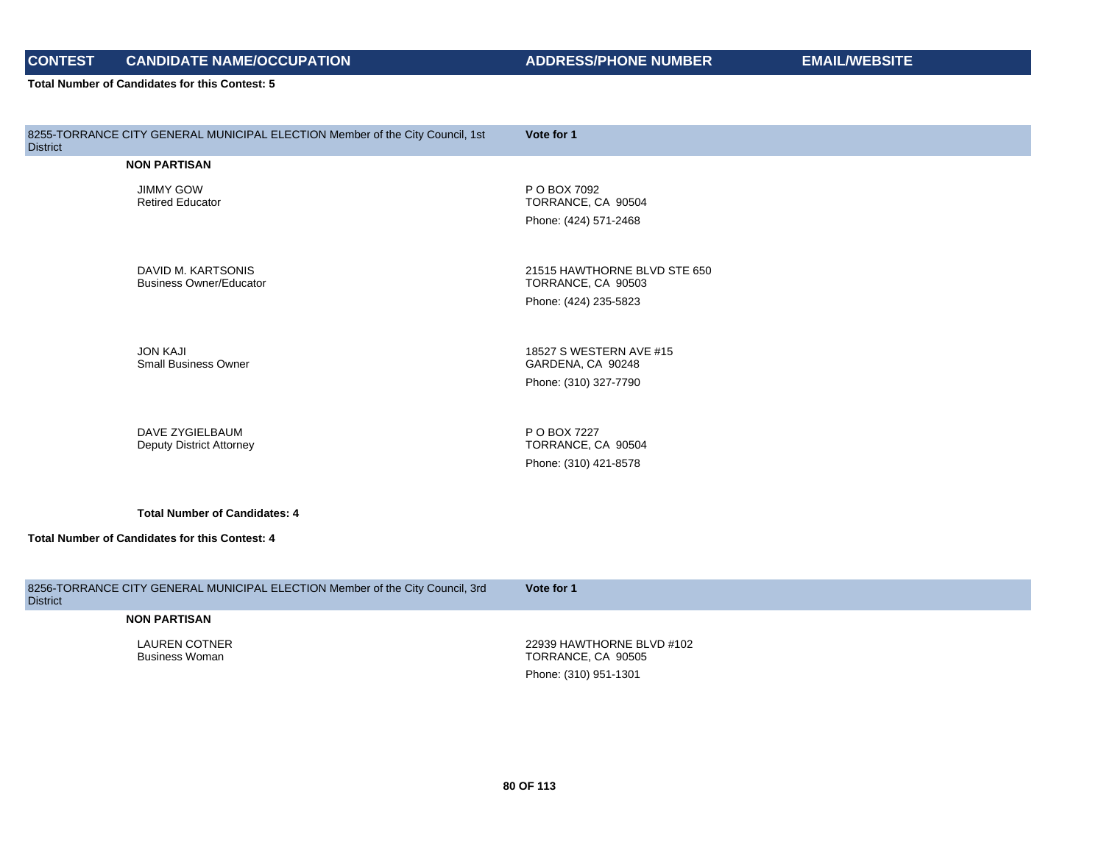# **CONTEST CANDIDATE NAME/OCCUPATION ADDRESS/PHONE NUMBER EMAIL/WEBSITE**

**Total Number of Candidates for this Contest: 5**

| 8255-TORRANCE CITY GENERAL MUNICIPAL ELECTION Member of the City Council, 1st<br><b>District</b> | Vote for 1                                                                  |
|--------------------------------------------------------------------------------------------------|-----------------------------------------------------------------------------|
| <b>NON PARTISAN</b>                                                                              |                                                                             |
| <b>JIMMY GOW</b><br><b>Retired Educator</b>                                                      | P O BOX 7092<br>TORRANCE, CA 90504<br>Phone: (424) 571-2468                 |
| DAVID M. KARTSONIS<br><b>Business Owner/Educator</b>                                             | 21515 HAWTHORNE BLVD STE 650<br>TORRANCE, CA 90503<br>Phone: (424) 235-5823 |
| <b>JON KAJI</b><br><b>Small Business Owner</b>                                                   | 18527 S WESTERN AVE #15<br>GARDENA, CA 90248<br>Phone: (310) 327-7790       |
| DAVE ZYGIELBAUM<br><b>Deputy District Attorney</b>                                               | P O BOX 7227<br>TORRANCE, CA 90504<br>Phone: (310) 421-8578                 |
| <b>Total Number of Candidates: 4</b>                                                             |                                                                             |
| Total Number of Candidates for this Contest: 4                                                   |                                                                             |

8256-TORRANCE CITY GENERAL MUNICIPAL ELECTION Member of the City Council, 3rd **District Vote for 1 NON PARTISAN** LAUREN COTNER Business Woman 22939 HAWTHORNE BLVD #102 TORRANCE, CA 90505 Phone: (310) 951-1301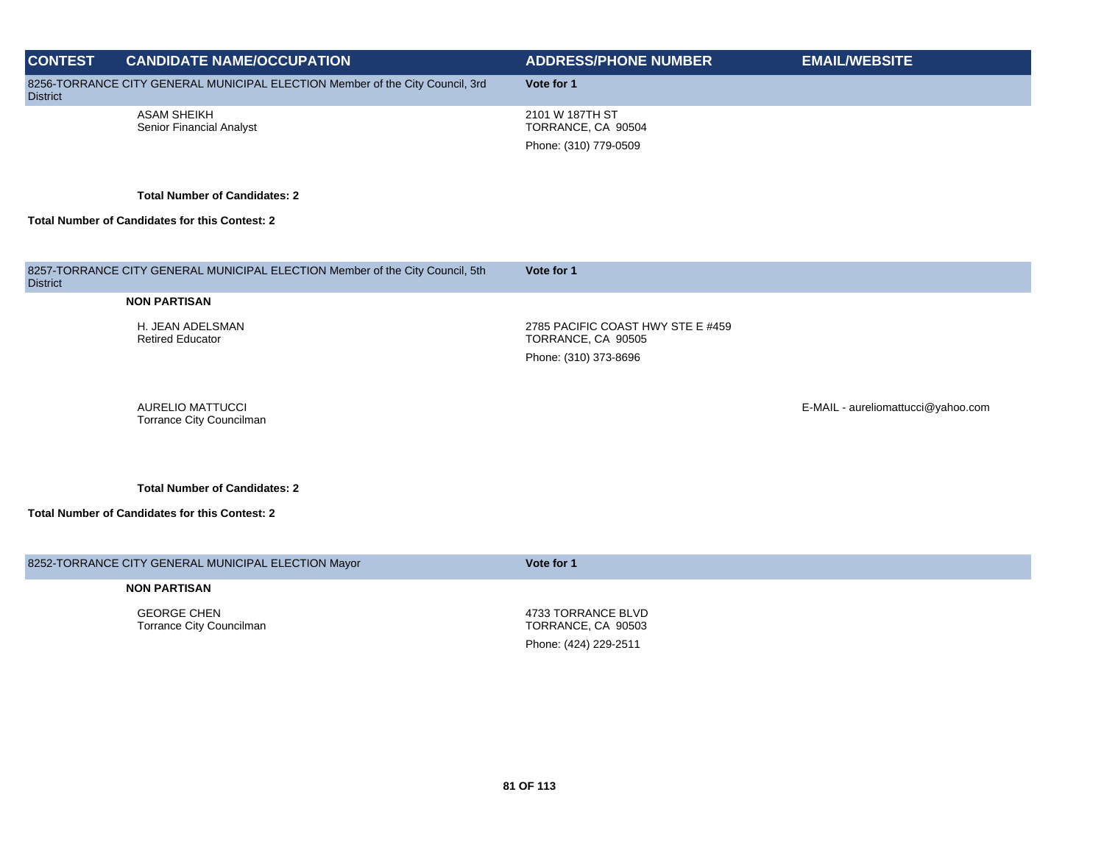| <b>CONTEST</b>  | <b>CANDIDATE NAME/OCCUPATION</b>                                              | <b>ADDRESS/PHONE NUMBER</b>                                                      | <b>EMAIL/WEBSITE</b>               |
|-----------------|-------------------------------------------------------------------------------|----------------------------------------------------------------------------------|------------------------------------|
| <b>District</b> | 8256-TORRANCE CITY GENERAL MUNICIPAL ELECTION Member of the City Council, 3rd | Vote for 1                                                                       |                                    |
|                 | <b>ASAM SHEIKH</b><br>Senior Financial Analyst                                | 2101 W 187TH ST<br>TORRANCE, CA 90504<br>Phone: (310) 779-0509                   |                                    |
|                 | <b>Total Number of Candidates: 2</b>                                          |                                                                                  |                                    |
|                 | <b>Total Number of Candidates for this Contest: 2</b>                         |                                                                                  |                                    |
|                 |                                                                               |                                                                                  |                                    |
| <b>District</b> | 8257-TORRANCE CITY GENERAL MUNICIPAL ELECTION Member of the City Council, 5th | Vote for 1                                                                       |                                    |
|                 | <b>NON PARTISAN</b>                                                           |                                                                                  |                                    |
|                 | H. JEAN ADELSMAN<br><b>Retired Educator</b>                                   | 2785 PACIFIC COAST HWY STE E #459<br>TORRANCE, CA 90505<br>Phone: (310) 373-8696 |                                    |
|                 | <b>AURELIO MATTUCCI</b><br>Torrance City Councilman                           |                                                                                  | E-MAIL - aureliomattucci@yahoo.com |
|                 | <b>Total Number of Candidates: 2</b>                                          |                                                                                  |                                    |
|                 | <b>Total Number of Candidates for this Contest: 2</b>                         |                                                                                  |                                    |
|                 |                                                                               |                                                                                  |                                    |

| 8252-TORRANCE CITY GENERAL MUNICIPAL ELECTION Mayor | Vote for 1 |
|-----------------------------------------------------|------------|
|                                                     |            |

GEORGE CHEN Torrance City Councilman

4733 TORRANCE BLVD TORRANCE, CA 90503 Phone: (424) 229-2511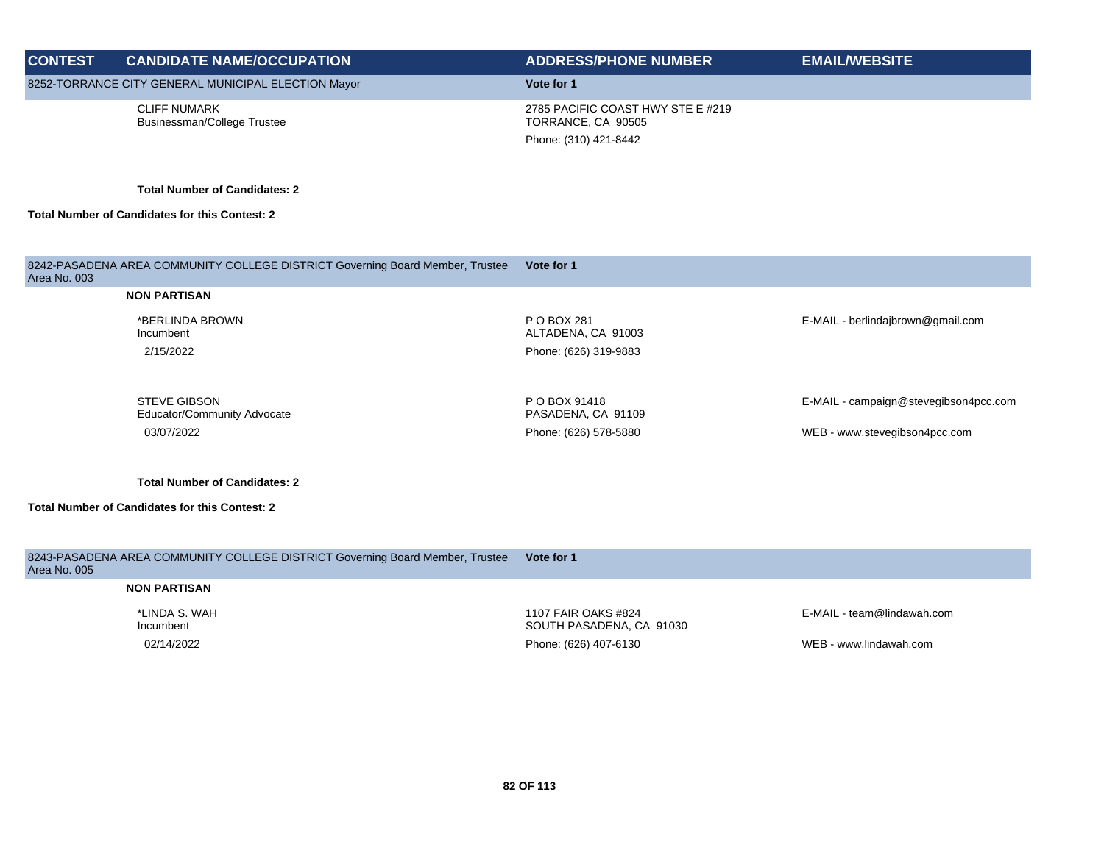| <b>CONTEST</b> | <b>CANDIDATE NAME/OCCUPATION</b>                                              | <b>ADDRESS/PHONE NUMBER</b>                             | <b>EMAIL/WEBSITE</b>                  |
|----------------|-------------------------------------------------------------------------------|---------------------------------------------------------|---------------------------------------|
|                | 8252-TORRANCE CITY GENERAL MUNICIPAL ELECTION Mayor                           | Vote for 1                                              |                                       |
|                | <b>CLIFF NUMARK</b><br>Businessman/College Trustee                            | 2785 PACIFIC COAST HWY STE E #219<br>TORRANCE, CA 90505 |                                       |
|                |                                                                               | Phone: (310) 421-8442                                   |                                       |
|                | <b>Total Number of Candidates: 2</b>                                          |                                                         |                                       |
|                |                                                                               |                                                         |                                       |
|                | <b>Total Number of Candidates for this Contest: 2</b>                         |                                                         |                                       |
|                |                                                                               |                                                         |                                       |
|                |                                                                               | Vote for 1                                              |                                       |
| Area No. 003   | 8242-PASADENA AREA COMMUNITY COLLEGE DISTRICT Governing Board Member, Trustee |                                                         |                                       |
|                | <b>NON PARTISAN</b>                                                           |                                                         |                                       |
|                | *BERLINDA BROWN<br>Incumbent                                                  | P O BOX 281<br>ALTADENA, CA 91003                       | E-MAIL - berlindajbrown@gmail.com     |
|                | 2/15/2022                                                                     | Phone: (626) 319-9883                                   |                                       |
|                |                                                                               |                                                         |                                       |
|                | <b>STEVE GIBSON</b>                                                           | P O BOX 91418                                           | E-MAIL - campaign@stevegibson4pcc.com |
|                | Educator/Community Advocate                                                   | PASADENA, CA 91109                                      |                                       |
|                | 03/07/2022                                                                    | Phone: (626) 578-5880                                   | WEB - www.stevegibson4pcc.com         |
|                |                                                                               |                                                         |                                       |

| 8243-PASADENA AREA COMMUNITY COLLEGE DISTRICT Governing Board Member, Trustee<br>Area No. 005 | Vote for 1                                      |                            |
|-----------------------------------------------------------------------------------------------|-------------------------------------------------|----------------------------|
| <b>NON PARTISAN</b>                                                                           |                                                 |                            |
| *LINDA S. WAH<br>Incumbent                                                                    | 1107 FAIR OAKS #824<br>SOUTH PASADENA, CA 91030 | E-MAIL - team@lindawah.com |
| 02/14/2022                                                                                    | Phone: (626) 407-6130                           | WEB - www.lindawah.com     |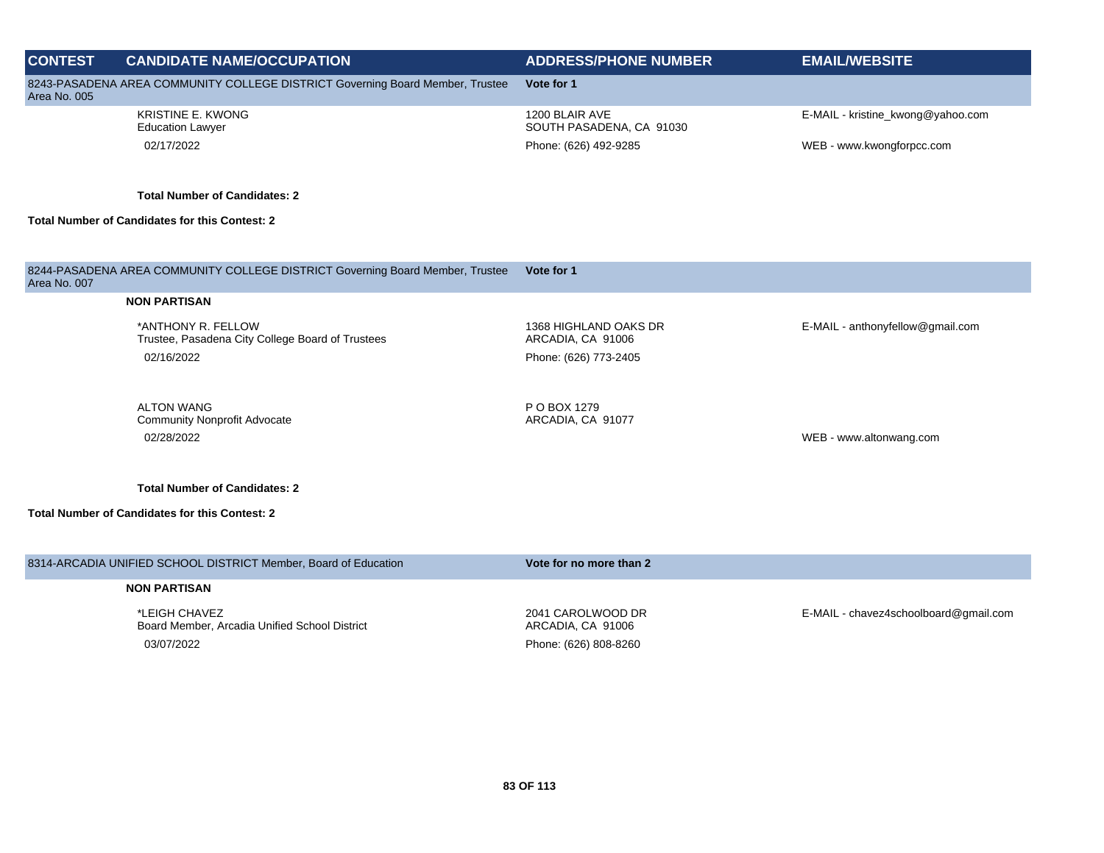| <b>CONTEST</b> | <b>CANDIDATE NAME/OCCUPATION</b>                                              | <b>ADDRESS/PHONE NUMBER</b>                | <b>EMAIL/WEBSITE</b>              |
|----------------|-------------------------------------------------------------------------------|--------------------------------------------|-----------------------------------|
| Area No. 005   | 8243-PASADENA AREA COMMUNITY COLLEGE DISTRICT Governing Board Member, Trustee | Vote for 1                                 |                                   |
|                | <b>KRISTINE E. KWONG</b><br><b>Education Lawyer</b>                           | 1200 BLAIR AVE<br>SOUTH PASADENA, CA 91030 | E-MAIL - kristine_kwong@yahoo.com |
|                | 02/17/2022                                                                    | Phone: (626) 492-9285                      | WEB - www.kwongforpcc.com         |
|                | <b>Total Number of Candidates: 2</b>                                          |                                            |                                   |
|                | <b>Total Number of Candidates for this Contest: 2</b>                         |                                            |                                   |
|                |                                                                               |                                            |                                   |
| Area No. 007   | 8244-PASADENA AREA COMMUNITY COLLEGE DISTRICT Governing Board Member, Trustee | Vote for 1                                 |                                   |
|                | <b>NON PARTISAN</b>                                                           |                                            |                                   |
|                | *ANTHONY R. FELLOW<br>Trustee, Pasadena City College Board of Trustees        | 1368 HIGHLAND OAKS DR<br>ARCADIA, CA 91006 | E-MAIL - anthonyfellow@gmail.com  |
|                | 02/16/2022                                                                    | Phone: (626) 773-2405                      |                                   |
|                | <b>ALTON WANG</b>                                                             | P O BOX 1279                               |                                   |
|                | <b>Community Nonprofit Advocate</b>                                           | ARCADIA, CA 91077                          |                                   |
|                | 02/28/2022                                                                    |                                            | WEB - www.altonwang.com           |
|                | <b>Total Number of Candidates: 2</b>                                          |                                            |                                   |
|                | <b>Total Number of Candidates for this Contest: 2</b>                         |                                            |                                   |
|                |                                                                               |                                            |                                   |
|                | 8314-ARCADIA UNIFIED SCHOOL DISTRICT Member, Board of Education               | Vote for no more than 2                    |                                   |

\*LEIGH CHAVEZ Board Member, Arcadia Unified School District 03/07/2022 Phone: (626) 808-8260

2041 CAROLWOOD DR ARCADIA, CA 91006

E-MAIL - chavez4schoolboard@gmail.com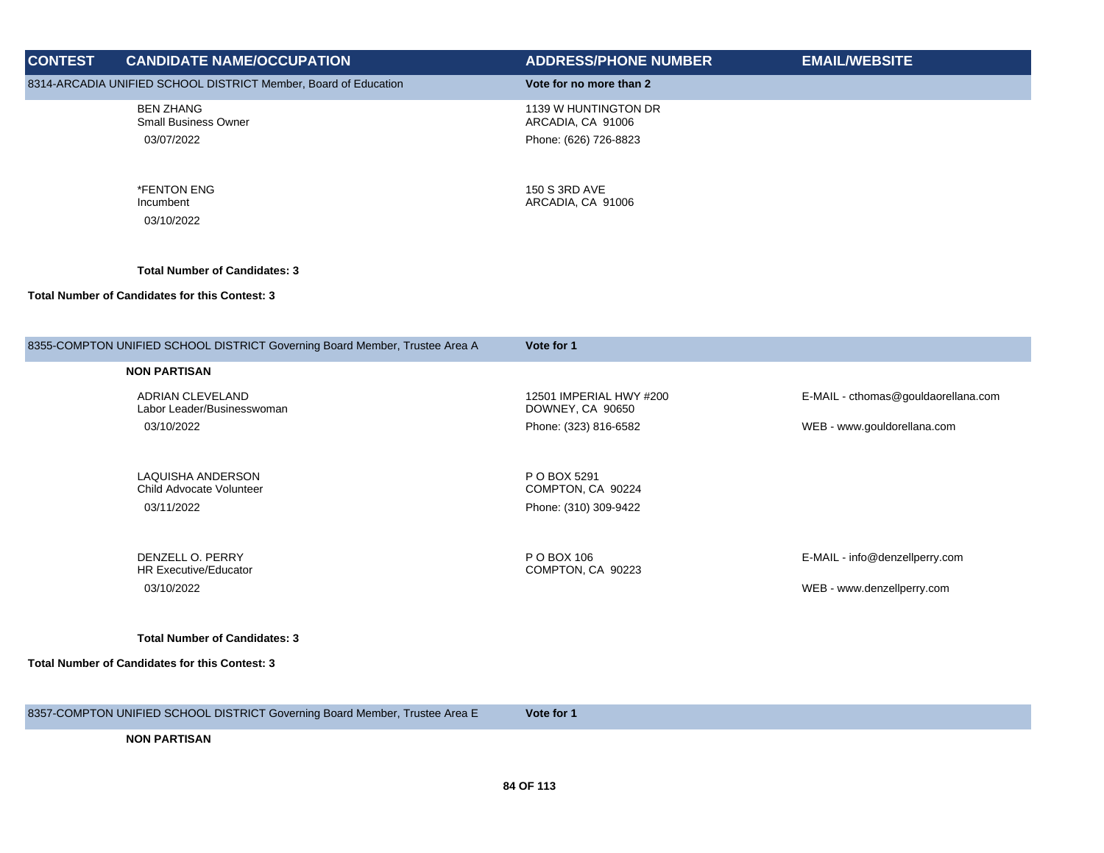| <b>CONTEST</b> | <b>CANDIDATE NAME/OCCUPATION</b>                                            | <b>ADDRESS/PHONE NUMBER</b>                                        | <b>EMAIL/WEBSITE</b>                |
|----------------|-----------------------------------------------------------------------------|--------------------------------------------------------------------|-------------------------------------|
|                | 8314-ARCADIA UNIFIED SCHOOL DISTRICT Member, Board of Education             | Vote for no more than 2                                            |                                     |
|                | <b>BEN ZHANG</b><br><b>Small Business Owner</b><br>03/07/2022               | 1139 W HUNTINGTON DR<br>ARCADIA, CA 91006<br>Phone: (626) 726-8823 |                                     |
|                | *FENTON ENG<br>Incumbent<br>03/10/2022                                      | 150 S 3RD AVE<br>ARCADIA, CA 91006                                 |                                     |
|                | <b>Total Number of Candidates: 3</b>                                        |                                                                    |                                     |
|                | <b>Total Number of Candidates for this Contest: 3</b>                       |                                                                    |                                     |
|                | 8355-COMPTON UNIFIED SCHOOL DISTRICT Governing Board Member, Trustee Area A | Vote for 1                                                         |                                     |
|                | <b>NON PARTISAN</b>                                                         |                                                                    |                                     |
|                | ADRIAN CLEVELAND<br>Labor Leader/Businesswoman                              | 12501 IMPERIAL HWY #200<br>DOWNEY, CA 90650                        | E-MAIL - cthomas@gouldaorellana.com |
|                | 03/10/2022                                                                  | Phone: (323) 816-6582                                              | WEB - www.gouldorellana.com         |
|                | LAQUISHA ANDERSON                                                           | P O BOX 5291                                                       |                                     |
|                | Child Advocate Volunteer<br>03/11/2022                                      | COMPTON, CA 90224<br>Phone: (310) 309-9422                         |                                     |
|                |                                                                             |                                                                    |                                     |
|                | DENZELL O. PERRY<br><b>HR Executive/Educator</b>                            | P O BOX 106<br>COMPTON, CA 90223                                   | E-MAIL - info@denzellperry.com      |
|                | 03/10/2022                                                                  |                                                                    | WEB - www.denzellperry.com          |
|                | <b>Total Number of Candidates: 3</b>                                        |                                                                    |                                     |
|                | Total Number of Candidates for this Contest: 3                              |                                                                    |                                     |
|                |                                                                             |                                                                    |                                     |
|                | 8357-COMPTON UNIFIED SCHOOL DISTRICT Governing Board Member, Trustee Area E | Vote for 1                                                         |                                     |
|                | <b>NON PARTISAN</b>                                                         |                                                                    |                                     |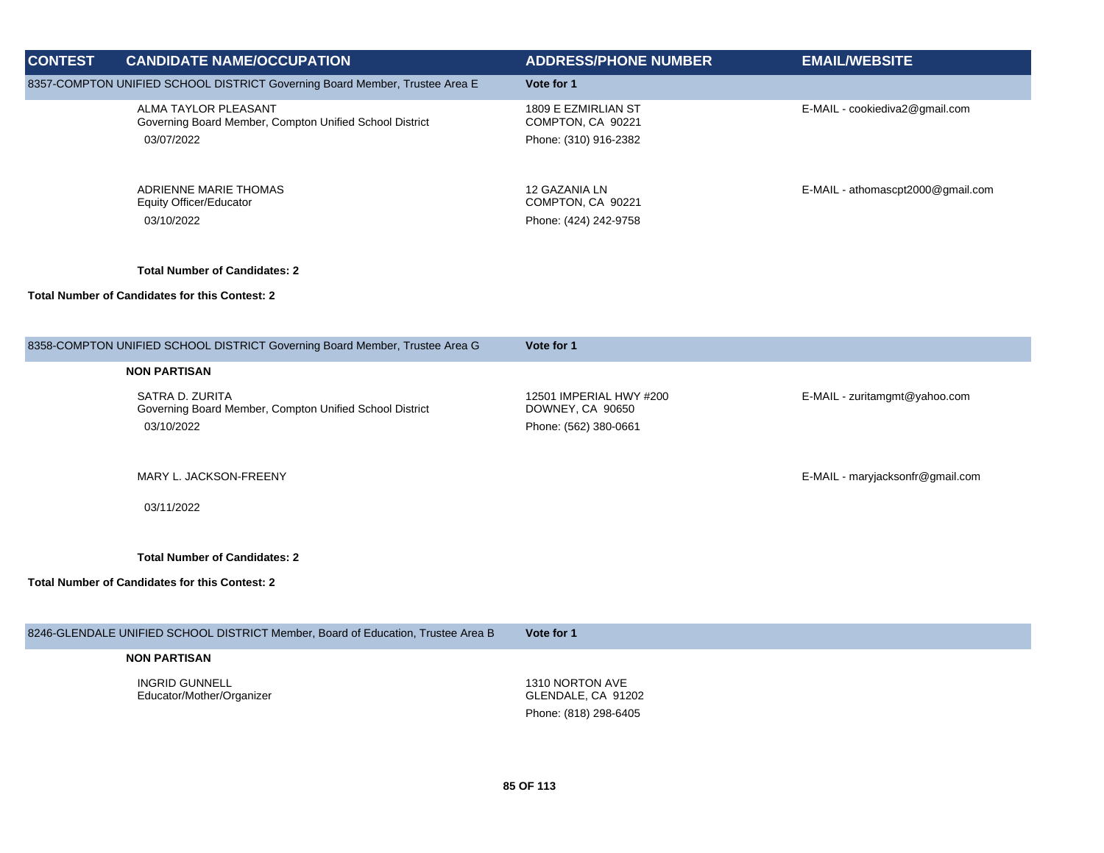| <b>CONTEST</b> | <b>CANDIDATE NAME/OCCUPATION</b>                                                              | <b>ADDRESS/PHONE NUMBER</b>                                          | <b>EMAIL/WEBSITE</b>              |
|----------------|-----------------------------------------------------------------------------------------------|----------------------------------------------------------------------|-----------------------------------|
|                | 8357-COMPTON UNIFIED SCHOOL DISTRICT Governing Board Member, Trustee Area E                   | Vote for 1                                                           |                                   |
|                | ALMA TAYLOR PLEASANT<br>Governing Board Member, Compton Unified School District<br>03/07/2022 | 1809 E EZMIRLIAN ST<br>COMPTON, CA 90221<br>Phone: (310) 916-2382    | E-MAIL - cookiediva2@gmail.com    |
|                | ADRIENNE MARIE THOMAS<br><b>Equity Officer/Educator</b><br>03/10/2022                         | 12 GAZANIA LN<br>COMPTON, CA 90221<br>Phone: (424) 242-9758          | E-MAIL - athomascpt2000@gmail.com |
|                | <b>Total Number of Candidates: 2</b>                                                          |                                                                      |                                   |
|                | <b>Total Number of Candidates for this Contest: 2</b>                                         |                                                                      |                                   |
|                |                                                                                               |                                                                      |                                   |
|                | 8358-COMPTON UNIFIED SCHOOL DISTRICT Governing Board Member, Trustee Area G                   | Vote for 1                                                           |                                   |
|                | <b>NON PARTISAN</b>                                                                           |                                                                      |                                   |
|                | SATRA D. ZURITA<br>Governing Board Member, Compton Unified School District<br>03/10/2022      | 12501 IMPERIAL HWY #200<br>DOWNEY, CA 90650<br>Phone: (562) 380-0661 | E-MAIL - zuritamgmt@yahoo.com     |
|                | MARY L. JACKSON-FREENY                                                                        |                                                                      | E-MAIL - maryjacksonfr@gmail.com  |
|                | 03/11/2022                                                                                    |                                                                      |                                   |
|                | <b>Total Number of Candidates: 2</b><br>Total Number of Candidates for this Contest: 2        |                                                                      |                                   |
|                |                                                                                               |                                                                      |                                   |
|                | 8246-GLENDALE UNIFIED SCHOOL DISTRICT Member, Board of Education, Trustee Area B              | Vote for 1                                                           |                                   |
|                | <b>NON PARTISAN</b>                                                                           |                                                                      |                                   |
|                | <b>INGRID GUNNELL</b><br>Educator/Mother/Organizer                                            | 1310 NORTON AVE<br>GLENDALE, CA 91202<br>Phone: (818) 298-6405       |                                   |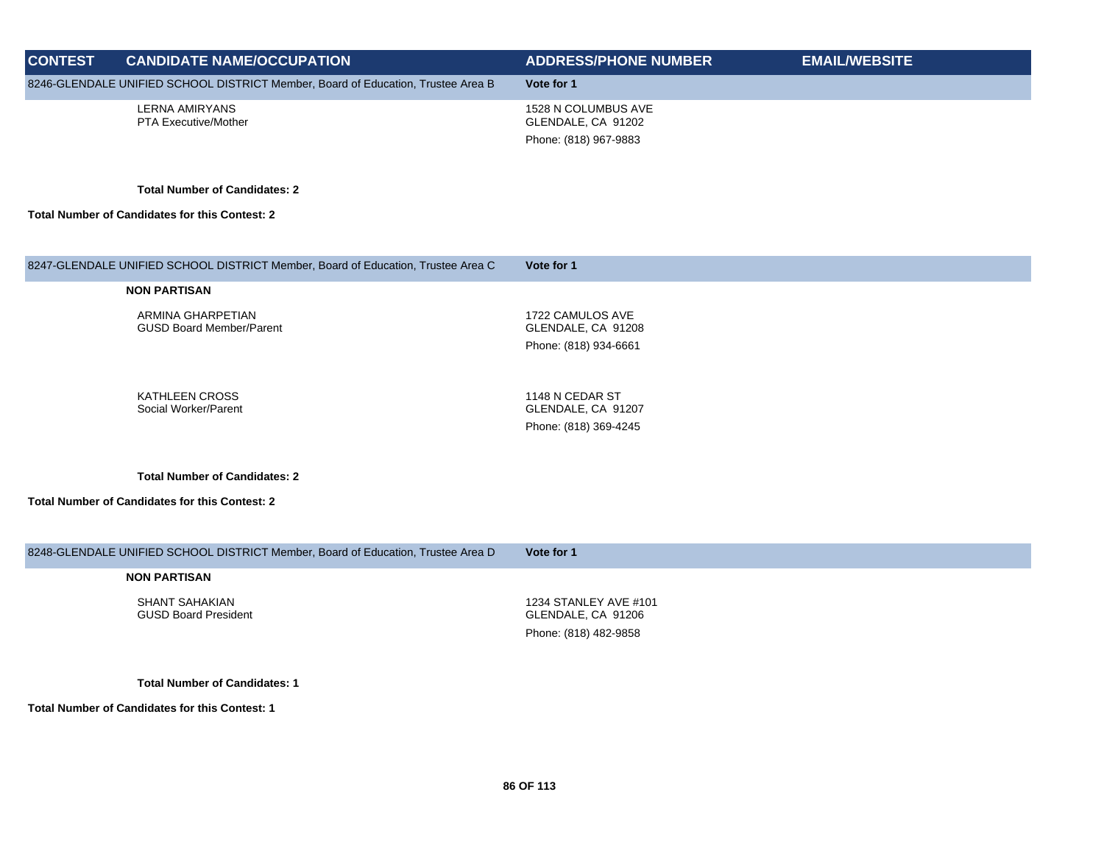| <b>CONTEST</b> | <b>CANDIDATE NAME/OCCUPATION</b>                                                 | <b>ADDRESS/PHONE NUMBER</b> | <b>EMAIL/WEBSITE</b> |
|----------------|----------------------------------------------------------------------------------|-----------------------------|----------------------|
|                | 8246-GLENDALE UNIFIED SCHOOL DISTRICT Member, Board of Education, Trustee Area B | Vote for 1                  |                      |
|                | <b>LERNA AMIRYANS</b>                                                            | 1528 N COLUMBUS AVE         |                      |
|                | PTA Executive/Mother                                                             | GLENDALE, CA 91202          |                      |
|                |                                                                                  | Phone: (818) 967-9883       |                      |
|                | <b>Total Number of Candidates: 2</b>                                             |                             |                      |
|                | <b>Total Number of Candidates for this Contest: 2</b>                            |                             |                      |
|                |                                                                                  |                             |                      |
|                | 8247-GLENDALE UNIFIED SCHOOL DISTRICT Member, Board of Education, Trustee Area C | Vote for 1                  |                      |
|                | <b>NON PARTISAN</b>                                                              |                             |                      |
|                |                                                                                  |                             |                      |
|                | ARMINA GHARPETIAN<br><b>GUSD Board Member/Parent</b>                             | 1722 CAMULOS AVE            |                      |
|                |                                                                                  | GLENDALE, CA 91208          |                      |
|                |                                                                                  | Phone: (818) 934-6661       |                      |
|                |                                                                                  |                             |                      |
|                | <b>KATHLEEN CROSS</b>                                                            | 1148 N CEDAR ST             |                      |
|                | Social Worker/Parent                                                             | GLENDALE, CA 91207          |                      |
|                |                                                                                  | Phone: (818) 369-4245       |                      |
|                | <b>Total Number of Candidates: 2</b>                                             |                             |                      |
|                |                                                                                  |                             |                      |
|                | <b>Total Number of Candidates for this Contest: 2</b>                            |                             |                      |
|                |                                                                                  |                             |                      |
|                | 8248-GLENDALE UNIFIED SCHOOL DISTRICT Member, Board of Education, Trustee Area D | Vote for 1                  |                      |

SHANT SAHAKIAN GUSD Board President

1234 STANLEY AVE #101 GLENDALE, CA 91206 Phone: (818) 482-9858

**Total Number of Candidates: 1**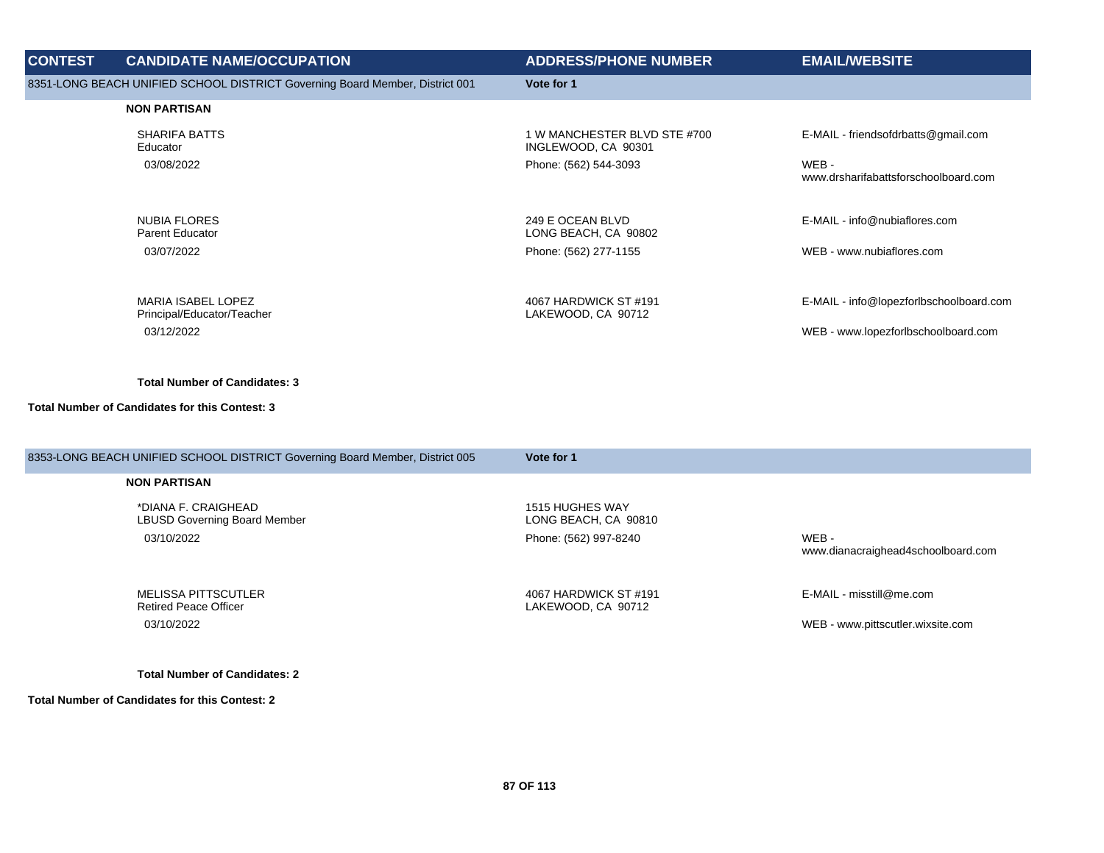| <b>CONTEST</b> | <b>CANDIDATE NAME/OCCUPATION</b>                                             | <b>ADDRESS/PHONE NUMBER</b>                         | <b>EMAIL/WEBSITE</b>                                                           |
|----------------|------------------------------------------------------------------------------|-----------------------------------------------------|--------------------------------------------------------------------------------|
|                | 8351-LONG BEACH UNIFIED SCHOOL DISTRICT Governing Board Member, District 001 | Vote for 1                                          |                                                                                |
|                | <b>NON PARTISAN</b>                                                          |                                                     |                                                                                |
|                | SHARIFA BATTS<br>Educator                                                    | 1 W MANCHESTER BLVD STE #700<br>INGLEWOOD, CA 90301 | E-MAIL - friendsofdrbatts@gmail.com                                            |
|                | 03/08/2022                                                                   | Phone: (562) 544-3093                               | WEB-<br>www.drsharifabattsforschoolboard.com                                   |
|                | <b>NUBIA FLORES</b><br><b>Parent Educator</b>                                | 249 E OCEAN BLVD<br>LONG BEACH, CA 90802            | E-MAIL - info@nubiaflores.com                                                  |
|                | 03/07/2022                                                                   | Phone: (562) 277-1155                               | WEB - www.nubiaflores.com                                                      |
|                | <b>MARIA ISABEL LOPEZ</b><br>Principal/Educator/Teacher<br>03/12/2022        | 4067 HARDWICK ST #191<br>LAKEWOOD, CA 90712         | E-MAIL - info@lopezforlbschoolboard.com<br>WEB - www.lopezforlbschoolboard.com |

#### **Total Number of Candidates for this Contest: 3**

| 8353-LONG BEACH UNIFIED SCHOOL DISTRICT Governing Board Member, District 005 | Vote for 1                                  |                                             |
|------------------------------------------------------------------------------|---------------------------------------------|---------------------------------------------|
| <b>NON PARTISAN</b>                                                          |                                             |                                             |
| *DIANA F. CRAIGHEAD<br><b>LBUSD Governing Board Member</b>                   | 1515 HUGHES WAY<br>LONG BEACH, CA 90810     |                                             |
| 03/10/2022                                                                   | Phone: (562) 997-8240                       | WEB -<br>www.dianacraighead4schoolboard.com |
| MELISSA PITTSCUTLER<br><b>Retired Peace Officer</b>                          | 4067 HARDWICK ST #191<br>LAKEWOOD, CA 90712 | E-MAIL - misstill@me.com                    |
| 03/10/2022                                                                   |                                             | WEB - www.pittscutler.wixsite.com           |
|                                                                              |                                             |                                             |

**Total Number of Candidates: 2**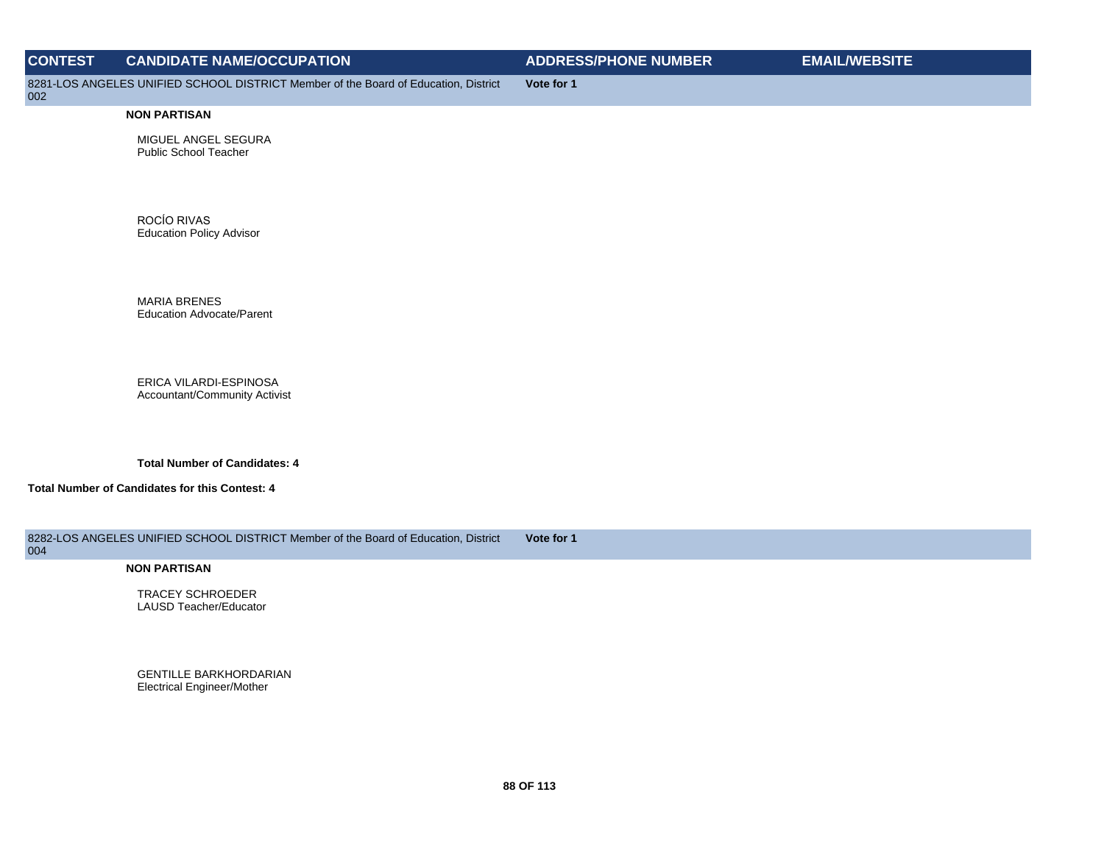| <b>CONTEST</b> | <b>CANDIDATE NAME/OCCUPATION</b>                                                    | <b>ADDRESS/PHONE NUMBER</b> | <b>EMAIL/WEBSITE</b> |
|----------------|-------------------------------------------------------------------------------------|-----------------------------|----------------------|
| 002            | 8281-LOS ANGELES UNIFIED SCHOOL DISTRICT Member of the Board of Education, District | Vote for 1                  |                      |

MIGUEL ANGEL SEGURA Public School Teacher

ROCÍO RIVAS Education Policy Advisor

MARIA BRENES Education Advocate/Parent

ERICA VILARDI-ESPINOSA Accountant/Community Activist

**Total Number of Candidates: 4**

**Total Number of Candidates for this Contest: 4**

8282-LOS ANGELES UNIFIED SCHOOL DISTRICT Member of the Board of Education, District **Vote for 1**

# 004

**NON PARTISAN**

TRACEY SCHROEDER LAUSD Teacher/Educator

GENTILLE BARKHORDARIAN Electrical Engineer/Mother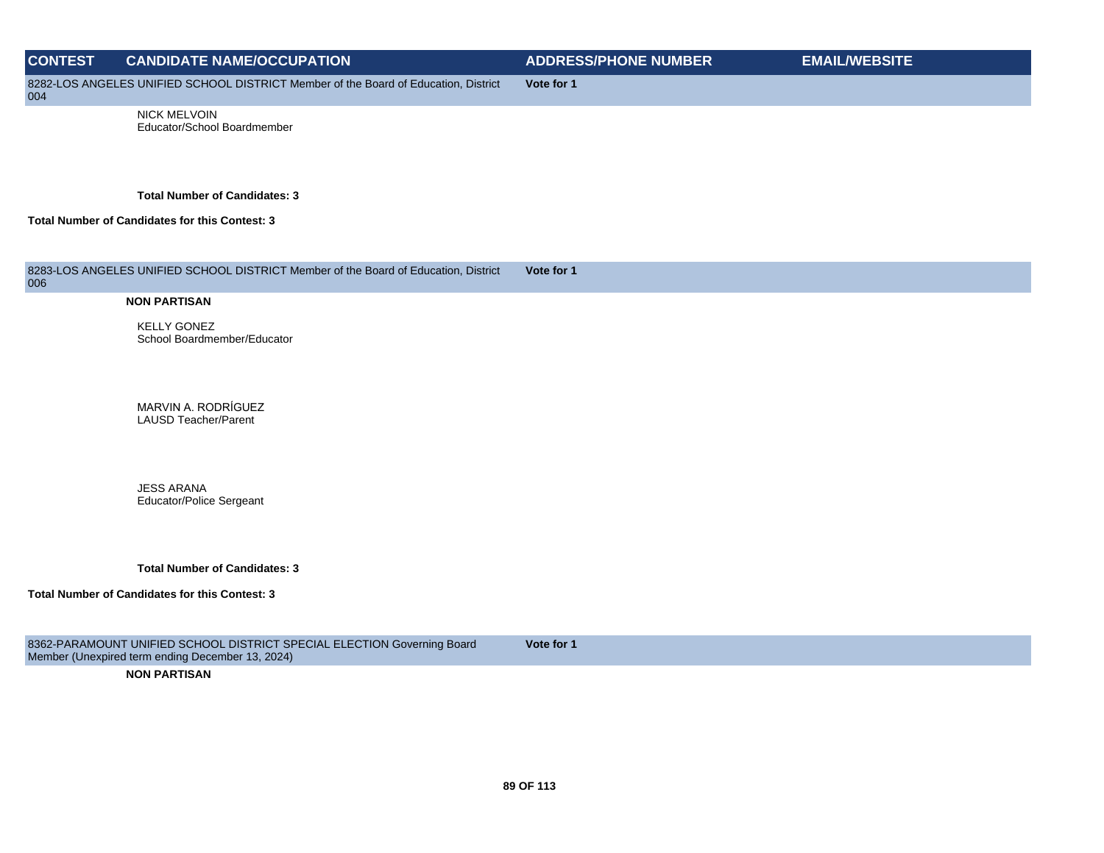# **CONTEST CANDIDATE NAME/OCCUPATION ADDRESS/PHONE NUMBER EMAIL/WEBSITE** 8282-LOS ANGELES UNIFIED SCHOOL DISTRICT Member of the Board of Education, District 004 **Vote for 1** NICK MELVOIN Educator/School Boardmember **Total Number of Candidates: 3 Total Number of Candidates for this Contest: 3**

8283-LOS ANGELES UNIFIED SCHOOL DISTRICT Member of the Board of Education, District 006 **Vote for 1**

## **NON PARTISAN**

KELLY GONEZ School Boardmember/Educator

MARVIN A. RODRÍGUEZ LAUSD Teacher/Parent

JESS ARANA Educator/Police Sergeant

**Total Number of Candidates: 3**

#### **Total Number of Candidates for this Contest: 3**

8362-PARAMOUNT UNIFIED SCHOOL DISTRICT SPECIAL ELECTION Governing Board Member (Unexpired term ending December 13, 2024)

**Vote for 1**

**NON PARTISAN**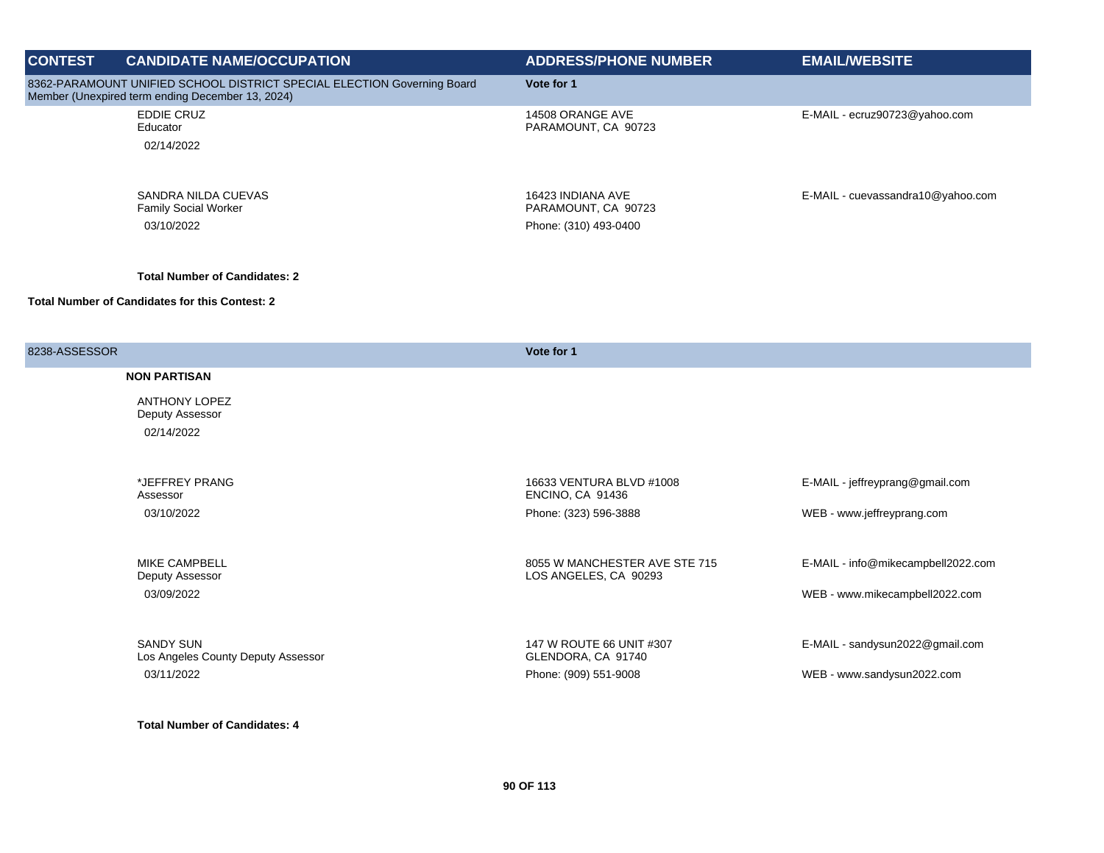| <b>CONTEST</b> | <b>CANDIDATE NAME/OCCUPATION</b>                                                                                            | <b>ADDRESS/PHONE NUMBER</b>              | <b>EMAIL/WEBSITE</b>              |
|----------------|-----------------------------------------------------------------------------------------------------------------------------|------------------------------------------|-----------------------------------|
|                | 8362-PARAMOUNT UNIFIED SCHOOL DISTRICT SPECIAL ELECTION Governing Board<br>Member (Unexpired term ending December 13, 2024) | Vote for 1                               |                                   |
|                | <b>EDDIE CRUZ</b><br>Educator                                                                                               | 14508 ORANGE AVE<br>PARAMOUNT, CA 90723  | E-MAIL - ecruz90723@yahoo.com     |
|                | 02/14/2022                                                                                                                  |                                          |                                   |
|                | SANDRA NILDA CUEVAS<br><b>Family Social Worker</b>                                                                          | 16423 INDIANA AVE<br>PARAMOUNT, CA 90723 | E-MAIL - cuevassandra10@yahoo.com |
|                | 03/10/2022                                                                                                                  | Phone: (310) 493-0400                    |                                   |
|                |                                                                                                                             |                                          |                                   |

#### **Total Number of Candidates for this Contest: 2**

| 8238-ASSESSOR |                                                        | Vote for 1                                             |                                    |
|---------------|--------------------------------------------------------|--------------------------------------------------------|------------------------------------|
|               | <b>NON PARTISAN</b>                                    |                                                        |                                    |
|               | <b>ANTHONY LOPEZ</b><br>Deputy Assessor                |                                                        |                                    |
|               | 02/14/2022                                             |                                                        |                                    |
|               |                                                        |                                                        |                                    |
|               | *JEFFREY PRANG<br>Assessor                             | 16633 VENTURA BLVD #1008<br>ENCINO, CA 91436           | E-MAIL - jeffreyprang@gmail.com    |
|               | 03/10/2022                                             | Phone: (323) 596-3888                                  | WEB - www.jeffreyprang.com         |
|               |                                                        |                                                        |                                    |
|               | <b>MIKE CAMPBELL</b><br>Deputy Assessor                | 8055 W MANCHESTER AVE STE 715<br>LOS ANGELES, CA 90293 | E-MAIL - info@mikecampbell2022.com |
|               | 03/09/2022                                             |                                                        | WEB - www.mikecampbell2022.com     |
|               |                                                        |                                                        |                                    |
|               | <b>SANDY SUN</b><br>Los Angeles County Deputy Assessor | 147 W ROUTE 66 UNIT #307<br>GLENDORA, CA 91740         | E-MAIL - sandysun2022@gmail.com    |
|               | 03/11/2022                                             | Phone: (909) 551-9008                                  | WEB - www.sandysun2022.com         |
|               |                                                        |                                                        |                                    |

**Total Number of Candidates: 4**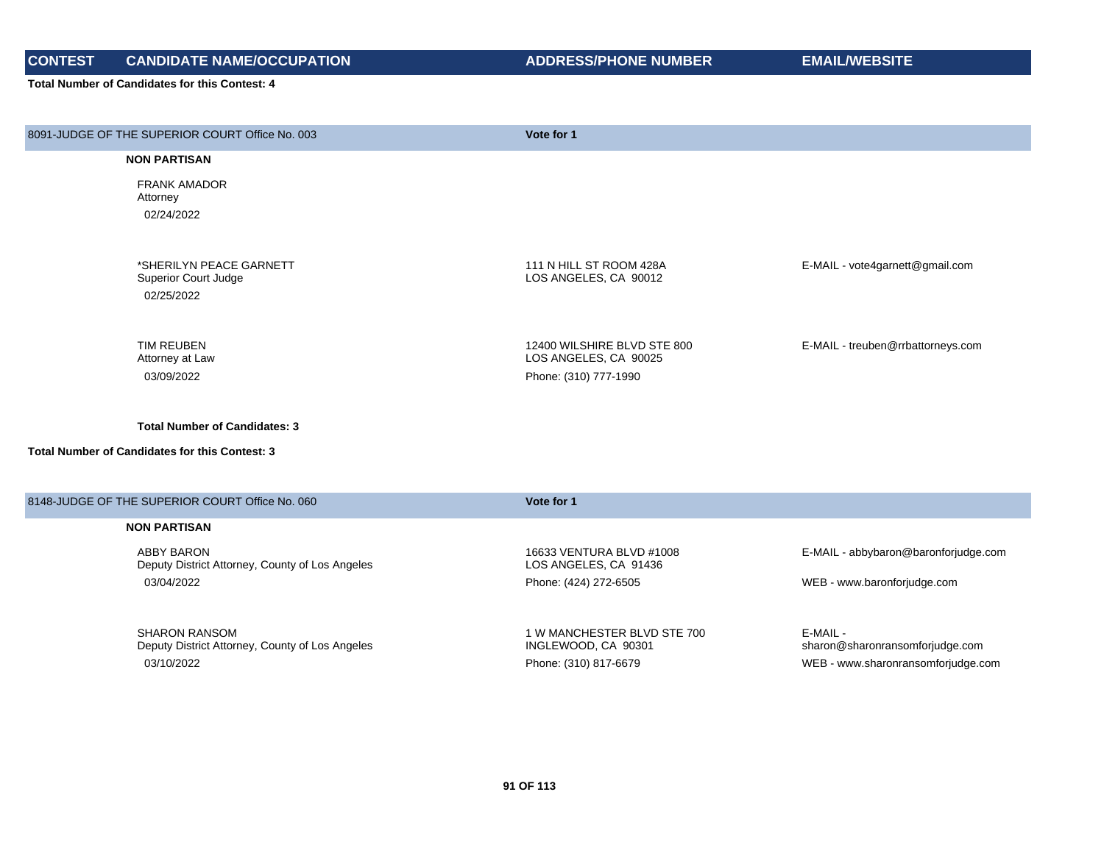# **CONTEST CANDIDATE NAME/OCCUPATION ADDRESS/PHONE NUMBER EMAIL/WEBSITE**

| 8091-JUDGE OF THE SUPERIOR COURT Office No. 003                         | Vote for 1                                           |                                             |
|-------------------------------------------------------------------------|------------------------------------------------------|---------------------------------------------|
| <b>NON PARTISAN</b>                                                     |                                                      |                                             |
| <b>FRANK AMADOR</b><br>Attorney                                         |                                                      |                                             |
| 02/24/2022                                                              |                                                      |                                             |
| *SHERILYN PEACE GARNETT<br>Superior Court Judge                         | 111 N HILL ST ROOM 428A<br>LOS ANGELES, CA 90012     | E-MAIL - vote4garnett@gmail.com             |
| 02/25/2022                                                              |                                                      |                                             |
| <b>TIM REUBEN</b><br>Attorney at Law                                    | 12400 WILSHIRE BLVD STE 800<br>LOS ANGELES, CA 90025 | E-MAIL - treuben@rrbattorneys.com           |
| 03/09/2022                                                              | Phone: (310) 777-1990                                |                                             |
| <b>Total Number of Candidates: 3</b>                                    |                                                      |                                             |
| <b>Total Number of Candidates for this Contest: 3</b>                   |                                                      |                                             |
| 8148-JUDGE OF THE SUPERIOR COURT Office No. 060                         | Vote for 1                                           |                                             |
| <b>NON PARTISAN</b>                                                     |                                                      |                                             |
| <b>ABBY BARON</b><br>Deputy District Attorney, County of Los Angeles    | 16633 VENTURA BLVD #1008<br>LOS ANGELES, CA 91436    | E-MAIL - abbybaron@baronforjudge.com        |
| 03/04/2022                                                              | Phone: (424) 272-6505                                | WEB - www.baronforjudge.com                 |
| <b>SHARON RANSOM</b><br>Deputy District Attorney, County of Los Angeles | 1 W MANCHESTER BLVD STE 700<br>INGLEWOOD, CA 90301   | E-MAIL -<br>sharon@sharonransomforjudge.com |
| 03/10/2022                                                              | Phone: (310) 817-6679                                | WEB - www.sharonransomforjudge.com          |
|                                                                         |                                                      |                                             |
|                                                                         |                                                      |                                             |
|                                                                         |                                                      |                                             |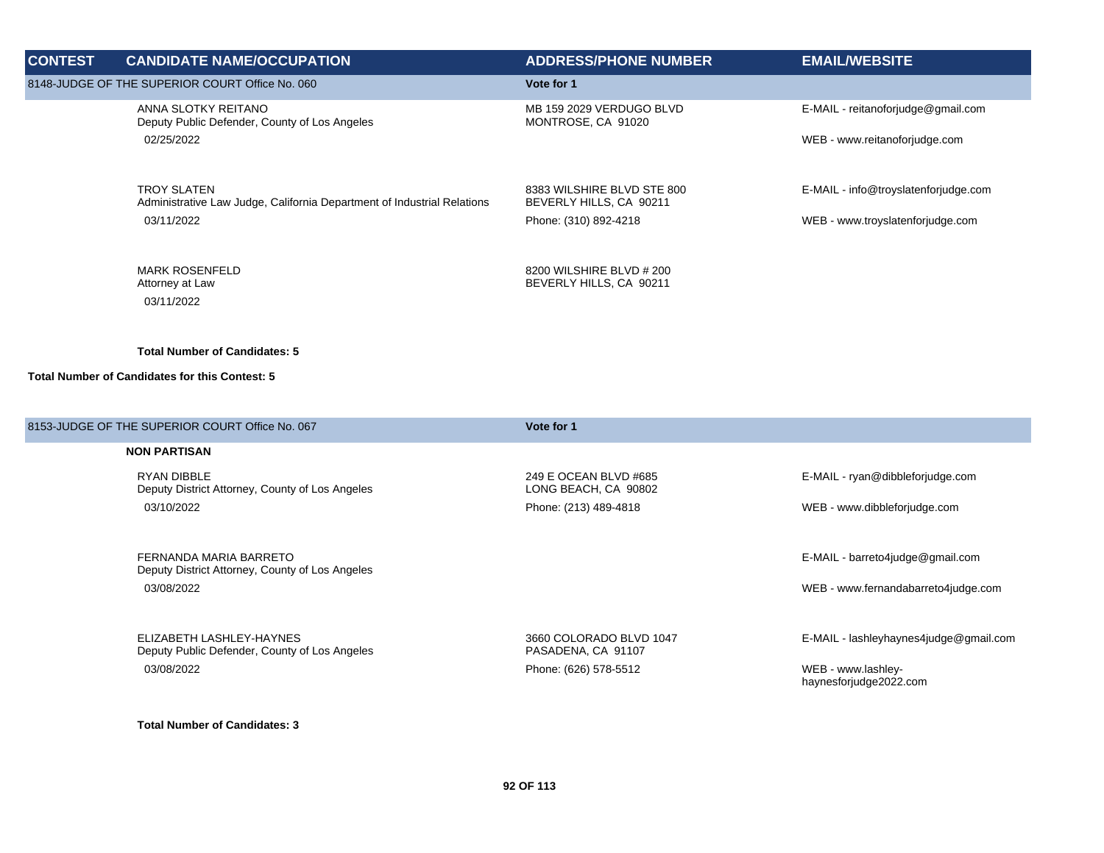| <b>CONTEST</b> | <b>CANDIDATE NAME/OCCUPATION</b>                                                              | <b>ADDRESS/PHONE NUMBER</b>                           | <b>EMAIL/WEBSITE</b>                 |
|----------------|-----------------------------------------------------------------------------------------------|-------------------------------------------------------|--------------------------------------|
|                | 8148-JUDGE OF THE SUPERIOR COURT Office No. 060                                               | Vote for 1                                            |                                      |
|                | ANNA SLOTKY REITANO<br>Deputy Public Defender, County of Los Angeles                          | MB 159 2029 VERDUGO BLVD<br>MONTROSE, CA 91020        | E-MAIL - reitanoforjudge@gmail.com   |
|                | 02/25/2022                                                                                    |                                                       | WEB - www.reitanoforjudge.com        |
|                | <b>TROY SLATEN</b><br>Administrative Law Judge, California Department of Industrial Relations | 8383 WILSHIRE BLVD STE 800<br>BEVERLY HILLS, CA 90211 | E-MAIL - info@troyslatenforjudge.com |
|                | 03/11/2022                                                                                    | Phone: (310) 892-4218                                 | WEB - www.troyslatenforjudge.com     |
|                | <b>MARK ROSENFELD</b><br>Attorney at Law<br>03/11/2022                                        | 8200 WILSHIRE BLVD # 200<br>BEVERLY HILLS, CA 90211   |                                      |
|                |                                                                                               |                                                       |                                      |
|                | <b>Total Number of Candidates: 5</b>                                                          |                                                       |                                      |
|                | Total Number of Candidates for this Contest: 5                                                |                                                       |                                      |

| 8153-JUDGE OF THE SUPERIOR COURT Office No. 067                           | Vote for 1                                    |                                              |
|---------------------------------------------------------------------------|-----------------------------------------------|----------------------------------------------|
| <b>NON PARTISAN</b>                                                       |                                               |                                              |
| <b>RYAN DIBBLE</b><br>Deputy District Attorney, County of Los Angeles     | 249 E OCEAN BLVD #685<br>LONG BEACH, CA 90802 | E-MAIL - ryan@dibbleforjudge.com             |
| 03/10/2022                                                                | Phone: (213) 489-4818                         | WEB - www.dibbleforjudge.com                 |
|                                                                           |                                               |                                              |
| FERNANDA MARIA BARRETO<br>Deputy District Attorney, County of Los Angeles |                                               | E-MAIL - barreto4judge@gmail.com             |
| 03/08/2022                                                                |                                               | WEB - www.fernandabarreto4judge.com          |
|                                                                           |                                               |                                              |
| ELIZABETH LASHLEY-HAYNES<br>Deputy Public Defender, County of Los Angeles | 3660 COLORADO BLVD 1047<br>PASADENA, CA 91107 | E-MAIL - lashleyhaynes4judge@gmail.com       |
| 03/08/2022                                                                | Phone: (626) 578-5512                         | WEB - www.lashley-<br>haynesforjudge2022.com |
|                                                                           |                                               |                                              |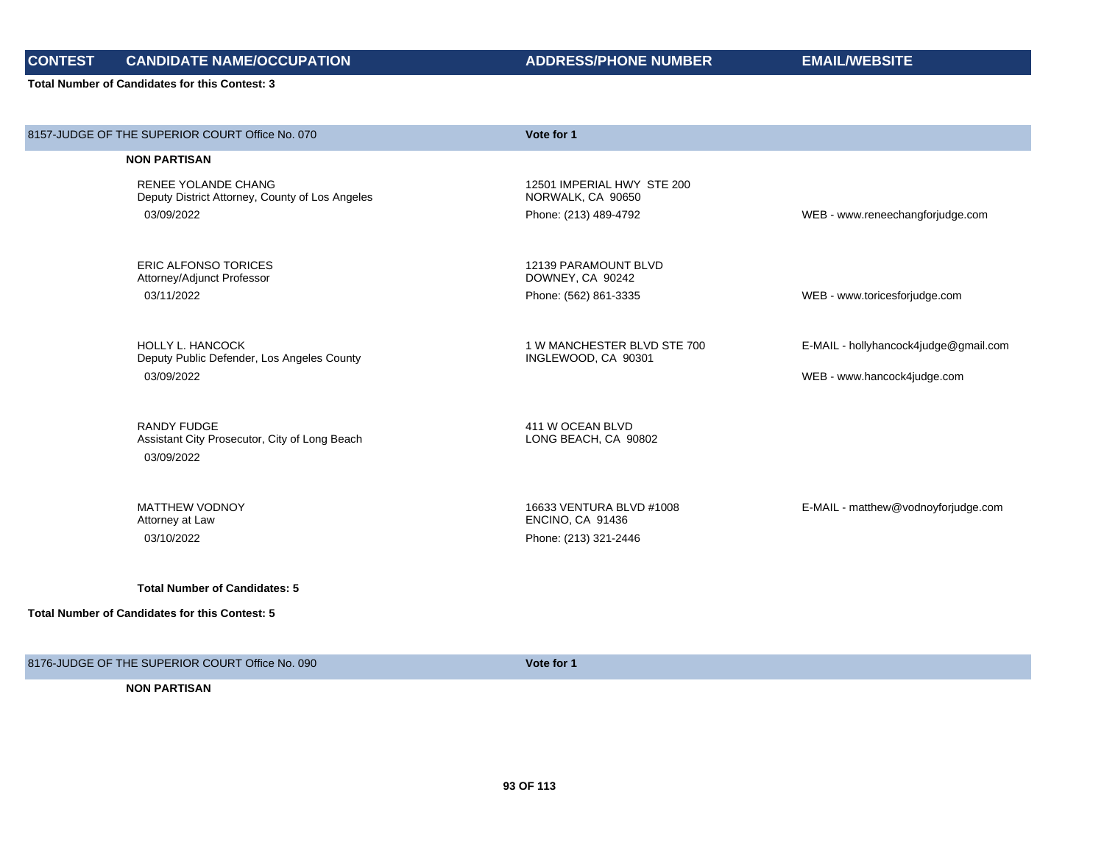**Total Number of Candidates for this Contest: 3**

| 8157-JUDGE OF THE SUPERIOR COURT Office No. 070                        | Vote for 1                                         |                                       |
|------------------------------------------------------------------------|----------------------------------------------------|---------------------------------------|
| <b>NON PARTISAN</b>                                                    |                                                    |                                       |
| RENEE YOLANDE CHANG<br>Deputy District Attorney, County of Los Angeles | 12501 IMPERIAL HWY STE 200<br>NORWALK, CA 90650    |                                       |
| 03/09/2022                                                             | Phone: (213) 489-4792                              | WEB - www.reneechangforjudge.com      |
|                                                                        |                                                    |                                       |
| <b>ERIC ALFONSO TORICES</b><br>Attorney/Adjunct Professor              | 12139 PARAMOUNT BLVD<br>DOWNEY, CA 90242           |                                       |
| 03/11/2022                                                             | Phone: (562) 861-3335                              | WEB - www.toricesforjudge.com         |
|                                                                        |                                                    |                                       |
| <b>HOLLY L. HANCOCK</b><br>Deputy Public Defender, Los Angeles County  | 1 W MANCHESTER BLVD STE 700<br>INGLEWOOD, CA 90301 | E-MAIL - hollyhancock4judge@gmail.com |
| 03/09/2022                                                             |                                                    | WEB - www.hancock4judge.com           |
|                                                                        |                                                    |                                       |
| <b>RANDY FUDGE</b><br>Assistant City Prosecutor, City of Long Beach    | 411 W OCEAN BLVD<br>LONG BEACH, CA 90802           |                                       |
| 03/09/2022                                                             |                                                    |                                       |
|                                                                        |                                                    |                                       |
| <b>MATTHEW VODNOY</b>                                                  | 16633 VENTURA BLVD #1008                           | E-MAIL - matthew@vodnoyforjudge.com   |
| Attorney at Law<br>03/10/2022                                          | ENCINO, CA 91436<br>Phone: (213) 321-2446          |                                       |
|                                                                        |                                                    |                                       |
| <b>Total Number of Candidates: 5</b>                                   |                                                    |                                       |
| <b>Total Number of Candidates for this Contest: 5</b>                  |                                                    |                                       |
|                                                                        |                                                    |                                       |

8176-JUDGE OF THE SUPERIOR COURT Office No. 090 **Vote for 1**

**NON PARTISAN**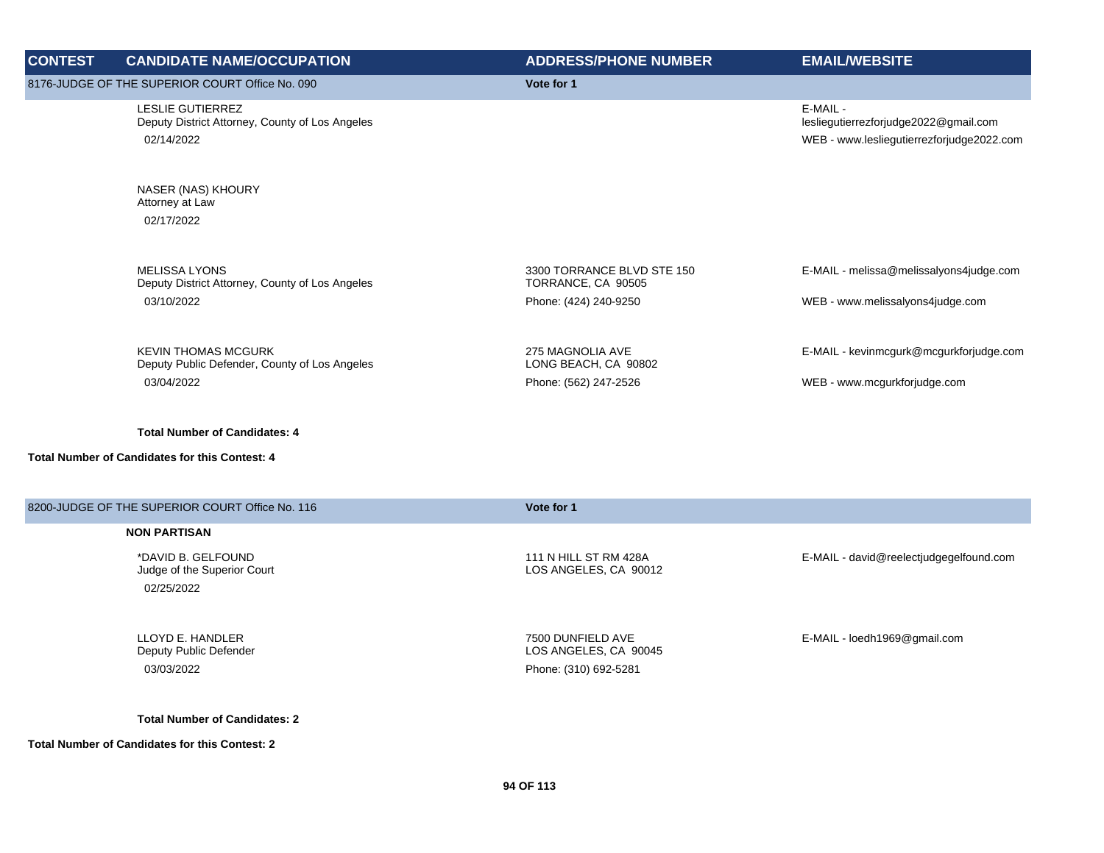| <b>CONTEST</b> | <b>CANDIDATE NAME/OCCUPATION</b>                                                         | <b>ADDRESS/PHONE NUMBER</b>                      | <b>EMAIL/WEBSITE</b>                                                                           |
|----------------|------------------------------------------------------------------------------------------|--------------------------------------------------|------------------------------------------------------------------------------------------------|
|                | 8176-JUDGE OF THE SUPERIOR COURT Office No. 090                                          | Vote for 1                                       |                                                                                                |
|                | <b>LESLIE GUTIERREZ</b><br>Deputy District Attorney, County of Los Angeles<br>02/14/2022 |                                                  | E-MAIL -<br>lesliegutierrezforjudge2022@gmail.com<br>WEB - www.lesliegutierrezforjudge2022.com |
|                | NASER (NAS) KHOURY<br>Attorney at Law<br>02/17/2022                                      |                                                  |                                                                                                |
|                | <b>MELISSA LYONS</b><br>Deputy District Attorney, County of Los Angeles                  | 3300 TORRANCE BLVD STE 150<br>TORRANCE, CA 90505 | E-MAIL - melissa@melissalyons4judge.com                                                        |
|                | 03/10/2022                                                                               | Phone: (424) 240-9250                            | WEB - www.melissalyons4judge.com                                                               |
|                | <b>KEVIN THOMAS MCGURK</b><br>Deputy Public Defender, County of Los Angeles              | 275 MAGNOLIA AVE<br>LONG BEACH, CA 90802         | E-MAIL - kevinmcgurk@mcgurkforjudge.com                                                        |
|                | 03/04/2022                                                                               | Phone: (562) 247-2526                            | WEB - www.mcgurkforjudge.com                                                                   |
|                | <b>Total Number of Candidates: 4</b>                                                     |                                                  |                                                                                                |
|                | <b>Total Number of Candidates for this Contest: 4</b>                                    |                                                  |                                                                                                |
|                | 8200-JUDGE OF THE SUPERIOR COURT Office No. 116                                          | Vote for 1                                       |                                                                                                |

\*DAVID B. GELFOUND Judge of the Superior Court 02/25/2022

LLOYD E. HANDLER Deputy Public Defender 03/03/2022 Phone: (310) 692-5281

**Total Number of Candidates: 2**

**Total Number of Candidates for this Contest: 2**

111 N HILL ST RM 428A LOS ANGELES, CA 90012

7500 DUNFIELD AVE LOS ANGELES, CA 90045 E-MAIL - david@reelectjudgegelfound.com

E-MAIL - loedh1969@gmail.com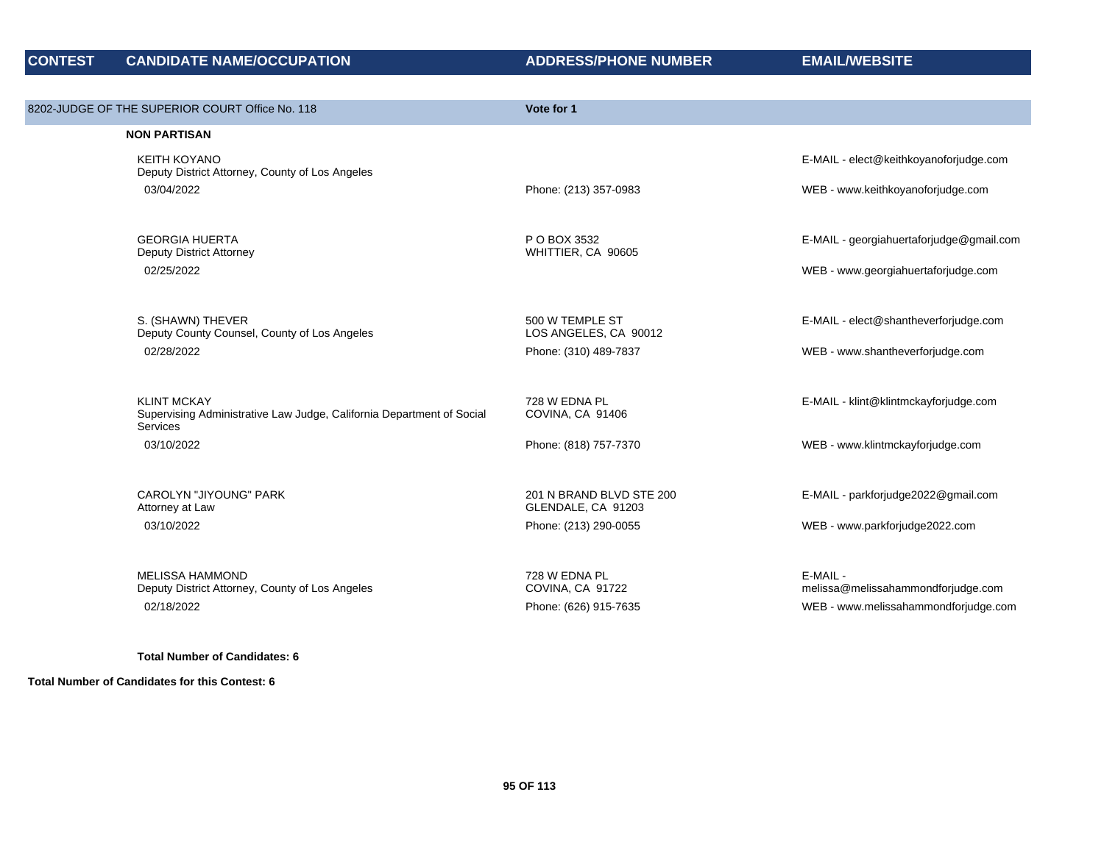| 8202-JUDGE OF THE SUPERIOR COURT Office No. 118                                                                | Vote for 1                                     |                                                                            |
|----------------------------------------------------------------------------------------------------------------|------------------------------------------------|----------------------------------------------------------------------------|
| <b>NON PARTISAN</b>                                                                                            |                                                |                                                                            |
| <b>KEITH KOYANO</b><br>Deputy District Attorney, County of Los Angeles                                         |                                                | E-MAIL - elect@keithkoyanoforjudge.com                                     |
| 03/04/2022                                                                                                     | Phone: (213) 357-0983                          | WEB - www.keithkoyanoforjudge.com                                          |
| <b>GEORGIA HUERTA</b><br>Deputy District Attorney                                                              | P O BOX 3532<br>WHITTIER, CA 90605             | E-MAIL - georgiahuertaforjudge@gmail.com                                   |
| 02/25/2022                                                                                                     |                                                | WEB - www.georgiahuertaforjudge.com                                        |
| S. (SHAWN) THEVER<br>Deputy County Counsel, County of Los Angeles                                              | 500 W TEMPLE ST<br>LOS ANGELES, CA 90012       | E-MAIL - elect@shantheverforjudge.com                                      |
| 02/28/2022                                                                                                     | Phone: (310) 489-7837                          | WEB - www.shantheverforjudge.com                                           |
| <b>KLINT MCKAY</b><br>Supervising Administrative Law Judge, California Department of Social<br><b>Services</b> | 728 W EDNA PL<br>COVINA, CA 91406              | E-MAIL - klint@klintmckayforjudge.com                                      |
| 03/10/2022                                                                                                     | Phone: (818) 757-7370                          | WEB - www.klintmckayforjudge.com                                           |
| <b>CAROLYN "JIYOUNG" PARK</b><br>Attorney at Law                                                               | 201 N BRAND BLVD STE 200<br>GLENDALE, CA 91203 | E-MAIL - parkforjudge2022@gmail.com                                        |
| 03/10/2022                                                                                                     | Phone: (213) 290-0055                          | WEB - www.parkforjudge2022.com                                             |
| <b>MELISSA HAMMOND</b>                                                                                         | 728 W EDNA PL                                  | E-MAIL -                                                                   |
| Deputy District Attorney, County of Los Angeles<br>02/18/2022                                                  | COVINA, CA 91722<br>Phone: (626) 915-7635      | melissa@melissahammondforjudge.com<br>WEB - www.melissahammondforjudge.com |
|                                                                                                                |                                                |                                                                            |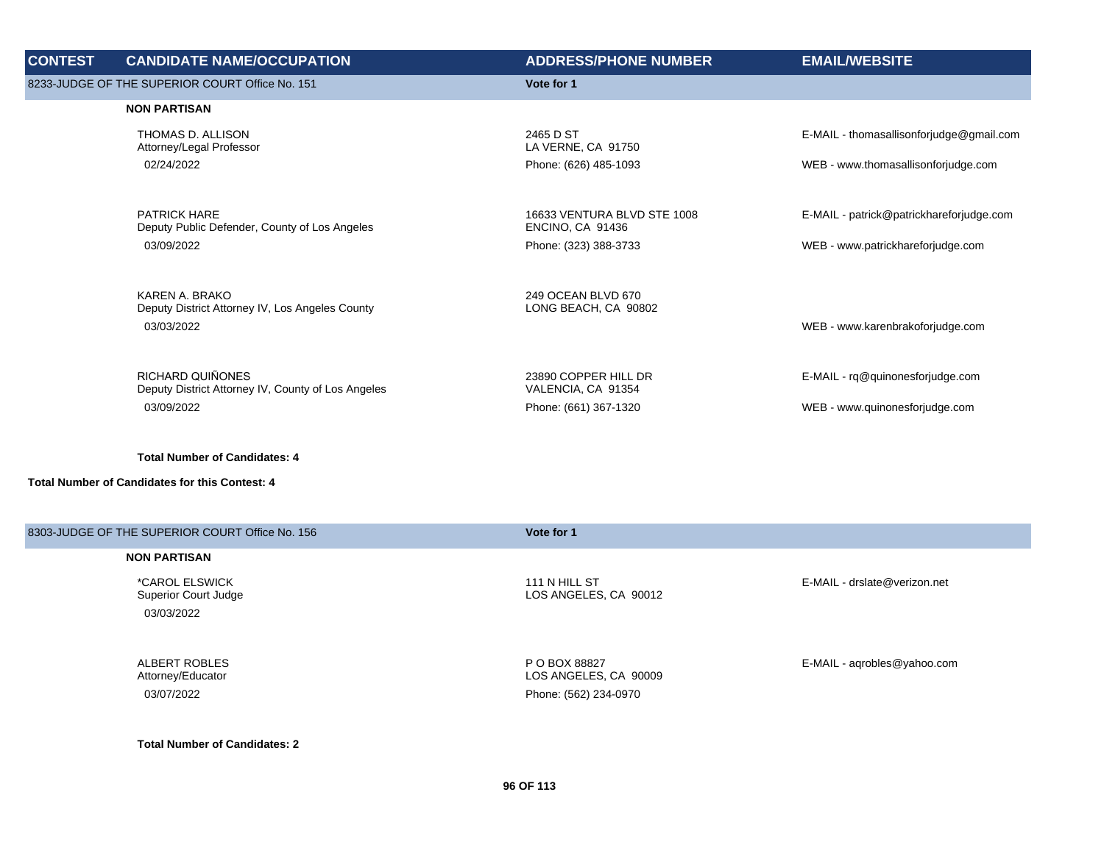| <b>CONTEST</b> | <b>CANDIDATE NAME/OCCUPATION</b>                                     | <b>ADDRESS/PHONE NUMBER</b>                            | <b>EMAIL/WEBSITE</b>                     |
|----------------|----------------------------------------------------------------------|--------------------------------------------------------|------------------------------------------|
|                | 8233-JUDGE OF THE SUPERIOR COURT Office No. 151                      | Vote for 1                                             |                                          |
|                | <b>NON PARTISAN</b>                                                  |                                                        |                                          |
|                | THOMAS D. ALLISON<br>Attorney/Legal Professor                        | 2465 D ST<br>LA VERNE, CA 91750                        | E-MAIL - thomasallisonforjudge@gmail.com |
|                | 02/24/2022                                                           | Phone: (626) 485-1093                                  | WEB - www.thomasallisonforjudge.com      |
|                |                                                                      |                                                        |                                          |
|                | <b>PATRICK HARE</b><br>Deputy Public Defender, County of Los Angeles | 16633 VENTURA BLVD STE 1008<br><b>ENCINO, CA 91436</b> | E-MAIL - patrick@patrickhareforjudge.com |
|                | 03/09/2022                                                           | Phone: (323) 388-3733                                  | WEB - www.patrickhareforjudge.com        |
|                | KAREN A. BRAKO                                                       | 249 OCEAN BLVD 670                                     |                                          |
|                | Deputy District Attorney IV, Los Angeles County                      | LONG BEACH, CA 90802                                   |                                          |
|                | 03/03/2022                                                           |                                                        | WEB - www.karenbrakoforjudge.com         |
|                | RICHARD QUIÑONES                                                     | 23890 COPPER HILL DR                                   | E-MAIL - rq@quinonesforjudge.com         |
|                | Deputy District Attorney IV, County of Los Angeles                   | VALENCIA, CA 91354                                     |                                          |
|                | 03/09/2022                                                           | Phone: (661) 367-1320                                  | WEB - www.quinonesforjudge.com           |
|                |                                                                      |                                                        |                                          |

**Total Number of Candidates for this Contest: 4**

| 8303-JUDGE OF THE SUPERIOR COURT Office No. 156 | Vote for 1                             |                              |
|-------------------------------------------------|----------------------------------------|------------------------------|
| <b>NON PARTISAN</b>                             |                                        |                              |
| *CAROL ELSWICK<br>Superior Court Judge          | 111 N HILL ST<br>LOS ANGELES, CA 90012 | E-MAIL - drslate@verizon.net |
| 03/03/2022                                      |                                        |                              |
|                                                 |                                        |                              |
| ALBERT ROBLES<br>Attorney/Educator              | P O BOX 88827<br>LOS ANGELES, CA 90009 | E-MAIL - agrobles@yahoo.com  |
| 03/07/2022                                      | Phone: (562) 234-0970                  |                              |

**Total Number of Candidates: 2**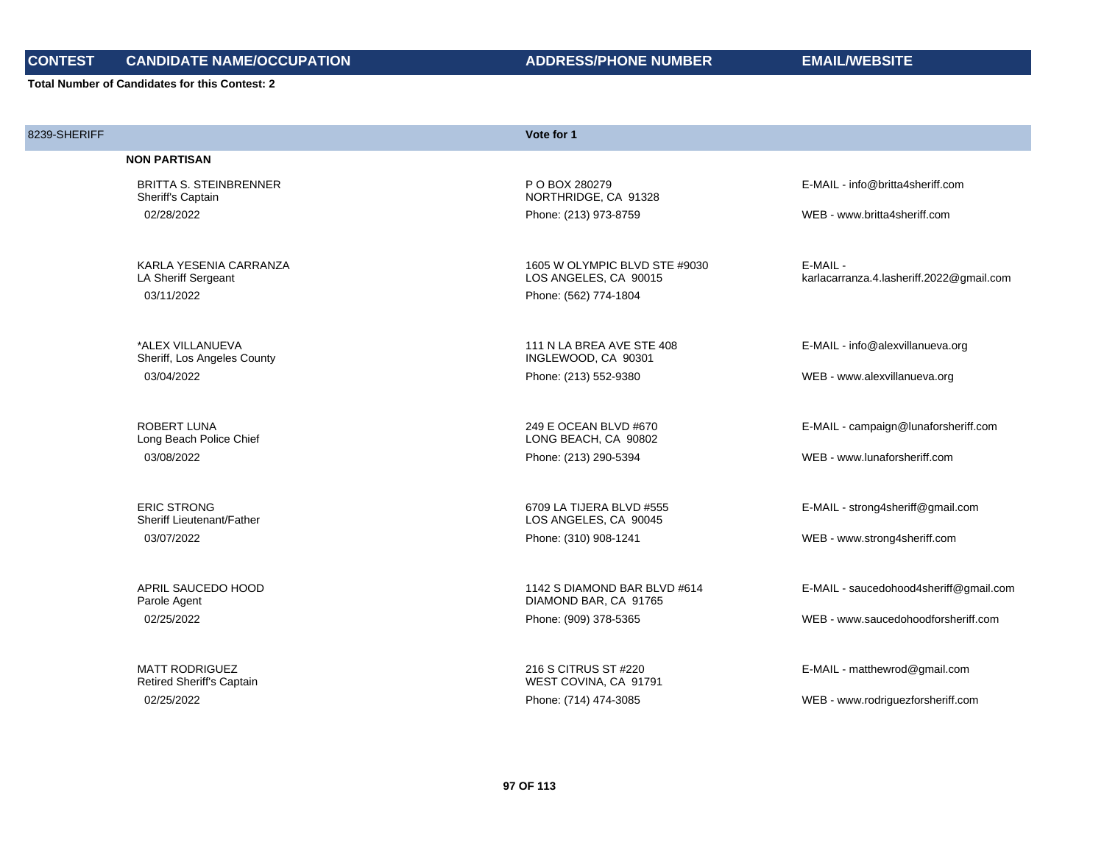# **CONTEST CANDIDATE NAME/OCCUPATION ADDRESS/PHONE NUMBER EMAIL/WEBSITE**

|  | <b>ADDRESS/PHONE NUMBER</b> |
|--|-----------------------------|
|--|-----------------------------|

| 8239-SHERIFF |                                                    | Vote for 1                                             |                                                      |
|--------------|----------------------------------------------------|--------------------------------------------------------|------------------------------------------------------|
|              | <b>NON PARTISAN</b>                                |                                                        |                                                      |
|              | <b>BRITTA S. STEINBRENNER</b><br>Sheriff's Captain | P O BOX 280279<br>NORTHRIDGE, CA 91328                 | E-MAIL - info@britta4sheriff.com                     |
|              | 02/28/2022                                         | Phone: (213) 973-8759                                  | WEB - www.britta4sheriff.com                         |
|              |                                                    |                                                        |                                                      |
|              | KARLA YESENIA CARRANZA<br>LA Sheriff Sergeant      | 1605 W OLYMPIC BLVD STE #9030<br>LOS ANGELES, CA 90015 | E-MAIL -<br>karlacarranza.4.lasheriff.2022@gmail.com |
|              | 03/11/2022                                         | Phone: (562) 774-1804                                  |                                                      |
|              |                                                    |                                                        |                                                      |
|              | *ALEX VILLANUEVA<br>Sheriff, Los Angeles County    | 111 N LA BREA AVE STE 408<br>INGLEWOOD, CA 90301       | E-MAIL - info@alexvillanueva.org                     |
|              | 03/04/2022                                         | Phone: (213) 552-9380                                  | WEB - www.alexvillanueva.org                         |
|              | <b>ROBERT LUNA</b>                                 | 249 E OCEAN BLVD #670                                  |                                                      |
|              | Long Beach Police Chief                            | LONG BEACH, CA 90802                                   | E-MAIL - campaign@lunaforsheriff.com                 |
|              | 03/08/2022                                         | Phone: (213) 290-5394                                  | WEB - www.lunaforsheriff.com                         |
|              | <b>ERIC STRONG</b>                                 | 6709 LA TIJERA BLVD #555                               | E-MAIL - strong4sheriff@gmail.com                    |
|              | Sheriff Lieutenant/Father                          | LOS ANGELES, CA 90045                                  |                                                      |
|              | 03/07/2022                                         | Phone: (310) 908-1241                                  | WEB - www.strong4sheriff.com                         |
|              | APRIL SAUCEDO HOOD                                 | 1142 S DIAMOND BAR BLVD #614                           | E-MAIL - saucedohood4sheriff@gmail.com               |
|              | Parole Agent                                       | DIAMOND BAR, CA 91765                                  |                                                      |
|              | 02/25/2022                                         | Phone: (909) 378-5365                                  | WEB - www.saucedohoodforsheriff.com                  |
|              | <b>MATT RODRIGUEZ</b>                              | 216 S CITRUS ST #220                                   | E-MAIL - matthewrod@gmail.com                        |
|              | <b>Retired Sheriff's Captain</b>                   | WEST COVINA, CA 91791                                  |                                                      |
|              | 02/25/2022                                         | Phone: (714) 474-3085                                  | WEB - www.rodriguezforsheriff.com                    |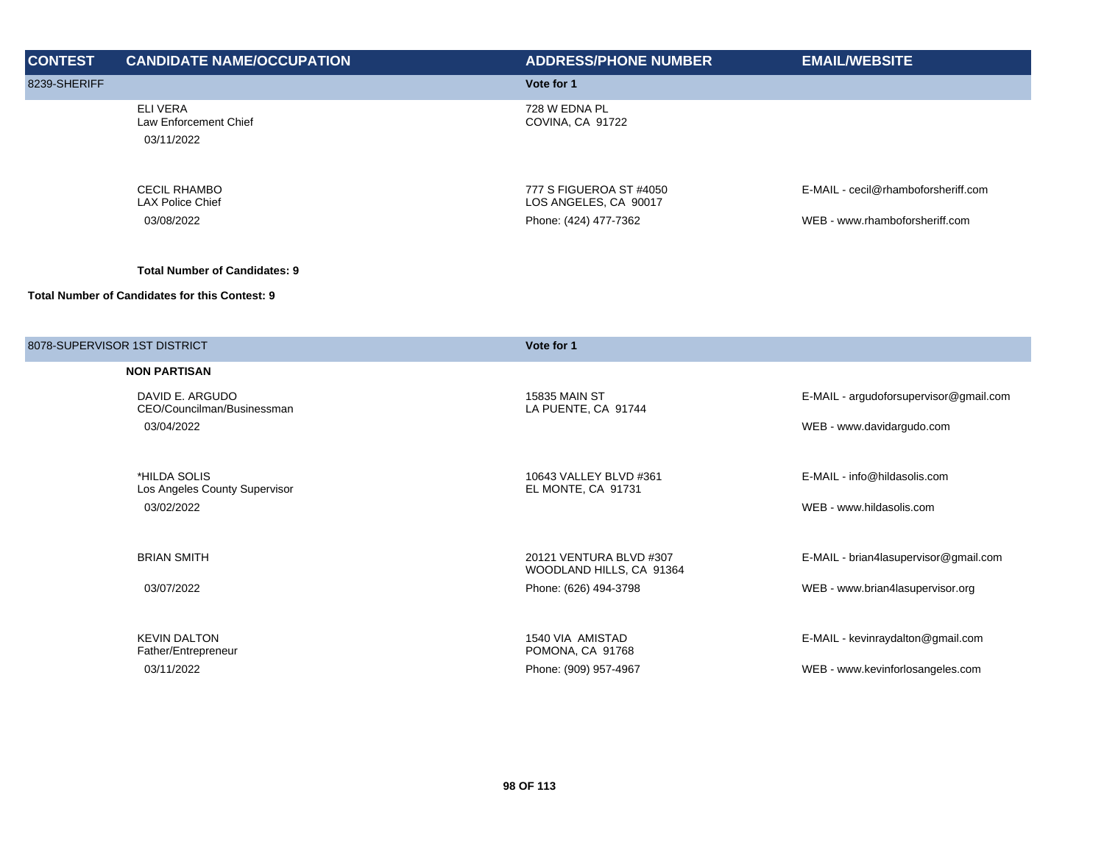| <b>CONTEST</b>               | <b>CANDIDATE NAME/OCCUPATION</b>                      | <b>ADDRESS/PHONE NUMBER</b>                         | <b>EMAIL/WEBSITE</b>                   |
|------------------------------|-------------------------------------------------------|-----------------------------------------------------|----------------------------------------|
| 8239-SHERIFF                 |                                                       | Vote for 1                                          |                                        |
|                              | <b>ELIVERA</b><br>Law Enforcement Chief<br>03/11/2022 | 728 W EDNA PL<br>COVINA, CA 91722                   |                                        |
|                              | <b>CECIL RHAMBO</b><br><b>LAX Police Chief</b>        | 777 S FIGUEROA ST #4050<br>LOS ANGELES, CA 90017    | E-MAIL - cecil@rhamboforsheriff.com    |
|                              | 03/08/2022                                            | Phone: (424) 477-7362                               | WEB - www.rhamboforsheriff.com         |
|                              | <b>Total Number of Candidates: 9</b>                  |                                                     |                                        |
|                              | <b>Total Number of Candidates for this Contest: 9</b> |                                                     |                                        |
| 8078-SUPERVISOR 1ST DISTRICT |                                                       | Vote for 1                                          |                                        |
|                              | <b>NON PARTISAN</b>                                   |                                                     |                                        |
|                              | DAVID E. ARGUDO<br>CEO/Councilman/Businessman         | <b>15835 MAIN ST</b><br>LA PUENTE, CA 91744         | E-MAIL - argudoforsupervisor@gmail.com |
|                              | 03/04/2022                                            |                                                     | WEB - www.davidargudo.com              |
|                              | *HILDA SOLIS                                          | 10643 VALLEY BLVD #361                              | E-MAIL - info@hildasolis.com           |
|                              | Los Angeles County Supervisor<br>03/02/2022           | EL MONTE, CA 91731                                  | WEB - www.hildasolis.com               |
|                              | <b>BRIAN SMITH</b>                                    | 20121 VENTURA BLVD #307<br>WOODLAND HILLS, CA 91364 | E-MAIL - brian4lasupervisor@gmail.com  |
|                              | 03/07/2022                                            | Phone: (626) 494-3798                               | WEB - www.brian4lasupervisor.org       |
|                              | <b>KEVIN DALTON</b><br>Father/Entrepreneur            | 1540 VIA AMISTAD<br>POMONA, CA 91768                | E-MAIL - kevinraydalton@gmail.com      |
|                              | 03/11/2022                                            | Phone: (909) 957-4967                               | WEB - www.kevinforlosangeles.com       |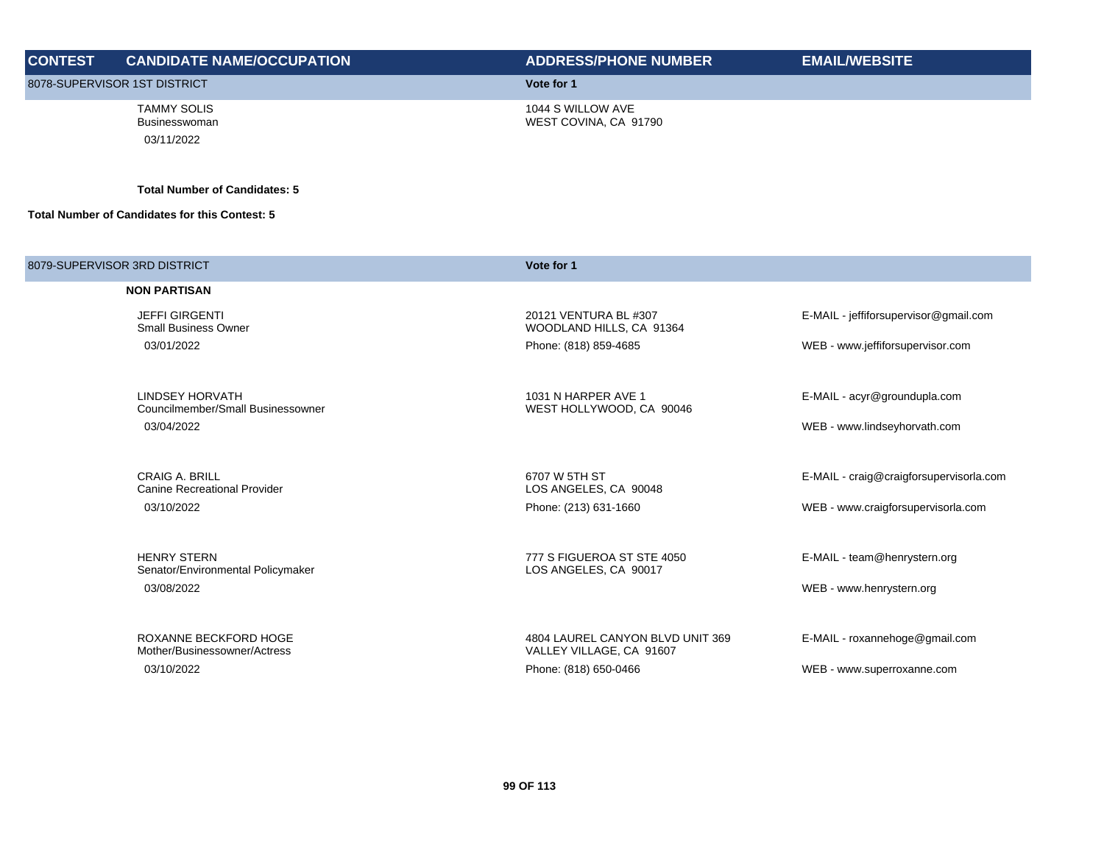| <b>CONTEST</b>                                 | <b>CANDIDATE NAME/OCCUPATION</b>                  | <b>ADDRESS/PHONE NUMBER</b>                | <b>EMAIL/WEBSITE</b> |
|------------------------------------------------|---------------------------------------------------|--------------------------------------------|----------------------|
| 8078-SUPERVISOR 1ST DISTRICT                   |                                                   | Vote for 1                                 |                      |
|                                                | <b>TAMMY SOLIS</b><br>Businesswoman<br>03/11/2022 | 1044 S WILLOW AVE<br>WEST COVINA, CA 91790 |                      |
|                                                | <b>Total Number of Candidates: 5</b>              |                                            |                      |
| Total Number of Candidates for this Contest: 5 |                                                   |                                            |                      |
|                                                |                                                   |                                            |                      |
|                                                | 8079-SUPERVISOR 3RD DISTRICT                      | Vote for 1                                 |                      |

| <b>NON PARTISAN</b>                                     |                                                              |                                         |
|---------------------------------------------------------|--------------------------------------------------------------|-----------------------------------------|
| <b>JEFFI GIRGENTI</b><br><b>Small Business Owner</b>    | 20121 VENTURA BL #307<br>WOODLAND HILLS, CA 91364            | E-MAIL - jeffiforsupervisor@gmail.com   |
| 03/01/2022                                              | Phone: (818) 859-4685                                        | WEB - www.jeffiforsupervisor.com        |
| LINDSEY HORVATH<br>Councilmember/Small Businessowner    | 1031 N HARPER AVE 1<br>WEST HOLLYWOOD, CA 90046              | E-MAIL - acyr@groundupla.com            |
| 03/04/2022                                              |                                                              | WEB - www.lindseyhorvath.com            |
|                                                         |                                                              |                                         |
| <b>CRAIG A. BRILL</b><br>Canine Recreational Provider   | 6707 W 5TH ST<br>LOS ANGELES, CA 90048                       | E-MAIL - craig@craigforsupervisorla.com |
| 03/10/2022                                              | Phone: (213) 631-1660                                        | WEB - www.craigforsupervisorla.com      |
|                                                         |                                                              |                                         |
| <b>HENRY STERN</b><br>Senator/Environmental Policymaker | 777 S FIGUEROA ST STE 4050<br>LOS ANGELES, CA 90017          | E-MAIL - team@henrystern.org            |
| 03/08/2022                                              |                                                              | WEB - www.henrystern.org                |
|                                                         |                                                              |                                         |
| ROXANNE BECKFORD HOGE<br>Mother/Businessowner/Actress   | 4804 LAUREL CANYON BLVD UNIT 369<br>VALLEY VILLAGE, CA 91607 | E-MAIL - roxannehoge@gmail.com          |
| 03/10/2022                                              | Phone: (818) 650-0466                                        | WEB - www.superroxanne.com              |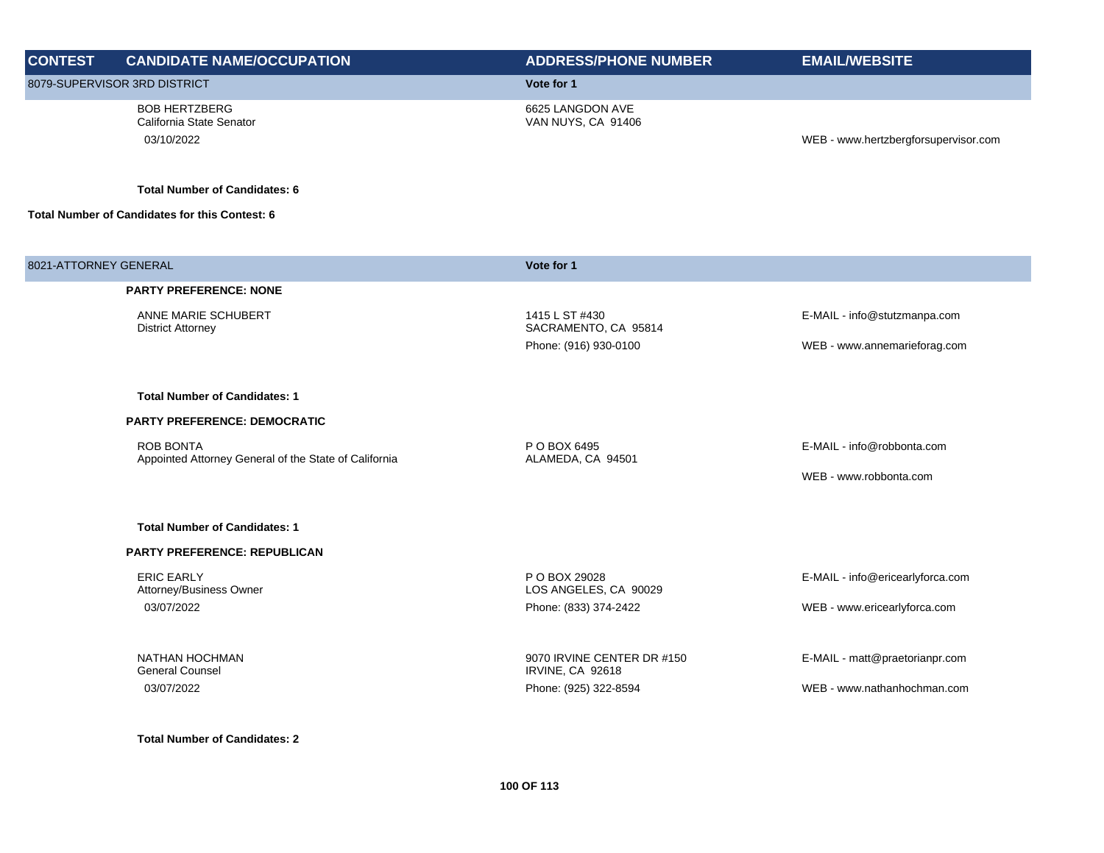| <b>CONTEST</b>        | <b>CANDIDATE NAME/OCCUPATION</b>                                          | <b>ADDRESS/PHONE NUMBER</b>                           | <b>EMAIL/WEBSITE</b>                 |
|-----------------------|---------------------------------------------------------------------------|-------------------------------------------------------|--------------------------------------|
|                       | 8079-SUPERVISOR 3RD DISTRICT                                              | Vote for 1                                            |                                      |
|                       | <b>BOB HERTZBERG</b><br>California State Senator<br>03/10/2022            | 6625 LANGDON AVE<br>VAN NUYS, CA 91406                | WEB - www.hertzbergforsupervisor.com |
|                       | <b>Total Number of Candidates: 6</b>                                      |                                                       |                                      |
|                       | Total Number of Candidates for this Contest: 6                            |                                                       |                                      |
| 8021-ATTORNEY GENERAL |                                                                           | Vote for 1                                            |                                      |
|                       | <b>PARTY PREFERENCE: NONE</b>                                             |                                                       |                                      |
|                       | ANNE MARIE SCHUBERT<br><b>District Attorney</b>                           | 1415 L ST #430<br>SACRAMENTO, CA 95814                | E-MAIL - info@stutzmanpa.com         |
|                       |                                                                           | Phone: (916) 930-0100                                 | WEB - www.annemarieforag.com         |
|                       | <b>Total Number of Candidates: 1</b>                                      |                                                       |                                      |
|                       | <b>PARTY PREFERENCE: DEMOCRATIC</b>                                       |                                                       |                                      |
|                       | <b>ROB BONTA</b><br>Appointed Attorney General of the State of California | P O BOX 6495<br>ALAMEDA, CA 94501                     | E-MAIL - info@robbonta.com           |
|                       |                                                                           |                                                       | WEB - www.robbonta.com               |
|                       | <b>Total Number of Candidates: 1</b>                                      |                                                       |                                      |
|                       | <b>PARTY PREFERENCE: REPUBLICAN</b>                                       |                                                       |                                      |
|                       | <b>ERIC EARLY</b><br>Attorney/Business Owner                              | P O BOX 29028<br>LOS ANGELES, CA 90029                | E-MAIL - info@ericearlyforca.com     |
|                       | 03/07/2022                                                                | Phone: (833) 374-2422                                 | WEB - www.ericearlyforca.com         |
|                       | NATHAN HOCHMAN<br><b>General Counsel</b>                                  | 9070 IRVINE CENTER DR #150<br><b>IRVINE, CA 92618</b> | E-MAIL - matt@praetorianpr.com       |
|                       | 03/07/2022                                                                | Phone: (925) 322-8594                                 | WEB - www.nathanhochman.com          |
|                       | <b>Total Number of Candidates: 2</b>                                      |                                                       |                                      |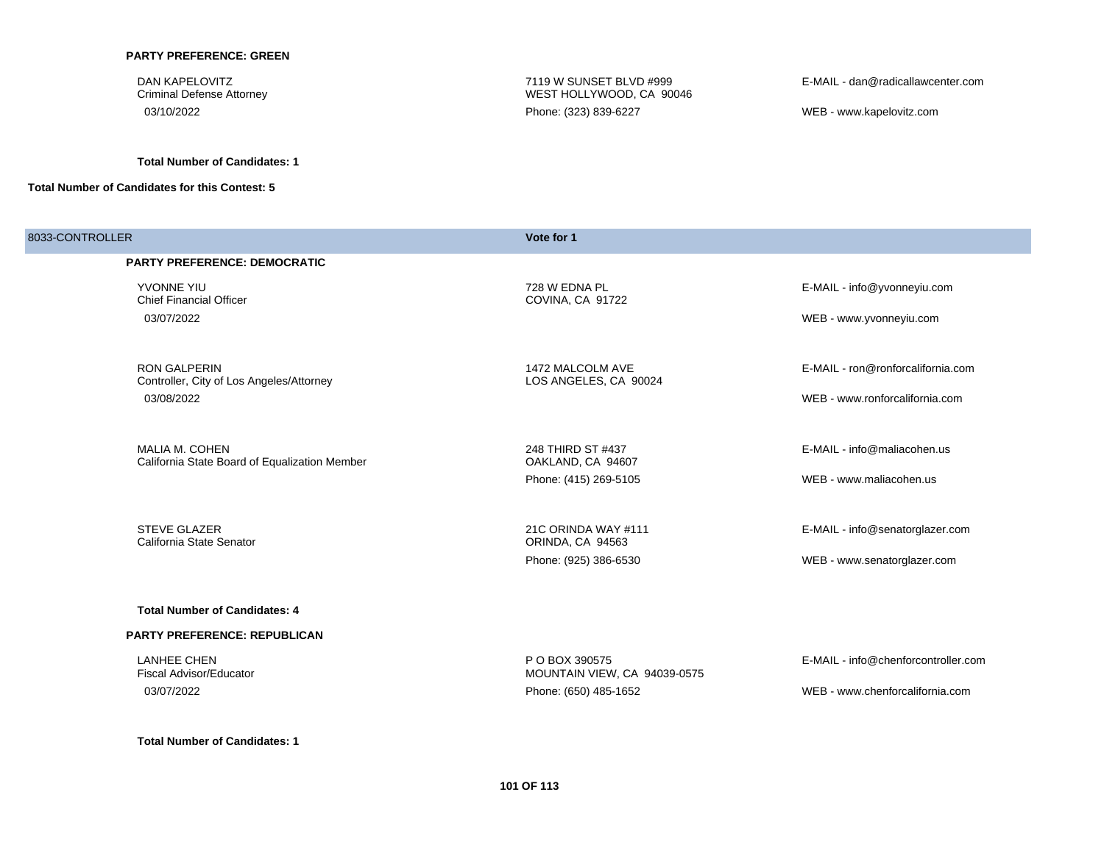#### **PARTY PREFERENCE: GREEN**

DAN KAPELOVITZ Criminal Defense Attorney

**Total Number of Candidates: 1**

**Total Number of Candidates for this Contest: 5**

7119 W SUNSET BLVD #999 WEST HOLLYWOOD, CA 90046 03/10/2022 Phone: (323) 839-6227 WEB - www.kapelovitz.com

E-MAIL - dan@radicallawcenter.com

| 8033-CONTROLLER |                                                                 | Vote for 1                                     |                                     |
|-----------------|-----------------------------------------------------------------|------------------------------------------------|-------------------------------------|
|                 | <b>PARTY PREFERENCE: DEMOCRATIC</b>                             |                                                |                                     |
|                 | YVONNE YIU<br><b>Chief Financial Officer</b>                    | 728 W EDNA PL<br>COVINA, CA 91722              | E-MAIL - info@yvonneyiu.com         |
|                 | 03/07/2022                                                      |                                                | WEB - www.yvonneyiu.com             |
|                 | <b>RON GALPERIN</b><br>Controller, City of Los Angeles/Attorney | 1472 MALCOLM AVE<br>LOS ANGELES, CA 90024      | E-MAIL - ron@ronforcalifornia.com   |
|                 | 03/08/2022                                                      |                                                | WEB - www.ronforcalifornia.com      |
|                 | MALIA M. COHEN<br>California State Board of Equalization Member | 248 THIRD ST #437<br>OAKLAND, CA 94607         | E-MAIL - info@maliacohen.us         |
|                 |                                                                 | Phone: (415) 269-5105                          | WEB - www.maliacohen.us             |
|                 | <b>STEVE GLAZER</b><br>California State Senator                 | 21C ORINDA WAY #111<br>ORINDA, CA 94563        | E-MAIL - info@senatorglazer.com     |
|                 |                                                                 | Phone: (925) 386-6530                          | WEB - www.senatorglazer.com         |
|                 | <b>Total Number of Candidates: 4</b>                            |                                                |                                     |
|                 | <b>PARTY PREFERENCE: REPUBLICAN</b>                             |                                                |                                     |
|                 | <b>LANHEE CHEN</b><br><b>Fiscal Advisor/Educator</b>            | P O BOX 390575<br>MOUNTAIN VIEW, CA 94039-0575 | E-MAIL - info@chenforcontroller.com |
|                 | 03/07/2022                                                      | Phone: (650) 485-1652                          | WEB - www.chenforcalifornia.com     |
|                 |                                                                 |                                                |                                     |

**Total Number of Candidates: 1**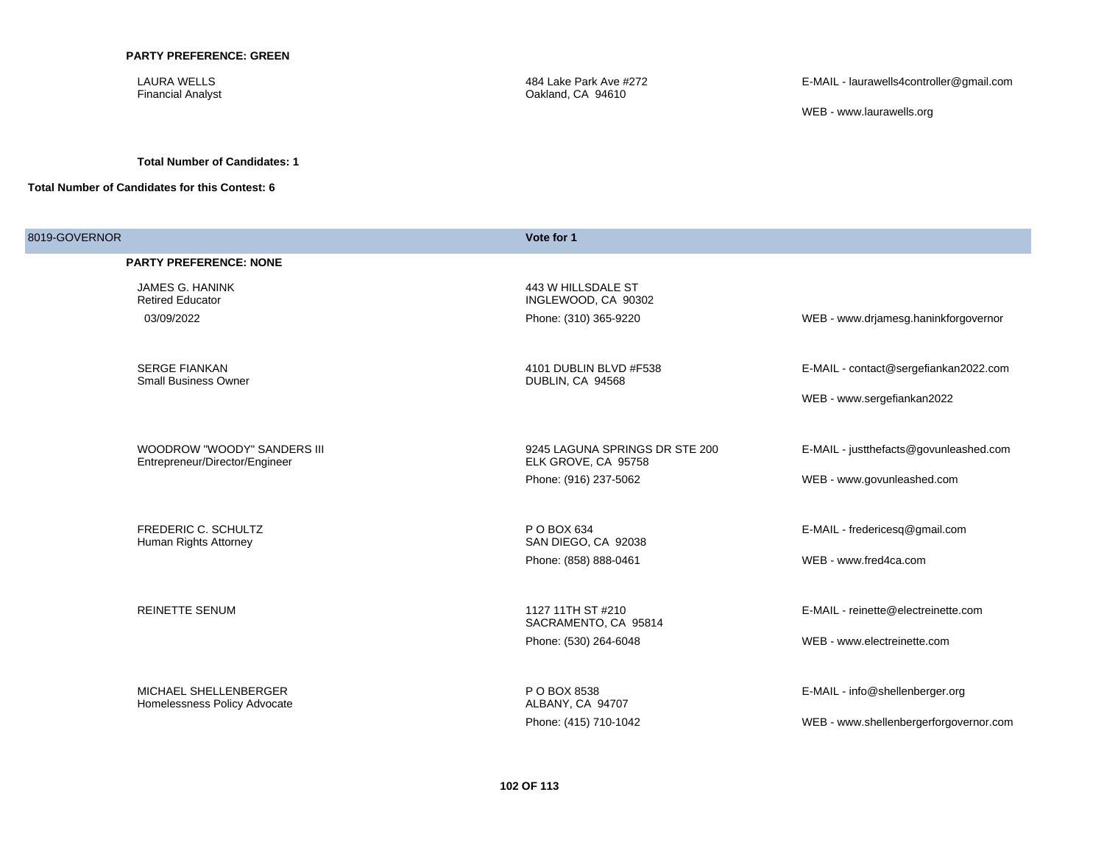LAURA WELLS Financial Analyst

484 Lake Park Ave #272 Oakland, CA 94610

E-MAIL - laurawells4controller@gmail.com

WEB - www.laurawells.org

#### **Total Number of Candidates: 1**

| 8019-GOVERNOR |                                                     | Vote for 1                                 |                                        |  |
|---------------|-----------------------------------------------------|--------------------------------------------|----------------------------------------|--|
|               | <b>PARTY PREFERENCE: NONE</b>                       |                                            |                                        |  |
|               | JAMES G. HANINK<br><b>Retired Educator</b>          | 443 W HILLSDALE ST<br>INGLEWOOD, CA 90302  |                                        |  |
|               | 03/09/2022                                          | Phone: (310) 365-9220                      | WEB - www.drjamesg.haninkforgovernor   |  |
|               | <b>SERGE FIANKAN</b><br><b>Small Business Owner</b> | 4101 DUBLIN BLVD #F538<br>DUBLIN, CA 94568 | E-MAIL - contact@sergefiankan2022.com  |  |
|               |                                                     |                                            | WEB - www.sergefiankan2022             |  |
|               | <b>WOODROW "WOODY" SANDERS III</b>                  | 9245 LAGUNA SPRINGS DR STE 200             | E-MAIL - justthefacts@govunleashed.com |  |
|               | Entrepreneur/Director/Engineer                      | ELK GROVE, CA 95758                        |                                        |  |
|               |                                                     | Phone: (916) 237-5062                      | WEB - www.govunleashed.com             |  |
|               | FREDERIC C. SCHULTZ<br>Human Rights Attorney        | P O BOX 634<br>SAN DIEGO, CA 92038         | E-MAIL - fredericesq@gmail.com         |  |
|               |                                                     | Phone: (858) 888-0461                      | WEB - www.fred4ca.com                  |  |
|               | <b>REINETTE SENUM</b>                               | 1127 11TH ST #210<br>SACRAMENTO, CA 95814  | E-MAIL - reinette@electreinette.com    |  |
|               |                                                     | Phone: (530) 264-6048                      | WEB - www.electreinette.com            |  |
|               | MICHAEL SHELLENBERGER                               | P O BOX 8538                               | E-MAIL - info@shellenberger.org        |  |
|               | Homelessness Policy Advocate                        | ALBANY, CA 94707                           |                                        |  |
|               |                                                     | Phone: (415) 710-1042                      | WEB - www.shellenbergerforgovernor.com |  |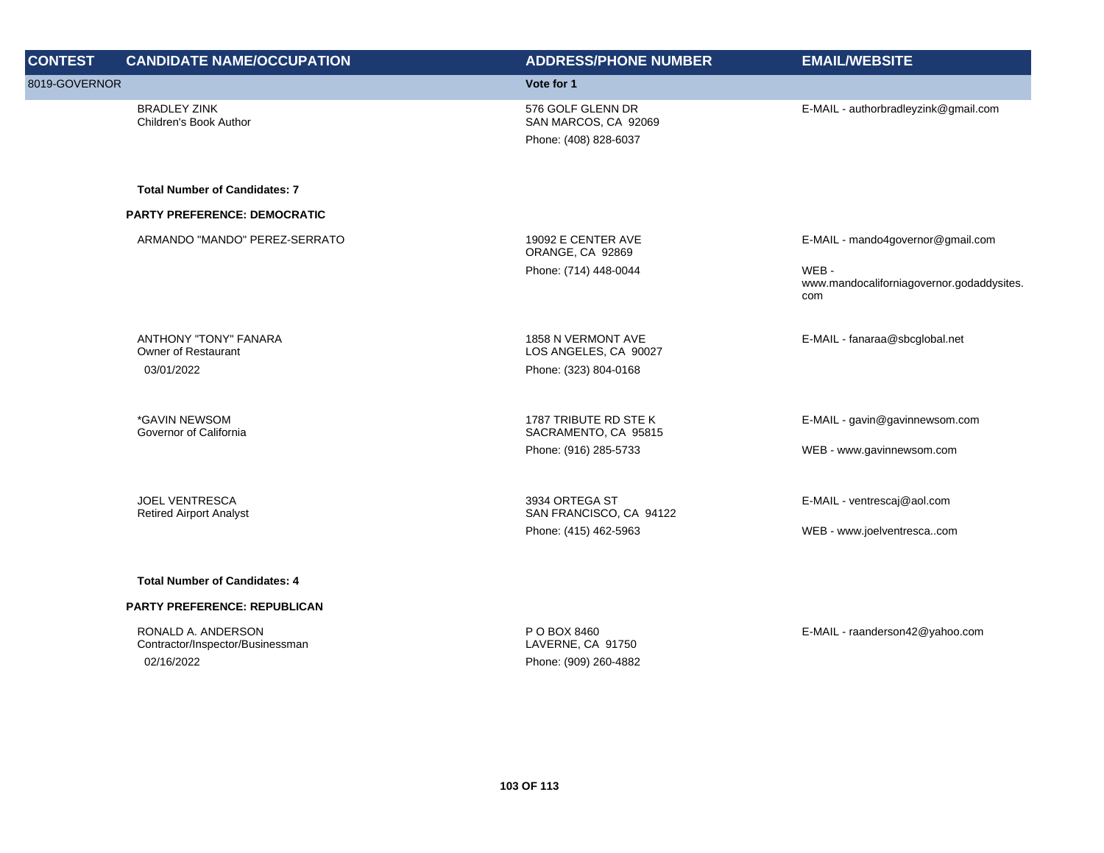| <b>CONTEST</b> | <b>CANDIDATE NAME/OCCUPATION</b>                        | <b>ADDRESS/PHONE NUMBER</b>                   | <b>EMAIL/WEBSITE</b>                                     |
|----------------|---------------------------------------------------------|-----------------------------------------------|----------------------------------------------------------|
| 8019-GOVERNOR  |                                                         | Vote for 1                                    |                                                          |
|                | <b>BRADLEY ZINK</b><br>Children's Book Author           | 576 GOLF GLENN DR<br>SAN MARCOS, CA 92069     | E-MAIL - authorbradleyzink@gmail.com                     |
|                |                                                         | Phone: (408) 828-6037                         |                                                          |
|                | <b>Total Number of Candidates: 7</b>                    |                                               |                                                          |
|                | <b>PARTY PREFERENCE: DEMOCRATIC</b>                     |                                               |                                                          |
|                | ARMANDO "MANDO" PEREZ-SERRATO                           | 19092 E CENTER AVE<br>ORANGE, CA 92869        | E-MAIL - mando4governor@gmail.com                        |
|                |                                                         | Phone: (714) 448-0044                         | WEB-<br>www.mandocaliforniagovernor.godaddysites.<br>com |
|                | ANTHONY "TONY" FANARA<br>Owner of Restaurant            | 1858 N VERMONT AVE<br>LOS ANGELES, CA 90027   | E-MAIL - fanaraa@sbcglobal.net                           |
|                | 03/01/2022                                              | Phone: (323) 804-0168                         |                                                          |
|                | *GAVIN NEWSOM<br>Governor of California                 | 1787 TRIBUTE RD STE K<br>SACRAMENTO, CA 95815 | E-MAIL - gavin@gavinnewsom.com                           |
|                |                                                         | Phone: (916) 285-5733                         | WEB - www.gavinnewsom.com                                |
|                | <b>JOEL VENTRESCA</b><br><b>Retired Airport Analyst</b> | 3934 ORTEGA ST<br>SAN FRANCISCO, CA 94122     | E-MAIL - ventrescaj@aol.com                              |
|                |                                                         | Phone: (415) 462-5963                         | WEB - www.joelventrescacom                               |
|                | <b>Total Number of Candidates: 4</b>                    |                                               |                                                          |
|                | <b>PARTY PREFERENCE: REPUBLICAN</b>                     |                                               |                                                          |
|                | RONALD A. ANDERSON<br>Contractor/Inspector/Businessman  | P O BOX 8460<br>LAVERNE, CA 91750             | E-MAIL - raanderson42@yahoo.com                          |
|                | 02/16/2022                                              | Phone: (909) 260-4882                         |                                                          |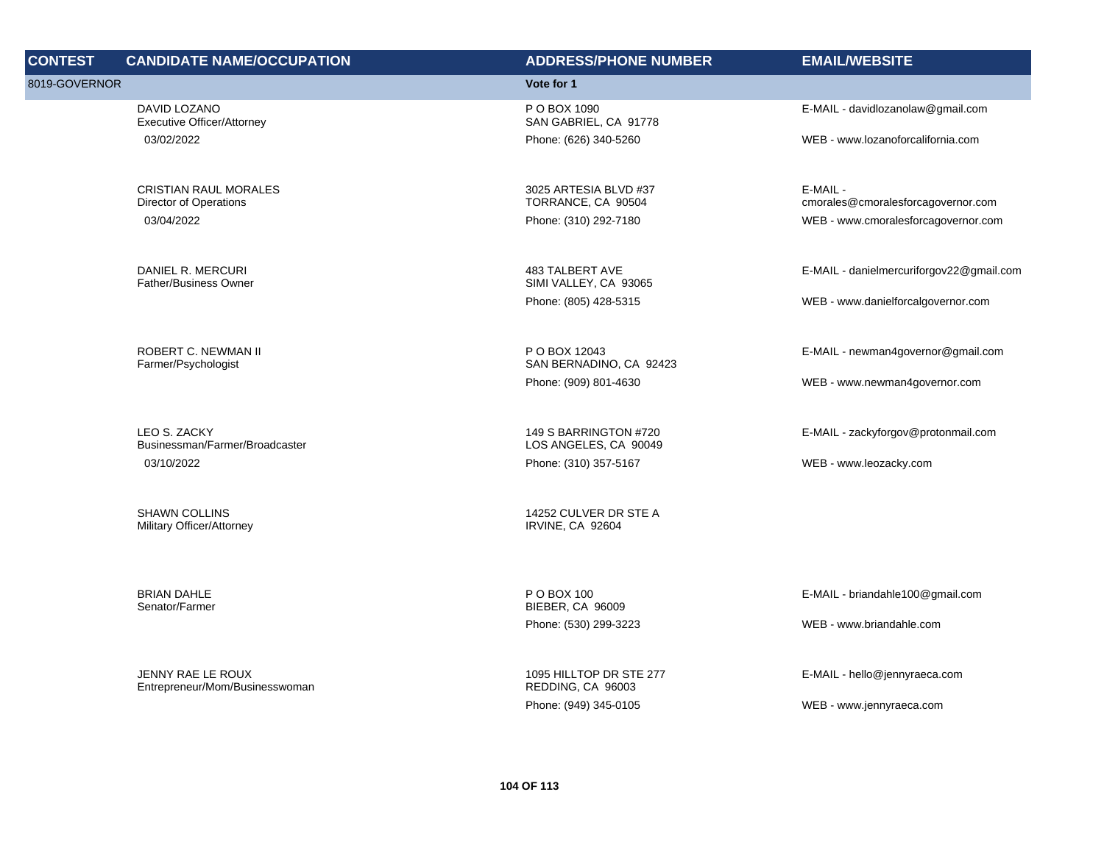| <b>CONTEST</b> | <b>CANDIDATE NAME/OCCUPATION</b>                       | <b>ADDRESS/PHONE NUMBER</b>                                     | <b>EMAIL/WEBSITE</b>                                         |
|----------------|--------------------------------------------------------|-----------------------------------------------------------------|--------------------------------------------------------------|
| 8019-GOVERNOR  |                                                        | Vote for 1                                                      |                                                              |
|                | DAVID LOZANO<br><b>Executive Officer/Attorney</b>      | P O BOX 1090<br>SAN GABRIEL, CA 91778                           | E-MAIL - davidlozanolaw@gmail.com                            |
|                | 03/02/2022                                             | Phone: (626) 340-5260                                           | WEB - www.lozanoforcalifornia.com                            |
|                | <b>CRISTIAN RAUL MORALES</b><br>Director of Operations | 3025 ARTESIA BLVD #37<br>TORRANCE, CA 90504                     | E-MAIL -<br>cmorales@cmoralesforcagovernor.com               |
|                | 03/04/2022                                             | Phone: (310) 292-7180                                           | WEB - www.cmoralesforcagovernor.com                          |
|                | DANIEL R. MERCURI<br><b>Father/Business Owner</b>      | 483 TALBERT AVE<br>SIMI VALLEY, CA 93065                        | E-MAIL - danielmercuriforgov22@gmail.com                     |
|                |                                                        | Phone: (805) 428-5315                                           | WEB - www.danielforcalgovernor.com                           |
|                | ROBERT C. NEWMAN II<br>Farmer/Psychologist             | P O BOX 12043<br>SAN BERNADINO, CA 92423                        | E-MAIL - newman4governor@gmail.com                           |
|                |                                                        | Phone: (909) 801-4630                                           | WEB - www.newman4governor.com                                |
|                |                                                        |                                                                 |                                                              |
|                | LEO S. ZACKY<br>Businessman/Farmer/Broadcaster         | 149 S BARRINGTON #720<br>LOS ANGELES, CA 90049                  | E-MAIL - zackyforgov@protonmail.com                          |
|                | 03/10/2022                                             | Phone: (310) 357-5167                                           | WEB - www.leozacky.com                                       |
|                | <b>SHAWN COLLINS</b><br>Military Officer/Attorney      | 14252 CULVER DR STE A<br>IRVINE, CA 92604                       |                                                              |
|                | <b>BRIAN DAHLE</b><br>Senator/Farmer                   | P O BOX 100<br><b>BIEBER, CA 96009</b><br>Phone: (530) 299-3223 | E-MAIL - briandahle100@gmail.com<br>WEB - www.briandahle.com |
|                |                                                        |                                                                 |                                                              |
|                | JENNY RAE LE ROUX<br>Entrepreneur/Mom/Businesswoman    | 1095 HILLTOP DR STE 277<br>REDDING, CA 96003                    | E-MAIL - hello@jennyraeca.com                                |
|                |                                                        | Phone: (949) 345-0105                                           | WEB - www.jennyraeca.com                                     |
|                |                                                        |                                                                 |                                                              |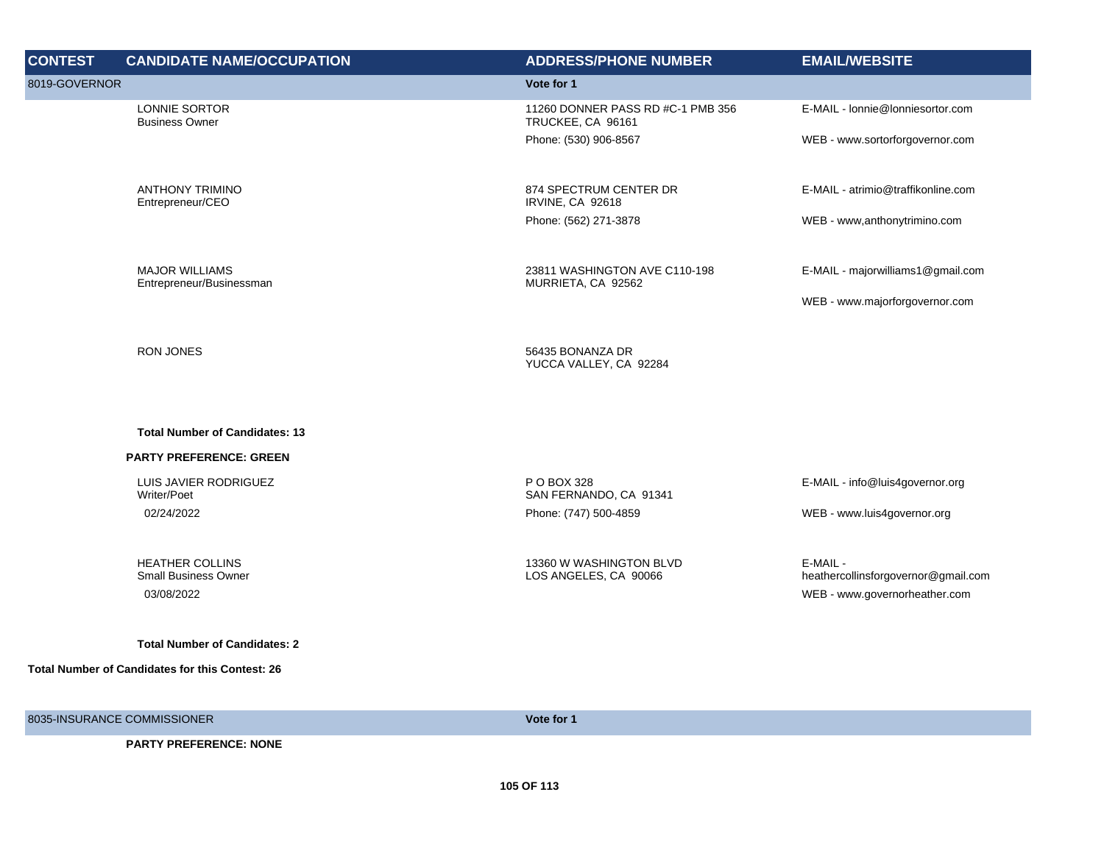| <b>CONTEST</b> | <b>CANDIDATE NAME/OCCUPATION</b>                      | <b>ADDRESS/PHONE NUMBER</b>                            | <b>EMAIL/WEBSITE</b>                            |
|----------------|-------------------------------------------------------|--------------------------------------------------------|-------------------------------------------------|
| 8019-GOVERNOR  |                                                       | Vote for 1                                             |                                                 |
|                | LONNIE SORTOR<br><b>Business Owner</b>                | 11260 DONNER PASS RD #C-1 PMB 356<br>TRUCKEE, CA 96161 | E-MAIL - Ionnie@Ionniesortor.com                |
|                |                                                       | Phone: (530) 906-8567                                  | WEB - www.sortorforgovernor.com                 |
|                | <b>ANTHONY TRIMINO</b><br>Entrepreneur/CEO            | 874 SPECTRUM CENTER DR<br>IRVINE, CA 92618             | E-MAIL - atrimio@traffikonline.com              |
|                |                                                       | Phone: (562) 271-3878                                  | WEB - www.anthonytrimino.com                    |
|                | <b>MAJOR WILLIAMS</b><br>Entrepreneur/Businessman     | 23811 WASHINGTON AVE C110-198<br>MURRIETA, CA 92562    | E-MAIL - majorwilliams1@gmail.com               |
|                |                                                       |                                                        | WEB - www.majorforgovernor.com                  |
|                | <b>RON JONES</b>                                      | 56435 BONANZA DR<br>YUCCA VALLEY, CA 92284             |                                                 |
|                | <b>Total Number of Candidates: 13</b>                 |                                                        |                                                 |
|                | <b>PARTY PREFERENCE: GREEN</b>                        |                                                        |                                                 |
|                | LUIS JAVIER RODRIGUEZ<br>Writer/Poet                  | P O BOX 328<br>SAN FERNANDO, CA 91341                  | E-MAIL - info@luis4governor.org                 |
|                | 02/24/2022                                            | Phone: (747) 500-4859                                  | WEB - www.luis4governor.org                     |
|                | <b>HEATHER COLLINS</b><br><b>Small Business Owner</b> | 13360 W WASHINGTON BLVD<br>LOS ANGELES, CA 90066       | E-MAIL -<br>heathercollinsforgovernor@gmail.com |
|                | 03/08/2022                                            |                                                        | WEB - www.governorheather.com                   |
|                | <b>Total Number of Candidates: 2</b>                  |                                                        |                                                 |
|                | Total Number of Candidates for this Contest: 26       |                                                        |                                                 |
|                | 8035-INSURANCE COMMISSIONER                           | Vote for 1                                             |                                                 |
|                |                                                       |                                                        |                                                 |

**PARTY PREFERENCE: NONE**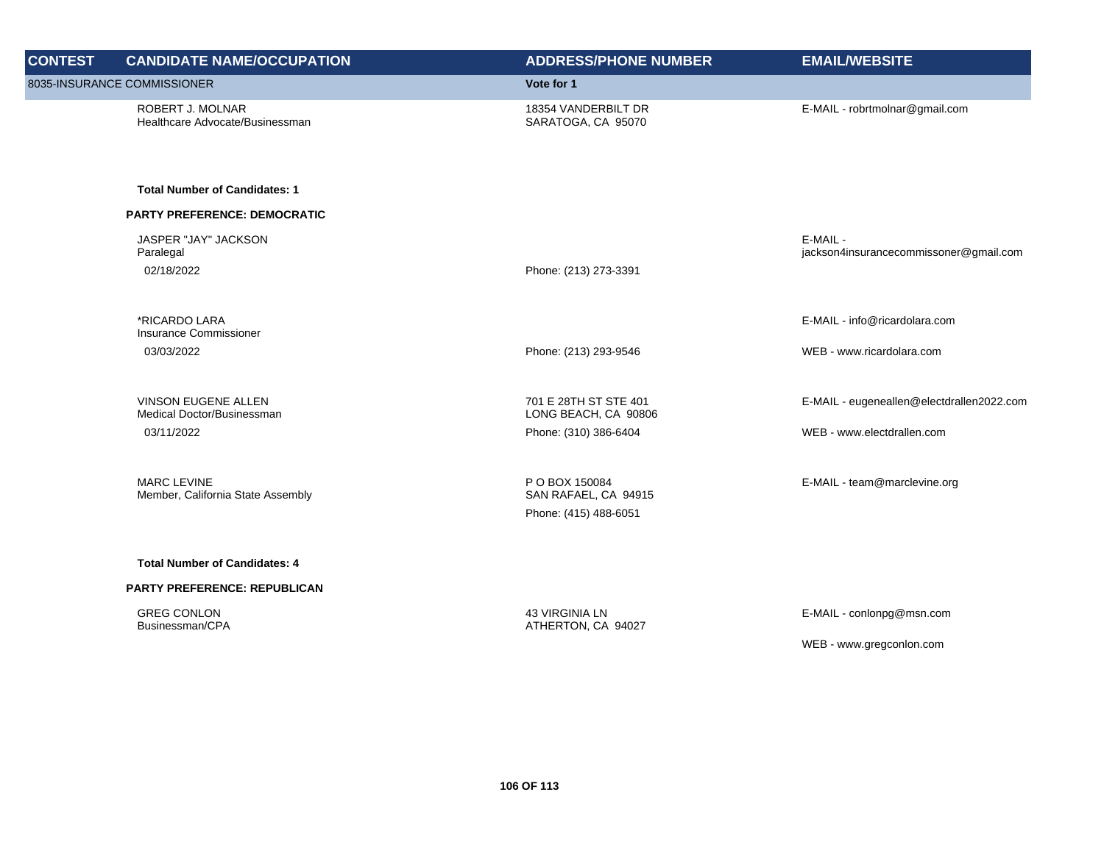| <b>CONTEST</b> | <b>CANDIDATE NAME/OCCUPATION</b>                        | <b>ADDRESS/PHONE NUMBER</b>                                     | <b>EMAIL/WEBSITE</b>                               |
|----------------|---------------------------------------------------------|-----------------------------------------------------------------|----------------------------------------------------|
|                | 8035-INSURANCE COMMISSIONER                             | Vote for 1                                                      |                                                    |
|                | ROBERT J. MOLNAR<br>Healthcare Advocate/Businessman     | 18354 VANDERBILT DR<br>SARATOGA, CA 95070                       | E-MAIL - robrtmolnar@gmail.com                     |
|                | <b>Total Number of Candidates: 1</b>                    |                                                                 |                                                    |
|                | <b>PARTY PREFERENCE: DEMOCRATIC</b>                     |                                                                 |                                                    |
|                | JASPER "JAY" JACKSON<br>Paralegal<br>02/18/2022         | Phone: (213) 273-3391                                           | E-MAIL -<br>jackson4insurancecommissoner@gmail.com |
|                | *RICARDO LARA<br>Insurance Commissioner                 |                                                                 | E-MAIL - info@ricardolara.com                      |
|                | 03/03/2022                                              | Phone: (213) 293-9546                                           | WEB - www.ricardolara.com                          |
|                | VINSON EUGENE ALLEN<br>Medical Doctor/Businessman       | 701 E 28TH ST STE 401<br>LONG BEACH, CA 90806                   | E-MAIL - eugeneallen@electdrallen2022.com          |
|                | 03/11/2022                                              | Phone: (310) 386-6404                                           | WEB - www.electdrallen.com                         |
|                | <b>MARC LEVINE</b><br>Member, California State Assembly | P O BOX 150084<br>SAN RAFAEL, CA 94915<br>Phone: (415) 488-6051 | E-MAIL - team@marclevine.org                       |
|                | <b>Total Number of Candidates: 4</b>                    |                                                                 |                                                    |
|                | PARTY PREFERENCE: REPUBLICAN                            |                                                                 |                                                    |
|                | <b>GREG CONLON</b><br>Businessman/CPA                   | 43 VIRGINIA LN<br>ATHERTON, CA 94027                            | E-MAIL - conlonpg@msn.com                          |
|                |                                                         |                                                                 | WEB - www.gregconlon.com                           |
|                |                                                         |                                                                 |                                                    |
|                |                                                         |                                                                 |                                                    |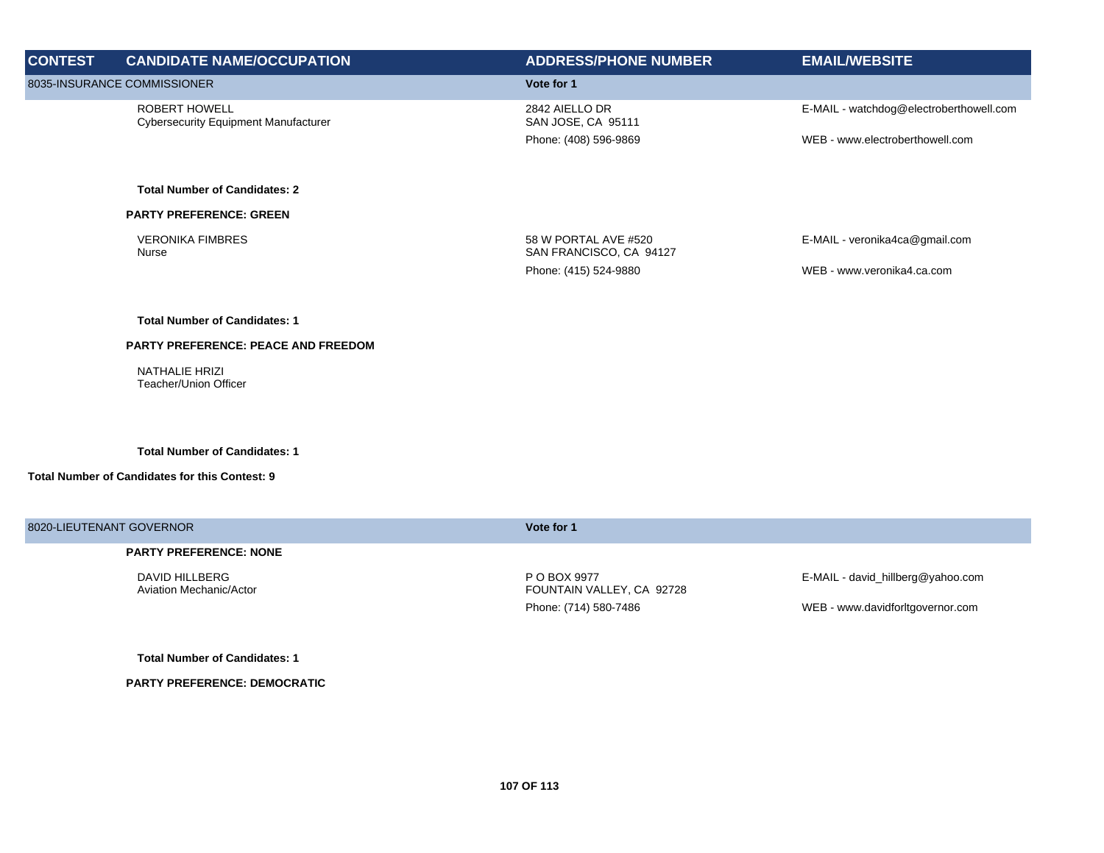| <b>CONTEST</b>              | <b>CANDIDATE NAME/OCCUPATION</b>                                    | <b>ADDRESS/PHONE NUMBER</b>                     | <b>EMAIL/WEBSITE</b>                    |
|-----------------------------|---------------------------------------------------------------------|-------------------------------------------------|-----------------------------------------|
| 8035-INSURANCE COMMISSIONER |                                                                     | Vote for 1                                      |                                         |
|                             | <b>ROBERT HOWELL</b><br><b>Cybersecurity Equipment Manufacturer</b> | 2842 AIELLO DR<br>SAN JOSE, CA 95111            | E-MAIL - watchdog@electroberthowell.com |
|                             |                                                                     | Phone: (408) 596-9869                           | WEB - www.electroberthowell.com         |
|                             | <b>Total Number of Candidates: 2</b>                                |                                                 |                                         |
|                             | <b>PARTY PREFERENCE: GREEN</b>                                      |                                                 |                                         |
|                             | <b>VERONIKA FIMBRES</b><br>Nurse                                    | 58 W PORTAL AVE #520<br>SAN FRANCISCO, CA 94127 | E-MAIL - veronika4ca@gmail.com          |
|                             |                                                                     | Phone: (415) 524-9880                           | WEB - www.veronika4.ca.com              |
|                             | <b>Total Number of Candidates: 1</b>                                |                                                 |                                         |
|                             | <b>PARTY PREFERENCE: PEACE AND FREEDOM</b>                          |                                                 |                                         |
|                             | NATHALIE HRIZI<br>Teacher/Union Officer                             |                                                 |                                         |
|                             | <b>Total Number of Candidates: 1</b>                                |                                                 |                                         |
|                             | Total Number of Candidates for this Contest: 9                      |                                                 |                                         |
| 8020-LIEUTENANT GOVERNOR    |                                                                     | Vote for 1                                      |                                         |

## **PARTY PREFERENCE: NONE**

DAVID HILLBERG Aviation Mechanic/Actor P O BOX 9977 FOUNTAIN VALLEY, CA 92728 E-MAIL - david\_hillberg@yahoo.com

Phone: (714) 580-7486 WEB - www.davidforltgovernor.com

**Total Number of Candidates: 1**

**PARTY PREFERENCE: DEMOCRATIC**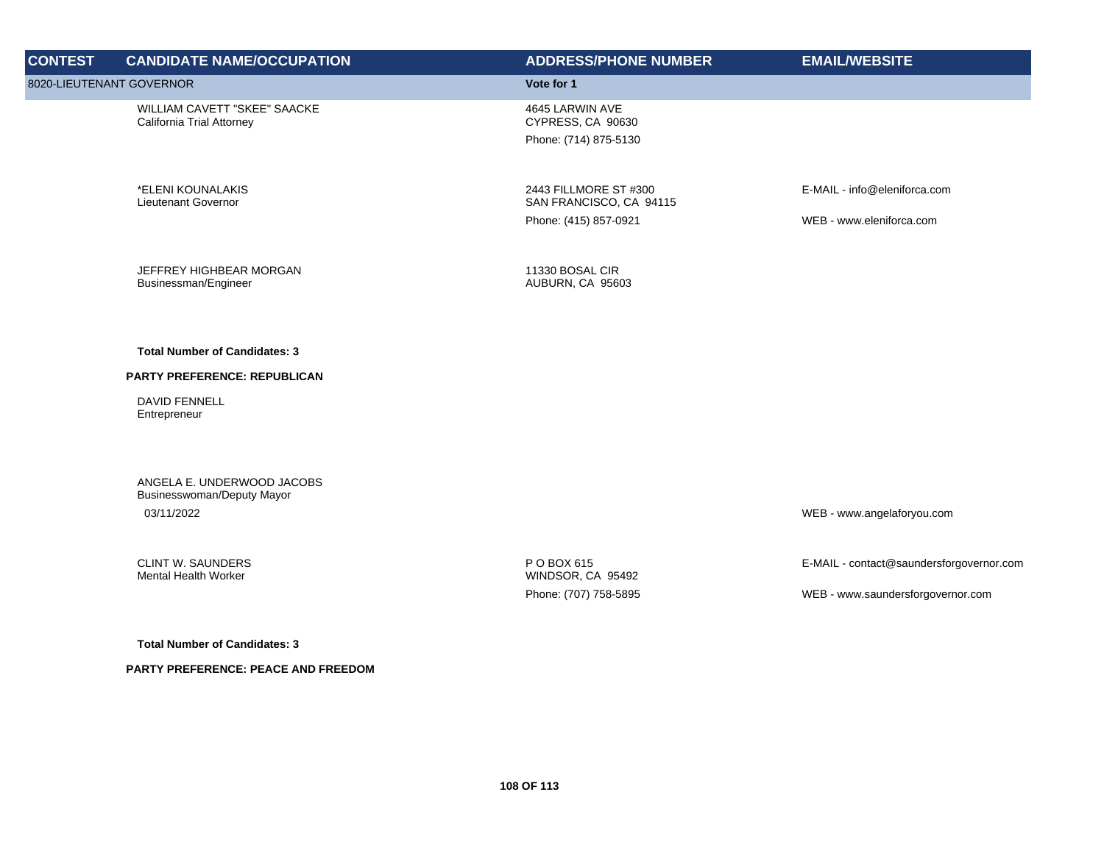| <b>CONTEST</b>           | <b>CANDIDATE NAME/OCCUPATION</b>                                       | <b>ADDRESS/PHONE NUMBER</b>                                   | <b>EMAIL/WEBSITE</b>                     |
|--------------------------|------------------------------------------------------------------------|---------------------------------------------------------------|------------------------------------------|
| 8020-LIEUTENANT GOVERNOR |                                                                        | Vote for 1                                                    |                                          |
|                          | WILLIAM CAVETT "SKEE" SAACKE<br>California Trial Attorney              | 4645 LARWIN AVE<br>CYPRESS, CA 90630<br>Phone: (714) 875-5130 |                                          |
|                          | *ELENI KOUNALAKIS<br>Lieutenant Governor                               | 2443 FILLMORE ST #300<br>SAN FRANCISCO, CA 94115              | E-MAIL - info@eleniforca.com             |
|                          |                                                                        | Phone: (415) 857-0921                                         | WEB - www.eleniforca.com                 |
|                          | JEFFREY HIGHBEAR MORGAN<br>Businessman/Engineer                        | 11330 BOSAL CIR<br>AUBURN, CA 95603                           |                                          |
|                          | <b>Total Number of Candidates: 3</b>                                   |                                                               |                                          |
|                          | PARTY PREFERENCE: REPUBLICAN                                           |                                                               |                                          |
|                          | <b>DAVID FENNELL</b><br>Entrepreneur                                   |                                                               |                                          |
|                          | ANGELA E. UNDERWOOD JACOBS<br>Businesswoman/Deputy Mayor<br>03/11/2022 |                                                               | WEB - www.angelaforyou.com               |
|                          | <b>CLINT W. SAUNDERS</b><br><b>Mental Health Worker</b>                | P O BOX 615<br>WINDSOR, CA 95492                              | E-MAIL - contact@saundersforgovernor.com |
|                          |                                                                        | Phone: (707) 758-5895                                         | WEB - www.saundersforgovernor.com        |
|                          | <b>Total Number of Candidates: 3</b>                                   |                                                               |                                          |
|                          | PARTY PREFERENCE: PEACE AND FREEDOM                                    |                                                               |                                          |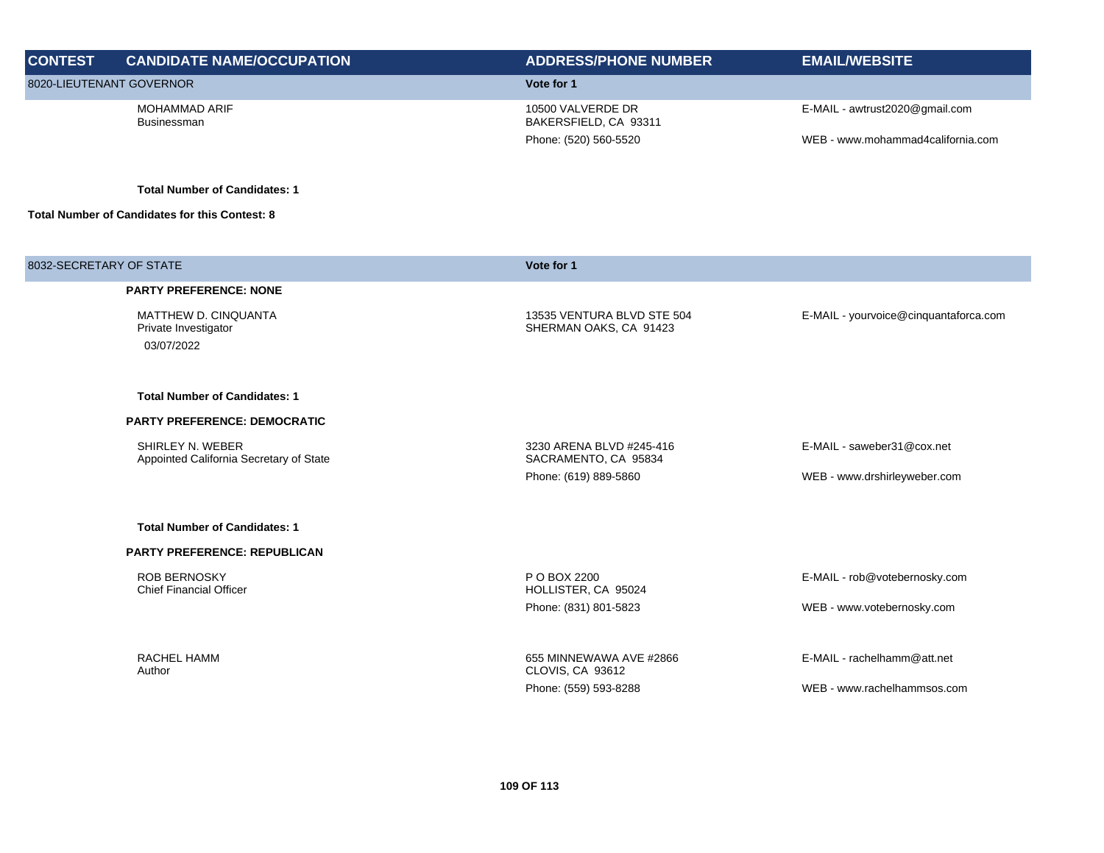| <b>CONTEST</b>          | <b>CANDIDATE NAME/OCCUPATION</b>                                  | <b>ADDRESS/PHONE NUMBER</b>                          | <b>EMAIL/WEBSITE</b>                  |
|-------------------------|-------------------------------------------------------------------|------------------------------------------------------|---------------------------------------|
|                         | 8020-LIEUTENANT GOVERNOR                                          | Vote for 1                                           |                                       |
|                         | MOHAMMAD ARIF<br><b>Businessman</b>                               | 10500 VALVERDE DR<br>BAKERSFIELD, CA 93311           | E-MAIL - awtrust2020@gmail.com        |
|                         |                                                                   | Phone: (520) 560-5520                                | WEB - www.mohammad4california.com     |
|                         | <b>Total Number of Candidates: 1</b>                              |                                                      |                                       |
|                         | <b>Total Number of Candidates for this Contest: 8</b>             |                                                      |                                       |
| 8032-SECRETARY OF STATE |                                                                   | Vote for 1                                           |                                       |
|                         | <b>PARTY PREFERENCE: NONE</b>                                     |                                                      |                                       |
|                         | <b>MATTHEW D. CINQUANTA</b><br>Private Investigator<br>03/07/2022 | 13535 VENTURA BLVD STE 504<br>SHERMAN OAKS, CA 91423 | E-MAIL - yourvoice@cinquantaforca.com |
|                         | <b>Total Number of Candidates: 1</b>                              |                                                      |                                       |
|                         | <b>PARTY PREFERENCE: DEMOCRATIC</b>                               |                                                      |                                       |
|                         | SHIRLEY N. WEBER<br>Appointed California Secretary of State       | 3230 ARENA BLVD #245-416<br>SACRAMENTO, CA 95834     | E-MAIL - saweber31@cox.net            |
|                         |                                                                   | Phone: (619) 889-5860                                | WEB - www.drshirleyweber.com          |
|                         | <b>Total Number of Candidates: 1</b>                              |                                                      |                                       |
|                         | <b>PARTY PREFERENCE: REPUBLICAN</b>                               |                                                      |                                       |
|                         | <b>ROB BERNOSKY</b><br><b>Chief Financial Officer</b>             | P O BOX 2200<br>HOLLISTER, CA 95024                  | E-MAIL - rob@votebernosky.com         |
|                         |                                                                   | Phone: (831) 801-5823                                | WEB - www.votebernosky.com            |
|                         | RACHEL HAMM<br>Author                                             | 655 MINNEWAWA AVE #2866<br>CLOVIS, CA 93612          | E-MAIL - rachelhamm@att.net           |
|                         |                                                                   | Phone: (559) 593-8288                                | WEB - www.rachelhammsos.com           |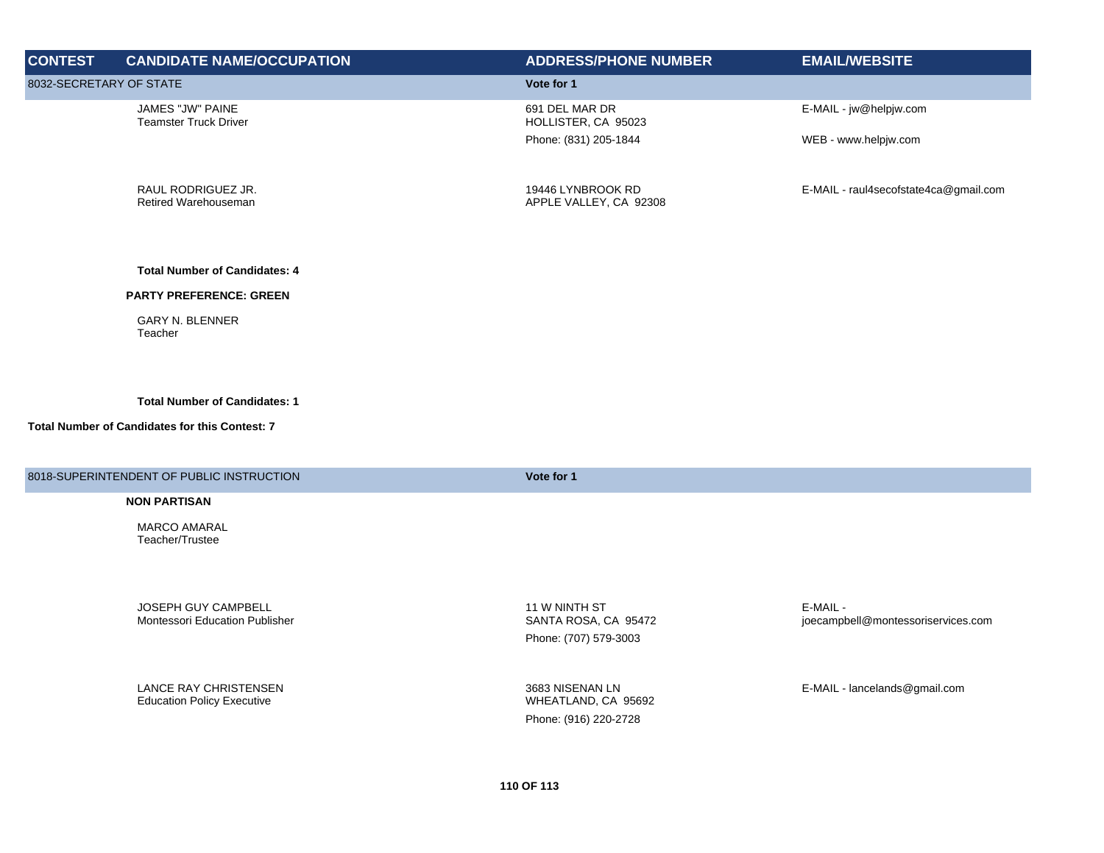| <b>CONTEST</b>          | <b>CANDIDATE NAME/OCCUPATION</b>                 | <b>ADDRESS/PHONE NUMBER</b>                 | <b>EMAIL/WEBSITE</b>                  |
|-------------------------|--------------------------------------------------|---------------------------------------------|---------------------------------------|
| 8032-SECRETARY OF STATE |                                                  | Vote for 1                                  |                                       |
|                         | JAMES "JW" PAINE<br><b>Teamster Truck Driver</b> | 691 DEL MAR DR<br>HOLLISTER, CA 95023       | E-MAIL - jw@helpjw.com                |
|                         |                                                  | Phone: (831) 205-1844                       | WEB - www.helpjw.com                  |
|                         | RAUL RODRIGUEZ JR.<br>Retired Warehouseman       | 19446 LYNBROOK RD<br>APPLE VALLEY, CA 92308 | E-MAIL - raul4secofstate4ca@gmail.com |
|                         | <b>Total Number of Candidates: 4</b>             |                                             |                                       |
|                         | <b>PARTY PREFERENCE: GREEN</b>                   |                                             |                                       |
|                         | <b>GARY N. BLENNER</b>                           |                                             |                                       |

**Total Number of Candidates: 1**

## **Total Number of Candidates for this Contest: 7**

Teacher

8018-SUPERINTENDENT OF PUBLIC INSTRUCTION **Vote for 1**

## **NON PARTISAN**

MARCO AMARAL Teacher/Trustee

JOSEPH GUY CAMPBELL Montessori Education Publisher

LANCE RAY CHRISTENSEN Education Policy Executive

11 W NINTH ST SANTA ROSA, CA 95472

Phone: (707) 579-3003

3683 NISENAN LN WHEATLAND, CA 95692 Phone: (916) 220-2728

E-MAIL joecampbell@montessoriservices.com

E-MAIL - lancelands@gmail.com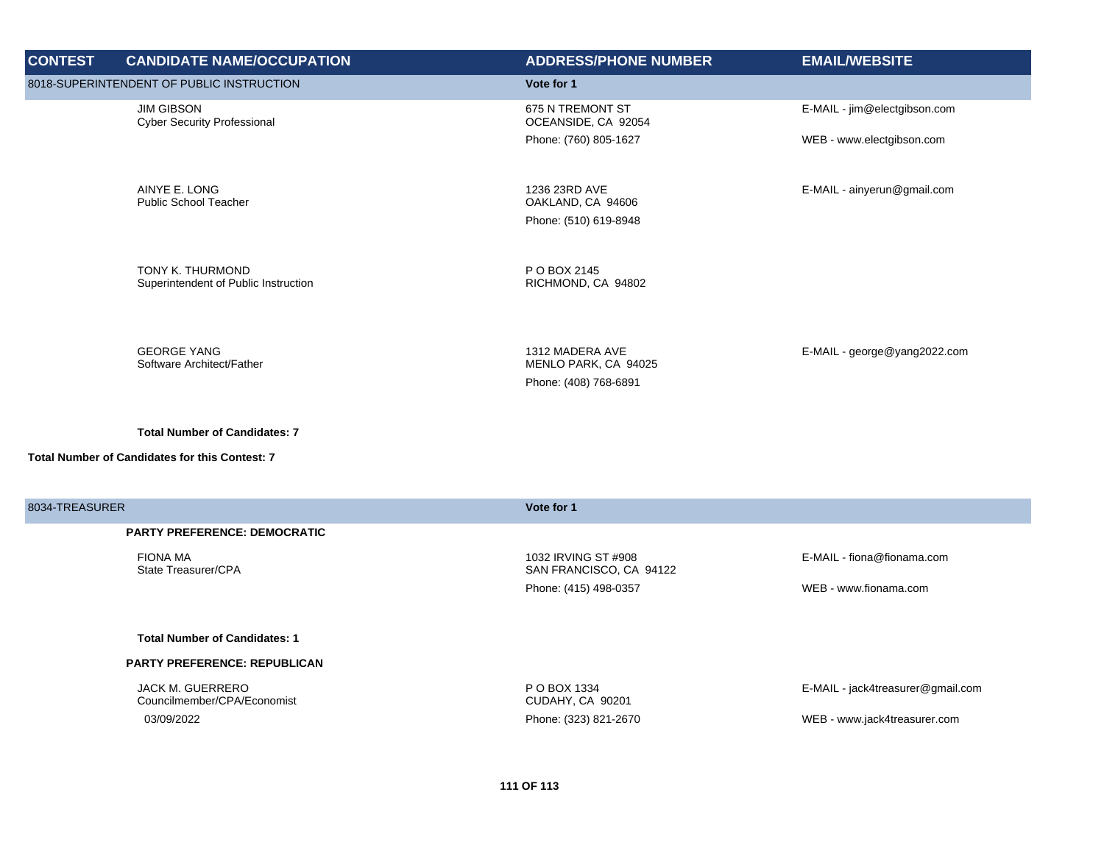| <b>CONTEST</b> | <b>CANDIDATE NAME/OCCUPATION</b>                         | <b>ADDRESS/PHONE NUMBER</b>                                      | <b>EMAIL/WEBSITE</b>              |
|----------------|----------------------------------------------------------|------------------------------------------------------------------|-----------------------------------|
|                | 8018-SUPERINTENDENT OF PUBLIC INSTRUCTION                | Vote for 1                                                       |                                   |
|                | <b>JIM GIBSON</b><br><b>Cyber Security Professional</b>  | 675 N TREMONT ST<br>OCEANSIDE, CA 92054                          | E-MAIL - jim@electgibson.com      |
|                |                                                          | Phone: (760) 805-1627                                            | WEB - www.electgibson.com         |
|                | AINYE E. LONG<br><b>Public School Teacher</b>            | 1236 23RD AVE<br>OAKLAND, CA 94606<br>Phone: (510) 619-8948      | E-MAIL - ainyerun@gmail.com       |
|                | TONY K. THURMOND<br>Superintendent of Public Instruction | P O BOX 2145<br>RICHMOND, CA 94802                               |                                   |
|                | <b>GEORGE YANG</b><br>Software Architect/Father          | 1312 MADERA AVE<br>MENLO PARK, CA 94025<br>Phone: (408) 768-6891 | E-MAIL - george@yang2022.com      |
|                | <b>Total Number of Candidates: 7</b>                     |                                                                  |                                   |
|                | Total Number of Candidates for this Contest: 7           |                                                                  |                                   |
| 8034-TREASURER |                                                          | Vote for 1                                                       |                                   |
|                | <b>PARTY PREFERENCE: DEMOCRATIC</b>                      |                                                                  |                                   |
|                | <b>FIONA MA</b><br>State Treasurer/CPA                   | 1032 IRVING ST #908<br>SAN FRANCISCO, CA 94122                   | E-MAIL - fiona@fionama.com        |
|                |                                                          | Phone: (415) 498-0357                                            | WEB - www.fionama.com             |
|                | <b>Total Number of Candidates: 1</b>                     |                                                                  |                                   |
|                | PARTY PREFERENCE: REPUBLICAN                             |                                                                  |                                   |
|                | JACK M. GUERRERO<br>Councilmember/CPA/Economist          | P O BOX 1334<br>CUDAHY, CA 90201                                 | E-MAIL - jack4treasurer@gmail.com |
|                | 03/09/2022                                               | Phone: (323) 821-2670                                            | WEB - www.jack4treasurer.com      |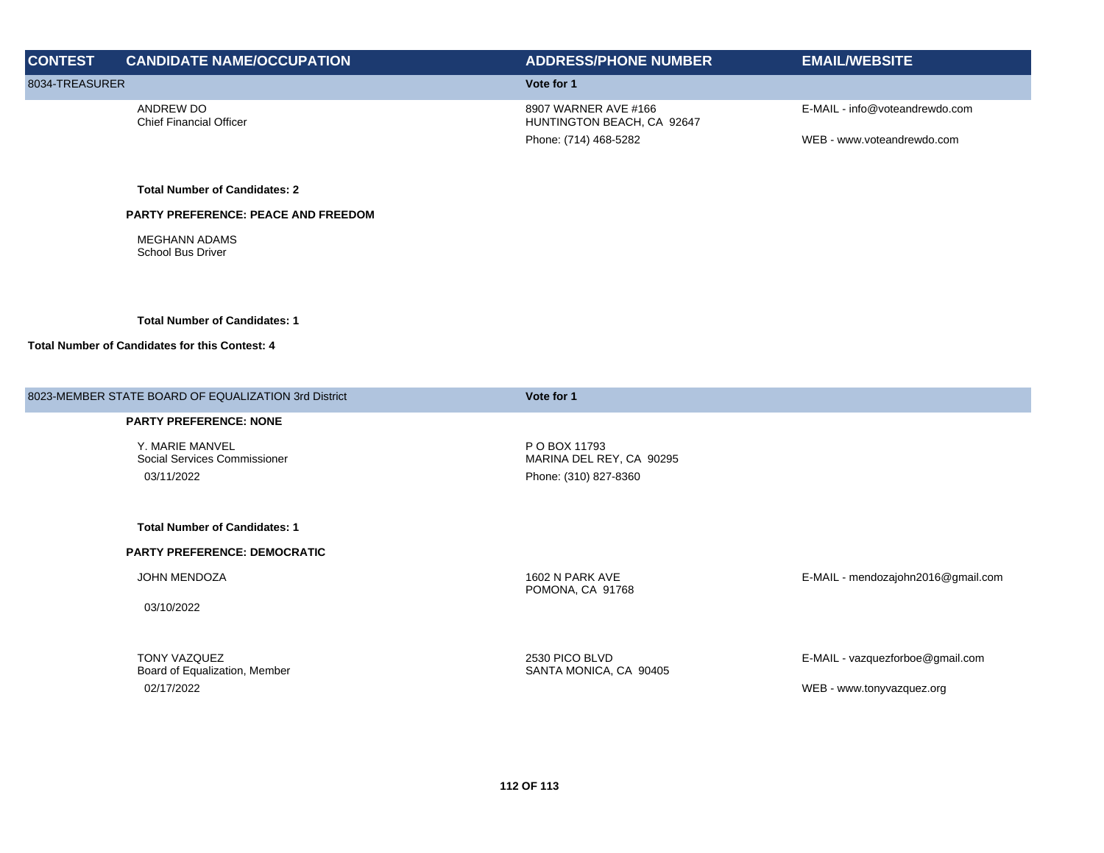| <b>CONTEST</b> | <b>CANDIDATE NAME/OCCUPATION</b>            | <b>ADDRESS/PHONE NUMBER</b>                        | <b>EMAIL/WEBSITE</b>           |
|----------------|---------------------------------------------|----------------------------------------------------|--------------------------------|
| 8034-TREASURER |                                             | Vote for 1                                         |                                |
|                | ANDREW DO<br><b>Chief Financial Officer</b> | 8907 WARNER AVE #166<br>HUNTINGTON BEACH, CA 92647 | E-MAIL - info@voteandrewdo.com |
|                |                                             | Phone: (714) 468-5282                              | WEB - www.voteandrewdo.com     |

**Total Number of Candidates: 2**

**PARTY PREFERENCE: PEACE AND FREEDOM**

MEGHANN ADAMS School Bus Driver

## **Total Number of Candidates: 1**

## **Total Number of Candidates for this Contest: 4**

| 8023-MEMBER STATE BOARD OF EQUALIZATION 3rd District | Vote for 1                                |                                    |
|------------------------------------------------------|-------------------------------------------|------------------------------------|
| <b>PARTY PREFERENCE: NONE</b>                        |                                           |                                    |
| Y. MARIE MANVEL<br>Social Services Commissioner      | P O BOX 11793<br>MARINA DEL REY, CA 90295 |                                    |
| 03/11/2022                                           | Phone: (310) 827-8360                     |                                    |
|                                                      |                                           |                                    |
| <b>Total Number of Candidates: 1</b>                 |                                           |                                    |
| <b>PARTY PREFERENCE: DEMOCRATIC</b>                  |                                           |                                    |
| JOHN MENDOZA                                         | 1602 N PARK AVE<br>POMONA, CA 91768       | E-MAIL - mendozajohn2016@gmail.com |
| 03/10/2022                                           |                                           |                                    |
|                                                      |                                           |                                    |
| <b>TONY VAZQUEZ</b><br>Board of Equalization, Member | 2530 PICO BLVD<br>SANTA MONICA, CA 90405  | E-MAIL - vazquezforboe@gmail.com   |
| 02/17/2022                                           |                                           | WEB - www.tonyvazquez.org          |